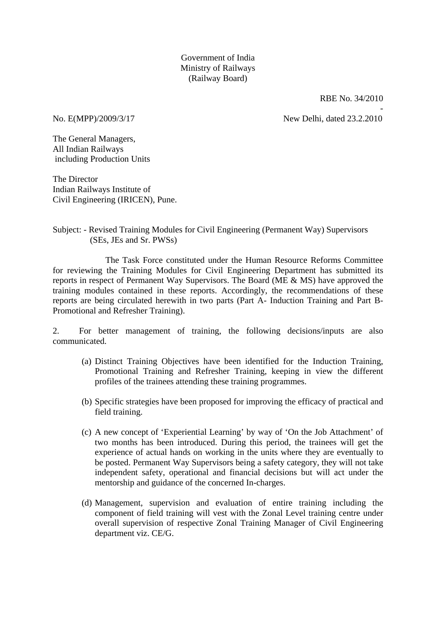Government of India Ministry of Railways (Railway Board)

RBE No. 34/2010

-

No. E(MPP)/2009/3/17 New Delhi, dated 23.2.2010

The General Managers, All Indian Railways including Production Units

The Director Indian Railways Institute of Civil Engineering (IRICEN), Pune.

### Subject: - Revised Training Modules for Civil Engineering (Permanent Way) Supervisors (SEs, JEs and Sr. PWSs)

 The Task Force constituted under the Human Resource Reforms Committee for reviewing the Training Modules for Civil Engineering Department has submitted its reports in respect of Permanent Way Supervisors. The Board (ME & MS) have approved the training modules contained in these reports. Accordingly, the recommendations of these reports are being circulated herewith in two parts (Part A- Induction Training and Part B-Promotional and Refresher Training).

2. For better management of training, the following decisions/inputs are also communicated.

- (a) Distinct Training Objectives have been identified for the Induction Training, Promotional Training and Refresher Training, keeping in view the different profiles of the trainees attending these training programmes.
- (b) Specific strategies have been proposed for improving the efficacy of practical and field training.
- (c) A new concept of 'Experiential Learning' by way of 'On the Job Attachment' of two months has been introduced. During this period, the trainees will get the experience of actual hands on working in the units where they are eventually to be posted. Permanent Way Supervisors being a safety category, they will not take independent safety, operational and financial decisions but will act under the mentorship and guidance of the concerned In-charges.
- (d) Management, supervision and evaluation of entire training including the component of field training will vest with the Zonal Level training centre under overall supervision of respective Zonal Training Manager of Civil Engineering department viz. CE/G.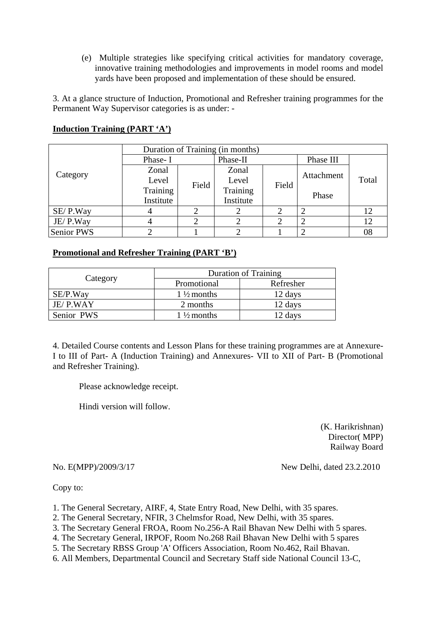(e) Multiple strategies like specifying critical activities for mandatory coverage, innovative training methodologies and improvements in model rooms and model yards have been proposed and implementation of these should be ensured.

3. At a glance structure of Induction, Promotional and Refresher training programmes for the Permanent Way Supervisor categories is as under: -

|                   | Duration of Training (in months) |       |           |       |            |       |  |
|-------------------|----------------------------------|-------|-----------|-------|------------|-------|--|
|                   | Phase-I                          |       | Phase-II  |       | Phase III  |       |  |
|                   | Zonal                            |       | Zonal     |       | Attachment | Total |  |
| Category          | Level                            | Field | Level     | Field |            |       |  |
|                   | Training                         |       |           |       |            |       |  |
|                   | Institute                        |       | Institute |       | Phase      |       |  |
| SE/P.Way          |                                  |       |           |       |            | 12    |  |
| JE/P.Way          |                                  |       |           |       |            | 12    |  |
| <b>Senior PWS</b> |                                  |       |           |       |            | 08    |  |

## **Induction Training (PART 'A')**

## **Promotional and Refresher Training (PART 'B')**

|            | <b>Duration of Training</b> |           |  |
|------------|-----------------------------|-----------|--|
| Category   | Promotional                 | Refresher |  |
| SE/P.Way   | $1\frac{1}{2}$ months       | 12 days   |  |
| JE/P.WAY   | 2 months                    | 12 days   |  |
| Senior PWS | $1\frac{1}{2}$ months       | 12 days   |  |

4. Detailed Course contents and Lesson Plans for these training programmes are at Annexure-I to III of Part- A (Induction Training) and Annexures- VII to XII of Part- B (Promotional and Refresher Training).

Please acknowledge receipt.

Hindi version will follow.

 (K. Harikrishnan) Director( MPP) Railway Board

No. E(MPP)/2009/3/17 New Delhi, dated 23.2.2010

Copy to:

- 1. The General Secretary, AIRF, 4, State Entry Road, New Delhi, with 35 spares.
- 2. The General Secretary, NFIR, 3 Chelmsfor Road, New Delhi, with 35 spares.
- 3. The Secretary General FROA, Room No.256-A Rail Bhavan New Delhi with 5 spares.
- 4. The Secretary General, IRPOF, Room No.268 Rail Bhavan New Delhi with 5 spares
- 5. The Secretary RBSS Group 'A' Officers Association, Room No.462, Rail Bhavan.
- 6. All Members, Departmental Council and Secretary Staff side National Council 13-C,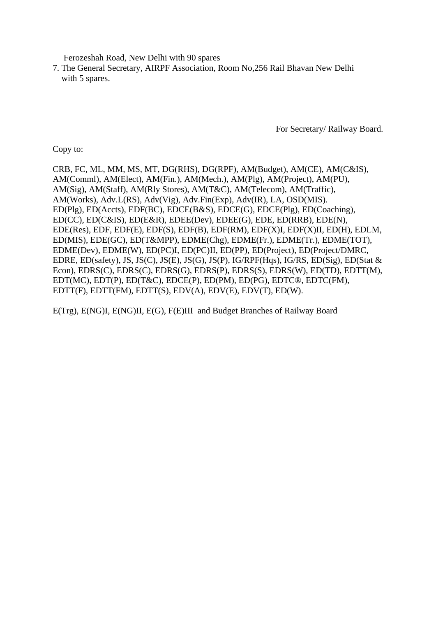Ferozeshah Road, New Delhi with 90 spares

7. The General Secretary, AIRPF Association, Room No,256 Rail Bhavan New Delhi with 5 spares.

For Secretary/ Railway Board.

Copy to:

CRB, FC, ML, MM, MS, MT, DG(RHS), DG(RPF), AM(Budget), AM(CE), AM(C&IS), AM(Comml), AM(Elect), AM(Fin.), AM(Mech.), AM(Plg), AM(Project), AM(PU), AM(Sig), AM(Staff), AM(Rly Stores), AM(T&C), AM(Telecom), AM(Traffic), AM(Works), Adv.L(RS), Adv(Vig), Adv.Fin(Exp), Adv(IR), LA, OSD(MIS). ED(Plg), ED(Accts), EDF(BC), EDCE(B&S), EDCE(G), EDCE(Plg), ED(Coaching), ED(CC), ED(C&IS), ED(E&R), EDEE(Dev), EDEE(G), EDE, ED(RRB), EDE(N), EDE(Res), EDF, EDF(E), EDF(S), EDF(B), EDF(RM), EDF(X)I, EDF(X)II, ED(H), EDLM, ED(MIS), EDE(GC), ED(T&MPP), EDME(Chg), EDME(Fr.), EDME(Tr.), EDME(TOT), EDME(Dev), EDME(W), ED(PC)I, ED(PC)II, ED(PP), ED(Project), ED(Project/DMRC, EDRE, ED(safety), JS, JS(C), JS(E), JS(G), JS(P), IG/RPF(Hqs), IG/RS, ED(Sig), ED(Stat & Econ), EDRS(C), EDRS(C), EDRS(G), EDRS(P), EDRS(S), EDRS(W), ED(TD), EDTT(M), EDT(MC), EDT(P), ED(T&C), EDCE(P), ED(PM), ED(PG), EDTC®, EDTC(FM), EDTT(F), EDTT(FM), EDTT(S), EDV(A), EDV(E), EDV(T), ED(W).

E(Trg), E(NG)I, E(NG)II, E(G), F(E)III and Budget Branches of Railway Board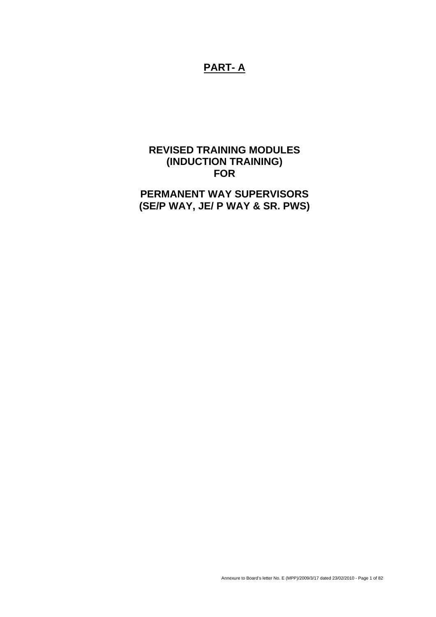# **PART- A**

## **REVISED TRAINING MODULES (INDUCTION TRAINING) FOR**

# **PERMANENT WAY SUPERVISORS (SE/P WAY, JE/ P WAY & SR. PWS)**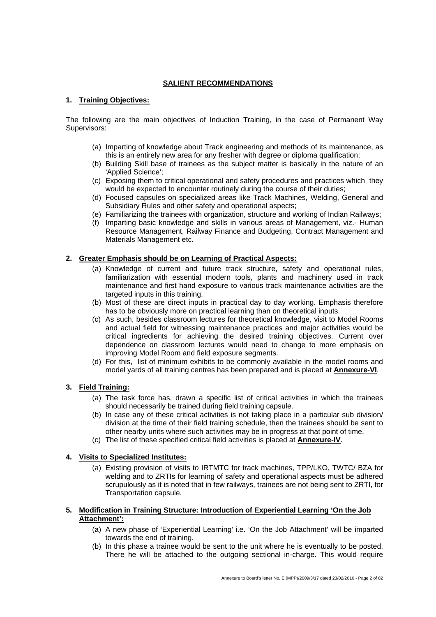### **SALIENT RECOMMENDATIONS**

#### **1. Training Objectives:**

The following are the main objectives of Induction Training, in the case of Permanent Way Supervisors:

- (a) Imparting of knowledge about Track engineering and methods of its maintenance, as this is an entirely new area for any fresher with degree or diploma qualification;
- (b) Building Skill base of trainees as the subject matter is basically in the nature of an 'Applied Science';
- (c) Exposing them to critical operational and safety procedures and practices which they would be expected to encounter routinely during the course of their duties;
- (d) Focused capsules on specialized areas like Track Machines, Welding, General and Subsidiary Rules and other safety and operational aspects;
- (e) Familiarizing the trainees with organization, structure and working of Indian Railways;
- (f) Imparting basic knowledge and skills in various areas of Management, viz.- Human Resource Management, Railway Finance and Budgeting, Contract Management and Materials Management etc.

#### **2. Greater Emphasis should be on Learning of Practical Aspects:**

- (a) Knowledge of current and future track structure, safety and operational rules, familiarization with essential modern tools, plants and machinery used in track maintenance and first hand exposure to various track maintenance activities are the targeted inputs in this training.
- (b) Most of these are direct inputs in practical day to day working. Emphasis therefore has to be obviously more on practical learning than on theoretical inputs.
- (c) As such, besides classroom lectures for theoretical knowledge, visit to Model Rooms and actual field for witnessing maintenance practices and major activities would be critical ingredients for achieving the desired training objectives. Current over dependence on classroom lectures would need to change to more emphasis on improving Model Room and field exposure segments.
- (d) For this, list of minimum exhibits to be commonly available in the model rooms and model yards of all training centres has been prepared and is placed at **Annexure-VI**.

### **3. Field Training:**

- (a) The task force has, drawn a specific list of critical activities in which the trainees should necessarily be trained during field training capsule.
- (b) In case any of these critical activities is not taking place in a particular sub division/ division at the time of their field training schedule, then the trainees should be sent to other nearby units where such activities may be in progress at that point of time.
- (c) The list of these specified critical field activities is placed at **Annexure-IV**.

#### **4. Visits to Specialized Institutes:**

(a) Existing provision of visits to IRTMTC for track machines, TPP/LKO, TWTC/ BZA for welding and to ZRTIs for learning of safety and operational aspects must be adhered scrupulously as it is noted that in few railways, trainees are not being sent to ZRTI, for Transportation capsule.

#### **5. Modification in Training Structure: Introduction of Experiential Learning 'On the Job Attachment':**

- (a) A new phase of 'Experiential Learning' i.e. 'On the Job Attachment' will be imparted towards the end of training.
- (b) In this phase a trainee would be sent to the unit where he is eventually to be posted. There he will be attached to the outgoing sectional in-charge. This would require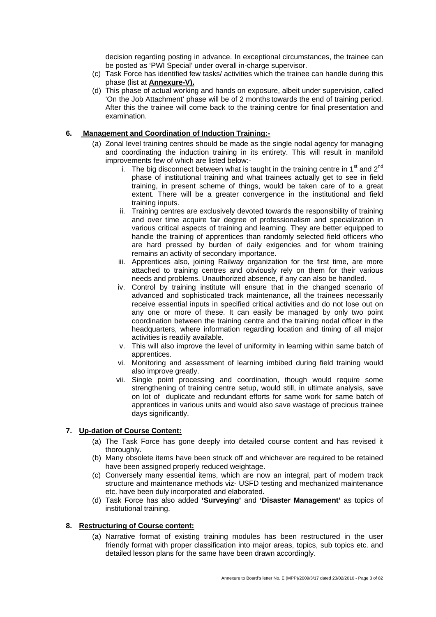decision regarding posting in advance. In exceptional circumstances, the trainee can be posted as 'PWI Special' under overall in-charge supervisor.

- (c) Task Force has identified few tasks/ activities which the trainee can handle during this phase (list at **Annexure-V).**
- (d) This phase of actual working and hands on exposure, albeit under supervision, called 'On the Job Attachment' phase will be of 2 months towards the end of training period. After this the trainee will come back to the training centre for final presentation and examination.

#### **6. Management and Coordination of Induction Training:-**

- (a) Zonal level training centres should be made as the single nodal agency for managing and coordinating the induction training in its entirety. This will result in manifold improvements few of which are listed below:
	- i. The big disconnect between what is taught in the training centre in  $1<sup>st</sup>$  and  $2<sup>nd</sup>$ phase of institutional training and what trainees actually get to see in field training, in present scheme of things, would be taken care of to a great extent. There will be a greater convergence in the institutional and field training inputs.
	- ii. Training centres are exclusively devoted towards the responsibility of training and over time acquire fair degree of professionalism and specialization in various critical aspects of training and learning. They are better equipped to handle the training of apprentices than randomly selected field officers who are hard pressed by burden of daily exigencies and for whom training remains an activity of secondary importance.
	- iii. Apprentices also, joining Railway organization for the first time, are more attached to training centres and obviously rely on them for their various needs and problems. Unauthorized absence, if any can also be handled.
	- iv. Control by training institute will ensure that in the changed scenario of advanced and sophisticated track maintenance, all the trainees necessarily receive essential inputs in specified critical activities and do not lose out on any one or more of these. It can easily be managed by only two point coordination between the training centre and the training nodal officer in the headquarters, where information regarding location and timing of all major activities is readily available.
	- v. This will also improve the level of uniformity in learning within same batch of apprentices.
	- vi. Monitoring and assessment of learning imbibed during field training would also improve greatly.
	- vii. Single point processing and coordination, though would require some strengthening of training centre setup, would still, in ultimate analysis, save on lot of duplicate and redundant efforts for same work for same batch of apprentices in various units and would also save wastage of precious trainee days significantly.

#### **7. Up-dation of Course Content:**

- (a) The Task Force has gone deeply into detailed course content and has revised it thoroughly.
- (b) Many obsolete items have been struck off and whichever are required to be retained have been assigned properly reduced weightage.
- (c) Conversely many essential items, which are now an integral, part of modern track structure and maintenance methods viz- USFD testing and mechanized maintenance etc. have been duly incorporated and elaborated.
- (d) Task Force has also added **'Surveying'** and **'Disaster Management'** as topics of institutional training.

#### **8. Restructuring of Course content:**

(a) Narrative format of existing training modules has been restructured in the user friendly format with proper classification into major areas, topics, sub topics etc. and detailed lesson plans for the same have been drawn accordingly.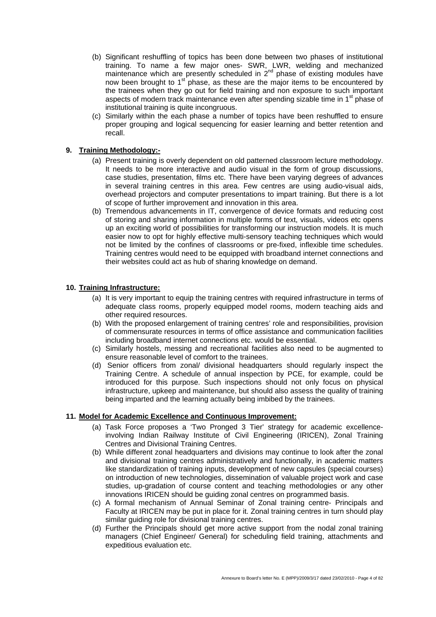- (b) Significant reshuffling of topics has been done between two phases of institutional training. To name a few major ones- SWR, LWR, welding and mechanized maintenance which are presently scheduled in  $2<sup>nd</sup>$  phase of existing modules have now been brought to  $1<sup>st</sup>$  phase, as these are the major items to be encountered by the trainees when they go out for field training and non exposure to such important aspects of modern track maintenance even after spending sizable time in 1<sup>st</sup> phase of institutional training is quite incongruous.
- (c) Similarly within the each phase a number of topics have been reshuffled to ensure proper grouping and logical sequencing for easier learning and better retention and recall.

### **9. Training Methodology:-**

- (a) Present training is overly dependent on old patterned classroom lecture methodology. It needs to be more interactive and audio visual in the form of group discussions, case studies, presentation, films etc. There have been varying degrees of advances in several training centres in this area. Few centres are using audio-visual aids, overhead projectors and computer presentations to impart training. But there is a lot of scope of further improvement and innovation in this area.
- (b) Tremendous advancements in IT, convergence of device formats and reducing cost of storing and sharing information in multiple forms of text, visuals, videos etc opens up an exciting world of possibilities for transforming our instruction models. It is much easier now to opt for highly effective multi-sensory teaching techniques which would not be limited by the confines of classrooms or pre-fixed, inflexible time schedules. Training centres would need to be equipped with broadband internet connections and their websites could act as hub of sharing knowledge on demand.

#### **10. Training Infrastructure:**

- (a) It is very important to equip the training centres with required infrastructure in terms of adequate class rooms, properly equipped model rooms, modern teaching aids and other required resources.
- (b) With the proposed enlargement of training centres' role and responsibilities, provision of commensurate resources in terms of office assistance and communication facilities including broadband internet connections etc. would be essential.
- (c) Similarly hostels, messing and recreational facilities also need to be augmented to ensure reasonable level of comfort to the trainees.
- (d) Senior officers from zonal/ divisional headquarters should regularly inspect the Training Centre. A schedule of annual inspection by PCE, for example, could be introduced for this purpose. Such inspections should not only focus on physical infrastructure, upkeep and maintenance, but should also assess the quality of training being imparted and the learning actually being imbibed by the trainees.

#### **11. Model for Academic Excellence and Continuous Improvement:**

- (a) Task Force proposes a 'Two Pronged 3 Tier' strategy for academic excellenceinvolving Indian Railway Institute of Civil Engineering (IRICEN), Zonal Training Centres and Divisional Training Centres.
- (b) While different zonal headquarters and divisions may continue to look after the zonal and divisional training centres administratively and functionally, in academic matters like standardization of training inputs, development of new capsules (special courses) on introduction of new technologies, dissemination of valuable project work and case studies, up-gradation of course content and teaching methodologies or any other innovations IRICEN should be guiding zonal centres on programmed basis.
- (c) A formal mechanism of Annual Seminar of Zonal training centre- Principals and Faculty at IRICEN may be put in place for it. Zonal training centres in turn should play similar guiding role for divisional training centres.
- (d) Further the Principals should get more active support from the nodal zonal training managers (Chief Engineer/ General) for scheduling field training, attachments and expeditious evaluation etc.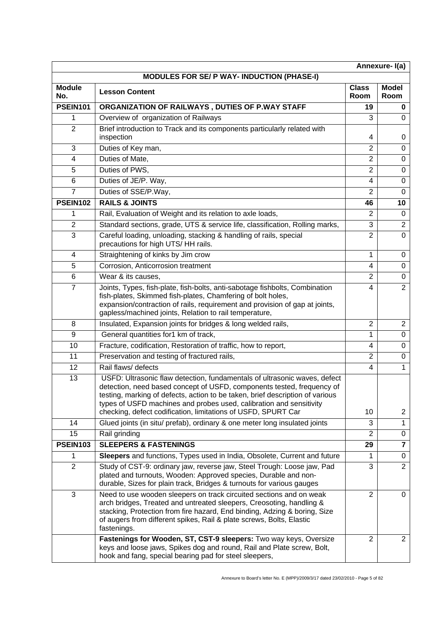| Annexure-I(a)                                     |                                                                                                                                                                                                                                                                                                                                                                              |                      |                      |  |
|---------------------------------------------------|------------------------------------------------------------------------------------------------------------------------------------------------------------------------------------------------------------------------------------------------------------------------------------------------------------------------------------------------------------------------------|----------------------|----------------------|--|
| <b>MODULES FOR SE/ P WAY- INDUCTION (PHASE-I)</b> |                                                                                                                                                                                                                                                                                                                                                                              |                      |                      |  |
| <b>Module</b><br>No.                              | <b>Lesson Content</b>                                                                                                                                                                                                                                                                                                                                                        | <b>Class</b><br>Room | <b>Model</b><br>Room |  |
| <b>PSEIN101</b>                                   | ORGANIZATION OF RAILWAYS, DUTIES OF P.WAY STAFF                                                                                                                                                                                                                                                                                                                              | 19                   | 0                    |  |
| 1                                                 | Overview of organization of Railways                                                                                                                                                                                                                                                                                                                                         | 3                    | 0                    |  |
| $\overline{2}$                                    | Brief introduction to Track and its components particularly related with<br>inspection                                                                                                                                                                                                                                                                                       | 4                    | 0                    |  |
| 3                                                 | Duties of Key man,                                                                                                                                                                                                                                                                                                                                                           | $\overline{2}$       | $\Omega$             |  |
| 4                                                 | Duties of Mate,                                                                                                                                                                                                                                                                                                                                                              | $\overline{2}$       | $\Omega$             |  |
| 5                                                 | Duties of PWS,                                                                                                                                                                                                                                                                                                                                                               | $\overline{2}$       | $\Omega$             |  |
| 6                                                 | Duties of JE/P. Way,                                                                                                                                                                                                                                                                                                                                                         | 4                    | $\mathbf 0$          |  |
| $\overline{7}$                                    | Duties of SSE/P.Way,                                                                                                                                                                                                                                                                                                                                                         | $\overline{2}$       | $\Omega$             |  |
| <b>PSEIN102</b>                                   | <b>RAILS &amp; JOINTS</b>                                                                                                                                                                                                                                                                                                                                                    | 46                   | 10                   |  |
| 1                                                 | Rail, Evaluation of Weight and its relation to axle loads,                                                                                                                                                                                                                                                                                                                   | $\overline{2}$       | $\Omega$             |  |
| $\overline{2}$                                    | Standard sections, grade, UTS & service life, classification, Rolling marks,                                                                                                                                                                                                                                                                                                 | 3                    | $\overline{2}$       |  |
| 3                                                 | Careful loading, unloading, stacking & handling of rails, special<br>precautions for high UTS/HH rails.                                                                                                                                                                                                                                                                      | $\overline{2}$       | $\Omega$             |  |
| 4                                                 | Straightening of kinks by Jim crow                                                                                                                                                                                                                                                                                                                                           | 1                    | 0                    |  |
| 5                                                 | Corrosion, Anticorrosion treatment                                                                                                                                                                                                                                                                                                                                           | 4                    | $\Omega$             |  |
| 6                                                 | Wear & its causes,                                                                                                                                                                                                                                                                                                                                                           | $\overline{2}$       | 0                    |  |
| $\overline{7}$                                    | Joints, Types, fish-plate, fish-bolts, anti-sabotage fishbolts, Combination<br>fish-plates, Skimmed fish-plates, Chamfering of bolt holes,<br>expansion/contraction of rails, requirement and provision of gap at joints,<br>gapless/machined joints, Relation to rail temperature,                                                                                          | $\overline{4}$       | $\overline{2}$       |  |
| 8                                                 | Insulated, Expansion joints for bridges & long welded rails,                                                                                                                                                                                                                                                                                                                 | $\overline{2}$       | $\overline{2}$       |  |
| 9                                                 | General quantities for1 km of track,                                                                                                                                                                                                                                                                                                                                         | 1                    | $\mathbf 0$          |  |
| 10                                                | Fracture, codification, Restoration of traffic, how to report,                                                                                                                                                                                                                                                                                                               | 4                    | $\mathbf 0$          |  |
| 11                                                | Preservation and testing of fractured rails,                                                                                                                                                                                                                                                                                                                                 | $\overline{2}$       | $\mathbf 0$          |  |
| 12                                                | Rail flaws/ defects                                                                                                                                                                                                                                                                                                                                                          | $\overline{4}$       | 1                    |  |
| 13                                                | USFD: Ultrasonic flaw detection, fundamentals of ultrasonic waves, defect<br>detection, need based concept of USFD, components tested, frequency of<br>testing, marking of defects, action to be taken, brief description of various<br>types of USFD machines and probes used, calibration and sensitivity<br>checking, defect codification, limitations of USFD, SPURT Car | 10                   | $\overline{2}$       |  |
| 14                                                | Glued joints (in situ/ prefab), ordinary & one meter long insulated joints                                                                                                                                                                                                                                                                                                   | 3                    | $\mathbf{1}$         |  |
| 15                                                | Rail grinding                                                                                                                                                                                                                                                                                                                                                                | $\overline{2}$       | 0                    |  |
| <b>PSEIN103</b>                                   | <b>SLEEPERS &amp; FASTENINGS</b>                                                                                                                                                                                                                                                                                                                                             | 29                   | $\overline{7}$       |  |
| 1                                                 | Sleepers and functions, Types used in India, Obsolete, Current and future                                                                                                                                                                                                                                                                                                    | 1                    | 0                    |  |
| $\overline{2}$                                    | Study of CST-9: ordinary jaw, reverse jaw, Steel Trough: Loose jaw, Pad<br>plated and turnouts, Wooden: Approved species, Durable and non-<br>durable, Sizes for plain track, Bridges & turnouts for various gauges                                                                                                                                                          | 3                    | $\overline{2}$       |  |
| 3                                                 | Need to use wooden sleepers on track circuited sections and on weak<br>arch bridges, Treated and untreated sleepers, Creosoting, handling &<br>stacking, Protection from fire hazard, End binding, Adzing & boring, Size<br>of augers from different spikes, Rail & plate screws, Bolts, Elastic<br>fastenings.                                                              | $\overline{2}$       | 0                    |  |
|                                                   | Fastenings for Wooden, ST, CST-9 sleepers: Two way keys, Oversize<br>keys and loose jaws, Spikes dog and round, Rail and Plate screw, Bolt,<br>hook and fang, special bearing pad for steel sleepers,                                                                                                                                                                        | $\overline{2}$       | $\overline{2}$       |  |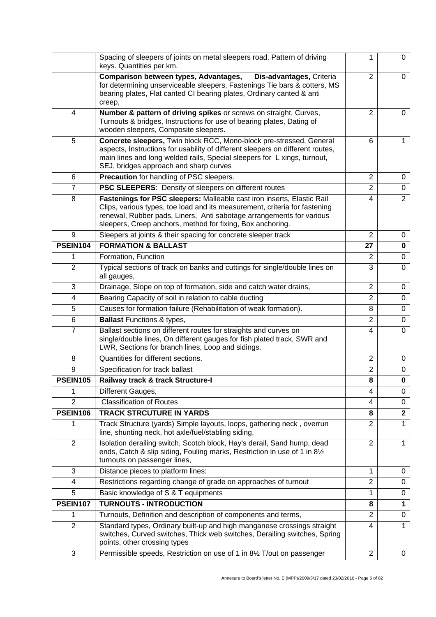|                 | Spacing of sleepers of joints on metal sleepers road. Pattern of driving<br>keys. Quantities per km.                                                                                                                                                                                       | 1              | $\Omega$       |
|-----------------|--------------------------------------------------------------------------------------------------------------------------------------------------------------------------------------------------------------------------------------------------------------------------------------------|----------------|----------------|
|                 | Comparison between types, Advantages,<br>Dis-advantages, Criteria<br>for determining unserviceable sleepers, Fastenings Tie bars & cotters, MS<br>bearing plates, Flat canted CI bearing plates, Ordinary canted & anti<br>creep,                                                          | $\overline{2}$ | $\mathbf 0$    |
| $\overline{4}$  | Number & pattern of driving spikes or screws on straight, Curves,<br>Turnouts & bridges, Instructions for use of bearing plates, Dating of<br>wooden sleepers, Composite sleepers.                                                                                                         | $\overline{2}$ | 0              |
| 5               | Concrete sleepers, Twin block RCC, Mono-block pre-stressed, General<br>aspects, Instructions for usability of different sleepers on different routes,<br>main lines and long welded rails, Special sleepers for L xings, turnout,<br>SEJ, bridges approach and sharp curves                | 6              | 1              |
| 6               | Precaution for handling of PSC sleepers.                                                                                                                                                                                                                                                   | 2              | 0              |
| $\overline{7}$  | PSC SLEEPERS: Density of sleepers on different routes                                                                                                                                                                                                                                      | $\overline{2}$ | $\mathbf 0$    |
| 8               | Fastenings for PSC sleepers: Malleable cast iron inserts, Elastic Rail<br>Clips, various types, toe load and its measurement, criteria for fastening<br>renewal, Rubber pads, Liners, Anti sabotage arrangements for various<br>sleepers, Creep anchors, method for fixing, Box anchoring. | 4              | $\overline{2}$ |
| 9               | Sleepers at joints & their spacing for concrete sleeper track                                                                                                                                                                                                                              | $\overline{2}$ | 0              |
| <b>PSEIN104</b> | <b>FORMATION &amp; BALLAST</b>                                                                                                                                                                                                                                                             | 27             | $\bf{0}$       |
| 1               | Formation, Function                                                                                                                                                                                                                                                                        | $\overline{2}$ | 0              |
| $\overline{2}$  | Typical sections of track on banks and cuttings for single/double lines on<br>all gauges,                                                                                                                                                                                                  | 3              | $\Omega$       |
| 3               | Drainage, Slope on top of formation, side and catch water drains,                                                                                                                                                                                                                          | $\overline{2}$ | 0              |
| 4               | Bearing Capacity of soil in relation to cable ducting                                                                                                                                                                                                                                      | $\overline{2}$ | 0              |
| 5               | Causes for formation failure (Rehabilitation of weak formation).                                                                                                                                                                                                                           | 8              | 0              |
| 6               | <b>Ballast Functions &amp; types,</b>                                                                                                                                                                                                                                                      | $\overline{2}$ | $\mathbf 0$    |
| $\overline{7}$  | Ballast sections on different routes for straights and curves on<br>single/double lines, On different gauges for fish plated track, SWR and<br>LWR, Sections for branch lines, Loop and sidings.                                                                                           | 4              | $\Omega$       |
| 8               | Quantities for different sections.                                                                                                                                                                                                                                                         | $\overline{2}$ | 0              |
| 9               | Specification for track ballast                                                                                                                                                                                                                                                            | $\overline{2}$ | 0              |
| <b>PSEIN105</b> | Railway track & track Structure-I                                                                                                                                                                                                                                                          | 8              | $\mathbf 0$    |
| 1               | Different Gauges,                                                                                                                                                                                                                                                                          | 4              | 0              |
| $\overline{2}$  | <b>Classification of Routes</b>                                                                                                                                                                                                                                                            | 4              | 0              |
| <b>PSEIN106</b> | <b>TRACK STRCUTURE IN YARDS</b>                                                                                                                                                                                                                                                            | 8              | $\mathbf{2}$   |
| 1               | Track Structure (yards) Simple layouts, loops, gathering neck, overrun<br>line, shunting neck, hot axle/fuel/stabling siding,                                                                                                                                                              | $\overline{2}$ | 1              |
| 2               | Isolation derailing switch, Scotch block, Hay's derail, Sand hump, dead<br>ends, Catch & slip siding, Fouling marks, Restriction in use of 1 in 81/2<br>turnouts on passenger lines,                                                                                                       | $\overline{2}$ | 1              |
| 3               | Distance pieces to platform lines:                                                                                                                                                                                                                                                         | 1              | 0              |
| 4               | Restrictions regarding change of grade on approaches of turnout                                                                                                                                                                                                                            | $\overline{2}$ | $\mathbf 0$    |
| 5               | Basic knowledge of S & T equipments                                                                                                                                                                                                                                                        | 1              | 0              |
| <b>PSEIN107</b> | <b>TURNOUTS - INTRODUCTION</b>                                                                                                                                                                                                                                                             | 8              | 1              |
| 1               | Turnouts, Definition and description of components and terms,                                                                                                                                                                                                                              | $\overline{2}$ | 0              |
| $\overline{2}$  | Standard types, Ordinary built-up and high manganese crossings straight<br>switches, Curved switches, Thick web switches, Derailing switches, Spring<br>points, other crossing types                                                                                                       | 4              | 1              |
| $\mathbf{3}$    | Permissible speeds, Restriction on use of 1 in 81/2 T/out on passenger                                                                                                                                                                                                                     | $\overline{2}$ | 0              |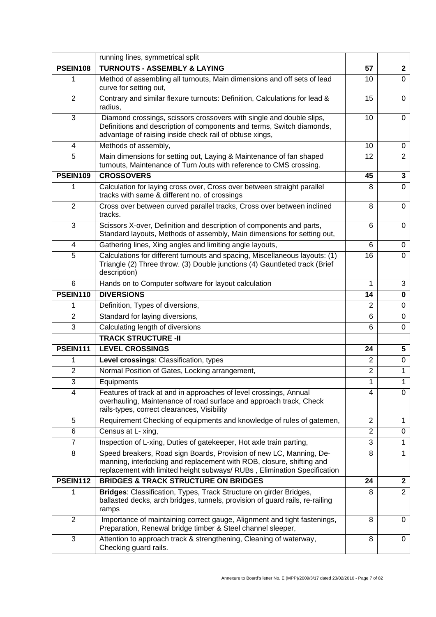|                 | running lines, symmetrical split                                                                                                                                                                                         |                |                |
|-----------------|--------------------------------------------------------------------------------------------------------------------------------------------------------------------------------------------------------------------------|----------------|----------------|
| <b>PSEIN108</b> | <b>TURNOUTS - ASSEMBLY &amp; LAYING</b>                                                                                                                                                                                  | 57             | $\mathbf{2}$   |
| 1               | Method of assembling all turnouts, Main dimensions and off sets of lead<br>curve for setting out,                                                                                                                        | 10             | 0              |
| 2               | Contrary and similar flexure turnouts: Definition, Calculations for lead &<br>radius,                                                                                                                                    | 15             | $\Omega$       |
| 3               | Diamond crossings, scissors crossovers with single and double slips,<br>Definitions and description of components and terms, Switch diamonds,<br>advantage of raising inside check rail of obtuse xings,                 | 10             | $\overline{0}$ |
| 4               | Methods of assembly,                                                                                                                                                                                                     | 10             | 0              |
| 5               | Main dimensions for setting out, Laying & Maintenance of fan shaped<br>turnouts, Maintenance of Turn /outs with reference to CMS crossing.                                                                               | 12             | $\overline{2}$ |
| <b>PSEIN109</b> | <b>CROSSOVERS</b>                                                                                                                                                                                                        | 45             | 3              |
| 1               | Calculation for laying cross over, Cross over between straight parallel<br>tracks with same & different no. of crossings                                                                                                 | 8              | 0              |
| 2               | Cross over between curved parallel tracks, Cross over between inclined<br>tracks.                                                                                                                                        | 8              | $\Omega$       |
| 3               | Scissors X-over, Definition and description of components and parts,<br>Standard layouts, Methods of assembly, Main dimensions for setting out,                                                                          | 6              | 0              |
| $\overline{4}$  | Gathering lines, Xing angles and limiting angle layouts,                                                                                                                                                                 | 6              | 0              |
| 5               | Calculations for different turnouts and spacing, Miscellaneous layouts: (1)<br>Triangle (2) Three throw. (3) Double junctions (4) Gauntleted track (Brief<br>description)                                                | 16             | $\Omega$       |
| 6               | Hands on to Computer software for layout calculation                                                                                                                                                                     | 1              | 3              |
| <b>PSEIN110</b> | <b>DIVERSIONS</b>                                                                                                                                                                                                        | 14             | 0              |
| 1               | Definition, Types of diversions,                                                                                                                                                                                         | 2              | 0              |
| 2               | Standard for laying diversions,                                                                                                                                                                                          | 6              | $\mathbf 0$    |
| 3               | Calculating length of diversions                                                                                                                                                                                         | 6              | $\Omega$       |
|                 | <b>TRACK STRUCTURE -II</b>                                                                                                                                                                                               |                |                |
| <b>PSEIN111</b> | <b>LEVEL CROSSINGS</b>                                                                                                                                                                                                   | 24             | 5              |
| 1               | Level crossings: Classification, types                                                                                                                                                                                   | $\overline{2}$ | 0              |
| $\overline{2}$  | Normal Position of Gates, Locking arrangement,                                                                                                                                                                           | $\overline{2}$ | 1              |
| 3               | Equipments                                                                                                                                                                                                               | $\mathbf{1}$   | 1              |
| 4               | Features of track at and in approaches of level crossings, Annual<br>overhauling, Maintenance of road surface and approach track, Check<br>rails-types, correct clearances, Visibility                                   | 4              | 0              |
| 5               | Requirement Checking of equipments and knowledge of rules of gatemen,                                                                                                                                                    | $\overline{2}$ | 1              |
| 6               | Census at L- xing,                                                                                                                                                                                                       | $\overline{2}$ | 0              |
| 7               | Inspection of L-xing, Duties of gatekeeper, Hot axle train parting,                                                                                                                                                      | 3              | 1              |
| 8               | Speed breakers, Road sign Boards, Provision of new LC, Manning, De-<br>manning, interlocking and replacement with ROB, closure, shifting and<br>replacement with limited height subways/ RUBs, Elimination Specification | 8              | 1              |
| <b>PSEIN112</b> | <b>BRIDGES &amp; TRACK STRUCTURE ON BRIDGES</b>                                                                                                                                                                          | 24             | $\mathbf{2}$   |
| 1               | Bridges: Classification, Types, Track Structure on girder Bridges,<br>ballasted decks, arch bridges, tunnels, provision of guard rails, re-railing<br>ramps                                                              | 8              | $\overline{2}$ |
| 2               | Importance of maintaining correct gauge, Alignment and tight fastenings,<br>Preparation, Renewal bridge timber & Steel channel sleeper,                                                                                  | 8              | 0              |
| 3               | Attention to approach track & strengthening, Cleaning of waterway,<br>Checking guard rails.                                                                                                                              | 8              | 0              |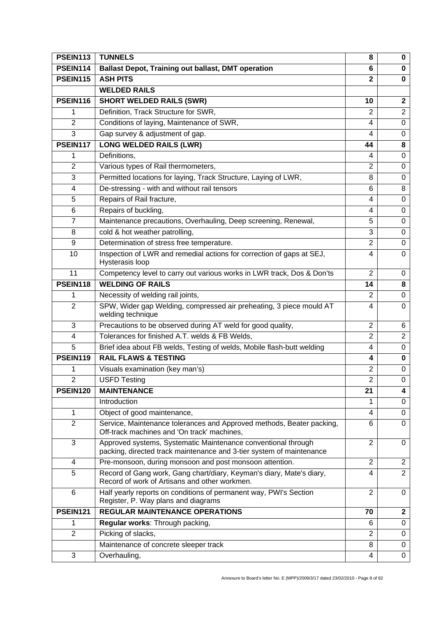| <b>PSEIN113</b> | <b>TUNNELS</b>                                                                                                                        | 8              | $\bf{0}$                |
|-----------------|---------------------------------------------------------------------------------------------------------------------------------------|----------------|-------------------------|
| <b>PSEIN114</b> | <b>Ballast Depot, Training out ballast, DMT operation</b>                                                                             | 6              | 0                       |
| <b>PSEIN115</b> | <b>ASH PITS</b>                                                                                                                       | $\mathbf{2}$   | $\bf{0}$                |
|                 | <b>WELDED RAILS</b>                                                                                                                   |                |                         |
| <b>PSEIN116</b> | <b>SHORT WELDED RAILS (SWR)</b>                                                                                                       | 10             | $\mathbf{2}$            |
| 1               | Definition, Track Structure for SWR,                                                                                                  | $\overline{2}$ | $\overline{2}$          |
| $\overline{2}$  | Conditions of laying, Maintenance of SWR,                                                                                             | $\overline{4}$ | $\mathbf 0$             |
| 3               | Gap survey & adjustment of gap.                                                                                                       | $\overline{4}$ | $\mathbf 0$             |
| <b>PSEIN117</b> | <b>LONG WELDED RAILS (LWR)</b>                                                                                                        | 44             | 8                       |
| 1               | Definitions,                                                                                                                          | 4              | 0                       |
| $\overline{2}$  | Various types of Rail thermometers,                                                                                                   | $\overline{2}$ | $\mathbf 0$             |
| 3               | Permitted locations for laying, Track Structure, Laying of LWR,                                                                       | 8              | 0                       |
| $\overline{4}$  | De-stressing - with and without rail tensors                                                                                          | 6              | 8                       |
| 5               | Repairs of Rail fracture,                                                                                                             | 4              | 0                       |
| 6               | Repairs of buckling,                                                                                                                  | 4              | $\mathbf 0$             |
| $\overline{7}$  | Maintenance precautions, Overhauling, Deep screening, Renewal,                                                                        | 5              | 0                       |
| 8               | cold & hot weather patrolling,                                                                                                        | 3              | $\mathbf 0$             |
| 9               | Determination of stress free temperature.                                                                                             | $\overline{2}$ | 0                       |
| 10              | Inspection of LWR and remedial actions for correction of gaps at SEJ,<br>Hysterasis loop                                              | 4              | $\mathbf 0$             |
| 11              | Competency level to carry out various works in LWR track, Dos & Don'ts                                                                | $\overline{2}$ | 0                       |
| <b>PSEIN118</b> | <b>WELDING OF RAILS</b>                                                                                                               | 14             | 8                       |
| 1               | Necessity of welding rail joints,                                                                                                     | 2              | 0                       |
| 2               | SPW, Wider gap Welding, compressed air preheating, 3 piece mould AT<br>welding technique                                              | $\overline{4}$ | $\mathbf 0$             |
| 3               | Precautions to be observed during AT weld for good quality,                                                                           | $\overline{2}$ | 6                       |
| 4               | Tolerances for finished A.T. welds & FB Welds,                                                                                        | $\overline{2}$ | $\overline{2}$          |
| 5               | Brief idea about FB welds, Testing of welds, Mobile flash-butt welding                                                                | 4              | $\mathbf 0$             |
| <b>PSEIN119</b> | <b>RAIL FLAWS &amp; TESTING</b>                                                                                                       | 4              | $\bf{0}$                |
| 1               | Visuals examination (key man's)                                                                                                       | $\overline{2}$ | $\mathbf 0$             |
| $\mathfrak{p}$  | <b>USFD Testing</b>                                                                                                                   | $\overline{2}$ | 0                       |
| <b>PSEIN120</b> | <b>MAINTENANCE</b>                                                                                                                    | 21             | $\overline{\mathbf{4}}$ |
|                 | Introduction                                                                                                                          | 1              | 0                       |
| 1               | Object of good maintenance,                                                                                                           | 4              | $\mathbf 0$             |
| $\overline{2}$  | Service, Maintenance tolerances and Approved methods, Beater packing,<br>Off-track machines and 'On track' machines,                  | 6              | $\mathbf 0$             |
| 3               | Approved systems, Systematic Maintenance conventional through<br>packing, directed track maintenance and 3-tier system of maintenance | $\overline{2}$ | 0                       |
| 4               | Pre-monsoon, during monsoon and post monsoon attention.                                                                               | $\overline{2}$ | $\overline{2}$          |
| 5               | Record of Gang work, Gang chart/diary, Keyman's diary, Mate's diary,<br>Record of work of Artisans and other workmen.                 | 4              | $\overline{2}$          |
| 6               | Half yearly reports on conditions of permanent way, PWI's Section<br>Register, P. Way plans and diagrams                              | $\overline{2}$ | 0                       |
| <b>PSEIN121</b> | <b>REGULAR MAINTENANCE OPERATIONS</b>                                                                                                 | 70             | $\mathbf{2}$            |
| 1               | Regular works: Through packing,                                                                                                       | 6              | $\mathbf 0$             |
| $\overline{2}$  | Picking of slacks,                                                                                                                    | $\overline{2}$ | $\mathbf 0$             |
|                 | Maintenance of concrete sleeper track                                                                                                 | 8              | $\mathbf 0$             |
| 3               | Overhauling,                                                                                                                          | $\overline{4}$ | $\mathbf 0$             |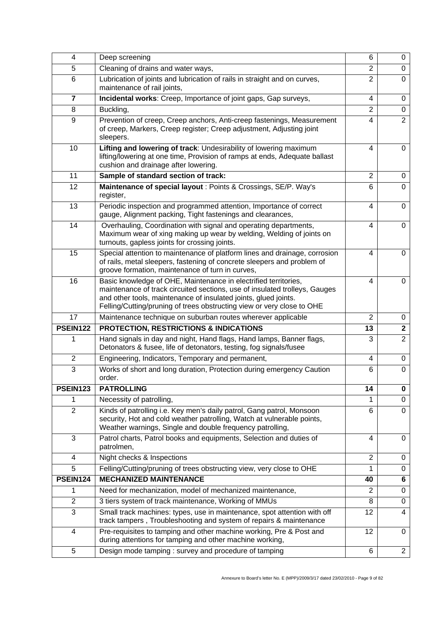| 4               | Deep screening                                                                                                                                                                                                                                                                             | 6              | 0              |
|-----------------|--------------------------------------------------------------------------------------------------------------------------------------------------------------------------------------------------------------------------------------------------------------------------------------------|----------------|----------------|
| 5               | Cleaning of drains and water ways,                                                                                                                                                                                                                                                         | $\overline{2}$ | $\mathbf 0$    |
| 6               | Lubrication of joints and lubrication of rails in straight and on curves,<br>maintenance of rail joints,                                                                                                                                                                                   | $\overline{2}$ | 0              |
| 7               | Incidental works: Creep, Importance of joint gaps, Gap surveys,                                                                                                                                                                                                                            | 4              | 0              |
| 8               | Buckling,                                                                                                                                                                                                                                                                                  | $\overline{2}$ | $\mathbf 0$    |
| 9               | Prevention of creep, Creep anchors, Anti-creep fastenings, Measurement<br>of creep, Markers, Creep register; Creep adjustment, Adjusting joint<br>sleepers.                                                                                                                                | 4              | $\overline{2}$ |
| 10              | Lifting and lowering of track: Undesirability of lowering maximum<br>lifting/lowering at one time, Provision of ramps at ends, Adequate ballast<br>cushion and drainage after lowering.                                                                                                    | 4              | $\Omega$       |
| 11              | Sample of standard section of track:                                                                                                                                                                                                                                                       | $\overline{2}$ | 0              |
| 12              | Maintenance of special layout : Points & Crossings, SE/P. Way's<br>register,                                                                                                                                                                                                               | 6              | $\overline{0}$ |
| 13              | Periodic inspection and programmed attention, Importance of correct<br>gauge, Alignment packing, Tight fastenings and clearances,                                                                                                                                                          | 4              | $\mathbf 0$    |
| 14              | Overhauling, Coordination with signal and operating departments,<br>Maximum wear of xing making up wear by welding, Welding of joints on<br>turnouts, gapless joints for crossing joints.                                                                                                  | 4              | 0              |
| 15              | Special attention to maintenance of platform lines and drainage, corrosion<br>of rails, metal sleepers, fastening of concrete sleepers and problem of<br>groove formation, maintenance of turn in curves,                                                                                  | 4              | $\Omega$       |
| 16              | Basic knowledge of OHE, Maintenance in electrified territories,<br>maintenance of track circuited sections, use of insulated trolleys, Gauges<br>and other tools, maintenance of insulated joints, glued joints.<br>Felling/Cutting/pruning of trees obstructing view or very close to OHE | 4              | $\Omega$       |
| 17              | Maintenance technique on suburban routes wherever applicable                                                                                                                                                                                                                               | $\overline{2}$ | 0              |
| <b>PSEIN122</b> | <b>PROTECTION, RESTRICTIONS &amp; INDICATIONS</b>                                                                                                                                                                                                                                          | 13             | $\mathbf{2}$   |
| 1               | Hand signals in day and night, Hand flags, Hand lamps, Banner flags,<br>Detonators & fusee, life of detonators, testing, fog signals/fusee                                                                                                                                                 | 3              | $\overline{2}$ |
| $\overline{2}$  | Engineering, Indicators, Temporary and permanent,                                                                                                                                                                                                                                          | 4              | 0              |
| 3               | Works of short and long duration, Protection during emergency Caution<br>order.                                                                                                                                                                                                            | 6              | 0              |
| PSEIN123        | <b>PATROLLING</b>                                                                                                                                                                                                                                                                          | 14             | 0              |
| 1               | Necessity of patrolling,                                                                                                                                                                                                                                                                   |                | 0              |
| $\overline{2}$  | Kinds of patrolling i.e. Key men's daily patrol, Gang patrol, Monsoon<br>security, Hot and cold weather patrolling, Watch at vulnerable points,<br>Weather warnings, Single and double frequency patrolling,                                                                               | 6              | $\mathbf 0$    |
| 3               | Patrol charts, Patrol books and equipments, Selection and duties of<br>patrolmen,                                                                                                                                                                                                          | 4              | $\Omega$       |
| 4               | Night checks & Inspections                                                                                                                                                                                                                                                                 | $\overline{2}$ | 0              |
| 5               | Felling/Cutting/pruning of trees obstructing view, very close to OHE                                                                                                                                                                                                                       | 1              | 0              |
| PSEIN124        | <b>MECHANIZED MAINTENANCE</b>                                                                                                                                                                                                                                                              | 40             | 6              |
| 1               | Need for mechanization, model of mechanized maintenance,                                                                                                                                                                                                                                   | $\overline{2}$ | 0              |
| $\overline{2}$  | 3 tiers system of track maintenance, Working of MMUs                                                                                                                                                                                                                                       | 8              | 0              |
| 3               | Small track machines: types, use in maintenance, spot attention with off<br>track tampers, Troubleshooting and system of repairs & maintenance                                                                                                                                             | 12             | 4              |
| 4               | Pre-requisites to tamping and other machine working, Pre & Post and<br>during attentions for tamping and other machine working,                                                                                                                                                            | 12             | 0              |
| 5               | Design mode tamping: survey and procedure of tamping                                                                                                                                                                                                                                       | 6              | $\overline{2}$ |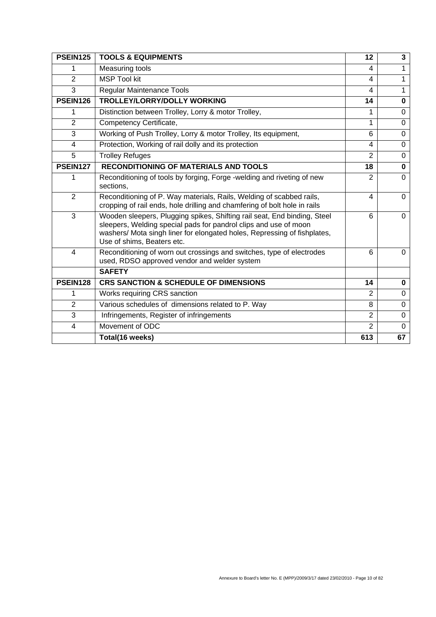| <b>PSEIN125</b> | <b>TOOLS &amp; EQUIPMENTS</b>                                                                                                                                                                                                                          | 12                      | $\mathbf{3}$ |
|-----------------|--------------------------------------------------------------------------------------------------------------------------------------------------------------------------------------------------------------------------------------------------------|-------------------------|--------------|
| 1               | Measuring tools                                                                                                                                                                                                                                        | $\overline{\mathbf{4}}$ | 1            |
| $\overline{2}$  | <b>MSP Tool kit</b>                                                                                                                                                                                                                                    | $\overline{\mathbf{4}}$ | 1            |
| 3               | Regular Maintenance Tools                                                                                                                                                                                                                              | 4                       | 1            |
| PSEIN126        | <b>TROLLEY/LORRY/DOLLY WORKING</b>                                                                                                                                                                                                                     | 14                      | $\bf{0}$     |
| 1               | Distinction between Trolley, Lorry & motor Trolley,                                                                                                                                                                                                    | 1                       | $\Omega$     |
| $\overline{2}$  | Competency Certificate,                                                                                                                                                                                                                                | 1                       | $\Omega$     |
| 3               | Working of Push Trolley, Lorry & motor Trolley, Its equipment,                                                                                                                                                                                         | $6\phantom{1}6$         | $\mathbf 0$  |
| 4               | Protection, Working of rail dolly and its protection                                                                                                                                                                                                   | 4                       | $\Omega$     |
| 5               | <b>Trolley Refuges</b>                                                                                                                                                                                                                                 | $\overline{2}$          | $\Omega$     |
| PSEIN127        | <b>RECONDITIONING OF MATERIALS AND TOOLS</b>                                                                                                                                                                                                           | 18                      | $\mathbf 0$  |
| 1               | Reconditioning of tools by forging, Forge -welding and riveting of new<br>sections,                                                                                                                                                                    | $\overline{2}$          | $\Omega$     |
| $\overline{2}$  | Reconditioning of P. Way materials, Rails, Welding of scabbed rails,<br>cropping of rail ends, hole drilling and chamfering of bolt hole in rails                                                                                                      | 4                       | $\Omega$     |
| 3               | Wooden sleepers, Plugging spikes, Shifting rail seat, End binding, Steel<br>sleepers, Welding special pads for pandrol clips and use of moon<br>washers/ Mota singh liner for elongated holes, Repressing of fishplates,<br>Use of shims, Beaters etc. | 6                       | $\Omega$     |
| 4               | Reconditioning of worn out crossings and switches, type of electrodes<br>used, RDSO approved vendor and welder system                                                                                                                                  | 6                       | $\Omega$     |
|                 | <b>SAFETY</b>                                                                                                                                                                                                                                          |                         |              |
| PSEIN128        | <b>CRS SANCTION &amp; SCHEDULE OF DIMENSIONS</b>                                                                                                                                                                                                       | 14                      | $\bf{0}$     |
| 1               | Works requiring CRS sanction                                                                                                                                                                                                                           | $\overline{2}$          | $\Omega$     |
| 2               | Various schedules of dimensions related to P. Way                                                                                                                                                                                                      | 8                       | $\Omega$     |
| 3               | Infringements, Register of infringements                                                                                                                                                                                                               | $\overline{2}$          | $\Omega$     |
| $\overline{4}$  | Movement of ODC                                                                                                                                                                                                                                        | $\overline{2}$          | $\Omega$     |
|                 | Total(16 weeks)                                                                                                                                                                                                                                        | 613                     | 67           |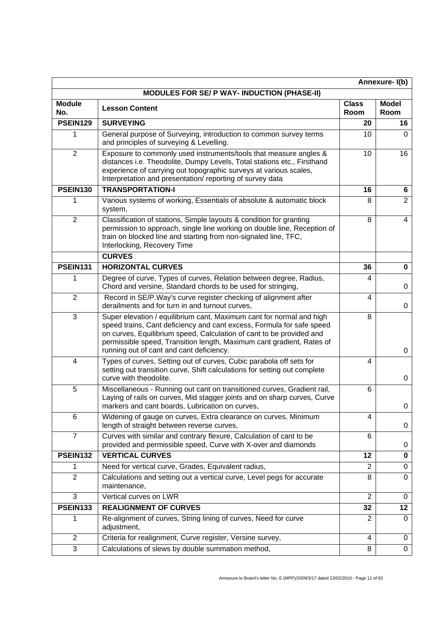| Annexure-I(b)        |                                                                                                                                                                                                                                                                                                                                            |                      |                      |
|----------------------|--------------------------------------------------------------------------------------------------------------------------------------------------------------------------------------------------------------------------------------------------------------------------------------------------------------------------------------------|----------------------|----------------------|
|                      | <b>MODULES FOR SE/ P WAY- INDUCTION (PHASE-II)</b>                                                                                                                                                                                                                                                                                         |                      |                      |
| <b>Module</b><br>No. | <b>Lesson Content</b>                                                                                                                                                                                                                                                                                                                      | <b>Class</b><br>Room | <b>Model</b><br>Room |
| <b>PSEIN129</b>      | <b>SURVEYING</b>                                                                                                                                                                                                                                                                                                                           | 20                   | 16                   |
| 1                    | General purpose of Surveying, introduction to common survey terms<br>and principles of surveying & Levelling.                                                                                                                                                                                                                              | 10                   | 0                    |
| $\overline{2}$       | Exposure to commonly used instruments/tools that measure angles &<br>distances i.e. Theodolite, Dumpy Levels, Total stations etc., Firsthand<br>experience of carrying out topographic surveys at various scales,<br>Interpretation and presentation/reporting of survey data                                                              | 10                   | 16                   |
| <b>PSEIN130</b>      | <b>TRANSPORTATION-I</b>                                                                                                                                                                                                                                                                                                                    | 16                   | 6                    |
| 1                    | Various systems of working, Essentials of absolute & automatic block<br>system,                                                                                                                                                                                                                                                            | 8                    | $\overline{2}$       |
| $\overline{2}$       | Classification of stations, Simple layouts & condition for granting<br>permission to approach, single line working on double line, Reception of<br>train on blocked line and starting from non-signaled line, TFC,<br>Interlocking, Recovery Time                                                                                          | 8                    | $\overline{4}$       |
|                      | <b>CURVES</b>                                                                                                                                                                                                                                                                                                                              |                      |                      |
| <b>PSEIN131</b>      | <b>HORIZONTAL CURVES</b>                                                                                                                                                                                                                                                                                                                   | 36                   | 0                    |
| 1                    | Degree of curve, Types of curves, Relation between degree, Radius,<br>Chord and versine, Standard chords to be used for stringing,                                                                                                                                                                                                         | 4                    | 0                    |
| $\overline{2}$       | Record in SE/P. Way's curve register checking of alignment after<br>derailments and for turn in and turnout curves,                                                                                                                                                                                                                        | 4                    | 0                    |
| $\overline{3}$       | Super elevation / equilibrium cant, Maximum cant for normal and high<br>speed trains, Cant deficiency and cant excess, Formula for safe speed<br>on curves, Equilibrium speed, Calculation of cant to be provided and<br>permissible speed, Transition length, Maximum cant gradient, Rates of<br>running out of cant and cant deficiency. | 8                    | 0                    |
| 4                    | Types of curves, Setting out of curves, Cubic parabola off sets for<br>setting out transition curve, Shift calculations for setting out complete<br>curve with theodolite.                                                                                                                                                                 | 4                    | 0                    |
| 5                    | Miscellaneous - Running out cant on transitioned curves, Gradient rail,<br>Laying of rails on curves, Mid stagger joints and on sharp curves, Curve<br>markers and cant boards, Lubrication on curves,                                                                                                                                     | 6                    | 0                    |
| 6                    | Widening of gauge on curves, Extra clearance on curves, Minimum<br>length of straight between reverse curves,                                                                                                                                                                                                                              | 4                    | 0                    |
| $\overline{7}$       | Curves with similar and contrary flexure, Calculation of cant to be<br>provided and permissible speed, Curve with X-over and diamonds                                                                                                                                                                                                      | 6                    | 0                    |
| PSEIN132             | <b>VERTICAL CURVES</b>                                                                                                                                                                                                                                                                                                                     | 12                   | 0                    |
| 1                    | Need for vertical curve, Grades, Equivalent radius,                                                                                                                                                                                                                                                                                        | 2                    | 0                    |
| $\overline{2}$       | Calculations and setting out a vertical curve, Level pegs for accurate<br>maintenance,                                                                                                                                                                                                                                                     | 8                    | $\Omega$             |
| 3                    | Vertical curves on LWR                                                                                                                                                                                                                                                                                                                     | $\overline{2}$       | 0                    |
| <b>PSEIN133</b>      | <b>REALIGNMENT OF CURVES</b>                                                                                                                                                                                                                                                                                                               | 32                   | 12                   |
| 1                    | Re-alignment of curves, String lining of curves, Need for curve<br>adjustment,                                                                                                                                                                                                                                                             | 2                    | 0                    |
| $\overline{2}$       | Criteria for realignment, Curve register, Versine survey,                                                                                                                                                                                                                                                                                  | 4                    | 0                    |
| 3                    | Calculations of slews by double summation method,                                                                                                                                                                                                                                                                                          | 8                    | $\mathbf 0$          |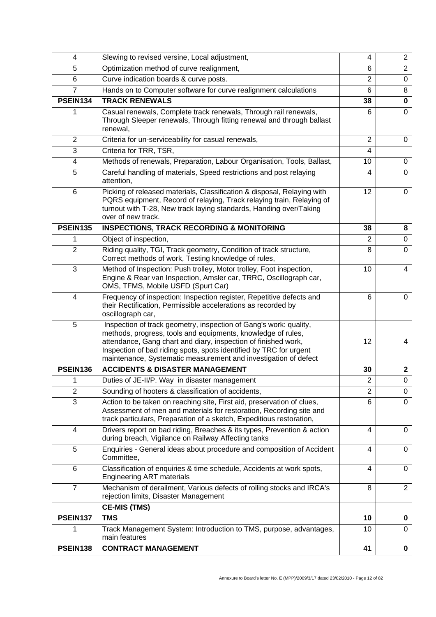| 4               | Slewing to revised versine, Local adjustment,                                                                                                                                                                                                                                                                                                | 4              | $\overline{2}$          |
|-----------------|----------------------------------------------------------------------------------------------------------------------------------------------------------------------------------------------------------------------------------------------------------------------------------------------------------------------------------------------|----------------|-------------------------|
| 5               | Optimization method of curve realignment,                                                                                                                                                                                                                                                                                                    | 6              | $\overline{2}$          |
| 6               | Curve indication boards & curve posts.                                                                                                                                                                                                                                                                                                       | $\overline{2}$ | $\mathbf 0$             |
| $\overline{7}$  | Hands on to Computer software for curve realignment calculations                                                                                                                                                                                                                                                                             | 6              | 8                       |
| PSEIN134        | <b>TRACK RENEWALS</b>                                                                                                                                                                                                                                                                                                                        | 38             | $\mathbf 0$             |
|                 | Casual renewals, Complete track renewals, Through rail renewals,<br>Through Sleeper renewals, Through fitting renewal and through ballast<br>renewal,                                                                                                                                                                                        | 6              | 0                       |
| $\overline{2}$  | Criteria for un-serviceability for casual renewals,                                                                                                                                                                                                                                                                                          | 2              | 0                       |
| 3               | Criteria for TRR, TSR,                                                                                                                                                                                                                                                                                                                       | 4              |                         |
| $\overline{4}$  | Methods of renewals, Preparation, Labour Organisation, Tools, Ballast,                                                                                                                                                                                                                                                                       | 10             | $\Omega$                |
| 5               | Careful handling of materials, Speed restrictions and post relaying<br>attention,                                                                                                                                                                                                                                                            | 4              | $\Omega$                |
| 6               | Picking of released materials, Classification & disposal, Relaying with<br>PQRS equipment, Record of relaying, Track relaying train, Relaying of<br>turnout with T-28, New track laying standards, Handing over/Taking<br>over of new track.                                                                                                 | 12             | $\mathbf 0$             |
| <b>PSEIN135</b> | <b>INSPECTIONS, TRACK RECORDING &amp; MONITORING</b>                                                                                                                                                                                                                                                                                         | 38             | 8                       |
| 1               | Object of inspection,                                                                                                                                                                                                                                                                                                                        | $\overline{2}$ | 0                       |
| $\overline{2}$  | Riding quality, TGI, Track geometry, Condition of track structure,<br>Correct methods of work, Testing knowledge of rules,                                                                                                                                                                                                                   | 8              | 0                       |
| 3               | Method of Inspection: Push trolley, Motor trolley, Foot inspection,<br>Engine & Rear van Inspection, Amsler car, TRRC, Oscillograph car,<br>OMS, TFMS, Mobile USFD (Spurt Car)                                                                                                                                                               | 10             | 4                       |
| 4               | Frequency of inspection: Inspection register, Repetitive defects and<br>their Rectification, Permissible accelerations as recorded by<br>oscillograph car,                                                                                                                                                                                   | 6              | 0                       |
| 5               | Inspection of track geometry, inspection of Gang's work: quality,<br>methods, progress, tools and equipments, knowledge of rules,<br>attendance, Gang chart and diary, inspection of finished work,<br>Inspection of bad riding spots, spots identified by TRC for urgent<br>maintenance, Systematic measurement and investigation of defect | 12             | 4                       |
| PSEIN136        | <b>ACCIDENTS &amp; DISASTER MANAGEMENT</b>                                                                                                                                                                                                                                                                                                   | 30             | $\overline{\mathbf{2}}$ |
|                 | Duties of JE-II/P. Way in disaster management                                                                                                                                                                                                                                                                                                | $\overline{2}$ | $\overline{0}$          |
| $\overline{2}$  | Sounding of hooters & classification of accidents,                                                                                                                                                                                                                                                                                           | $\overline{2}$ | $\mathbf 0$             |
| 3               | Action to be taken on reaching site, First aid, preservation of clues,<br>Assessment of men and materials for restoration, Recording site and<br>track particulars, Preparation of a sketch, Expeditious restoration,                                                                                                                        | 6              | $\Omega$                |
| $\overline{4}$  | Drivers report on bad riding, Breaches & its types, Prevention & action<br>during breach, Vigilance on Railway Affecting tanks                                                                                                                                                                                                               | 4              | $\Omega$                |
| 5               | Enquiries - General ideas about procedure and composition of Accident<br>Committee,                                                                                                                                                                                                                                                          | 4              | 0                       |
| 6               | Classification of enquiries & time schedule, Accidents at work spots,<br><b>Engineering ART materials</b>                                                                                                                                                                                                                                    | 4              | $\Omega$                |
| $\overline{7}$  | Mechanism of derailment, Various defects of rolling stocks and IRCA's<br>rejection limits, Disaster Management                                                                                                                                                                                                                               | 8              | $\overline{2}$          |
|                 | <b>CE-MIS (TMS)</b>                                                                                                                                                                                                                                                                                                                          |                |                         |
| PSEIN137        | <b>TMS</b>                                                                                                                                                                                                                                                                                                                                   | 10             | 0                       |
| 1               | Track Management System: Introduction to TMS, purpose, advantages,<br>main features                                                                                                                                                                                                                                                          | 10             | 0                       |
| PSEIN138        | <b>CONTRACT MANAGEMENT</b>                                                                                                                                                                                                                                                                                                                   | 41             | 0                       |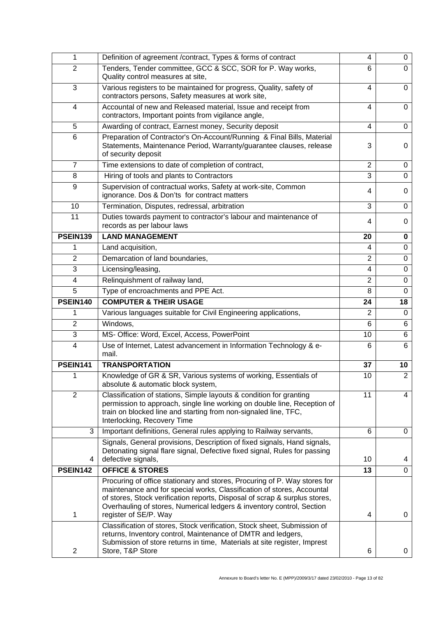| 1               | Definition of agreement /contract, Types & forms of contract                                                                                                                                                                                                                                                                        | 4                       | 0              |
|-----------------|-------------------------------------------------------------------------------------------------------------------------------------------------------------------------------------------------------------------------------------------------------------------------------------------------------------------------------------|-------------------------|----------------|
| $\overline{2}$  | Tenders, Tender committee, GCC & SCC, SOR for P. Way works,<br>Quality control measures at site,                                                                                                                                                                                                                                    | 6                       | 0              |
| 3               | Various registers to be maintained for progress, Quality, safety of<br>contractors persons, Safety measures at work site,                                                                                                                                                                                                           | $\overline{4}$          | 0              |
| 4               | Accountal of new and Released material, Issue and receipt from<br>contractors, Important points from vigilance angle,                                                                                                                                                                                                               | 4                       | 0              |
| 5               | Awarding of contract, Earnest money, Security deposit                                                                                                                                                                                                                                                                               | 4                       | $\Omega$       |
| 6               | Preparation of Contractor's On-Account/Running & Final Bills, Material<br>Statements, Maintenance Period, Warranty/guarantee clauses, release<br>of security deposit                                                                                                                                                                | 3                       | 0              |
| $\overline{7}$  | Time extensions to date of completion of contract,                                                                                                                                                                                                                                                                                  | $\overline{2}$          | 0              |
| 8               | Hiring of tools and plants to Contractors                                                                                                                                                                                                                                                                                           | 3                       | $\mathbf 0$    |
| 9               | Supervision of contractual works, Safety at work-site, Common<br>ignorance. Dos & Don'ts for contract matters                                                                                                                                                                                                                       | $\overline{\mathbf{4}}$ | 0              |
| 10              | Termination, Disputes, redressal, arbitration                                                                                                                                                                                                                                                                                       | 3                       | $\mathbf 0$    |
| 11              | Duties towards payment to contractor's labour and maintenance of<br>records as per labour laws                                                                                                                                                                                                                                      | 4                       | 0              |
| <b>PSEIN139</b> | <b>LAND MANAGEMENT</b>                                                                                                                                                                                                                                                                                                              | 20                      | 0              |
| 1               | Land acquisition,                                                                                                                                                                                                                                                                                                                   | 4                       | 0              |
| $\overline{2}$  | Demarcation of land boundaries,                                                                                                                                                                                                                                                                                                     | $\overline{2}$          | $\mathbf 0$    |
| 3               | Licensing/leasing,                                                                                                                                                                                                                                                                                                                  | 4                       | $\Omega$       |
| 4               | Relinquishment of railway land,                                                                                                                                                                                                                                                                                                     | $\overline{2}$          | $\mathbf 0$    |
| 5               | Type of encroachments and PPE Act.                                                                                                                                                                                                                                                                                                  | 8                       | 0              |
| PSEIN140        | <b>COMPUTER &amp; THEIR USAGE</b>                                                                                                                                                                                                                                                                                                   | 24                      | 18             |
| 1               | Various languages suitable for Civil Engineering applications,                                                                                                                                                                                                                                                                      | 2                       | 0              |
| $\overline{2}$  | Windows,                                                                                                                                                                                                                                                                                                                            | 6                       | 6              |
| 3               | MS- Office: Word, Excel, Access, PowerPoint                                                                                                                                                                                                                                                                                         | 10                      | 6              |
| 4               | Use of Internet, Latest advancement in Information Technology & e-<br>mail.                                                                                                                                                                                                                                                         | 6                       | 6              |
| PSEIN141        | <b>TRANSPORTATION</b>                                                                                                                                                                                                                                                                                                               | 37                      | 10             |
| 1               | Knowledge of GR & SR, Various systems of working, Essentials of<br>absolute & automatic block system,                                                                                                                                                                                                                               | 10                      | $\overline{2}$ |
| $\overline{2}$  | Classification of stations, Simple layouts & condition for granting<br>permission to approach, single line working on double line, Reception of<br>train on blocked line and starting from non-signaled line, TFC,<br>Interlocking, Recovery Time                                                                                   | 11                      | $\overline{4}$ |
| 3               | Important definitions, General rules applying to Railway servants,                                                                                                                                                                                                                                                                  | 6                       | 0              |
| 4               | Signals, General provisions, Description of fixed signals, Hand signals,<br>Detonating signal flare signal, Defective fixed signal, Rules for passing<br>defective signals,                                                                                                                                                         | 10                      | 4              |
| PSEIN142        | <b>OFFICE &amp; STORES</b>                                                                                                                                                                                                                                                                                                          | 13                      | $\Omega$       |
| 1               | Procuring of office stationary and stores, Procuring of P. Way stores for<br>maintenance and for special works, Classification of stores, Accountal<br>of stores, Stock verification reports, Disposal of scrap & surplus stores,<br>Overhauling of stores, Numerical ledgers & inventory control, Section<br>register of SE/P. Way | 4                       | 0              |
| $\overline{c}$  | Classification of stores, Stock verification, Stock sheet, Submission of<br>returns, Inventory control, Maintenance of DMTR and ledgers,<br>Submission of store returns in time, Materials at site register, Imprest<br>Store, T&P Store                                                                                            | 6                       | 0              |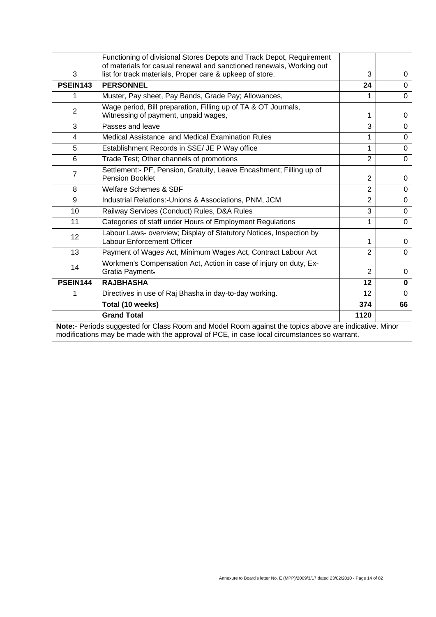|                                                                                                                                                                                                      | Functioning of divisional Stores Depots and Track Depot, Requirement                                                             |                |             |
|------------------------------------------------------------------------------------------------------------------------------------------------------------------------------------------------------|----------------------------------------------------------------------------------------------------------------------------------|----------------|-------------|
| 3                                                                                                                                                                                                    | of materials for casual renewal and sanctioned renewals, Working out<br>list for track materials, Proper care & upkeep of store. | 3              | 0           |
| <b>PSEIN143</b>                                                                                                                                                                                      | <b>PERSONNEL</b>                                                                                                                 | 24             | $\Omega$    |
| 1                                                                                                                                                                                                    | Muster, Pay sheet, Pay Bands, Grade Pay; Allowances,                                                                             | 1              | 0           |
| $\overline{2}$                                                                                                                                                                                       | Wage period, Bill preparation, Filling up of TA & OT Journals,<br>Witnessing of payment, unpaid wages,                           | 1              | 0           |
| 3                                                                                                                                                                                                    | Passes and leave                                                                                                                 | 3              | $\Omega$    |
| $\overline{4}$                                                                                                                                                                                       | Medical Assistance and Medical Examination Rules                                                                                 | 1              | $\mathbf 0$ |
| 5                                                                                                                                                                                                    | Establishment Records in SSE/ JE P Way office                                                                                    | $\mathbf{1}$   | $\Omega$    |
| 6                                                                                                                                                                                                    | Trade Test; Other channels of promotions                                                                                         | $\overline{2}$ | $\mathbf 0$ |
| $\overline{7}$                                                                                                                                                                                       | Settlement:- PF, Pension, Gratuity, Leave Encashment; Filling up of<br><b>Pension Booklet</b>                                    | 2              | 0           |
| 8                                                                                                                                                                                                    | Welfare Schemes & SBF                                                                                                            | $\overline{2}$ | $\Omega$    |
| 9                                                                                                                                                                                                    | Industrial Relations:-Unions & Associations, PNM, JCM                                                                            | $\overline{2}$ | $\Omega$    |
| 10                                                                                                                                                                                                   | Railway Services (Conduct) Rules, D&A Rules                                                                                      | 3              | $\mathbf 0$ |
| 11                                                                                                                                                                                                   | Categories of staff under Hours of Employment Regulations                                                                        | 1              | $\Omega$    |
| 12                                                                                                                                                                                                   | Labour Laws- overview; Display of Statutory Notices, Inspection by<br><b>Labour Enforcement Officer</b>                          | 1              | 0           |
| 13                                                                                                                                                                                                   | Payment of Wages Act, Minimum Wages Act, Contract Labour Act                                                                     | $\overline{2}$ | $\mathbf 0$ |
| 14                                                                                                                                                                                                   | Workmen's Compensation Act, Action in case of injury on duty, Ex-<br>Gratia Payment.                                             | 2              | $\Omega$    |
| PSEIN144                                                                                                                                                                                             | <b>RAJBHASHA</b>                                                                                                                 | 12             | $\bf{0}$    |
| 1                                                                                                                                                                                                    | Directives in use of Raj Bhasha in day-to-day working.                                                                           | 12             | $\Omega$    |
|                                                                                                                                                                                                      | Total (10 weeks)                                                                                                                 | 374            | 66          |
|                                                                                                                                                                                                      | <b>Grand Total</b>                                                                                                               | 1120           |             |
| Note:- Periods suggested for Class Room and Model Room against the topics above are indicative. Minor<br>modifications may be made with the approval of PCE, in case local circumstances so warrant. |                                                                                                                                  |                |             |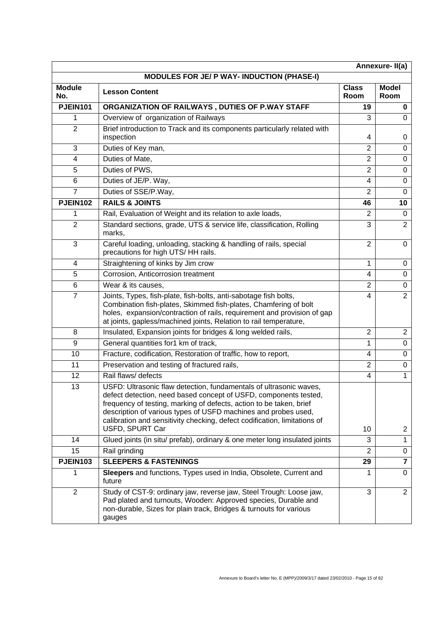| Annexure-II(a)       |                                                                                                                                                                                                                                                                                                                                                                                 |                      |                         |  |
|----------------------|---------------------------------------------------------------------------------------------------------------------------------------------------------------------------------------------------------------------------------------------------------------------------------------------------------------------------------------------------------------------------------|----------------------|-------------------------|--|
|                      | <b>MODULES FOR JE/ P WAY- INDUCTION (PHASE-I)</b>                                                                                                                                                                                                                                                                                                                               |                      |                         |  |
| <b>Module</b><br>No. | <b>Lesson Content</b>                                                                                                                                                                                                                                                                                                                                                           | <b>Class</b><br>Room | <b>Model</b><br>Room    |  |
| <b>PJEIN101</b>      | ORGANIZATION OF RAILWAYS, DUTIES OF P.WAY STAFF                                                                                                                                                                                                                                                                                                                                 | 19                   | 0                       |  |
| 1                    | Overview of organization of Railways                                                                                                                                                                                                                                                                                                                                            | 3                    | $\Omega$                |  |
| $\overline{2}$       | Brief introduction to Track and its components particularly related with<br>inspection                                                                                                                                                                                                                                                                                          | 4                    | 0                       |  |
| 3                    | Duties of Key man,                                                                                                                                                                                                                                                                                                                                                              | $\overline{2}$       | $\Omega$                |  |
| 4                    | Duties of Mate,                                                                                                                                                                                                                                                                                                                                                                 | $\overline{2}$       | $\Omega$                |  |
| 5                    | Duties of PWS,                                                                                                                                                                                                                                                                                                                                                                  | $\overline{2}$       | $\Omega$                |  |
| 6                    | Duties of JE/P. Way,                                                                                                                                                                                                                                                                                                                                                            | $\overline{4}$       | 0                       |  |
| 7                    | Duties of SSE/P.Way,                                                                                                                                                                                                                                                                                                                                                            | $\overline{2}$       | $\Omega$                |  |
| <b>PJEIN102</b>      | <b>RAILS &amp; JOINTS</b>                                                                                                                                                                                                                                                                                                                                                       | 46                   | 10                      |  |
| 1                    | Rail, Evaluation of Weight and its relation to axle loads,                                                                                                                                                                                                                                                                                                                      | 2                    | $\Omega$                |  |
| $\overline{2}$       | Standard sections, grade, UTS & service life, classification, Rolling<br>marks,                                                                                                                                                                                                                                                                                                 | 3                    | $\overline{2}$          |  |
| 3                    | Careful loading, unloading, stacking & handling of rails, special<br>precautions for high UTS/HH rails.                                                                                                                                                                                                                                                                         | $\overline{2}$       | $\Omega$                |  |
| 4                    | Straightening of kinks by Jim crow                                                                                                                                                                                                                                                                                                                                              | 1                    | 0                       |  |
| 5                    | Corrosion, Anticorrosion treatment                                                                                                                                                                                                                                                                                                                                              | 4                    | $\mathbf 0$             |  |
| 6                    | Wear & its causes,                                                                                                                                                                                                                                                                                                                                                              | $\overline{2}$       | 0                       |  |
| $\overline{7}$       | Joints, Types, fish-plate, fish-bolts, anti-sabotage fish bolts,<br>Combination fish-plates, Skimmed fish-plates, Chamfering of bolt<br>holes, expansion/contraction of rails, requirement and provision of gap<br>at joints, gapless/machined joints, Relation to rail temperature,                                                                                            | 4                    | $\overline{2}$          |  |
| 8                    | Insulated, Expansion joints for bridges & long welded rails,                                                                                                                                                                                                                                                                                                                    | $\overline{2}$       | $\overline{2}$          |  |
| 9                    | General quantities for1 km of track,                                                                                                                                                                                                                                                                                                                                            | 1                    | 0                       |  |
| 10                   | Fracture, codification, Restoration of traffic, how to report,                                                                                                                                                                                                                                                                                                                  | $\overline{4}$       | $\Omega$                |  |
| 11                   | Preservation and testing of fractured rails,                                                                                                                                                                                                                                                                                                                                    | $\overline{2}$       | 0                       |  |
| 12                   | Rail flaws/ defects                                                                                                                                                                                                                                                                                                                                                             | 4                    | 1                       |  |
| 13                   | USFD: Ultrasonic flaw detection, fundamentals of ultrasonic waves.<br>defect detection, need based concept of USFD, components tested,<br>frequency of testing, marking of defects, action to be taken, brief<br>description of various types of USFD machines and probes used,<br>calibration and sensitivity checking, defect codification, limitations of<br>USFD, SPURT Car | 10                   | $\overline{2}$          |  |
| 14                   | Glued joints (in situ/ prefab), ordinary & one meter long insulated joints                                                                                                                                                                                                                                                                                                      | 3                    | $\mathbf{1}$            |  |
| 15                   | Rail grinding                                                                                                                                                                                                                                                                                                                                                                   | $\overline{2}$       | 0                       |  |
| <b>PJEIN103</b>      | <b>SLEEPERS &amp; FASTENINGS</b>                                                                                                                                                                                                                                                                                                                                                | 29                   | $\overline{\mathbf{7}}$ |  |
| 1                    | Sleepers and functions, Types used in India, Obsolete, Current and<br>future                                                                                                                                                                                                                                                                                                    | 1                    | $\Omega$                |  |
| $\overline{2}$       | Study of CST-9: ordinary jaw, reverse jaw, Steel Trough: Loose jaw,<br>Pad plated and turnouts, Wooden: Approved species, Durable and<br>non-durable, Sizes for plain track, Bridges & turnouts for various<br>gauges                                                                                                                                                           | 3                    | $\overline{2}$          |  |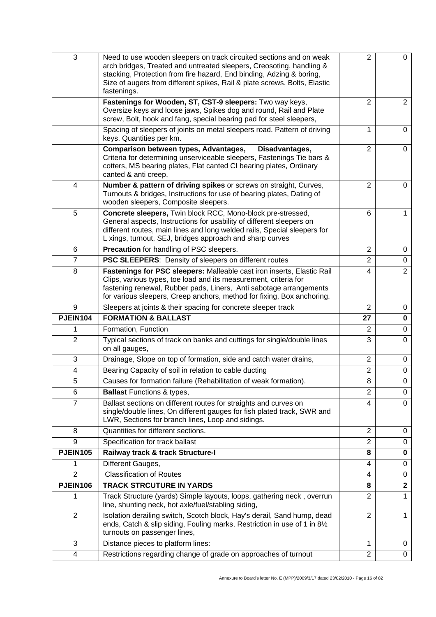| 3               | Need to use wooden sleepers on track circuited sections and on weak<br>arch bridges, Treated and untreated sleepers, Creosoting, handling &<br>stacking, Protection from fire hazard, End binding, Adzing & boring,<br>Size of augers from different spikes, Rail & plate screws, Bolts, Elastic<br>fastenings. | 2                   | 0                |
|-----------------|-----------------------------------------------------------------------------------------------------------------------------------------------------------------------------------------------------------------------------------------------------------------------------------------------------------------|---------------------|------------------|
|                 | Fastenings for Wooden, ST, CST-9 sleepers: Two way keys,<br>Oversize keys and loose jaws, Spikes dog and round, Rail and Plate<br>screw, Bolt, hook and fang, special bearing pad for steel sleepers,                                                                                                           | 2                   | $\overline{2}$   |
|                 | Spacing of sleepers of joints on metal sleepers road. Pattern of driving<br>keys. Quantities per km.                                                                                                                                                                                                            | 1                   | $\Omega$         |
|                 | Comparison between types, Advantages,<br>Disadvantages,<br>Criteria for determining unserviceable sleepers, Fastenings Tie bars &<br>cotters, MS bearing plates, Flat canted CI bearing plates, Ordinary<br>canted & anti creep,                                                                                | $\overline{2}$      | 0                |
| 4               | Number & pattern of driving spikes or screws on straight, Curves,<br>Turnouts & bridges, Instructions for use of bearing plates, Dating of<br>wooden sleepers, Composite sleepers.                                                                                                                              | 2                   | 0                |
| 5               | Concrete sleepers, Twin block RCC, Mono-block pre-stressed,<br>General aspects, Instructions for usability of different sleepers on<br>different routes, main lines and long welded rails, Special sleepers for<br>L xings, turnout, SEJ, bridges approach and sharp curves                                     | 6                   | 1                |
| 6               | Precaution for handling of PSC sleepers.                                                                                                                                                                                                                                                                        | $\overline{2}$      | 0                |
| 7               | <b>PSC SLEEPERS:</b> Density of sleepers on different routes                                                                                                                                                                                                                                                    | $\overline{2}$      | 0                |
| 8               | Fastenings for PSC sleepers: Malleable cast iron inserts, Elastic Rail<br>Clips, various types, toe load and its measurement, criteria for<br>fastening renewal, Rubber pads, Liners, Anti sabotage arrangements<br>for various sleepers, Creep anchors, method for fixing, Box anchoring.                      | 4                   | $\overline{2}$   |
| 9               | Sleepers at joints & their spacing for concrete sleeper track                                                                                                                                                                                                                                                   | 2                   | 0                |
| <b>PJEIN104</b> | <b>FORMATION &amp; BALLAST</b>                                                                                                                                                                                                                                                                                  | 27                  | $\mathbf 0$      |
|                 | Formation, Function                                                                                                                                                                                                                                                                                             | 2                   | $\mathbf 0$      |
| $\overline{2}$  | Typical sections of track on banks and cuttings for single/double lines                                                                                                                                                                                                                                         | 3                   | $\mathbf 0$      |
|                 | on all gauges,                                                                                                                                                                                                                                                                                                  |                     |                  |
| 3               | Drainage, Slope on top of formation, side and catch water drains,                                                                                                                                                                                                                                               | $\overline{2}$      | 0                |
| 4               | Bearing Capacity of soil in relation to cable ducting                                                                                                                                                                                                                                                           | $\overline{2}$      | 0                |
| 5               | Causes for formation failure (Rehabilitation of weak formation).                                                                                                                                                                                                                                                | 8                   | 0                |
| 6               | <b>Ballast Functions &amp; types,</b>                                                                                                                                                                                                                                                                           | 2                   | 0                |
| $\overline{7}$  | Ballast sections on different routes for straights and curves on<br>single/double lines, On different gauges for fish plated track, SWR and<br>LWR, Sections for branch lines, Loop and sidings.                                                                                                                | 4                   | $\Omega$         |
| 8               | Quantities for different sections.                                                                                                                                                                                                                                                                              | $\overline{2}$      | 0                |
| 9               | Specification for track ballast                                                                                                                                                                                                                                                                                 | $\overline{2}$      | $\mathbf 0$      |
| <b>PJEIN105</b> | Railway track & track Structure-I                                                                                                                                                                                                                                                                               | 8                   | 0                |
| 1               | Different Gauges,                                                                                                                                                                                                                                                                                               | 4                   | 0                |
| $\overline{2}$  | <b>Classification of Routes</b>                                                                                                                                                                                                                                                                                 | 4                   | 0                |
| <b>PJEIN106</b> | <b>TRACK STRCUTURE IN YARDS</b>                                                                                                                                                                                                                                                                                 | 8                   | $\overline{2}$   |
|                 | Track Structure (yards) Simple layouts, loops, gathering neck, overrun<br>line, shunting neck, hot axle/fuel/stabling siding,                                                                                                                                                                                   | $\overline{2}$      | 1                |
| $\mathbf{2}$    | Isolation derailing switch, Scotch block, Hay's derail, Sand hump, dead<br>ends, Catch & slip siding, Fouling marks, Restriction in use of 1 in 81/2<br>turnouts on passenger lines,                                                                                                                            | 2                   | 1                |
| 3               | Distance pieces to platform lines:                                                                                                                                                                                                                                                                              | 1<br>$\overline{2}$ | 0<br>$\mathbf 0$ |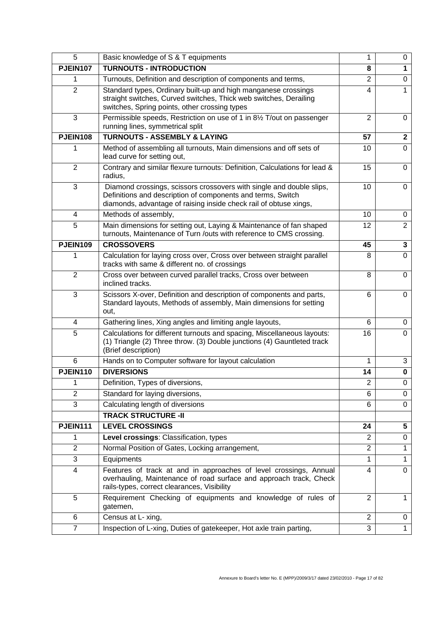| 5               | Basic knowledge of S & T equipments                                                                                                                                                                      | 1              | 0               |
|-----------------|----------------------------------------------------------------------------------------------------------------------------------------------------------------------------------------------------------|----------------|-----------------|
| <b>PJEIN107</b> | <b>TURNOUTS - INTRODUCTION</b>                                                                                                                                                                           | 8              | 1               |
| 1               | Turnouts, Definition and description of components and terms,                                                                                                                                            | $\overline{2}$ | $\mathbf 0$     |
| $\overline{2}$  | Standard types, Ordinary built-up and high manganese crossings<br>straight switches, Curved switches, Thick web switches, Derailing<br>switches, Spring points, other crossing types                     | 4              | 1               |
| 3               | Permissible speeds, Restriction on use of 1 in 81/2 T/out on passenger<br>running lines, symmetrical split                                                                                               | $\overline{2}$ | $\Omega$        |
| <b>PJEIN108</b> | <b>TURNOUTS - ASSEMBLY &amp; LAYING</b>                                                                                                                                                                  | 57             | $\mathbf{2}$    |
|                 | Method of assembling all turnouts, Main dimensions and off sets of<br>lead curve for setting out,                                                                                                        | 10             | $\Omega$        |
| $\overline{2}$  | Contrary and similar flexure turnouts: Definition, Calculations for lead &<br>radius,                                                                                                                    | 15             | 0               |
| 3               | Diamond crossings, scissors crossovers with single and double slips,<br>Definitions and description of components and terms, Switch<br>diamonds, advantage of raising inside check rail of obtuse xings, | 10             | $\Omega$        |
| 4               | Methods of assembly,                                                                                                                                                                                     | 10             | 0               |
| 5               | Main dimensions for setting out, Laying & Maintenance of fan shaped<br>turnouts, Maintenance of Turn /outs with reference to CMS crossing.                                                               | 12             | $\overline{2}$  |
| <b>PJEIN109</b> | <b>CROSSOVERS</b>                                                                                                                                                                                        | 45             | $\mathbf 3$     |
|                 | Calculation for laying cross over, Cross over between straight parallel<br>tracks with same & different no. of crossings                                                                                 | 8              | $\overline{0}$  |
| $\overline{2}$  | Cross over between curved parallel tracks, Cross over between<br>inclined tracks.                                                                                                                        | 8              | $\Omega$        |
| 3               | Scissors X-over, Definition and description of components and parts,<br>Standard layouts, Methods of assembly, Main dimensions for setting<br>out,                                                       | 6              | $\Omega$        |
| 4               | Gathering lines, Xing angles and limiting angle layouts,                                                                                                                                                 | 6              | 0               |
| 5               | Calculations for different turnouts and spacing, Miscellaneous layouts:<br>(1) Triangle (2) Three throw. (3) Double junctions (4) Gauntleted track<br>(Brief description)                                | 16             | $\mathbf 0$     |
| 6               | Hands on to Computer software for layout calculation                                                                                                                                                     | 1              | 3               |
| <b>PJEIN110</b> | <b>DIVERSIONS</b>                                                                                                                                                                                        | 14             | 0               |
| 1               | Definition, Types of diversions,                                                                                                                                                                         | 2              | 0               |
| $\overline{2}$  | Standard for laying diversions,                                                                                                                                                                          | 6              | 0               |
| 3               | Calculating length of diversions                                                                                                                                                                         | 6              | $\Omega$        |
|                 | <b>TRACK STRUCTURE -II</b>                                                                                                                                                                               |                |                 |
| <b>PJEIN111</b> | <b>LEVEL CROSSINGS</b>                                                                                                                                                                                   | 24             | $5\phantom{.0}$ |
| 1               | Level crossings: Classification, types                                                                                                                                                                   | $\overline{2}$ | $\mathbf 0$     |
| $\overline{2}$  | Normal Position of Gates, Locking arrangement,                                                                                                                                                           | $\overline{2}$ | 1               |
| 3               | Equipments                                                                                                                                                                                               | 1              | 1               |
| 4               | Features of track at and in approaches of level crossings, Annual<br>overhauling, Maintenance of road surface and approach track, Check<br>rails-types, correct clearances, Visibility                   | 4              | $\Omega$        |
| 5               | Requirement Checking of equipments and knowledge of rules of<br>gatemen,                                                                                                                                 | $\overline{2}$ | 1               |
| 6               | Census at L- xing,                                                                                                                                                                                       | $\overline{2}$ | 0               |
| $\overline{7}$  | Inspection of L-xing, Duties of gatekeeper, Hot axle train parting,                                                                                                                                      | 3              | 1               |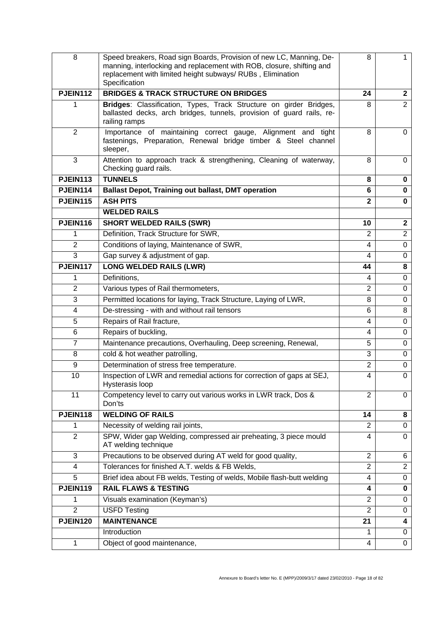| 8               | Speed breakers, Road sign Boards, Provision of new LC, Manning, De-<br>manning, interlocking and replacement with ROB, closure, shifting and<br>replacement with limited height subways/RUBs, Elimination<br>Specification | 8              | 1              |
|-----------------|----------------------------------------------------------------------------------------------------------------------------------------------------------------------------------------------------------------------------|----------------|----------------|
| <b>PJEIN112</b> | <b>BRIDGES &amp; TRACK STRUCTURE ON BRIDGES</b>                                                                                                                                                                            | 24             | $\mathbf{2}$   |
| 1               | Bridges: Classification, Types, Track Structure on girder Bridges,<br>ballasted decks, arch bridges, tunnels, provision of guard rails, re-<br>railing ramps                                                               | 8              | $\overline{2}$ |
| $\overline{2}$  | Importance of maintaining correct gauge, Alignment and tight<br>fastenings, Preparation, Renewal bridge timber & Steel channel<br>sleeper,                                                                                 | 8              | 0              |
| 3               | Attention to approach track & strengthening, Cleaning of waterway,<br>Checking guard rails.                                                                                                                                | 8              | 0              |
| <b>PJEIN113</b> | <b>TUNNELS</b>                                                                                                                                                                                                             | 8              | 0              |
| PJEIN114        | <b>Ballast Depot, Training out ballast, DMT operation</b>                                                                                                                                                                  | 6              | 0              |
| <b>PJEIN115</b> | <b>ASH PITS</b>                                                                                                                                                                                                            | $\mathbf{2}$   | 0              |
|                 | <b>WELDED RAILS</b>                                                                                                                                                                                                        |                |                |
| <b>PJEIN116</b> | <b>SHORT WELDED RAILS (SWR)</b>                                                                                                                                                                                            | 10             | $\mathbf{2}$   |
| 1               | Definition, Track Structure for SWR,                                                                                                                                                                                       | 2              | $\overline{2}$ |
| $\overline{2}$  | Conditions of laying, Maintenance of SWR,                                                                                                                                                                                  | 4              | $\mathbf 0$    |
| 3               | Gap survey & adjustment of gap.                                                                                                                                                                                            | $\overline{4}$ | 0              |
| <b>PJEIN117</b> | <b>LONG WELDED RAILS (LWR)</b>                                                                                                                                                                                             | 44             | 8              |
| 1               | Definitions,                                                                                                                                                                                                               | 4              | $\mathbf 0$    |
| $\overline{2}$  | Various types of Rail thermometers,                                                                                                                                                                                        | $\overline{2}$ | $\mathbf 0$    |
| 3               | Permitted locations for laying, Track Structure, Laying of LWR,                                                                                                                                                            | 8              | 0              |
| 4               | De-stressing - with and without rail tensors                                                                                                                                                                               | 6              | 8              |
| 5               | Repairs of Rail fracture,                                                                                                                                                                                                  | 4              | $\Omega$       |
| 6               | Repairs of buckling,                                                                                                                                                                                                       | 4              | $\mathbf 0$    |
| $\overline{7}$  | Maintenance precautions, Overhauling, Deep screening, Renewal,                                                                                                                                                             | 5              | 0              |
| 8               | cold & hot weather patrolling,                                                                                                                                                                                             | 3              | $\mathbf 0$    |
| 9               | Determination of stress free temperature.                                                                                                                                                                                  | $\overline{2}$ | 0              |
| 10              | Inspection of LWR and remedial actions for correction of gaps at SEJ,<br>Hysterasis loop                                                                                                                                   | $\overline{4}$ | 0              |
| 11              | Competency level to carry out various works in LWR track, Dos &<br>Don'ts                                                                                                                                                  | $\overline{2}$ | $\Omega$       |
| <b>PJEIN118</b> | <b>WELDING OF RAILS</b>                                                                                                                                                                                                    | 14             | 8              |
| 1               | Necessity of welding rail joints,                                                                                                                                                                                          | 2              | 0              |
| $\overline{2}$  | SPW, Wider gap Welding, compressed air preheating, 3 piece mould<br>AT welding technique                                                                                                                                   | 4              | 0              |
| 3               | Precautions to be observed during AT weld for good quality,                                                                                                                                                                | 2              | 6              |
| 4               | Tolerances for finished A.T. welds & FB Welds,                                                                                                                                                                             | $\overline{2}$ | $\overline{2}$ |
| 5               | Brief idea about FB welds, Testing of welds, Mobile flash-butt welding                                                                                                                                                     | 4              | 0              |
| <b>PJEIN119</b> | <b>RAIL FLAWS &amp; TESTING</b>                                                                                                                                                                                            | 4              | 0              |
| 1               | Visuals examination (Keyman's)                                                                                                                                                                                             | $\overline{2}$ | 0              |
| $\overline{2}$  | <b>USFD Testing</b>                                                                                                                                                                                                        | $\overline{2}$ | 0              |
| <b>PJEIN120</b> | <b>MAINTENANCE</b>                                                                                                                                                                                                         | 21             | 4              |
|                 | Introduction                                                                                                                                                                                                               | 1              | 0              |
| 1               | Object of good maintenance,                                                                                                                                                                                                | 4              | 0              |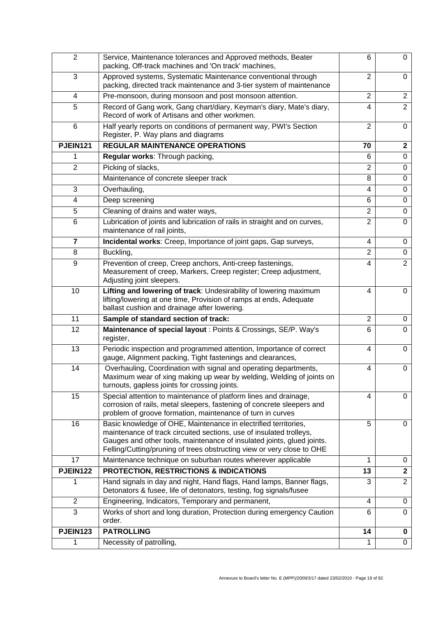| $\overline{2}$  | Service, Maintenance tolerances and Approved methods, Beater<br>packing, Off-track machines and 'On track' machines,                                                                                                                                                                       | 6              | 0                       |
|-----------------|--------------------------------------------------------------------------------------------------------------------------------------------------------------------------------------------------------------------------------------------------------------------------------------------|----------------|-------------------------|
| 3               | Approved systems, Systematic Maintenance conventional through<br>packing, directed track maintenance and 3-tier system of maintenance                                                                                                                                                      | 2              | $\mathbf 0$             |
| 4               | Pre-monsoon, during monsoon and post monsoon attention.                                                                                                                                                                                                                                    | 2              | $\overline{2}$          |
| 5               | Record of Gang work, Gang chart/diary, Keyman's diary, Mate's diary,<br>Record of work of Artisans and other workmen.                                                                                                                                                                      | $\overline{4}$ | $\overline{2}$          |
| 6               | Half yearly reports on conditions of permanent way, PWI's Section<br>Register, P. Way plans and diagrams                                                                                                                                                                                   | $\overline{2}$ | $\Omega$                |
| <b>PJEIN121</b> | <b>REGULAR MAINTENANCE OPERATIONS</b>                                                                                                                                                                                                                                                      | 70             | $\mathbf{2}$            |
| 1               | Regular works: Through packing,                                                                                                                                                                                                                                                            | 6              | $\mathbf 0$             |
| $\overline{2}$  | Picking of slacks,                                                                                                                                                                                                                                                                         | $\overline{2}$ | 0                       |
|                 | Maintenance of concrete sleeper track                                                                                                                                                                                                                                                      | 8              | $\mathbf 0$             |
| 3               | Overhauling,                                                                                                                                                                                                                                                                               | 4              | $\mathbf 0$             |
| 4               | Deep screening                                                                                                                                                                                                                                                                             | 6              | $\mathbf 0$             |
| 5               | Cleaning of drains and water ways,                                                                                                                                                                                                                                                         | $\overline{2}$ | $\mathbf 0$             |
| 6               | Lubrication of joints and lubrication of rails in straight and on curves,<br>maintenance of rail joints,                                                                                                                                                                                   | $\overline{2}$ | $\mathbf 0$             |
| $\overline{7}$  | Incidental works: Creep, Importance of joint gaps, Gap surveys,                                                                                                                                                                                                                            | 4              | 0                       |
| 8               | Buckling,                                                                                                                                                                                                                                                                                  | $\overline{2}$ | $\mathbf 0$             |
| 9               | Prevention of creep, Creep anchors, Anti-creep fastenings,<br>Measurement of creep, Markers, Creep register; Creep adjustment,<br>Adjusting joint sleepers.                                                                                                                                | 4              | $\overline{2}$          |
| 10              | Lifting and lowering of track: Undesirability of lowering maximum<br>lifting/lowering at one time, Provision of ramps at ends, Adequate<br>ballast cushion and drainage after lowering.                                                                                                    | 4              | 0                       |
| 11              | Sample of standard section of track:                                                                                                                                                                                                                                                       | $\overline{2}$ | 0                       |
| 12              | Maintenance of special layout: Points & Crossings, SE/P. Way's<br>register,                                                                                                                                                                                                                | 6              | $\Omega$                |
| 13              | Periodic inspection and programmed attention, Importance of correct<br>gauge, Alignment packing, Tight fastenings and clearances,                                                                                                                                                          | 4              | $\Omega$                |
| 14              | Overhauling, Coordination with signal and operating departments,<br>Maximum wear of xing making up wear by welding, Welding of joints on<br>turnouts, gapless joints for crossing joints.                                                                                                  | 4              | 0                       |
| 15              | Special attention to maintenance of platform lines and drainage,<br>corrosion of rails, metal sleepers, fastening of concrete sleepers and<br>problem of groove formation, maintenance of turn in curves                                                                                   | 4              | 0                       |
| 16              | Basic knowledge of OHE, Maintenance in electrified territories,<br>maintenance of track circuited sections, use of insulated trolleys,<br>Gauges and other tools, maintenance of insulated joints, glued joints.<br>Felling/Cutting/pruning of trees obstructing view or very close to OHE | 5              | $\mathbf 0$             |
| 17              | Maintenance technique on suburban routes wherever applicable                                                                                                                                                                                                                               | 1              | 0                       |
| <b>PJEIN122</b> | PROTECTION, RESTRICTIONS & INDICATIONS                                                                                                                                                                                                                                                     | 13             | $\overline{\mathbf{2}}$ |
| 1               | Hand signals in day and night, Hand flags, Hand lamps, Banner flags,<br>Detonators & fusee, life of detonators, testing, fog signals/fusee                                                                                                                                                 | 3              | $\overline{2}$          |
| $\overline{2}$  | Engineering, Indicators, Temporary and permanent,                                                                                                                                                                                                                                          | $\overline{4}$ | 0                       |
| 3               | Works of short and long duration, Protection during emergency Caution<br>order.                                                                                                                                                                                                            | 6              | 0                       |
| <b>PJEIN123</b> | <b>PATROLLING</b>                                                                                                                                                                                                                                                                          | 14             | 0                       |
| 1               | Necessity of patrolling,                                                                                                                                                                                                                                                                   | 1              | $\overline{0}$          |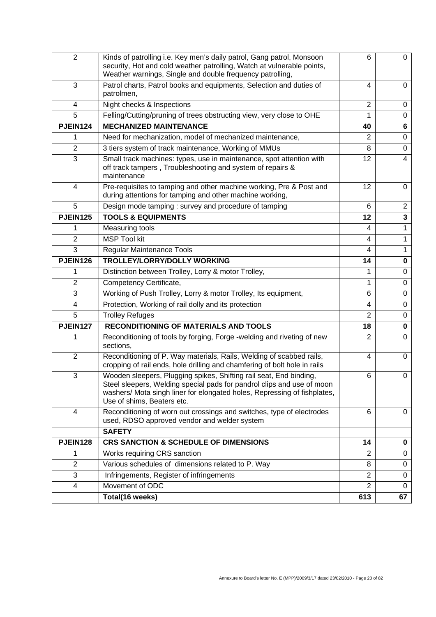| $\overline{2}$  | Kinds of patrolling i.e. Key men's daily patrol, Gang patrol, Monsoon<br>security, Hot and cold weather patrolling, Watch at vulnerable points,<br>Weather warnings, Single and double frequency patrolling,                                           | 6              | 0              |
|-----------------|--------------------------------------------------------------------------------------------------------------------------------------------------------------------------------------------------------------------------------------------------------|----------------|----------------|
| 3               | Patrol charts, Patrol books and equipments, Selection and duties of<br>patrolmen,                                                                                                                                                                      | 4              | $\Omega$       |
| 4               | Night checks & Inspections                                                                                                                                                                                                                             | $\overline{2}$ | 0              |
| 5               | Felling/Cutting/pruning of trees obstructing view, very close to OHE                                                                                                                                                                                   | 1              | $\Omega$       |
| <b>PJEIN124</b> | <b>MECHANIZED MAINTENANCE</b>                                                                                                                                                                                                                          | 40             | 6              |
| 1               | Need for mechanization, model of mechanized maintenance,                                                                                                                                                                                               | 2              | 0              |
| $\overline{2}$  | 3 tiers system of track maintenance, Working of MMUs                                                                                                                                                                                                   | 8              | $\mathbf 0$    |
| 3               | Small track machines: types, use in maintenance, spot attention with<br>off track tampers, Troubleshooting and system of repairs &<br>maintenance                                                                                                      | 12             | 4              |
| 4               | Pre-requisites to tamping and other machine working, Pre & Post and<br>during attentions for tamping and other machine working,                                                                                                                        | 12             | $\Omega$       |
| 5               | Design mode tamping: survey and procedure of tamping                                                                                                                                                                                                   | 6              | $\overline{2}$ |
| <b>PJEIN125</b> | <b>TOOLS &amp; EQUIPMENTS</b>                                                                                                                                                                                                                          | 12             | 3              |
| 1               | Measuring tools                                                                                                                                                                                                                                        | 4              | 1              |
| $\overline{2}$  | <b>MSP Tool kit</b>                                                                                                                                                                                                                                    | 4              | 1              |
| 3               | <b>Regular Maintenance Tools</b>                                                                                                                                                                                                                       | 4              | 1              |
| PJEIN126        | TROLLEY/LORRY/DOLLY WORKING                                                                                                                                                                                                                            | 14             | $\bf{0}$       |
| 1               | Distinction between Trolley, Lorry & motor Trolley,                                                                                                                                                                                                    | 1              | $\mathbf 0$    |
| $\overline{2}$  | Competency Certificate,                                                                                                                                                                                                                                | 1              | $\mathbf 0$    |
| 3               | Working of Push Trolley, Lorry & motor Trolley, Its equipment,                                                                                                                                                                                         | 6              | $\Omega$       |
| 4               | Protection, Working of rail dolly and its protection                                                                                                                                                                                                   | 4              | 0              |
| 5               | <b>Trolley Refuges</b>                                                                                                                                                                                                                                 | $\overline{2}$ | $\mathbf 0$    |
| <b>PJEIN127</b> | <b>RECONDITIONING OF MATERIALS AND TOOLS</b>                                                                                                                                                                                                           | 18             | 0              |
|                 | Reconditioning of tools by forging, Forge -welding and riveting of new<br>sections,                                                                                                                                                                    | 2              | 0              |
| $\overline{2}$  | Reconditioning of P. Way materials, Rails, Welding of scabbed rails,<br>cropping of rail ends, hole drilling and chamfering of bolt hole in rails                                                                                                      | 4              | 0              |
| 3               | Wooden sleepers, Plugging spikes, Shifting rail seat, End binding,<br>Steel sleepers, Welding special pads for pandrol clips and use of moon<br>washers/ Mota singh liner for elongated holes, Repressing of fishplates,<br>Use of shims, Beaters etc. | 6              | 0              |
| 4               | Reconditioning of worn out crossings and switches, type of electrodes<br>used, RDSO approved vendor and welder system                                                                                                                                  | 6              | 0              |
|                 | <b>SAFETY</b>                                                                                                                                                                                                                                          |                |                |
| PJEIN128        | <b>CRS SANCTION &amp; SCHEDULE OF DIMENSIONS</b>                                                                                                                                                                                                       | 14             | 0              |
| 1               | Works requiring CRS sanction                                                                                                                                                                                                                           | 2              | 0              |
| $\overline{2}$  | Various schedules of dimensions related to P. Way                                                                                                                                                                                                      | 8              | 0              |
| 3               | Infringements, Register of infringements                                                                                                                                                                                                               | $\overline{2}$ | 0              |
| 4               | Movement of ODC                                                                                                                                                                                                                                        | $\overline{2}$ | $\mathbf 0$    |
|                 | Total(16 weeks)                                                                                                                                                                                                                                        | 613            | 67             |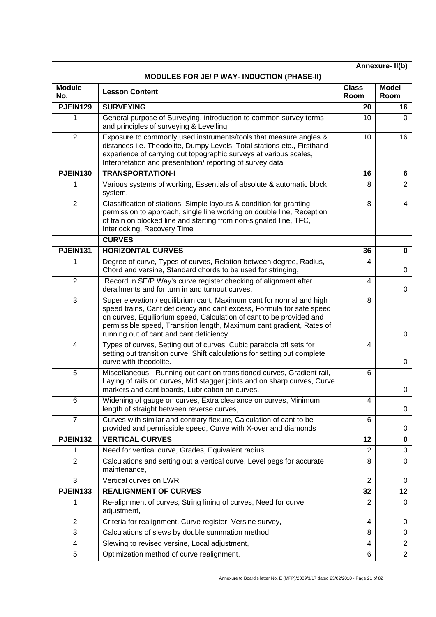| Annexure-II(b)       |                                                                                                                                                                                                                                                                                                                                            |                      |                      |
|----------------------|--------------------------------------------------------------------------------------------------------------------------------------------------------------------------------------------------------------------------------------------------------------------------------------------------------------------------------------------|----------------------|----------------------|
|                      | <b>MODULES FOR JE/ P WAY- INDUCTION (PHASE-II)</b>                                                                                                                                                                                                                                                                                         |                      |                      |
| <b>Module</b><br>No. | <b>Lesson Content</b>                                                                                                                                                                                                                                                                                                                      | <b>Class</b><br>Room | <b>Model</b><br>Room |
| <b>PJEIN129</b>      | <b>SURVEYING</b>                                                                                                                                                                                                                                                                                                                           | 20                   | 16                   |
| 1                    | General purpose of Surveying, introduction to common survey terms<br>and principles of surveying & Levelling.                                                                                                                                                                                                                              | 10                   | 0                    |
| $\overline{2}$       | Exposure to commonly used instruments/tools that measure angles &<br>distances i.e. Theodolite, Dumpy Levels, Total stations etc., Firsthand<br>experience of carrying out topographic surveys at various scales,<br>Interpretation and presentation/reporting of survey data                                                              | 10                   | 16                   |
| <b>PJEIN130</b>      | <b>TRANSPORTATION-I</b>                                                                                                                                                                                                                                                                                                                    | 16                   | 6                    |
| 1                    | Various systems of working, Essentials of absolute & automatic block<br>system,                                                                                                                                                                                                                                                            | 8                    | $\overline{2}$       |
| $\overline{2}$       | Classification of stations, Simple layouts & condition for granting<br>permission to approach, single line working on double line, Reception<br>of train on blocked line and starting from non-signaled line, TFC,<br>Interlocking, Recovery Time                                                                                          | 8                    | 4                    |
|                      | <b>CURVES</b>                                                                                                                                                                                                                                                                                                                              |                      |                      |
| PJEIN131             | <b>HORIZONTAL CURVES</b>                                                                                                                                                                                                                                                                                                                   | 36                   | 0                    |
| 1                    | Degree of curve, Types of curves, Relation between degree, Radius,<br>Chord and versine, Standard chords to be used for stringing,                                                                                                                                                                                                         | 4                    | 0                    |
| $\overline{2}$       | Record in SE/P. Way's curve register checking of alignment after<br>derailments and for turn in and turnout curves,                                                                                                                                                                                                                        | 4                    | 0                    |
| 3                    | Super elevation / equilibrium cant, Maximum cant for normal and high<br>speed trains, Cant deficiency and cant excess, Formula for safe speed<br>on curves, Equilibrium speed, Calculation of cant to be provided and<br>permissible speed, Transition length, Maximum cant gradient, Rates of<br>running out of cant and cant deficiency. | 8                    | 0                    |
| $\overline{4}$       | Types of curves, Setting out of curves, Cubic parabola off sets for<br>setting out transition curve, Shift calculations for setting out complete<br>curve with theodolite.                                                                                                                                                                 | 4                    | 0                    |
| 5                    | Miscellaneous - Running out cant on transitioned curves, Gradient rail,<br>Laying of rails on curves, Mid stagger joints and on sharp curves, Curve<br>markers and cant boards, Lubrication on curves,                                                                                                                                     | 6                    | 0                    |
| 6                    | Widening of gauge on curves, Extra clearance on curves, Minimum<br>length of straight between reverse curves,                                                                                                                                                                                                                              | 4                    | 0                    |
| $\overline{7}$       | Curves with similar and contrary flexure, Calculation of cant to be<br>provided and permissible speed, Curve with X-over and diamonds                                                                                                                                                                                                      | 6                    | 0                    |
| <b>PJEIN132</b>      | <b>VERTICAL CURVES</b>                                                                                                                                                                                                                                                                                                                     | 12                   | 0                    |
| 1                    | Need for vertical curve, Grades, Equivalent radius,                                                                                                                                                                                                                                                                                        | 2                    | 0                    |
| $\overline{2}$       | Calculations and setting out a vertical curve, Level pegs for accurate<br>maintenance,                                                                                                                                                                                                                                                     | 8                    | 0                    |
| 3                    | Vertical curves on LWR                                                                                                                                                                                                                                                                                                                     | 2                    | 0                    |
| <b>PJEIN133</b>      | <b>REALIGNMENT OF CURVES</b>                                                                                                                                                                                                                                                                                                               | 32                   | 12                   |
| 1                    | Re-alignment of curves, String lining of curves, Need for curve<br>adjustment,                                                                                                                                                                                                                                                             | 2                    | $\Omega$             |
| $\overline{2}$       | Criteria for realignment, Curve register, Versine survey,                                                                                                                                                                                                                                                                                  | 4                    | 0                    |
| 3                    | Calculations of slews by double summation method,                                                                                                                                                                                                                                                                                          | 8                    | 0                    |
| $\overline{4}$       | Slewing to revised versine, Local adjustment,                                                                                                                                                                                                                                                                                              | 4                    | $\overline{2}$       |
| 5                    | Optimization method of curve realignment,                                                                                                                                                                                                                                                                                                  | 6                    | $\overline{2}$       |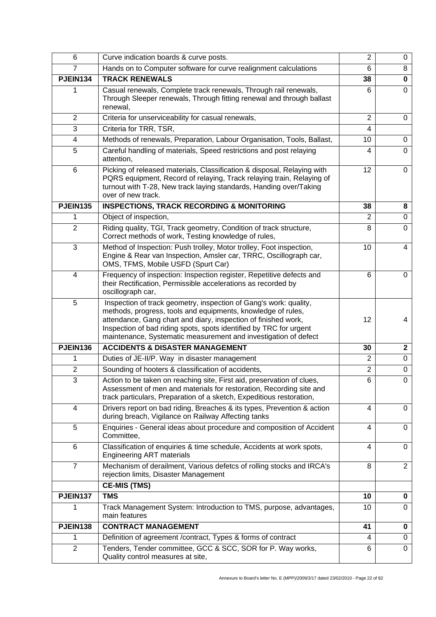| 6               | Curve indication boards & curve posts.                                                                                                                                                                                                                                                                                                       | $\overline{2}$ | 0              |
|-----------------|----------------------------------------------------------------------------------------------------------------------------------------------------------------------------------------------------------------------------------------------------------------------------------------------------------------------------------------------|----------------|----------------|
| $\overline{7}$  | Hands on to Computer software for curve realignment calculations                                                                                                                                                                                                                                                                             | 6              | 8              |
| PJEIN134        | <b>TRACK RENEWALS</b>                                                                                                                                                                                                                                                                                                                        | 38             | 0              |
|                 | Casual renewals, Complete track renewals, Through rail renewals,<br>Through Sleeper renewals, Through fitting renewal and through ballast<br>renewal,                                                                                                                                                                                        | 6              | $\Omega$       |
| $\overline{2}$  | Criteria for unserviceability for casual renewals,                                                                                                                                                                                                                                                                                           | $\overline{2}$ | $\Omega$       |
| 3               | Criteria for TRR, TSR,                                                                                                                                                                                                                                                                                                                       | 4              |                |
| 4               | Methods of renewals, Preparation, Labour Organisation, Tools, Ballast,                                                                                                                                                                                                                                                                       | 10             | 0              |
| 5               | Careful handling of materials, Speed restrictions and post relaying<br>attention,                                                                                                                                                                                                                                                            | 4              | $\Omega$       |
| 6               | Picking of released materials, Classification & disposal, Relaying with<br>PQRS equipment, Record of relaying, Track relaying train, Relaying of<br>turnout with T-28, New track laying standards, Handing over/Taking<br>over of new track.                                                                                                 | 12             | $\Omega$       |
| <b>PJEIN135</b> | <b>INSPECTIONS, TRACK RECORDING &amp; MONITORING</b>                                                                                                                                                                                                                                                                                         | 38             | 8              |
| 1               | Object of inspection,                                                                                                                                                                                                                                                                                                                        | 2              | 0              |
| $\overline{2}$  | Riding quality, TGI, Track geometry, Condition of track structure,<br>Correct methods of work, Testing knowledge of rules,                                                                                                                                                                                                                   | 8              | 0              |
| 3               | Method of Inspection: Push trolley, Motor trolley, Foot inspection,<br>Engine & Rear van Inspection, Amsler car, TRRC, Oscillograph car,<br>OMS, TFMS, Mobile USFD (Spurt Car)                                                                                                                                                               | 10             | 4              |
| 4               | Frequency of inspection: Inspection register, Repetitive defects and<br>their Rectification, Permissible accelerations as recorded by<br>oscillograph car,                                                                                                                                                                                   | 6              | 0              |
| 5               | Inspection of track geometry, inspection of Gang's work: quality,<br>methods, progress, tools and equipments, knowledge of rules,<br>attendance, Gang chart and diary, inspection of finished work,<br>Inspection of bad riding spots, spots identified by TRC for urgent<br>maintenance, Systematic measurement and investigation of defect | 12             | 4              |
| PJEIN136        | <b>ACCIDENTS &amp; DISASTER MANAGEMENT</b>                                                                                                                                                                                                                                                                                                   | 30             | $\mathbf{2}$   |
| 1               | Duties of JE-II/P. Way in disaster management                                                                                                                                                                                                                                                                                                | 2              | 0              |
| $\overline{2}$  | Sounding of hooters & classification of accidents,                                                                                                                                                                                                                                                                                           | $\overline{2}$ | 0              |
| 3               | Action to be taken on reaching site, First aid, preservation of clues,<br>Assessment of men and materials for restoration, Recording site and<br>track particulars, Preparation of a sketch, Expeditious restoration,                                                                                                                        | 6              | 0              |
| 4               | Drivers report on bad riding, Breaches & its types, Prevention & action<br>during breach, Vigilance on Railway Affecting tanks                                                                                                                                                                                                               | 4              | $\Omega$       |
| 5               | Enquiries - General ideas about procedure and composition of Accident<br>Committee,                                                                                                                                                                                                                                                          | 4              | 0              |
| 6               | Classification of enquiries & time schedule, Accidents at work spots,<br><b>Engineering ART materials</b>                                                                                                                                                                                                                                    | 4              | $\Omega$       |
| $\overline{7}$  | Mechanism of derailment, Various defetcs of rolling stocks and IRCA's<br>rejection limits, Disaster Management                                                                                                                                                                                                                               | 8              | $\overline{2}$ |
|                 | <b>CE-MIS (TMS)</b>                                                                                                                                                                                                                                                                                                                          |                |                |
| PJEIN137        | <b>TMS</b>                                                                                                                                                                                                                                                                                                                                   | 10             | 0              |
| 1               | Track Management System: Introduction to TMS, purpose, advantages,<br>main features                                                                                                                                                                                                                                                          | 10             | $\Omega$       |
| PJEIN138        | <b>CONTRACT MANAGEMENT</b>                                                                                                                                                                                                                                                                                                                   | 41             | 0              |
| 1               | Definition of agreement / contract, Types & forms of contract                                                                                                                                                                                                                                                                                | 4              | 0              |
| $\overline{2}$  | Tenders, Tender committee, GCC & SCC, SOR for P. Way works,<br>Quality control measures at site,                                                                                                                                                                                                                                             | 6              | $\Omega$       |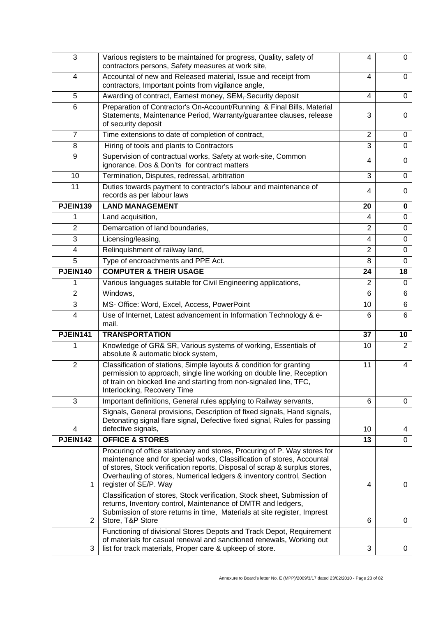| 3               | Various registers to be maintained for progress, Quality, safety of<br>contractors persons, Safety measures at work site,                                                                                                                                                                                                           | 4              | $\Omega$       |
|-----------------|-------------------------------------------------------------------------------------------------------------------------------------------------------------------------------------------------------------------------------------------------------------------------------------------------------------------------------------|----------------|----------------|
| 4               | Accountal of new and Released material, Issue and receipt from<br>contractors, Important points from vigilance angle,                                                                                                                                                                                                               | 4              | 0              |
| 5               | Awarding of contract, Earnest money, SEM, Security deposit                                                                                                                                                                                                                                                                          | 4              | 0              |
| 6               | Preparation of Contractor's On-Account/Running & Final Bills, Material<br>Statements, Maintenance Period, Warranty/guarantee clauses, release<br>of security deposit                                                                                                                                                                | 3              | 0              |
| $\overline{7}$  | Time extensions to date of completion of contract,                                                                                                                                                                                                                                                                                  | 2              | 0              |
| 8               | Hiring of tools and plants to Contractors                                                                                                                                                                                                                                                                                           | 3              | 0              |
| 9               | Supervision of contractual works, Safety at work-site, Common<br>ignorance. Dos & Don'ts for contract matters                                                                                                                                                                                                                       | 4              | 0              |
| 10              | Termination, Disputes, redressal, arbitration                                                                                                                                                                                                                                                                                       | 3              | 0              |
| 11              | Duties towards payment to contractor's labour and maintenance of<br>records as per labour laws                                                                                                                                                                                                                                      | 4              | 0              |
| <b>PJEIN139</b> | <b>LAND MANAGEMENT</b>                                                                                                                                                                                                                                                                                                              | 20             | 0              |
| 1               | Land acquisition,                                                                                                                                                                                                                                                                                                                   | 4              | 0              |
| $\overline{2}$  | Demarcation of land boundaries,                                                                                                                                                                                                                                                                                                     | $\overline{2}$ | $\Omega$       |
| 3               | Licensing/leasing,                                                                                                                                                                                                                                                                                                                  | 4              | $\Omega$       |
| $\overline{4}$  | Relinquishment of railway land,                                                                                                                                                                                                                                                                                                     | $\overline{2}$ | 0              |
| 5               | Type of encroachments and PPE Act.                                                                                                                                                                                                                                                                                                  | 8              | 0              |
| <b>PJEIN140</b> | <b>COMPUTER &amp; THEIR USAGE</b>                                                                                                                                                                                                                                                                                                   | 24             | 18             |
| 1               | Various languages suitable for Civil Engineering applications,                                                                                                                                                                                                                                                                      | 2              | $\Omega$       |
| 2               | Windows,                                                                                                                                                                                                                                                                                                                            | 6              | 6              |
| 3               | MS- Office: Word, Excel, Access, PowerPoint                                                                                                                                                                                                                                                                                         | 10             | 6              |
| 4               | Use of Internet, Latest advancement in Information Technology & e-<br>mail.                                                                                                                                                                                                                                                         | 6              | 6              |
| PJEIN141        | <b>TRANSPORTATION</b>                                                                                                                                                                                                                                                                                                               | 37             | 10             |
|                 | Knowledge of GR& SR, Various systems of working, Essentials of<br>absolute & automatic block system,                                                                                                                                                                                                                                | 10             | $\overline{2}$ |
| $\overline{2}$  | Classification of stations, Simple layouts & condition for granting<br>permission to approach, single line working on double line, Reception<br>of train on blocked line and starting from non-signaled line, TFC,<br>Interlocking, Recovery Time                                                                                   | 11             | 4              |
| 3               | Important definitions, General rules applying to Railway servants,                                                                                                                                                                                                                                                                  | 6              | 0              |
| 4               | Signals, General provisions, Description of fixed signals, Hand signals,<br>Detonating signal flare signal, Defective fixed signal, Rules for passing<br>defective signals,                                                                                                                                                         | 10             | 4              |
| <b>PJEIN142</b> | <b>OFFICE &amp; STORES</b>                                                                                                                                                                                                                                                                                                          | 13             | $\Omega$       |
| 1               | Procuring of office stationary and stores, Procuring of P. Way stores for<br>maintenance and for special works, Classification of stores, Accountal<br>of stores, Stock verification reports, Disposal of scrap & surplus stores,<br>Overhauling of stores, Numerical ledgers & inventory control, Section<br>register of SE/P. Way | 4              | 0              |
| $\overline{2}$  | Classification of stores, Stock verification, Stock sheet, Submission of<br>returns, Inventory control, Maintenance of DMTR and ledgers,<br>Submission of store returns in time, Materials at site register, Imprest<br>Store, T&P Store                                                                                            | 6              | 0              |
| 3               | Functioning of divisional Stores Depots and Track Depot, Requirement<br>of materials for casual renewal and sanctioned renewals, Working out<br>list for track materials, Proper care & upkeep of store.                                                                                                                            | 3              | 0              |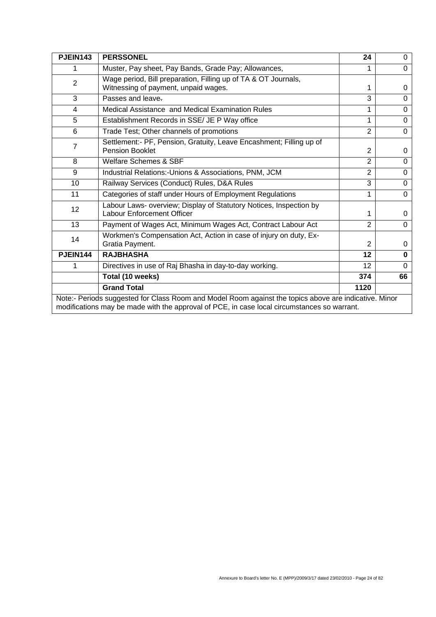| PJEIN143                                                                                                                                                                                             | <b>PERSSONEL</b>                                                                                       | 24             | 0        |
|------------------------------------------------------------------------------------------------------------------------------------------------------------------------------------------------------|--------------------------------------------------------------------------------------------------------|----------------|----------|
|                                                                                                                                                                                                      | Muster, Pay sheet, Pay Bands, Grade Pay; Allowances,                                                   |                | $\Omega$ |
| $\overline{2}$                                                                                                                                                                                       | Wage period, Bill preparation, Filling up of TA & OT Journals,<br>Witnessing of payment, unpaid wages. | 1              | 0        |
| 3                                                                                                                                                                                                    | Passes and leave-                                                                                      | 3              | 0        |
| 4                                                                                                                                                                                                    | Medical Assistance and Medical Examination Rules                                                       | 1              | $\Omega$ |
| 5                                                                                                                                                                                                    | Establishment Records in SSE/ JE P Way office                                                          | 1              | $\Omega$ |
| 6                                                                                                                                                                                                    | Trade Test; Other channels of promotions                                                               | $\overline{2}$ | $\Omega$ |
| $\overline{7}$                                                                                                                                                                                       | Settlement:- PF, Pension, Gratuity, Leave Encashment; Filling up of<br><b>Pension Booklet</b>          | $\overline{2}$ | 0        |
| 8                                                                                                                                                                                                    | Welfare Schemes & SBF                                                                                  | $\overline{2}$ | $\Omega$ |
| 9                                                                                                                                                                                                    | Industrial Relations:-Unions & Associations, PNM, JCM                                                  | $\overline{2}$ | $\Omega$ |
| 10                                                                                                                                                                                                   | Railway Services (Conduct) Rules, D&A Rules                                                            | 3              | $\Omega$ |
| 11                                                                                                                                                                                                   | Categories of staff under Hours of Employment Regulations                                              | 1              | $\Omega$ |
| 12                                                                                                                                                                                                   | Labour Laws- overview; Display of Statutory Notices, Inspection by<br>Labour Enforcement Officer       | 1              | 0        |
| 13                                                                                                                                                                                                   | Payment of Wages Act, Minimum Wages Act, Contract Labour Act                                           | $\overline{2}$ | $\Omega$ |
| 14                                                                                                                                                                                                   | Workmen's Compensation Act, Action in case of injury on duty, Ex-<br>Gratia Payment.                   | $\overline{2}$ | 0        |
| PJEIN144                                                                                                                                                                                             | <b>RAJBHASHA</b>                                                                                       | 12             | $\bf{0}$ |
|                                                                                                                                                                                                      | Directives in use of Raj Bhasha in day-to-day working.                                                 | 12             | $\Omega$ |
|                                                                                                                                                                                                      | Total (10 weeks)                                                                                       | 374            | 66       |
|                                                                                                                                                                                                      | <b>Grand Total</b>                                                                                     | 1120           |          |
| Note:- Periods suggested for Class Room and Model Room against the topics above are indicative. Minor<br>modifications may be made with the approval of PCE, in case local circumstances so warrant. |                                                                                                        |                |          |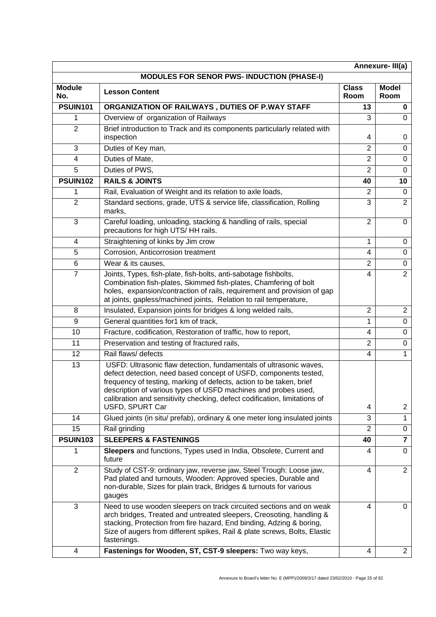|                                                   |                                                                                                                                                                                                                                                                                                                                                                                 |                      | Annexure-III(a)         |
|---------------------------------------------------|---------------------------------------------------------------------------------------------------------------------------------------------------------------------------------------------------------------------------------------------------------------------------------------------------------------------------------------------------------------------------------|----------------------|-------------------------|
| <b>MODULES FOR SENOR PWS- INDUCTION (PHASE-I)</b> |                                                                                                                                                                                                                                                                                                                                                                                 |                      |                         |
| <b>Module</b><br>No.                              | <b>Lesson Content</b>                                                                                                                                                                                                                                                                                                                                                           | <b>Class</b><br>Room | <b>Model</b><br>Room    |
| <b>PSUIN101</b>                                   | ORGANIZATION OF RAILWAYS, DUTIES OF P.WAY STAFF                                                                                                                                                                                                                                                                                                                                 | 13                   | 0                       |
| 1                                                 | Overview of organization of Railways                                                                                                                                                                                                                                                                                                                                            | 3                    | $\Omega$                |
| $\overline{2}$                                    | Brief introduction to Track and its components particularly related with<br>inspection                                                                                                                                                                                                                                                                                          | 4                    | 0                       |
| 3                                                 | Duties of Key man,                                                                                                                                                                                                                                                                                                                                                              | $\overline{2}$       | 0                       |
| 4                                                 | Duties of Mate,                                                                                                                                                                                                                                                                                                                                                                 | $\overline{2}$       | $\Omega$                |
| 5                                                 | Duties of PWS,                                                                                                                                                                                                                                                                                                                                                                  | $\overline{2}$       | $\Omega$                |
| <b>PSUIN102</b>                                   | <b>RAILS &amp; JOINTS</b>                                                                                                                                                                                                                                                                                                                                                       | 40                   | 10                      |
| 1                                                 | Rail, Evaluation of Weight and its relation to axle loads,                                                                                                                                                                                                                                                                                                                      | 2                    | 0                       |
| $\overline{2}$                                    | Standard sections, grade, UTS & service life, classification, Rolling<br>marks.                                                                                                                                                                                                                                                                                                 | 3                    | $\overline{2}$          |
| 3                                                 | Careful loading, unloading, stacking & handling of rails, special<br>precautions for high UTS/HH rails.                                                                                                                                                                                                                                                                         | $\overline{2}$       | 0                       |
| 4                                                 | Straightening of kinks by Jim crow                                                                                                                                                                                                                                                                                                                                              | 1                    | 0                       |
| 5                                                 | Corrosion, Anticorrosion treatment                                                                                                                                                                                                                                                                                                                                              | 4                    | 0                       |
| 6                                                 | Wear & its causes,                                                                                                                                                                                                                                                                                                                                                              | 2                    | 0                       |
| $\overline{7}$                                    | Joints, Types, fish-plate, fish-bolts, anti-sabotage fishbolts,<br>Combination fish-plates, Skimmed fish-plates, Chamfering of bolt<br>holes, expansion/contraction of rails, requirement and provision of gap<br>at joints, gapless/machined joints, Relation to rail temperature,                                                                                             | 4                    | $\overline{2}$          |
| 8                                                 | Insulated, Expansion joints for bridges & long welded rails,                                                                                                                                                                                                                                                                                                                    | $\overline{2}$       | $\overline{2}$          |
| 9                                                 | General quantities for1 km of track,                                                                                                                                                                                                                                                                                                                                            | 1                    | 0                       |
| 10                                                | Fracture, codification, Restoration of traffic, how to report,                                                                                                                                                                                                                                                                                                                  | 4                    | 0                       |
| 11                                                | Preservation and testing of fractured rails,                                                                                                                                                                                                                                                                                                                                    | $\overline{2}$       | 0                       |
| 12                                                | Rail flaws/ defects                                                                                                                                                                                                                                                                                                                                                             | $\overline{4}$       | 1                       |
| 13                                                | USFD: Ultrasonic flaw detection, fundamentals of ultrasonic waves,<br>defect detection, need based concept of USFD, components tested,<br>frequency of testing, marking of defects, action to be taken, brief<br>description of various types of USFD machines and probes used,<br>calibration and sensitivity checking, defect codification, limitations of<br>USFD, SPURT Car | 4                    | $\overline{c}$          |
| 14                                                | Glued joints (in situ/ prefab), ordinary & one meter long insulated joints                                                                                                                                                                                                                                                                                                      | 3                    | 1                       |
| 15                                                | Rail grinding                                                                                                                                                                                                                                                                                                                                                                   | $\overline{2}$       | 0                       |
| <b>PSUIN103</b>                                   | <b>SLEEPERS &amp; FASTENINGS</b>                                                                                                                                                                                                                                                                                                                                                | 40                   | $\overline{\mathbf{7}}$ |
| 1                                                 | Sleepers and functions, Types used in India, Obsolete, Current and<br>future                                                                                                                                                                                                                                                                                                    | 4                    | 0                       |
| $\overline{2}$                                    | Study of CST-9: ordinary jaw, reverse jaw, Steel Trough: Loose jaw,<br>Pad plated and turnouts, Wooden: Approved species, Durable and<br>non-durable, Sizes for plain track, Bridges & turnouts for various<br>gauges                                                                                                                                                           | 4                    | $\overline{2}$          |
| 3                                                 | Need to use wooden sleepers on track circuited sections and on weak<br>arch bridges, Treated and untreated sleepers, Creosoting, handling &<br>stacking, Protection from fire hazard, End binding, Adzing & boring,<br>Size of augers from different spikes, Rail & plate screws, Bolts, Elastic<br>fastenings.                                                                 | 4                    | $\Omega$                |
| $\overline{\mathbf{4}}$                           | Fastenings for Wooden, ST, CST-9 sleepers: Two way keys,                                                                                                                                                                                                                                                                                                                        | 4                    | $\overline{2}$          |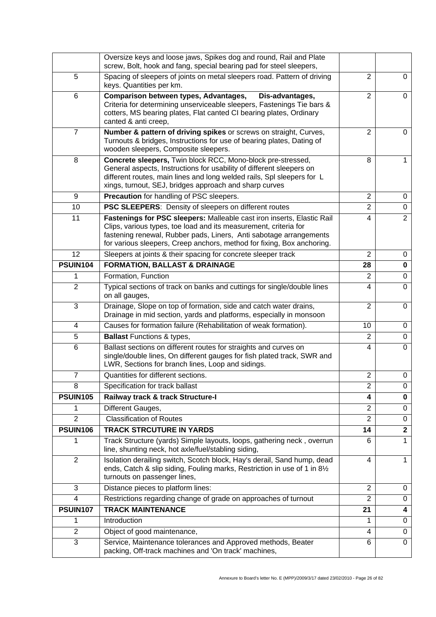|                 | Oversize keys and loose jaws, Spikes dog and round, Rail and Plate                                                                                                                                                                                                                         |                |                |
|-----------------|--------------------------------------------------------------------------------------------------------------------------------------------------------------------------------------------------------------------------------------------------------------------------------------------|----------------|----------------|
|                 | screw, Bolt, hook and fang, special bearing pad for steel sleepers,                                                                                                                                                                                                                        |                |                |
| 5               | Spacing of sleepers of joints on metal sleepers road. Pattern of driving<br>keys. Quantities per km.                                                                                                                                                                                       | $\overline{2}$ | $\Omega$       |
| 6               | Comparison between types, Advantages,<br>Dis-advantages,<br>Criteria for determining unserviceable sleepers, Fastenings Tie bars &<br>cotters, MS bearing plates, Flat canted CI bearing plates, Ordinary<br>canted & anti creep,                                                          | $\overline{2}$ | 0              |
| 7               | Number & pattern of driving spikes or screws on straight, Curves,<br>Turnouts & bridges, Instructions for use of bearing plates, Dating of<br>wooden sleepers, Composite sleepers.                                                                                                         | $\overline{2}$ | $\Omega$       |
| 8               | Concrete sleepers, Twin block RCC, Mono-block pre-stressed,<br>General aspects, Instructions for usability of different sleepers on<br>different routes, main lines and long welded rails, SpI sleepers for L<br>xings, turnout, SEJ, bridges approach and sharp curves                    | 8              | 1              |
| 9               | Precaution for handling of PSC sleepers.                                                                                                                                                                                                                                                   | 2              | 0              |
| 10              | PSC SLEEPERS: Density of sleepers on different routes                                                                                                                                                                                                                                      | $\overline{2}$ | 0              |
| 11              | Fastenings for PSC sleepers: Malleable cast iron inserts, Elastic Rail<br>Clips, various types, toe load and its measurement, criteria for<br>fastening renewal, Rubber pads, Liners, Anti sabotage arrangements<br>for various sleepers, Creep anchors, method for fixing, Box anchoring. | 4              | $\overline{2}$ |
| 12              | Sleepers at joints & their spacing for concrete sleeper track                                                                                                                                                                                                                              | $\overline{2}$ | 0              |
| <b>PSUIN104</b> | <b>FORMATION, BALLAST &amp; DRAINAGE</b>                                                                                                                                                                                                                                                   | 28             | 0              |
| 1               | Formation, Function                                                                                                                                                                                                                                                                        | $\overline{2}$ | $\mathbf 0$    |
| $\overline{2}$  | Typical sections of track on banks and cuttings for single/double lines<br>on all gauges,                                                                                                                                                                                                  | 4              | $\mathbf 0$    |
| 3               | Drainage, Slope on top of formation, side and catch water drains,<br>Drainage in mid section, yards and platforms, especially in monsoon                                                                                                                                                   | $\overline{2}$ | $\mathbf 0$    |
| 4               | Causes for formation failure (Rehabilitation of weak formation).                                                                                                                                                                                                                           | 10             | 0              |
| 5               | <b>Ballast Functions &amp; types,</b>                                                                                                                                                                                                                                                      | $\overline{2}$ | $\mathbf 0$    |
| 6               | Ballast sections on different routes for straights and curves on<br>single/double lines, On different gauges for fish plated track, SWR and<br>LWR, Sections for branch lines, Loop and sidings.                                                                                           | 4              | $\Omega$       |
| 7               | Quantities for different sections.                                                                                                                                                                                                                                                         | $\overline{2}$ | 0              |
| 8               | Specification for track ballast                                                                                                                                                                                                                                                            | 2              | 0              |
| <b>PSUIN105</b> | Railway track & track Structure-I                                                                                                                                                                                                                                                          | 4              | 0              |
| 1               | Different Gauges,                                                                                                                                                                                                                                                                          | $\overline{2}$ | 0              |
| $\overline{2}$  | <b>Classification of Routes</b>                                                                                                                                                                                                                                                            | $\overline{2}$ | 0              |
| <b>PSUIN106</b> | <b>TRACK STRCUTURE IN YARDS</b>                                                                                                                                                                                                                                                            | 14             | $\overline{2}$ |
| 1               | Track Structure (yards) Simple layouts, loops, gathering neck, overrun<br>line, shunting neck, hot axle/fuel/stabling siding,                                                                                                                                                              | 6              | 1              |
| $\overline{2}$  | Isolation derailing switch, Scotch block, Hay's derail, Sand hump, dead<br>ends, Catch & slip siding, Fouling marks, Restriction in use of 1 in 81/2<br>turnouts on passenger lines,                                                                                                       | $\overline{4}$ | $\mathbf{1}$   |
| 3               | Distance pieces to platform lines:                                                                                                                                                                                                                                                         | 2              | 0              |
| $\overline{4}$  | Restrictions regarding change of grade on approaches of turnout                                                                                                                                                                                                                            | $\overline{2}$ | 0              |
| <b>PSUIN107</b> | <b>TRACK MAINTENANCE</b>                                                                                                                                                                                                                                                                   | 21             | 4              |
| 1               | Introduction                                                                                                                                                                                                                                                                               | 1              | 0              |
| $\overline{2}$  | Object of good maintenance,                                                                                                                                                                                                                                                                | 4              | 0              |
| 3               | Service, Maintenance tolerances and Approved methods, Beater<br>packing, Off-track machines and 'On track' machines,                                                                                                                                                                       | 6              | $\Omega$       |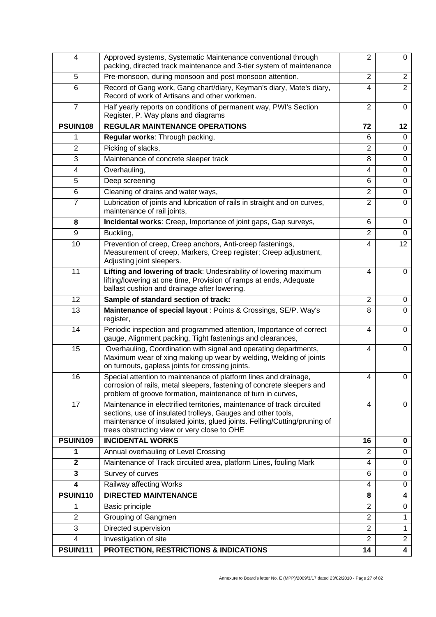| 4               | Approved systems, Systematic Maintenance conventional through<br>packing, directed track maintenance and 3-tier system of maintenance                                                                                                                              | $\overline{2}$ | 0                       |
|-----------------|--------------------------------------------------------------------------------------------------------------------------------------------------------------------------------------------------------------------------------------------------------------------|----------------|-------------------------|
| 5               | Pre-monsoon, during monsoon and post monsoon attention.                                                                                                                                                                                                            | $\overline{2}$ | $\overline{2}$          |
| 6               | Record of Gang work, Gang chart/diary, Keyman's diary, Mate's diary,<br>Record of work of Artisans and other workmen.                                                                                                                                              | 4              | $\overline{2}$          |
| $\overline{7}$  | Half yearly reports on conditions of permanent way, PWI's Section<br>Register, P. Way plans and diagrams                                                                                                                                                           | $\overline{2}$ | 0                       |
| <b>PSUIN108</b> | <b>REGULAR MAINTENANCE OPERATIONS</b>                                                                                                                                                                                                                              | 72             | 12                      |
| 1               | Regular works: Through packing,                                                                                                                                                                                                                                    | 6              | 0                       |
| $\overline{2}$  | Picking of slacks,                                                                                                                                                                                                                                                 | $\overline{2}$ | $\mathbf 0$             |
| 3               | Maintenance of concrete sleeper track                                                                                                                                                                                                                              | 8              | $\mathbf 0$             |
| 4               | Overhauling,                                                                                                                                                                                                                                                       | 4              | $\mathbf 0$             |
| 5               | Deep screening                                                                                                                                                                                                                                                     | 6              | $\mathbf 0$             |
| 6               | Cleaning of drains and water ways,                                                                                                                                                                                                                                 | $\overline{2}$ | $\mathbf 0$             |
| $\overline{7}$  | Lubrication of joints and lubrication of rails in straight and on curves,<br>maintenance of rail joints,                                                                                                                                                           | $\overline{2}$ | $\mathbf 0$             |
| 8               | Incidental works: Creep, Importance of joint gaps, Gap surveys,                                                                                                                                                                                                    | 6              | 0                       |
| 9               | Buckling,                                                                                                                                                                                                                                                          | $\overline{2}$ | $\mathbf 0$             |
| 10              | Prevention of creep, Creep anchors, Anti-creep fastenings,<br>Measurement of creep, Markers, Creep register; Creep adjustment,<br>Adjusting joint sleepers.                                                                                                        | $\overline{4}$ | 12                      |
| 11              | Lifting and lowering of track: Undesirability of lowering maximum<br>lifting/lowering at one time, Provision of ramps at ends, Adequate<br>ballast cushion and drainage after lowering.                                                                            | 4              | 0                       |
| 12              | Sample of standard section of track:                                                                                                                                                                                                                               | $\overline{2}$ | 0                       |
| 13              | Maintenance of special layout : Points & Crossings, SE/P. Way's<br>register,                                                                                                                                                                                       | 8              | $\Omega$                |
| 14              | Periodic inspection and programmed attention, Importance of correct<br>gauge, Alignment packing, Tight fastenings and clearances,                                                                                                                                  | 4              | $\Omega$                |
| 15              | Overhauling, Coordination with signal and operating departments,<br>Maximum wear of xing making up wear by welding, Welding of joints<br>on turnouts, gapless joints for crossing joints.                                                                          | 4              | 0                       |
| 16              | Special attention to maintenance of platform lines and drainage,<br>corrosion of rails, metal sleepers, fastening of concrete sleepers and<br>problem of groove formation, maintenance of turn in curves,                                                          | $\overline{4}$ | 0                       |
| 17              | Maintenance in electrified territories, maintenance of track circuited<br>sections, use of insulated trolleys, Gauges and other tools,<br>maintenance of insulated joints, glued joints. Felling/Cutting/pruning of<br>trees obstructing view or very close to OHE | 4              | 0                       |
| <b>PSUIN109</b> | <b>INCIDENTAL WORKS</b>                                                                                                                                                                                                                                            | 16             | 0                       |
| 1               | Annual overhauling of Level Crossing                                                                                                                                                                                                                               | $\overline{2}$ | $\mathbf 0$             |
| $\mathbf 2$     | Maintenance of Track circuited area, platform Lines, fouling Mark                                                                                                                                                                                                  | 4              | 0                       |
| 3               | Survey of curves                                                                                                                                                                                                                                                   | 6              | $\mathbf 0$             |
| 4               | Railway affecting Works                                                                                                                                                                                                                                            | 4              | 0                       |
| <b>PSUIN110</b> | <b>DIRECTED MAINTENANCE</b>                                                                                                                                                                                                                                        | 8              | 4                       |
| 1               | <b>Basic principle</b>                                                                                                                                                                                                                                             | $\overline{2}$ | 0                       |
| $\overline{2}$  | Grouping of Gangmen                                                                                                                                                                                                                                                | $\overline{2}$ | 1                       |
| 3               | Directed supervision                                                                                                                                                                                                                                               | $\overline{2}$ | 1                       |
| 4               | Investigation of site                                                                                                                                                                                                                                              | $\overline{2}$ | $\overline{2}$          |
| <b>PSUIN111</b> | <b>PROTECTION, RESTRICTIONS &amp; INDICATIONS</b>                                                                                                                                                                                                                  | 14             | $\overline{\mathbf{4}}$ |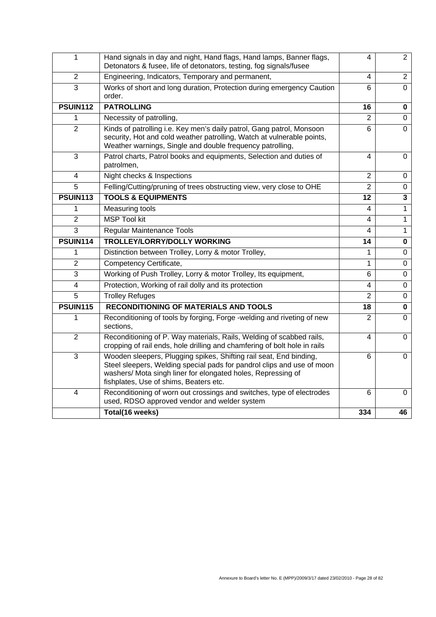| 1               | Hand signals in day and night, Hand flags, Hand lamps, Banner flags,<br>Detonators & fusee, life of detonators, testing, fog signals/fusee                                                                                                             | 4              | $\overline{2}$          |
|-----------------|--------------------------------------------------------------------------------------------------------------------------------------------------------------------------------------------------------------------------------------------------------|----------------|-------------------------|
| 2               | Engineering, Indicators, Temporary and permanent,                                                                                                                                                                                                      | $\overline{4}$ | $\overline{2}$          |
| 3               | Works of short and long duration, Protection during emergency Caution<br>order.                                                                                                                                                                        | 6              | $\Omega$                |
| <b>PSUIN112</b> | <b>PATROLLING</b>                                                                                                                                                                                                                                      | 16             | $\mathbf 0$             |
| 1               | Necessity of patrolling,                                                                                                                                                                                                                               | $\overline{2}$ | $\mathbf 0$             |
| $\overline{2}$  | Kinds of patrolling i.e. Key men's daily patrol, Gang patrol, Monsoon<br>security, Hot and cold weather patrolling, Watch at vulnerable points,<br>Weather warnings, Single and double frequency patrolling,                                           | $6\phantom{1}$ | $\Omega$                |
| 3               | Patrol charts, Patrol books and equipments, Selection and duties of<br>patrolmen,                                                                                                                                                                      | 4              | 0                       |
| 4               | Night checks & Inspections                                                                                                                                                                                                                             | $\overline{2}$ | 0                       |
| 5               | Felling/Cutting/pruning of trees obstructing view, very close to OHE                                                                                                                                                                                   | $\overline{2}$ | $\overline{0}$          |
| <b>PSUIN113</b> | <b>TOOLS &amp; EQUIPMENTS</b>                                                                                                                                                                                                                          | 12             | $\overline{\mathbf{3}}$ |
| 1               | Measuring tools                                                                                                                                                                                                                                        | 4              | $\mathbf{1}$            |
| $\overline{2}$  | MSP Tool kit                                                                                                                                                                                                                                           | 4              | $\mathbf{1}$            |
| $\overline{3}$  | Regular Maintenance Tools                                                                                                                                                                                                                              | 4              | $\mathbf{1}$            |
| <b>PSUIN114</b> | <b>TROLLEY/LORRY/DOLLY WORKING</b>                                                                                                                                                                                                                     | 14             | $\mathbf 0$             |
| 1               | Distinction between Trolley, Lorry & motor Trolley,                                                                                                                                                                                                    | 1              | $\mathbf 0$             |
| $\overline{2}$  | Competency Certificate,                                                                                                                                                                                                                                | 1              | 0                       |
| 3               | Working of Push Trolley, Lorry & motor Trolley, Its equipment,                                                                                                                                                                                         | 6              | 0                       |
| 4               | Protection, Working of rail dolly and its protection                                                                                                                                                                                                   | 4              | $\overline{0}$          |
| 5               | <b>Trolley Refuges</b>                                                                                                                                                                                                                                 | $\overline{2}$ | $\overline{0}$          |
| <b>PSUIN115</b> | <b>RECONDITIONING OF MATERIALS AND TOOLS</b>                                                                                                                                                                                                           | 18             | 0                       |
| 1               | Reconditioning of tools by forging, Forge -welding and riveting of new<br>sections.                                                                                                                                                                    | $\overline{2}$ | $\Omega$                |
| 2               |                                                                                                                                                                                                                                                        |                |                         |
|                 | Reconditioning of P. Way materials, Rails, Welding of scabbed rails,<br>cropping of rail ends, hole drilling and chamfering of bolt hole in rails                                                                                                      | 4              | $\Omega$                |
| 3               | Wooden sleepers, Plugging spikes, Shifting rail seat, End binding,<br>Steel sleepers, Welding special pads for pandrol clips and use of moon<br>washers/ Mota singh liner for elongated holes, Repressing of<br>fishplates, Use of shims, Beaters etc. | 6              | 0                       |
| 4               | Reconditioning of worn out crossings and switches, type of electrodes<br>used, RDSO approved vendor and welder system<br>Total(16 weeks)                                                                                                               | 6<br>334       | 0                       |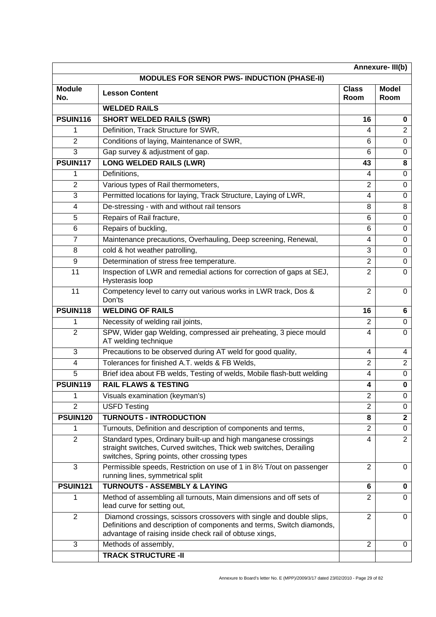| Annexure-III(b)      |                                                                                                                                                                                                          |                      |                      |
|----------------------|----------------------------------------------------------------------------------------------------------------------------------------------------------------------------------------------------------|----------------------|----------------------|
|                      | <b>MODULES FOR SENOR PWS- INDUCTION (PHASE-II)</b>                                                                                                                                                       |                      |                      |
| <b>Module</b><br>No. | <b>Lesson Content</b>                                                                                                                                                                                    | <b>Class</b><br>Room | <b>Model</b><br>Room |
|                      | <b>WELDED RAILS</b>                                                                                                                                                                                      |                      |                      |
| <b>PSUIN116</b>      | <b>SHORT WELDED RAILS (SWR)</b>                                                                                                                                                                          | 16                   | 0                    |
| 1                    | Definition, Track Structure for SWR,                                                                                                                                                                     | 4                    | $\overline{2}$       |
| $\overline{2}$       | Conditions of laying, Maintenance of SWR,                                                                                                                                                                | 6                    | 0                    |
| 3                    | Gap survey & adjustment of gap.                                                                                                                                                                          | 6                    | $\Omega$             |
| <b>PSUIN117</b>      | <b>LONG WELDED RAILS (LWR)</b>                                                                                                                                                                           | 43                   | 8                    |
| 1                    | Definitions,                                                                                                                                                                                             | 4                    | 0                    |
| $\overline{2}$       | Various types of Rail thermometers,                                                                                                                                                                      | 2                    | 0                    |
| 3                    | Permitted locations for laying, Track Structure, Laying of LWR,                                                                                                                                          | 4                    | 0                    |
| 4                    | De-stressing - with and without rail tensors                                                                                                                                                             | 8                    | 8                    |
| 5                    | Repairs of Rail fracture,                                                                                                                                                                                | 6                    | 0                    |
| 6                    | Repairs of buckling,                                                                                                                                                                                     | 6                    | 0                    |
| $\overline{7}$       | Maintenance precautions, Overhauling, Deep screening, Renewal,                                                                                                                                           | 4                    | 0                    |
| 8                    | cold & hot weather patrolling,                                                                                                                                                                           | 3                    | $\Omega$             |
| 9                    | Determination of stress free temperature.                                                                                                                                                                | $\overline{2}$       | 0                    |
| 11                   | Inspection of LWR and remedial actions for correction of gaps at SEJ,<br>Hysterasis loop                                                                                                                 | $\overline{2}$       | $\Omega$             |
| 11                   | Competency level to carry out various works in LWR track, Dos &<br>Don'ts                                                                                                                                | $\overline{2}$       | 0                    |
| <b>PSUIN118</b>      | <b>WELDING OF RAILS</b>                                                                                                                                                                                  | 16                   | 6                    |
| 1                    | Necessity of welding rail joints,                                                                                                                                                                        | $\overline{2}$       | 0                    |
| $\overline{2}$       | SPW, Wider gap Welding, compressed air preheating, 3 piece mould<br>AT welding technique                                                                                                                 | 4                    | $\Omega$             |
| 3                    | Precautions to be observed during AT weld for good quality,                                                                                                                                              | 4                    | 4                    |
| 4                    | Tolerances for finished A.T. welds & FB Welds,                                                                                                                                                           | $\overline{2}$       | $\overline{2}$       |
| 5                    | Brief idea about FB welds, Testing of welds, Mobile flash-butt welding                                                                                                                                   | 4                    | 0                    |
| <b>PSUIN119</b>      | <b>RAIL FLAWS &amp; TESTING</b>                                                                                                                                                                          | 4                    | 0                    |
| 1                    | Visuals examination (keyman's)                                                                                                                                                                           | $\overline{2}$       | 0                    |
| $\overline{2}$       | <b>USFD Testing</b>                                                                                                                                                                                      | $\overline{2}$       | 0                    |
| <b>PSUIN120</b>      | <b>TURNOUTS - INTRODUCTION</b>                                                                                                                                                                           | 8                    | $\mathbf 2$          |
| 1                    | Turnouts, Definition and description of components and terms,                                                                                                                                            | $\overline{2}$       | 0                    |
| $\overline{2}$       | Standard types, Ordinary built-up and high manganese crossings<br>straight switches, Curved switches, Thick web switches, Derailing<br>switches, Spring points, other crossing types                     | 4                    | $\overline{2}$       |
| 3                    | Permissible speeds, Restriction on use of 1 in 81/2 T/out on passenger<br>running lines, symmetrical split                                                                                               | 2                    | 0                    |
| <b>PSUIN121</b>      | <b>TURNOUTS - ASSEMBLY &amp; LAYING</b>                                                                                                                                                                  | 6                    | 0                    |
| 1                    | Method of assembling all turnouts, Main dimensions and off sets of<br>lead curve for setting out,                                                                                                        | $\overline{2}$       | $\Omega$             |
| $\overline{2}$       | Diamond crossings, scissors crossovers with single and double slips,<br>Definitions and description of components and terms, Switch diamonds,<br>advantage of raising inside check rail of obtuse xings, | $\overline{2}$       | $\Omega$             |
| 3                    | Methods of assembly,                                                                                                                                                                                     | 2                    | 0                    |
|                      | <b>TRACK STRUCTURE -II</b>                                                                                                                                                                               |                      |                      |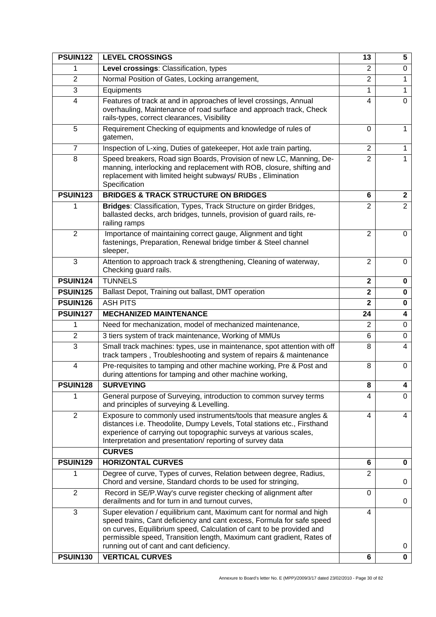| <b>PSUIN122</b>         | <b>LEVEL CROSSINGS</b>                                                                                                                                                                                                                                                                                                                     | 13             | 5              |
|-------------------------|--------------------------------------------------------------------------------------------------------------------------------------------------------------------------------------------------------------------------------------------------------------------------------------------------------------------------------------------|----------------|----------------|
| 1                       | Level crossings: Classification, types                                                                                                                                                                                                                                                                                                     | $\overline{2}$ | 0              |
| $\overline{2}$          | Normal Position of Gates, Locking arrangement,                                                                                                                                                                                                                                                                                             | $\overline{2}$ | 1              |
| 3                       | Equipments                                                                                                                                                                                                                                                                                                                                 | 1              | 1              |
| $\overline{4}$          | Features of track at and in approaches of level crossings, Annual<br>overhauling, Maintenance of road surface and approach track, Check<br>rails-types, correct clearances, Visibility                                                                                                                                                     | 4              | $\Omega$       |
| 5                       | Requirement Checking of equipments and knowledge of rules of<br>gatemen,                                                                                                                                                                                                                                                                   | 0              | $\mathbf{1}$   |
| $\overline{7}$          | Inspection of L-xing, Duties of gatekeeper, Hot axle train parting,                                                                                                                                                                                                                                                                        | $\overline{2}$ | $\mathbf{1}$   |
| 8                       | Speed breakers, Road sign Boards, Provision of new LC, Manning, De-<br>manning, interlocking and replacement with ROB, closure, shifting and<br>replacement with limited height subways/RUBs, Elimination<br>Specification                                                                                                                 | $\overline{2}$ | 1.             |
| <b>PSUIN123</b>         | <b>BRIDGES &amp; TRACK STRUCTURE ON BRIDGES</b>                                                                                                                                                                                                                                                                                            | 6              | $\mathbf{2}$   |
|                         | Bridges: Classification, Types, Track Structure on girder Bridges,<br>ballasted decks, arch bridges, tunnels, provision of guard rails, re-<br>railing ramps                                                                                                                                                                               | $\overline{2}$ | $\overline{2}$ |
| $\overline{2}$          | Importance of maintaining correct gauge, Alignment and tight<br>fastenings, Preparation, Renewal bridge timber & Steel channel<br>sleeper,                                                                                                                                                                                                 | $\overline{2}$ | $\Omega$       |
| 3                       | Attention to approach track & strengthening, Cleaning of waterway,<br>Checking guard rails.                                                                                                                                                                                                                                                | 2              | $\Omega$       |
| <b>PSUIN124</b>         | <b>TUNNELS</b>                                                                                                                                                                                                                                                                                                                             | $\mathbf{2}$   | 0              |
| <b>PSUIN125</b>         | Ballast Depot, Training out ballast, DMT operation                                                                                                                                                                                                                                                                                         | $\mathbf 2$    | 0              |
| <b>PSUIN126</b>         | <b>ASH PITS</b>                                                                                                                                                                                                                                                                                                                            | $\overline{2}$ | $\mathbf 0$    |
| <b>PSUIN127</b>         | <b>MECHANIZED MAINTENANCE</b>                                                                                                                                                                                                                                                                                                              | 24             | 4              |
| 1                       | Need for mechanization, model of mechanized maintenance,                                                                                                                                                                                                                                                                                   | $\overline{2}$ | 0              |
| $\overline{2}$          | 3 tiers system of track maintenance, Working of MMUs                                                                                                                                                                                                                                                                                       | 6              | 0              |
| 3                       | Small track machines: types, use in maintenance, spot attention with off<br>track tampers, Troubleshooting and system of repairs & maintenance                                                                                                                                                                                             | 8              | $\overline{4}$ |
| $\overline{\mathbf{4}}$ | Pre-requisites to tamping and other machine working, Pre & Post and<br>during attentions for tamping and other machine working,                                                                                                                                                                                                            | 8              | 0              |
| <b>PSUIN128</b>         | <b>SURVEYING</b>                                                                                                                                                                                                                                                                                                                           | 8              | 4              |
|                         | General purpose of Surveying, introduction to common survey terms<br>and principles of surveying & Levelling.                                                                                                                                                                                                                              | 4              | 0              |
| $\overline{2}$          | Exposure to commonly used instruments/tools that measure angles &<br>distances i.e. Theodolite, Dumpy Levels, Total stations etc., Firsthand<br>experience of carrying out topographic surveys at various scales,<br>Interpretation and presentation/reporting of survey data                                                              | 4              | 4              |
|                         | <b>CURVES</b>                                                                                                                                                                                                                                                                                                                              |                |                |
| <b>PSUIN129</b>         | <b>HORIZONTAL CURVES</b>                                                                                                                                                                                                                                                                                                                   | 6              | 0              |
| 1                       | Degree of curve, Types of curves, Relation between degree, Radius,<br>Chord and versine, Standard chords to be used for stringing,                                                                                                                                                                                                         | $\overline{2}$ | 0              |
| $\overline{2}$          | Record in SE/P. Way's curve register checking of alignment after<br>derailments and for turn in and turnout curves,                                                                                                                                                                                                                        | 0              | 0              |
| 3                       | Super elevation / equilibrium cant, Maximum cant for normal and high<br>speed trains, Cant deficiency and cant excess, Formula for safe speed<br>on curves, Equilibrium speed, Calculation of cant to be provided and<br>permissible speed, Transition length, Maximum cant gradient, Rates of<br>running out of cant and cant deficiency. | 4              | 0              |
| <b>PSUIN130</b>         | <b>VERTICAL CURVES</b>                                                                                                                                                                                                                                                                                                                     | 6              | $\mathbf 0$    |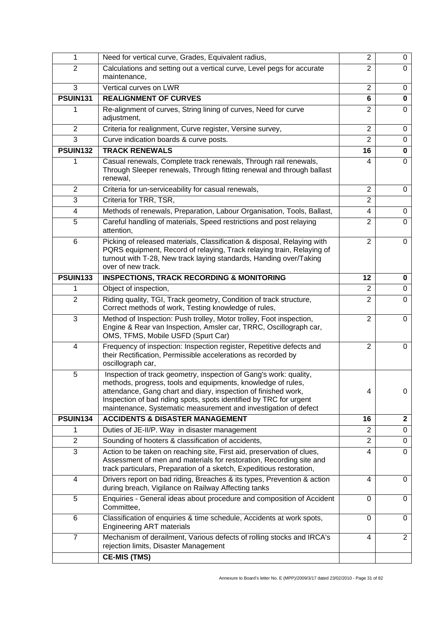| 1               | Need for vertical curve, Grades, Equivalent radius,                                                                                                                                                                                                                                                                                          | $\overline{2}$ | 0              |
|-----------------|----------------------------------------------------------------------------------------------------------------------------------------------------------------------------------------------------------------------------------------------------------------------------------------------------------------------------------------------|----------------|----------------|
| 2               | Calculations and setting out a vertical curve, Level pegs for accurate<br>maintenance,                                                                                                                                                                                                                                                       | $\overline{2}$ | 0              |
| 3               | Vertical curves on LWR                                                                                                                                                                                                                                                                                                                       | $\overline{2}$ | 0              |
| <b>PSUIN131</b> | <b>REALIGNMENT OF CURVES</b>                                                                                                                                                                                                                                                                                                                 | 6              | 0              |
| 1               | Re-alignment of curves, String lining of curves, Need for curve<br>adjustment,                                                                                                                                                                                                                                                               | 2              | $\Omega$       |
| $\overline{2}$  | Criteria for realignment, Curve register, Versine survey,                                                                                                                                                                                                                                                                                    | $\overline{2}$ | 0              |
| 3               | Curve indication boards & curve posts.                                                                                                                                                                                                                                                                                                       | $\overline{2}$ | 0              |
| <b>PSUIN132</b> | <b>TRACK RENEWALS</b>                                                                                                                                                                                                                                                                                                                        | 16             | 0              |
| 1               | Casual renewals, Complete track renewals, Through rail renewals,<br>Through Sleeper renewals, Through fitting renewal and through ballast<br>renewal,                                                                                                                                                                                        | 4              | 0              |
| $\overline{2}$  | Criteria for un-serviceability for casual renewals,                                                                                                                                                                                                                                                                                          | $\overline{2}$ | 0              |
| 3               | Criteria for TRR, TSR,                                                                                                                                                                                                                                                                                                                       | $\overline{2}$ |                |
| 4               | Methods of renewals, Preparation, Labour Organisation, Tools, Ballast,                                                                                                                                                                                                                                                                       | 4              | 0              |
| 5               | Careful handling of materials, Speed restrictions and post relaying<br>attention,                                                                                                                                                                                                                                                            | 2              | 0              |
| 6               | Picking of released materials, Classification & disposal, Relaying with<br>PQRS equipment, Record of relaying, Track relaying train, Relaying of<br>turnout with T-28, New track laying standards, Handing over/Taking<br>over of new track.                                                                                                 | $\overline{2}$ | $\Omega$       |
| <b>PSUIN133</b> | <b>INSPECTIONS, TRACK RECORDING &amp; MONITORING</b>                                                                                                                                                                                                                                                                                         | 12             | 0              |
| 1               | Object of inspection,                                                                                                                                                                                                                                                                                                                        | 2              | 0              |
| $\overline{2}$  | Riding quality, TGI, Track geometry, Condition of track structure,<br>Correct methods of work, Testing knowledge of rules,                                                                                                                                                                                                                   | $\overline{2}$ | 0              |
| 3               | Method of Inspection: Push trolley, Motor trolley, Foot inspection,<br>Engine & Rear van Inspection, Amsler car, TRRC, Oscillograph car,<br>OMS, TFMS, Mobile USFD (Spurt Car)                                                                                                                                                               | 2              | 0              |
| $\overline{4}$  | Frequency of inspection: Inspection register, Repetitive defects and<br>their Rectification, Permissible accelerations as recorded by<br>oscillograph car,                                                                                                                                                                                   | $\overline{2}$ | $\Omega$       |
| 5               | Inspection of track geometry, inspection of Gang's work: quality,<br>methods, progress, tools and equipments, knowledge of rules,<br>attendance, Gang chart and diary, inspection of finished work,<br>Inspection of bad riding spots, spots identified by TRC for urgent<br>maintenance, Systematic measurement and investigation of defect | 4              | 0              |
| <b>PSUIN134</b> | <b>ACCIDENTS &amp; DISASTER MANAGEMENT</b>                                                                                                                                                                                                                                                                                                   | 16             | $\mathbf 2$    |
| 1               | Duties of JE-II/P. Way in disaster management                                                                                                                                                                                                                                                                                                | $\overline{2}$ | 0              |
| $\overline{2}$  | Sounding of hooters & classification of accidents,                                                                                                                                                                                                                                                                                           | $\overline{2}$ | 0              |
| 3               | Action to be taken on reaching site, First aid, preservation of clues,<br>Assessment of men and materials for restoration, Recording site and<br>track particulars, Preparation of a sketch, Expeditious restoration,                                                                                                                        | 4              | $\Omega$       |
| $\overline{4}$  | Drivers report on bad riding, Breaches & its types, Prevention & action<br>during breach, Vigilance on Railway Affecting tanks                                                                                                                                                                                                               | 4              | 0              |
| 5               | Enquiries - General ideas about procedure and composition of Accident<br>Committee,                                                                                                                                                                                                                                                          | 0              | 0              |
| 6               | Classification of enquiries & time schedule, Accidents at work spots,<br><b>Engineering ART materials</b>                                                                                                                                                                                                                                    | $\Omega$       | 0              |
| $\overline{7}$  | Mechanism of derailment, Various defects of rolling stocks and IRCA's<br>rejection limits, Disaster Management                                                                                                                                                                                                                               | 4              | $\overline{2}$ |
|                 | <b>CE-MIS (TMS)</b>                                                                                                                                                                                                                                                                                                                          |                |                |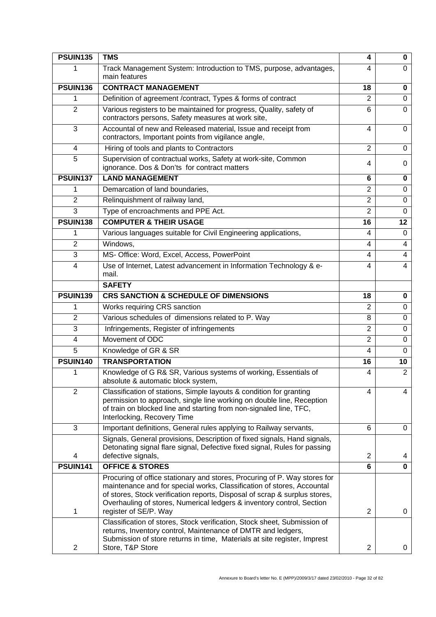| <b>PSUIN135</b> | <b>TMS</b>                                                                                                                                                                                                                                                                                                                                                                                                      | 4                       | 0              |
|-----------------|-----------------------------------------------------------------------------------------------------------------------------------------------------------------------------------------------------------------------------------------------------------------------------------------------------------------------------------------------------------------------------------------------------------------|-------------------------|----------------|
|                 | Track Management System: Introduction to TMS, purpose, advantages,<br>main features                                                                                                                                                                                                                                                                                                                             | 4                       | 0              |
| <b>PSUIN136</b> | <b>CONTRACT MANAGEMENT</b>                                                                                                                                                                                                                                                                                                                                                                                      | 18                      | 0              |
| 1               | Definition of agreement /contract, Types & forms of contract                                                                                                                                                                                                                                                                                                                                                    | $\overline{2}$          | 0              |
| $\overline{2}$  | Various registers to be maintained for progress, Quality, safety of<br>contractors persons, Safety measures at work site,                                                                                                                                                                                                                                                                                       | 6                       | 0              |
| 3               | Accountal of new and Released material, Issue and receipt from<br>contractors, Important points from vigilance angle,                                                                                                                                                                                                                                                                                           | 4                       | 0              |
| 4               | Hiring of tools and plants to Contractors                                                                                                                                                                                                                                                                                                                                                                       | $\overline{2}$          | 0              |
| 5               | Supervision of contractual works, Safety at work-site, Common<br>ignorance. Dos & Don'ts for contract matters                                                                                                                                                                                                                                                                                                   | 4                       | 0              |
| <b>PSUIN137</b> | <b>LAND MANAGEMENT</b>                                                                                                                                                                                                                                                                                                                                                                                          | 6                       | 0              |
| 1               | Demarcation of land boundaries,                                                                                                                                                                                                                                                                                                                                                                                 | $\overline{2}$          | 0              |
| $\overline{2}$  | Relinquishment of railway land,                                                                                                                                                                                                                                                                                                                                                                                 | $\overline{2}$          | $\Omega$       |
| 3               | Type of encroachments and PPE Act.                                                                                                                                                                                                                                                                                                                                                                              | $\overline{2}$          | 0              |
| <b>PSUIN138</b> | <b>COMPUTER &amp; THEIR USAGE</b>                                                                                                                                                                                                                                                                                                                                                                               | 16                      | 12             |
| 1               | Various languages suitable for Civil Engineering applications,                                                                                                                                                                                                                                                                                                                                                  | 4                       | 0              |
| $\overline{2}$  | Windows,                                                                                                                                                                                                                                                                                                                                                                                                        | 4                       | 4              |
| 3               | MS- Office: Word, Excel, Access, PowerPoint                                                                                                                                                                                                                                                                                                                                                                     | 4                       | 4              |
| 4               | Use of Internet, Latest advancement in Information Technology & e-<br>mail.                                                                                                                                                                                                                                                                                                                                     | 4                       | 4              |
|                 | <b>SAFETY</b>                                                                                                                                                                                                                                                                                                                                                                                                   |                         |                |
| <b>PSUIN139</b> | <b>CRS SANCTION &amp; SCHEDULE OF DIMENSIONS</b>                                                                                                                                                                                                                                                                                                                                                                | 18                      | 0              |
| 1               | Works requiring CRS sanction                                                                                                                                                                                                                                                                                                                                                                                    | $\overline{2}$          | 0              |
| $\overline{2}$  | Various schedules of dimensions related to P. Way                                                                                                                                                                                                                                                                                                                                                               | 8                       | 0              |
| 3               | Infringements, Register of infringements                                                                                                                                                                                                                                                                                                                                                                        | $\overline{2}$          | 0              |
| 4               | Movement of ODC                                                                                                                                                                                                                                                                                                                                                                                                 | $\overline{2}$          | 0              |
| 5               | Knowledge of GR & SR                                                                                                                                                                                                                                                                                                                                                                                            | $\overline{\mathbf{4}}$ | $\Omega$       |
| <b>PSUIN140</b> | <b>TRANSPORTATION</b>                                                                                                                                                                                                                                                                                                                                                                                           | 16                      | 10             |
| 1               | Knowledge of G R& SR, Various systems of working, Essentials of<br>absolute & automatic block system,                                                                                                                                                                                                                                                                                                           | 4                       | $\overline{2}$ |
| $\overline{2}$  | Classification of stations, Simple layouts & condition for granting<br>permission to approach, single line working on double line, Reception<br>of train on blocked line and starting from non-signaled line, TFC,<br>Interlocking, Recovery Time                                                                                                                                                               | 4                       | 4              |
| 3               | Important definitions, General rules applying to Railway servants,                                                                                                                                                                                                                                                                                                                                              | 6                       | $\Omega$       |
| 4               | Signals, General provisions, Description of fixed signals, Hand signals,<br>Detonating signal flare signal, Defective fixed signal, Rules for passing<br>defective signals,                                                                                                                                                                                                                                     | $\overline{2}$          | 4              |
| <b>PSUIN141</b> | <b>OFFICE &amp; STORES</b>                                                                                                                                                                                                                                                                                                                                                                                      | 6                       | 0              |
| 1               | Procuring of office stationary and stores, Procuring of P. Way stores for<br>maintenance and for special works, Classification of stores, Accountal<br>of stores, Stock verification reports, Disposal of scrap & surplus stores,<br>Overhauling of stores, Numerical ledgers & inventory control, Section<br>register of SE/P. Way<br>Classification of stores, Stock verification, Stock sheet, Submission of | 2                       | 0              |
| $\overline{2}$  | returns, Inventory control, Maintenance of DMTR and ledgers,<br>Submission of store returns in time, Materials at site register, Imprest<br>Store, T&P Store                                                                                                                                                                                                                                                    | $\overline{c}$          | 0              |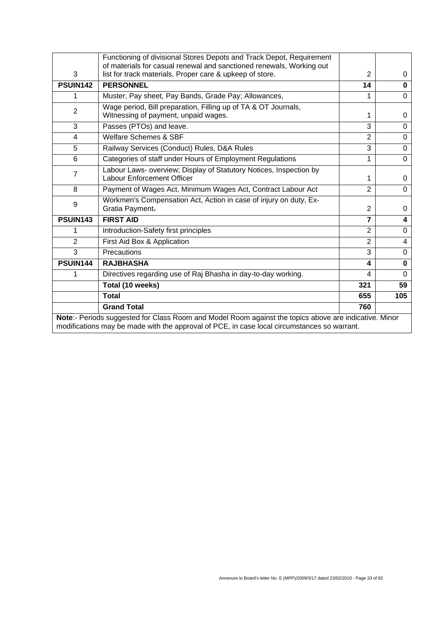|                                                                                                                                                                                                      | Functioning of divisional Stores Depots and Track Depot, Requirement                                                             |                |                |
|------------------------------------------------------------------------------------------------------------------------------------------------------------------------------------------------------|----------------------------------------------------------------------------------------------------------------------------------|----------------|----------------|
| 3                                                                                                                                                                                                    | of materials for casual renewal and sanctioned renewals, Working out<br>list for track materials, Proper care & upkeep of store. | 2              | 0              |
|                                                                                                                                                                                                      |                                                                                                                                  |                |                |
| <b>PSUIN142</b>                                                                                                                                                                                      | <b>PERSONNEL</b>                                                                                                                 | 14             | $\mathbf{0}$   |
| 1                                                                                                                                                                                                    | Muster, Pay sheet, Pay Bands, Grade Pay; Allowances,                                                                             | 1              | $\Omega$       |
| $\overline{2}$                                                                                                                                                                                       | Wage period, Bill preparation, Filling up of TA & OT Journals,<br>Witnessing of payment, unpaid wages.                           | 1              | 0              |
| 3                                                                                                                                                                                                    | Passes (PTOs) and leave.                                                                                                         | 3              | $\Omega$       |
| 4                                                                                                                                                                                                    | <b>Welfare Schemes &amp; SBF</b>                                                                                                 | $\overline{2}$ | $\Omega$       |
| 5                                                                                                                                                                                                    | Railway Services (Conduct) Rules, D&A Rules                                                                                      | 3              | $\mathbf 0$    |
| $6\phantom{1}$                                                                                                                                                                                       | Categories of staff under Hours of Employment Regulations                                                                        | 1              | $\Omega$       |
| $\overline{7}$                                                                                                                                                                                       | Labour Laws- overview; Display of Statutory Notices, Inspection by<br><b>Labour Enforcement Officer</b>                          | 1              | $\Omega$       |
| 8                                                                                                                                                                                                    | Payment of Wages Act, Minimum Wages Act, Contract Labour Act                                                                     | $\overline{2}$ | $\Omega$       |
| 9                                                                                                                                                                                                    | Workmen's Compensation Act, Action in case of injury on duty, Ex-<br>Gratia Payment.                                             | 2              | $\Omega$       |
| <b>PSUIN143</b>                                                                                                                                                                                      | <b>FIRST AID</b>                                                                                                                 | $\overline{7}$ | 4              |
| 1                                                                                                                                                                                                    | Introduction-Safety first principles                                                                                             | $\overline{2}$ | $\Omega$       |
| $\overline{2}$                                                                                                                                                                                       | First Aid Box & Application                                                                                                      | $\overline{2}$ | $\overline{4}$ |
| 3                                                                                                                                                                                                    | Precautions                                                                                                                      | 3              | $\mathbf 0$    |
| PSUIN144                                                                                                                                                                                             | <b>RAJBHASHA</b>                                                                                                                 | 4              | $\bf{0}$       |
| 1                                                                                                                                                                                                    | Directives regarding use of Raj Bhasha in day-to-day working.                                                                    | 4              | $\Omega$       |
|                                                                                                                                                                                                      | Total (10 weeks)                                                                                                                 | 321            | 59             |
|                                                                                                                                                                                                      | <b>Total</b>                                                                                                                     | 655            | 105            |
|                                                                                                                                                                                                      | <b>Grand Total</b>                                                                                                               | 760            |                |
| Note:- Periods suggested for Class Room and Model Room against the topics above are indicative. Minor<br>modifications may be made with the approval of PCE, in case local circumstances so warrant. |                                                                                                                                  |                |                |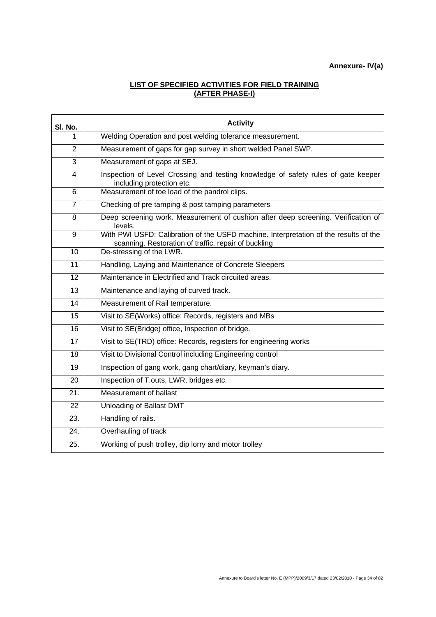#### **LIST OF SPECIFIED ACTIVITIES FOR FIELD TRAINING (AFTER PHASE-I)**

| SI. No.        | <b>Activity</b>                                                                                                                              |
|----------------|----------------------------------------------------------------------------------------------------------------------------------------------|
| 1              | Welding Operation and post welding tolerance measurement.                                                                                    |
| $\overline{2}$ | Measurement of gaps for gap survey in short welded Panel SWP.                                                                                |
| 3              | Measurement of gaps at SEJ.                                                                                                                  |
| $\overline{4}$ | Inspection of Level Crossing and testing knowledge of safety rules of gate keeper<br>including protection etc.                               |
| 6              | Measurement of toe load of the pandrol clips.                                                                                                |
| $\overline{7}$ | Checking of pre tamping & post tamping parameters                                                                                            |
| 8              | Deep screening work. Measurement of cushion after deep screening. Verification of<br>levels.                                                 |
| 9              | With PWI USFD: Calibration of the USFD machine. Interpretation of the results of the<br>scanning. Restoration of traffic, repair of buckling |
| 10             | De-stressing of the LWR.                                                                                                                     |
| 11             | Handling, Laying and Maintenance of Concrete Sleepers                                                                                        |
| 12             | Maintenance in Electrified and Track circuited areas.                                                                                        |
| 13             | Maintenance and laying of curved track.                                                                                                      |
| 14             | Measurement of Rail temperature.                                                                                                             |
| 15             | Visit to SE(Works) office: Records, registers and MBs                                                                                        |
| 16             | Visit to SE(Bridge) office, Inspection of bridge.                                                                                            |
| 17             | Visit to SE(TRD) office: Records, registers for engineering works                                                                            |
| 18             | Visit to Divisional Control including Engineering control                                                                                    |
| 19             | Inspection of gang work, gang chart/diary, keyman's diary.                                                                                   |
| 20             | Inspection of T.outs, LWR, bridges etc.                                                                                                      |
| 21.            | Measurement of ballast                                                                                                                       |
| 22             | Unloading of Ballast DMT                                                                                                                     |
| 23.            | Handling of rails.                                                                                                                           |
| 24.            | Overhauling of track                                                                                                                         |
| 25.            | Working of push trolley, dip lorry and motor trolley                                                                                         |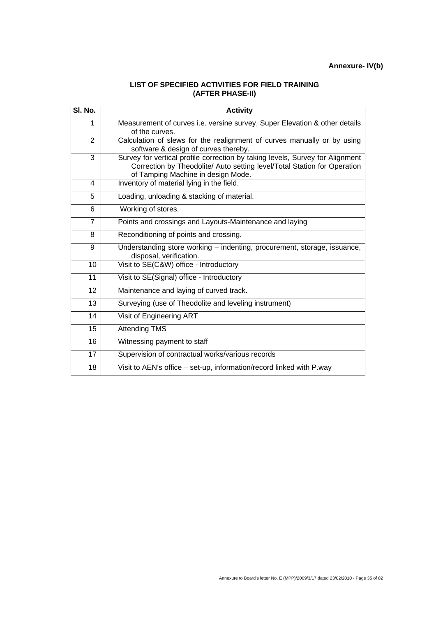#### **LIST OF SPECIFIED ACTIVITIES FOR FIELD TRAINING (AFTER PHASE-II)**

| SI. No.        | <b>Activity</b>                                                                                                                                                                                 |
|----------------|-------------------------------------------------------------------------------------------------------------------------------------------------------------------------------------------------|
| 1              | Measurement of curves i.e. versine survey, Super Elevation & other details<br>of the curves.                                                                                                    |
| 2              | Calculation of slews for the realignment of curves manually or by using<br>software & design of curves thereby.                                                                                 |
| 3              | Survey for vertical profile correction by taking levels, Survey for Alignment<br>Correction by Theodolite/ Auto setting level/Total Station for Operation<br>of Tamping Machine in design Mode. |
| 4              | Inventory of material lying in the field.                                                                                                                                                       |
| 5              | Loading, unloading & stacking of material.                                                                                                                                                      |
| 6              | Working of stores.                                                                                                                                                                              |
| $\overline{7}$ | Points and crossings and Layouts-Maintenance and laying                                                                                                                                         |
| 8              | Reconditioning of points and crossing.                                                                                                                                                          |
| 9              | Understanding store working - indenting, procurement, storage, issuance,<br>disposal, verification.                                                                                             |
| 10             | Visit to SE(C&W) office - Introductory                                                                                                                                                          |
| 11             | Visit to SE(Signal) office - Introductory                                                                                                                                                       |
| 12             | Maintenance and laying of curved track.                                                                                                                                                         |
| 13             | Surveying (use of Theodolite and leveling instrument)                                                                                                                                           |
| 14             | Visit of Engineering ART                                                                                                                                                                        |
| 15             | <b>Attending TMS</b>                                                                                                                                                                            |
| 16             | Witnessing payment to staff                                                                                                                                                                     |
| 17             | Supervision of contractual works/various records                                                                                                                                                |
| 18             | Visit to AEN's office - set-up, information/record linked with P.way                                                                                                                            |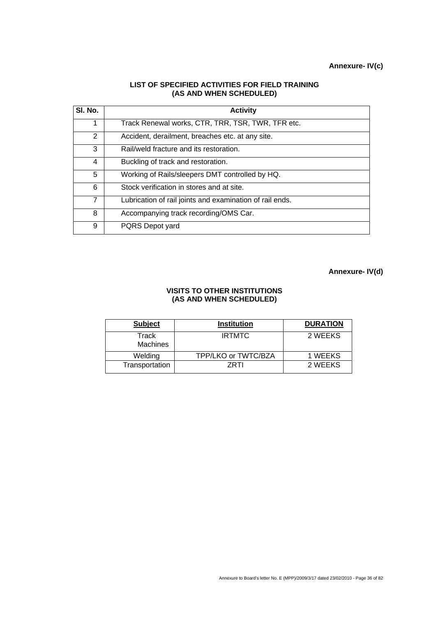#### **LIST OF SPECIFIED ACTIVITIES FOR FIELD TRAINING (AS AND WHEN SCHEDULED)**

| SI. No. | <b>Activity</b>                                          |
|---------|----------------------------------------------------------|
| 1       | Track Renewal works, CTR, TRR, TSR, TWR, TFR etc.        |
| 2       | Accident, derailment, breaches etc. at any site.         |
| 3       | Rail/weld fracture and its restoration.                  |
| 4       | Buckling of track and restoration.                       |
| 5       | Working of Rails/sleepers DMT controlled by HQ.          |
| 6       | Stock verification in stores and at site.                |
| 7       | Lubrication of rail joints and examination of rail ends. |
| 8       | Accompanying track recording/OMS Car.                    |
| 9       | PQRS Depot yard                                          |

**Annexure- IV(d)** 

#### **VISITS TO OTHER INSTITUTIONS (AS AND WHEN SCHEDULED)**

| <b>Subject</b>           | <b>Institution</b>  | <b>DURATION</b> |
|--------------------------|---------------------|-----------------|
| Track<br><b>Machines</b> | <b>IRTMTC</b>       | 2 WEEKS         |
| Welding                  | TPP/LKO or TWTC/BZA | 1 WEEKS         |
| Transportation           | 7RTI                | 2 WEEKS         |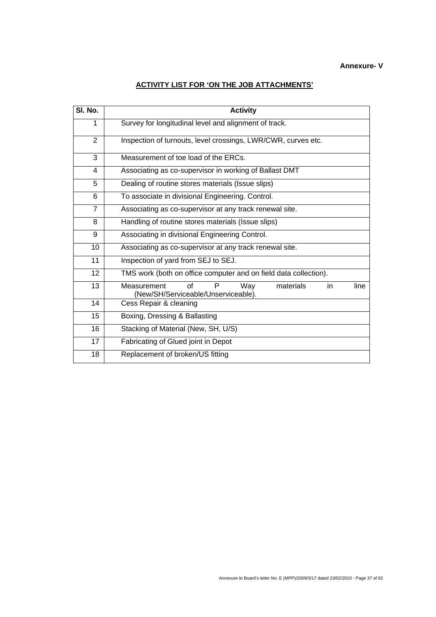## **ACTIVITY LIST FOR 'ON THE JOB ATTACHMENTS'**

| SI. No.        | <b>Activity</b>                                                                                  |
|----------------|--------------------------------------------------------------------------------------------------|
| 1              | Survey for longitudinal level and alignment of track.                                            |
| 2              | Inspection of turnouts, level crossings, LWR/CWR, curves etc.                                    |
| 3              | Measurement of toe load of the ERCs.                                                             |
| 4              | Associating as co-supervisor in working of Ballast DMT                                           |
| 5              | Dealing of routine stores materials (Issue slips)                                                |
| 6              | To associate in divisional Engineering. Control.                                                 |
| $\overline{7}$ | Associating as co-supervisor at any track renewal site.                                          |
| 8              | Handling of routine stores materials (Issue slips)                                               |
| 9              | Associating in divisional Engineering Control.                                                   |
| 10             | Associating as co-supervisor at any track renewal site.                                          |
| 11             | Inspection of yard from SEJ to SEJ.                                                              |
| 12             | TMS work (both on office computer and on field data collection).                                 |
| 13             | of<br>P<br>Way<br>materials<br>Measurement<br>line<br>in.<br>(New/SH/Serviceable/Unserviceable). |
| 14             | Cess Repair & cleaning                                                                           |
| 15             | Boxing, Dressing & Ballasting                                                                    |
| 16             | Stacking of Material (New, SH, U/S)                                                              |
| 17             | Fabricating of Glued joint in Depot                                                              |
| 18             | Replacement of broken/US fitting                                                                 |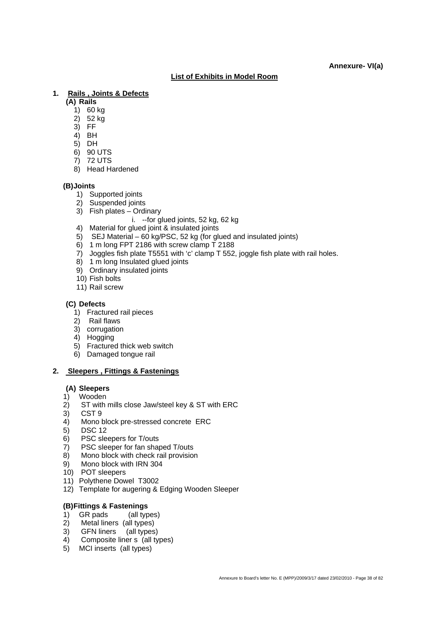#### **List of Exhibits in Model Room**

#### **1. Rails , Joints & Defects**

**(A) Rails** 

- $(1)$  60 kg
- $2)$  52 kg
- 3) FF
- $4$ ) BH
- $5$  $D$ H
- 6) 90 UTS
- 7) 72 UTS
- 8) Head Hardened

#### **(B) Joints**

- 1) Supported joints
- 2) Suspended joints
- 3) Fish plates Ordinary
	- i. --for glued joints, 52 kg, 62 kg
- 4) Material for glued joint & insulated joints
- 5) SEJ Material 60 kg/PSC, 52 kg (for glued and insulated joints)
- 6) 1 m long FPT 2186 with screw clamp T 2188
- 7) Joggles fish plate T5551 with 'c' clamp T 552, joggle fish plate with rail holes.
- 8) 1 m long Insulated glued joints
- 9) Ordinary insulated joints
- 10) Fish bolts
- 11) Rail screw

#### **(C) Defects**

- 1) Fractured rail pieces
- 2) Rail flaws
- 3) corrugation
- 4) Hogging
- 5) Fractured thick web switch
- 6) Damaged tongue rail

#### **2. Sleepers , Fittings & Fastenings**

#### **(A) Sleepers**

- 1) Wooden
- 2) ST with mills close Jaw/steel key & ST with ERC
- 3) CST 9
- 4) Mono block pre-stressed concrete ERC
- 5) DSC 12
- 6) PSC sleepers for T/outs
- 7) PSC sleeper for fan shaped T/outs
- 8) Mono block with check rail provision
- 9) Mono block with IRN 304
- 10) POT sleepers
- 11) Polythene Dowel T3002
- 12) Template for augering & Edging Wooden Sleeper

#### **(B) Fittings & Fastenings**

- 1) GR pads (all types)
- 2) Metal liners (all types)
- 
- 3) GFN liners (all types)<br>4) Composite liner s (all ty Composite liner s (all types)
- 5) MCI inserts (all types)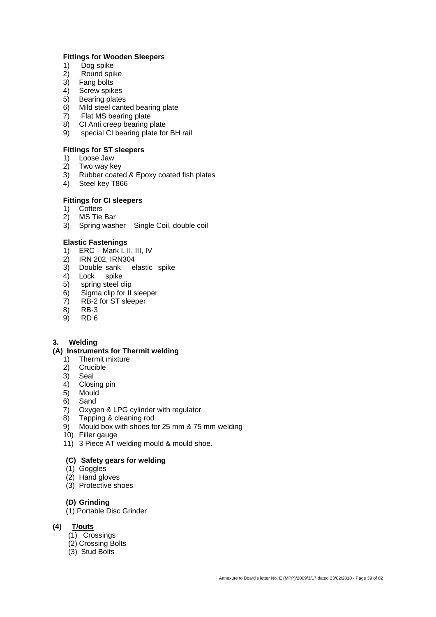#### **Fittings for Wooden Sleepers**

- 1) Dog spike
- 2) Round spike
- 3) Fang bolts
- 4) Screw spikes
- 5) Bearing plates
- 6) Mild steel canted bearing plate
- 7) Flat MS bearing plate
- 8) CI Anti creep bearing plate
- 9) special CI bearing plate for BH rail

#### **Fittings for ST sleepers**

- 1) Loose Jaw
- 2) Two way key
- 3) Rubber coated & Epoxy coated fish plates
- 4) Steel key T866

# **Fittings for CI sleepers**

- 1) Cotters
- 2) MS Tie Bar
- 3) Spring washer Single Coil, double coil

#### **Elastic Fastenings**

- 1) ERC Mark I, II, III, IV
- 2) IRN 202, IRN304
- 3) Double sank elastic spike
- 4) Lock spike<br>5) spring steel c
- spring steel clip
- 6) Sigma clip for II sleeper
- $7$ ) RB-2 for ST sleeper<br>8) RB-3
- 8) RB-3<br>9) RD 6
- 9) RD 6

#### **3. Welding**

#### **(A) Instruments for Thermit welding**

- 1) Thermit mixture
- 2) Crucible
- 3) Seal
- 4) Closing pin
- 5) Mould
- 6) Sand
- 7) Oxygen & LPG cylinder with regulator
- 8) Tapping & cleaning rod
- 9) Mould box with shoes for 25 mm & 75 mm welding
- 10) Filler gauge
- 11) 3 Piece AT welding mould & mould shoe.

#### **(C) Safety gears for welding**

- (1) Goggles
- (2) Hand gloves
- (3) Protective shoes

#### **(D) Grinding**

- (1) Portable Disc Grinder
- **(4) T/outs**
	- (1) Crossings
	- (2) Crossing Bolts
	- (3) Stud Bolts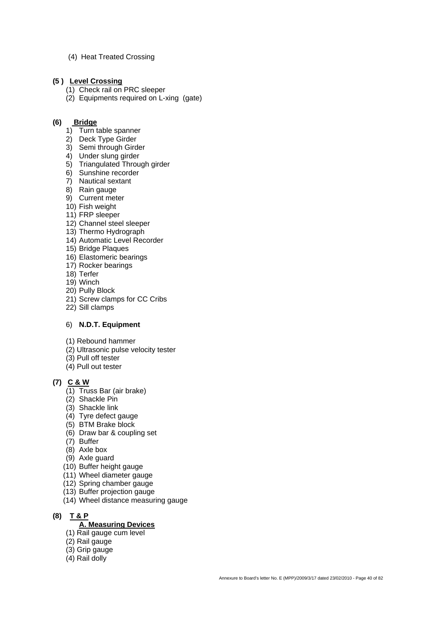(4) Heat Treated Crossing

#### **(5 ) Level Crossing**

- (1) Check rail on PRC sleeper
- (2) Equipments required on L-xing (gate)

#### **(6) Bridge**

- 1) Turn table spanner
- 2) Deck Type Girder
- 3) Semi through Girder
- 4) Under slung girder
- 5) Triangulated Through girder
- 6) Sunshine recorder
- 7) Nautical sextant
- 8) Rain gauge
- 9) Current meter
- 10) Fish weight
- 11) FRP sleeper
- 12) Channel steel sleeper
- 13) Thermo Hydrograph 14) Automatic Level Recorder
- 15) Bridge Plaques
- 16) Elastomeric bearings
- 17) Rocker bearings
- 18) Terfer
- 19) Winch
- 20) Pully Block
- 21) Screw clamps for CC Cribs
- 22) Sill clamps

#### 6) **N.D.T. Equipment**

- (1) Rebound hammer
- (2) Ultrasonic pulse velocity tester
- (3) Pull off tester
- (4) Pull out tester

## **(7) C & W**

- (1) Truss Bar (air brake)
- (2) Shackle Pin
- (3) Shackle link
- (4) Tyre defect gauge
- (5) BTM Brake block
- (6) Draw bar & coupling set
- (7) Buffer
- (8) Axle box
- (9) Axle guard
- (10) Buffer height gauge
- (11) Wheel diameter gauge
- (12) Spring chamber gauge
- (13) Buffer projection gauge
- (14) Wheel distance measuring gauge

## **(8) T & P A. Measuring Devices**

- (1) Rail gauge cum level
- (2) Rail gauge
- (3) Grip gauge
- (4) Rail dolly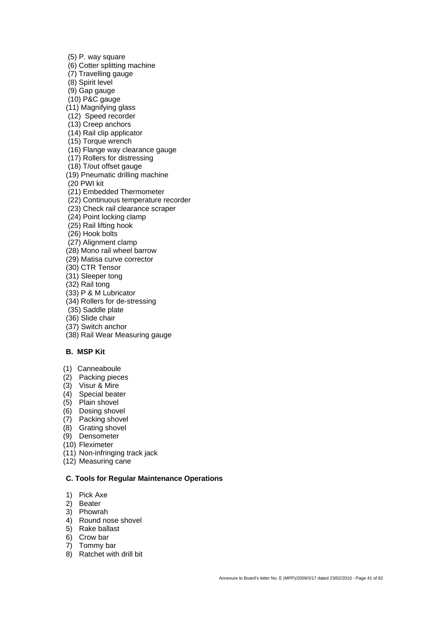(5) P. way square

- (6) Cotter splitting machine
- (7) Travelling gauge
- (8) Spirit level
- (9) Gap gauge
- (10) P&C gauge
- (11) Magnifying glass
- (12) Speed recorder
- (13) Creep anchors
- (14) Rail clip applicator
- (15) Torque wrench
- (16) Flange way clearance gauge
- (17) Rollers for distressing
- (18) T/out offset gauge
- (19) Pneumatic drilling machine
- (20 PWI kit
- (21) Embedded Thermometer
- (22) Continuous temperature recorder
- (23) Check rail clearance scraper
- (24) Point locking clamp
- (25) Rail lifting hook
- (26) Hook bolts
- (27) Alignment clamp
- (28) Mono rail wheel barrow
- (29) Matisa curve corrector
- (30) CTR Tensor
- (31) Sleeper tong
- (32) Rail tong
- (33) P & M Lubricator
- (34) Rollers for de-stressing
- (35) Saddle plate
- (36) Slide chair
- (37) Switch anchor
- (38) Rail Wear Measuring gauge

#### **B. MSP Kit**

- (1) Canneaboule
- (2) Packing pieces
- (3) Visur & Mire
- (4) Special beater
- $(5)$  Plain shovel
- (6) Dosing shovel
- (7) Packing shovel
- (8) Grating shovel
- (9) Densometer
- (10) Fleximeter
- (11) Non-infringing track jack
- (12) Measuring cane

#### **C. Tools for Regular Maintenance Operations**

- 1) Pick Axe
- 2) Beater
- 3) Phowrah
- 4) Round nose shovel
- 5) Rake ballast
- 6) Crow bar
- 7) Tommy bar
- 8) Ratchet with drill bit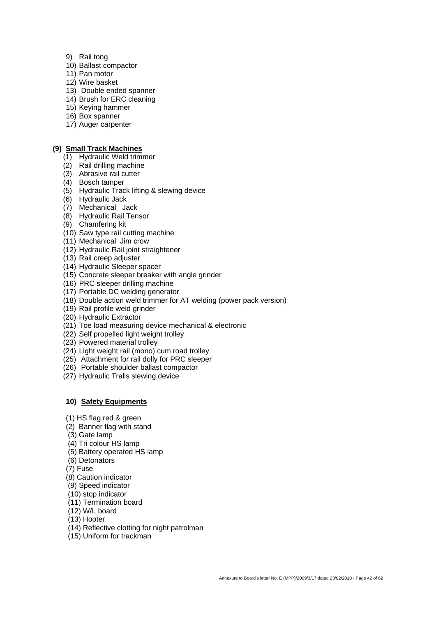- 9) Rail tong
- 10) Ballast compactor
- 11) Pan motor
- 12) Wire basket
- 13) Double ended spanner
- 14) Brush for ERC cleaning
- 15) Keying hammer
- 16) Box spanner
- 17) Auger carpenter

#### **(9) Small Track Machines**

- (1) Hydraulic Weld trimmer
- (2) Rail drilling machine
- (3) Abrasive rail cutter
- (4) Bosch tamper
- (5) Hydraulic Track lifting & slewing device
- (6) Hydraulic Jack
- (7) Mechanical Jack
- (8) Hydraulic Rail Tensor
- (9) Chamfering kit
- (10) Saw type rail cutting machine
- (11) Mechanical Jim crow
- (12) Hydraulic Rail joint straightener
- (13) Rail creep adjuster
- (14) Hydraulic Sleeper spacer
- (15) Concrete sleeper breaker with angle grinder
- (16) PRC sleeper drilling machine
- (17) Portable DC welding generator
- (18) Double action weld trimmer for AT welding (power pack version)
- (19) Rail profile weld grinder
- (20) Hydraulic Extractor
- (21) Toe load measuring device mechanical & electronic
- (22) Self propelled light weight trolley
- (23) Powered material trolley
- (24) Light weight rail (mono) cum road trolley
- (25) Attachment for rail dolly for PRC sleeper
- (26) Portable shoulder ballast compactor
- (27) Hydraulic Tralis slewing device

#### **10) Safety Equipments**

- (1) HS flag red & green
- (2) Banner flag with stand
- (3) Gate lamp
- (4) Tri colour HS lamp
- (5) Battery operated HS lamp
- (6) Detonators
- (7) Fuse
- (8) Caution indicator
- (9) Speed indicator
- (10) stop indicator
- (11) Termination board
- (12) W/L board
- (13) Hooter
- (14) Reflective clotting for night patrolman
- (15) Uniform for trackman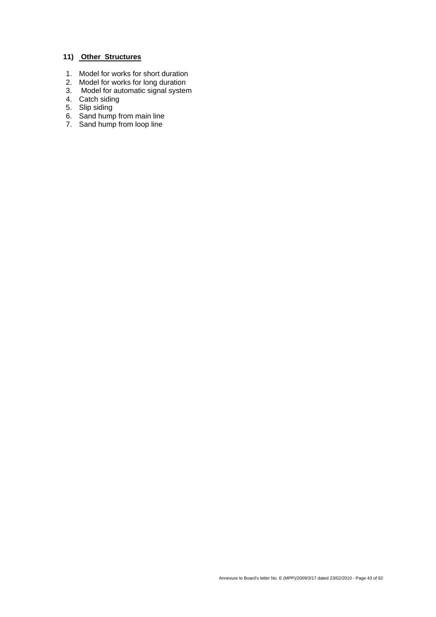# **11) Other Structures**

- 1. Model for works for short duration
- 2. Model for works for long duration
- 3. Model for automatic signal system
- 4. Catch siding
- 5. Slip siding
- 6. Sand hump from main line
- 7. Sand hump from loop line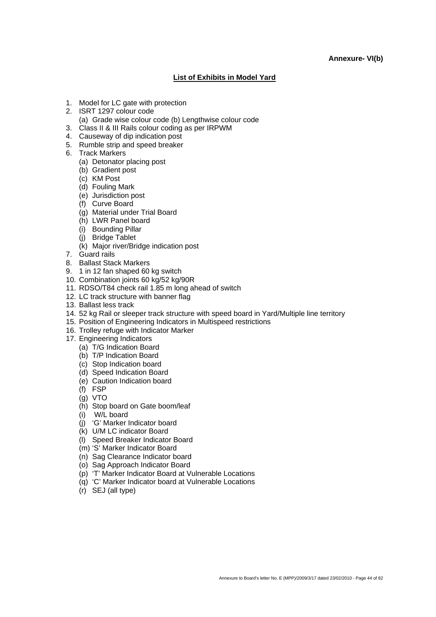#### **Annexure- VI(b)**

#### **List of Exhibits in Model Yard**

- 1. Model for LC gate with protection
- 2. ISRT 1297 colour code
	- (a) Grade wise colour code (b) Lengthwise colour code
- 3. Class II & III Rails colour coding as per IRPWM
- 4. Causeway of dip indication post
- 5. Rumble strip and speed breaker
- 6. Track Markers
	- (a) Detonator placing post
	- (b) Gradient post
	- (c) KM Post
	- (d) Fouling Mark
	- (e) Jurisdiction post
	- (f) Curve Board
	- (g) Material under Trial Board
	- (h) LWR Panel board
	- (i) Bounding Pillar
	- (j) Bridge Tablet
	- (k) Major river/Bridge indication post
- 7. Guard rails
- 8. Ballast Stack Markers
- 9. 1 in 12 fan shaped 60 kg switch
- 10. Combination joints 60 kg/52 kg/90R
- 11. RDSO/T84 check rail 1.85 m long ahead of switch
- 12. LC track structure with banner flag
- 13. Ballast less track
- 14. 52 kg Rail or sleeper track structure with speed board in Yard/Multiple line territory
- 15. Position of Engineering Indicators in Multispeed restrictions
- 16. Trolley refuge with Indicator Marker
- 17. Engineering Indicators
	- (a) T/G Indication Board
	- (b) T/P Indication Board
	- (c) Stop Indication board
	- (d) Speed Indication Board
	- (e) Caution Indication board
	- (f) FSP
	- (g) VTO
	- (h) Stop board on Gate boom/leaf
	- (i) W/L board
	- (j) 'G' Marker Indicator board
	- (k) U/M LC indicator Board
	- (l) Speed Breaker Indicator Board
	- (m) 'S' Marker Indicator Board
	- (n) Sag Clearance Indicator board
	- (o) Sag Approach Indicator Board
	- (p) 'T' Marker Indicator Board at Vulnerable Locations
	- (q) 'C' Marker Indicator board at Vulnerable Locations
	- (r) SEJ (all type)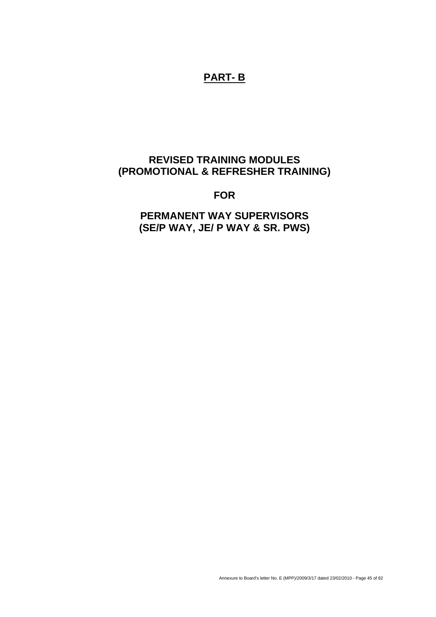# **PART- B**

# **REVISED TRAINING MODULES (PROMOTIONAL & REFRESHER TRAINING)**

**FOR** 

**PERMANENT WAY SUPERVISORS (SE/P WAY, JE/ P WAY & SR. PWS)**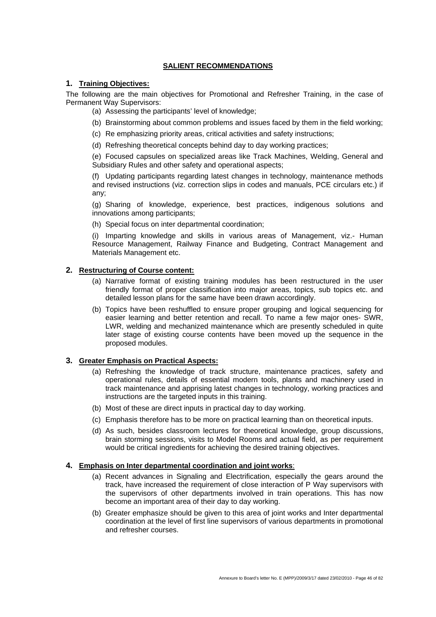#### **SALIENT RECOMMENDATIONS**

#### **1. Training Objectives:**

The following are the main objectives for Promotional and Refresher Training, in the case of Permanent Way Supervisors:

- (a) Assessing the participants' level of knowledge;
- (b) Brainstorming about common problems and issues faced by them in the field working;
- (c) Re emphasizing priority areas, critical activities and safety instructions;
- (d) Refreshing theoretical concepts behind day to day working practices;

(e) Focused capsules on specialized areas like Track Machines, Welding, General and Subsidiary Rules and other safety and operational aspects;

(f) Updating participants regarding latest changes in technology, maintenance methods and revised instructions (viz. correction slips in codes and manuals, PCE circulars etc.) if any;

(g) Sharing of knowledge, experience, best practices, indigenous solutions and innovations among participants;

(h) Special focus on inter departmental coordination;

(i) Imparting knowledge and skills in various areas of Management, viz.- Human Resource Management, Railway Finance and Budgeting, Contract Management and Materials Management etc.

#### **2. Restructuring of Course content:**

- (a) Narrative format of existing training modules has been restructured in the user friendly format of proper classification into major areas, topics, sub topics etc. and detailed lesson plans for the same have been drawn accordingly.
- (b) Topics have been reshuffled to ensure proper grouping and logical sequencing for easier learning and better retention and recall. To name a few major ones- SWR, LWR, welding and mechanized maintenance which are presently scheduled in quite later stage of existing course contents have been moved up the sequence in the proposed modules.

#### **3. Greater Emphasis on Practical Aspects:**

- (a) Refreshing the knowledge of track structure, maintenance practices, safety and operational rules, details of essential modern tools, plants and machinery used in track maintenance and apprising latest changes in technology, working practices and instructions are the targeted inputs in this training.
- (b) Most of these are direct inputs in practical day to day working.
- (c) Emphasis therefore has to be more on practical learning than on theoretical inputs.
- (d) As such, besides classroom lectures for theoretical knowledge, group discussions, brain storming sessions, visits to Model Rooms and actual field, as per requirement would be critical ingredients for achieving the desired training objectives.

#### **4. Emphasis on Inter departmental coordination and joint works**:

- (a) Recent advances in Signaling and Electrification, especially the gears around the track, have increased the requirement of close interaction of P Way supervisors with the supervisors of other departments involved in train operations. This has now become an important area of their day to day working.
- (b) Greater emphasize should be given to this area of joint works and Inter departmental coordination at the level of first line supervisors of various departments in promotional and refresher courses.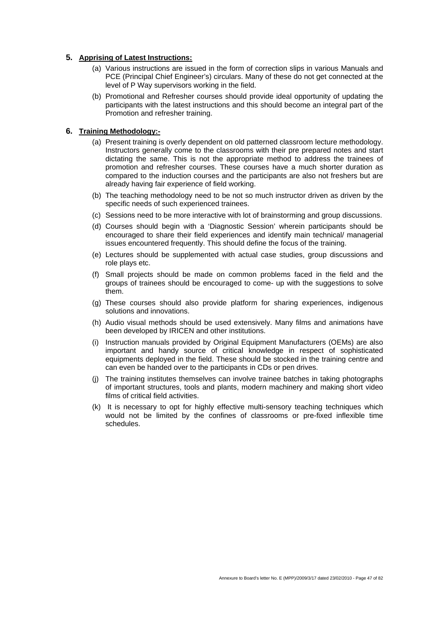#### **5. Apprising of Latest Instructions:**

- (a) Various instructions are issued in the form of correction slips in various Manuals and PCE (Principal Chief Engineer's) circulars. Many of these do not get connected at the level of P Way supervisors working in the field.
- (b) Promotional and Refresher courses should provide ideal opportunity of updating the participants with the latest instructions and this should become an integral part of the Promotion and refresher training.

#### **6. Training Methodology:-**

- (a) Present training is overly dependent on old patterned classroom lecture methodology. Instructors generally come to the classrooms with their pre prepared notes and start dictating the same. This is not the appropriate method to address the trainees of promotion and refresher courses. These courses have a much shorter duration as compared to the induction courses and the participants are also not freshers but are already having fair experience of field working.
- (b) The teaching methodology need to be not so much instructor driven as driven by the specific needs of such experienced trainees.
- (c) Sessions need to be more interactive with lot of brainstorming and group discussions.
- (d) Courses should begin with a 'Diagnostic Session' wherein participants should be encouraged to share their field experiences and identify main technical/ managerial issues encountered frequently. This should define the focus of the training.
- (e) Lectures should be supplemented with actual case studies, group discussions and role plays etc.
- (f) Small projects should be made on common problems faced in the field and the groups of trainees should be encouraged to come- up with the suggestions to solve them.
- (g) These courses should also provide platform for sharing experiences, indigenous solutions and innovations.
- (h) Audio visual methods should be used extensively. Many films and animations have been developed by IRICEN and other institutions.
- (i) Instruction manuals provided by Original Equipment Manufacturers (OEMs) are also important and handy source of critical knowledge in respect of sophisticated equipments deployed in the field. These should be stocked in the training centre and can even be handed over to the participants in CDs or pen drives.
- (j) The training institutes themselves can involve trainee batches in taking photographs of important structures, tools and plants, modern machinery and making short video films of critical field activities.
- (k) It is necessary to opt for highly effective multi-sensory teaching techniques which would not be limited by the confines of classrooms or pre-fixed inflexible time schedules.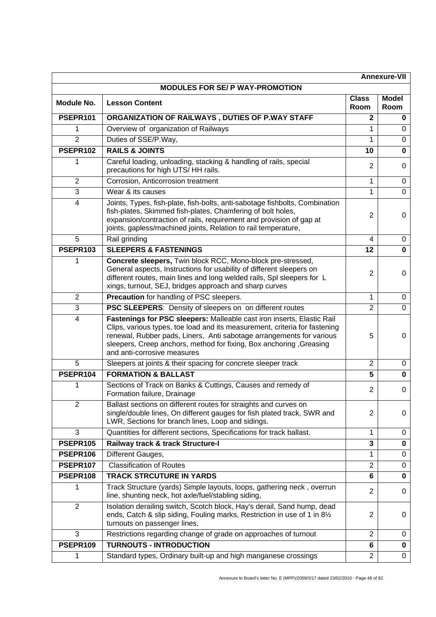| <b>Annexure-VII</b> |                                                                                                                                                                                                                                                                                                                                     |                      |                      |
|---------------------|-------------------------------------------------------------------------------------------------------------------------------------------------------------------------------------------------------------------------------------------------------------------------------------------------------------------------------------|----------------------|----------------------|
|                     | <b>MODULES FOR SE/ P WAY-PROMOTION</b>                                                                                                                                                                                                                                                                                              |                      |                      |
| <b>Module No.</b>   | <b>Lesson Content</b>                                                                                                                                                                                                                                                                                                               | <b>Class</b><br>Room | <b>Model</b><br>Room |
| PSEPR101            | ORGANIZATION OF RAILWAYS, DUTIES OF P.WAY STAFF                                                                                                                                                                                                                                                                                     | $\mathbf 2$          | $\bf{0}$             |
| 1                   | Overview of organization of Railways                                                                                                                                                                                                                                                                                                | 1                    | $\Omega$             |
| $\overline{2}$      | Duties of SSE/P.Way,                                                                                                                                                                                                                                                                                                                | 1                    | $\mathbf 0$          |
| PSEPR102            | <b>RAILS &amp; JOINTS</b>                                                                                                                                                                                                                                                                                                           | 10                   | $\mathbf 0$          |
| 1                   | Careful loading, unloading, stacking & handling of rails, special<br>precautions for high UTS/HH rails.                                                                                                                                                                                                                             | $\overline{2}$       | 0                    |
| $\overline{2}$      | Corrosion, Anticorrosion treatment                                                                                                                                                                                                                                                                                                  | 1                    | 0                    |
| 3                   | Wear & its causes                                                                                                                                                                                                                                                                                                                   | 1                    | 0                    |
| $\overline{4}$      | Joints, Types, fish-plate, fish-bolts, anti-sabotage fishbolts, Combination<br>fish-plates, Skimmed fish-plates, Chamfering of bolt holes,<br>expansion/contraction of rails, requirement and provision of gap at<br>joints, gapless/machined joints, Relation to rail temperature,                                                 | $\overline{2}$       | 0                    |
| 5                   | Rail grinding                                                                                                                                                                                                                                                                                                                       | 4                    | 0                    |
| PSEPR103            | <b>SLEEPERS &amp; FASTENINGS</b>                                                                                                                                                                                                                                                                                                    | 12                   | $\mathbf 0$          |
| 1                   | Concrete sleepers, Twin block RCC, Mono-block pre-stressed,<br>General aspects, Instructions for usability of different sleepers on<br>different routes, main lines and long welded rails, Spl sleepers for L<br>xings, turnout, SEJ, bridges approach and sharp curves                                                             | $\overline{2}$       | 0                    |
| $\overline{2}$      | Precaution for handling of PSC sleepers.                                                                                                                                                                                                                                                                                            | 1                    | $\mathbf 0$          |
| $\overline{3}$      | PSC SLEEPERS: Density of sleepers on on different routes                                                                                                                                                                                                                                                                            | $\overline{2}$       | $\mathbf 0$          |
| $\overline{4}$      | Fastenings for PSC sleepers: Malleable cast iron inserts, Elastic Rail<br>Clips, various types, toe load and its measurement, criteria for fastening<br>renewal, Rubber pads, Liners, Anti sabotage arrangements for various<br>sleepers, Creep anchors, method for fixing, Box anchoring , Greasing<br>and anti-corrosive measures | 5                    | $\Omega$             |
| 5                   | Sleepers at joints & their spacing for concrete sleeper track                                                                                                                                                                                                                                                                       | $\overline{2}$       | $\mathbf 0$          |
| PSEPR104            | <b>FORMATION &amp; BALLAST</b>                                                                                                                                                                                                                                                                                                      | 5                    | $\mathbf 0$          |
| 1                   | Sections of Track on Banks & Cuttings, Causes and remedy of<br>Formation failure, Drainage                                                                                                                                                                                                                                          | 2                    | 0                    |
| $\overline{2}$      | Ballast sections on different routes for straights and curves on<br>single/double lines, On different gauges for fish plated track, SWR and<br>LWR, Sections for branch lines, Loop and sidings.                                                                                                                                    | $\overline{2}$       | 0                    |
| 3                   | Quantities for different sections, Specifications for track ballast.                                                                                                                                                                                                                                                                | 1                    | 0                    |
| PSEPR105            | Railway track & track Structure-I                                                                                                                                                                                                                                                                                                   | $\mathbf{3}$         | $\mathbf 0$          |
| PSEPR106            | Different Gauges,                                                                                                                                                                                                                                                                                                                   | 1                    | 0                    |
| PSEPR107            | <b>Classification of Routes</b>                                                                                                                                                                                                                                                                                                     | $\overline{2}$       | $\mathbf 0$          |
| PSEPR108            | <b>TRACK STRCUTURE IN YARDS</b>                                                                                                                                                                                                                                                                                                     | $6\phantom{1}$       | $\mathbf 0$          |
| 1                   | Track Structure (yards) Simple layouts, loops, gathering neck, overrun<br>line, shunting neck, hot axle/fuel/stabling siding,                                                                                                                                                                                                       | 2                    | 0                    |
| $\overline{2}$      | Isolation derailing switch, Scotch block, Hay's derail, Sand hump, dead<br>ends, Catch & slip siding, Fouling marks, Restriction in use of 1 in 81/2<br>turnouts on passenger lines,                                                                                                                                                | $\overline{2}$       | 0                    |
| 3                   | Restrictions regarding change of grade on approaches of turnout                                                                                                                                                                                                                                                                     | $\overline{2}$       | 0                    |
| PSEPR109            | <b>TURNOUTS - INTRODUCTION</b>                                                                                                                                                                                                                                                                                                      | 6                    | $\mathbf 0$          |
| 1                   | Standard types, Ordinary built-up and high manganese crossings                                                                                                                                                                                                                                                                      | $\overline{2}$       | 0                    |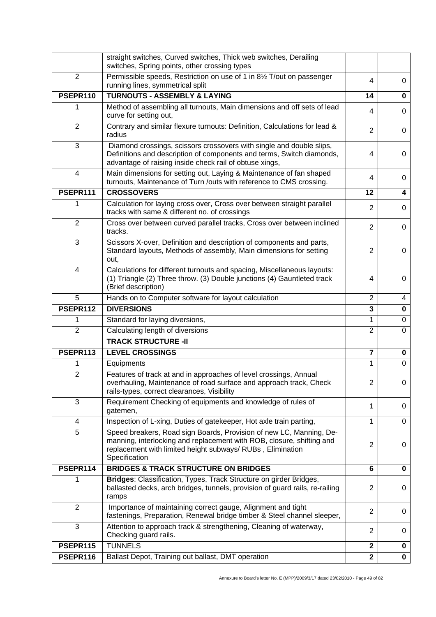|                | straight switches, Curved switches, Thick web switches, Derailing<br>switches, Spring points, other crossing types                                                                                                         |                |             |
|----------------|----------------------------------------------------------------------------------------------------------------------------------------------------------------------------------------------------------------------------|----------------|-------------|
| 2              | Permissible speeds, Restriction on use of 1 in 81/2 T/out on passenger<br>running lines, symmetrical split                                                                                                                 | 4              | 0           |
| PSEPR110       | <b>TURNOUTS - ASSEMBLY &amp; LAYING</b>                                                                                                                                                                                    | 14             | 0           |
| 1              | Method of assembling all turnouts, Main dimensions and off sets of lead<br>curve for setting out,                                                                                                                          | 4              | 0           |
| $\overline{2}$ | Contrary and similar flexure turnouts: Definition, Calculations for lead &<br>radius                                                                                                                                       | $\overline{2}$ | 0           |
| 3              | Diamond crossings, scissors crossovers with single and double slips,<br>Definitions and description of components and terms, Switch diamonds,<br>advantage of raising inside check rail of obtuse xings,                   | 4              | 0           |
| $\overline{4}$ | Main dimensions for setting out, Laying & Maintenance of fan shaped<br>turnouts, Maintenance of Turn /outs with reference to CMS crossing.                                                                                 | 4              | 0           |
| PSEPR111       | <b>CROSSOVERS</b>                                                                                                                                                                                                          | 12             | 4           |
| 1              | Calculation for laying cross over, Cross over between straight parallel<br>tracks with same & different no. of crossings                                                                                                   | $\overline{2}$ | 0           |
| $\overline{2}$ | Cross over between curved parallel tracks, Cross over between inclined<br>tracks.                                                                                                                                          | $\overline{2}$ | 0           |
| 3              | Scissors X-over, Definition and description of components and parts,<br>Standard layouts, Methods of assembly, Main dimensions for setting<br>out,                                                                         | $\overline{2}$ | 0           |
| 4              | Calculations for different turnouts and spacing, Miscellaneous layouts:<br>(1) Triangle (2) Three throw. (3) Double junctions (4) Gauntleted track<br>(Brief description)                                                  | 4              | 0           |
| 5              | Hands on to Computer software for layout calculation                                                                                                                                                                       | $\overline{2}$ | 4           |
| PSEPR112       | <b>DIVERSIONS</b>                                                                                                                                                                                                          | 3              | 0           |
| 1              | Standard for laying diversions,                                                                                                                                                                                            | 1              | $\mathbf 0$ |
| $\overline{2}$ | Calculating length of diversions                                                                                                                                                                                           | $\overline{2}$ | $\mathbf 0$ |
|                | <b>TRACK STRUCTURE -II</b>                                                                                                                                                                                                 |                |             |
| PSEPR113       | <b>LEVEL CROSSINGS</b>                                                                                                                                                                                                     | $\overline{7}$ | 0           |
| 1              | Equipments                                                                                                                                                                                                                 | 1              | 0           |
| $\overline{2}$ | Features of track at and in approaches of level crossings, Annual<br>overhauling, Maintenance of road surface and approach track, Check                                                                                    |                |             |
|                | rails-types, correct clearances, Visibility                                                                                                                                                                                | $\overline{c}$ | 0           |
| 3              | Requirement Checking of equipments and knowledge of rules of<br>gatemen,                                                                                                                                                   | 1              | 0           |
| 4              | Inspection of L-xing, Duties of gatekeeper, Hot axle train parting,                                                                                                                                                        | 1              | $\mathbf 0$ |
| 5              | Speed breakers, Road sign Boards, Provision of new LC, Manning, De-<br>manning, interlocking and replacement with ROB, closure, shifting and<br>replacement with limited height subways/RUBs, Elimination<br>Specification | $\overline{2}$ | 0           |
| PSEPR114       | <b>BRIDGES &amp; TRACK STRUCTURE ON BRIDGES</b>                                                                                                                                                                            | 6              | 0           |
| 1              | Bridges: Classification, Types, Track Structure on girder Bridges,<br>ballasted decks, arch bridges, tunnels, provision of guard rails, re-railing<br>ramps                                                                | $\overline{2}$ | 0           |
| 2              | Importance of maintaining correct gauge, Alignment and tight<br>fastenings, Preparation, Renewal bridge timber & Steel channel sleeper,                                                                                    | $\overline{2}$ | 0           |
| 3              | Attention to approach track & strengthening, Cleaning of waterway,<br>Checking guard rails.                                                                                                                                | $\overline{2}$ | 0           |
| PSEPR115       | <b>TUNNELS</b>                                                                                                                                                                                                             | $\mathbf 2$    | 0           |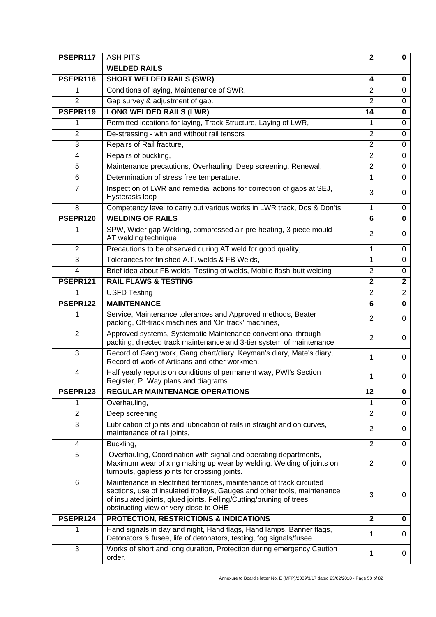| PSEPR117       | <b>ASH PITS</b>                                                                                                                                                                                                                                                    | $\mathbf{2}$            | $\mathbf{0}$            |
|----------------|--------------------------------------------------------------------------------------------------------------------------------------------------------------------------------------------------------------------------------------------------------------------|-------------------------|-------------------------|
|                | <b>WELDED RAILS</b>                                                                                                                                                                                                                                                |                         |                         |
| PSEPR118       | <b>SHORT WELDED RAILS (SWR)</b>                                                                                                                                                                                                                                    | 4                       | 0                       |
| 1              | Conditions of laying, Maintenance of SWR,                                                                                                                                                                                                                          | $\overline{2}$          | $\Omega$                |
| $\overline{2}$ | Gap survey & adjustment of gap.                                                                                                                                                                                                                                    | $\overline{2}$          | $\mathbf 0$             |
| PSEPR119       | <b>LONG WELDED RAILS (LWR)</b>                                                                                                                                                                                                                                     | 14                      | 0                       |
| 1              | Permitted locations for laying, Track Structure, Laying of LWR,                                                                                                                                                                                                    | 1                       | $\mathbf 0$             |
| $\overline{2}$ | De-stressing - with and without rail tensors                                                                                                                                                                                                                       | $\overline{2}$          | $\Omega$                |
| 3              | Repairs of Rail fracture,                                                                                                                                                                                                                                          | $\overline{2}$          | 0                       |
| 4              | Repairs of buckling,                                                                                                                                                                                                                                               | $\overline{2}$          | 0                       |
| 5              | Maintenance precautions, Overhauling, Deep screening, Renewal,                                                                                                                                                                                                     | $\overline{2}$          | $\mathbf 0$             |
| 6              | Determination of stress free temperature.                                                                                                                                                                                                                          | 1                       | 0                       |
| $\overline{7}$ | Inspection of LWR and remedial actions for correction of gaps at SEJ,<br>Hysterasis loop                                                                                                                                                                           | 3                       | 0                       |
| 8              | Competency level to carry out various works in LWR track, Dos & Don'ts                                                                                                                                                                                             | 1                       | 0                       |
| PSEPR120       | <b>WELDING OF RAILS</b>                                                                                                                                                                                                                                            | 6                       | 0                       |
| 1              | SPW, Wider gap Welding, compressed air pre-heating, 3 piece mould<br>AT welding technique                                                                                                                                                                          | 2                       | 0                       |
| $\overline{2}$ | Precautions to be observed during AT weld for good quality,                                                                                                                                                                                                        | 1                       | 0                       |
| 3              | Tolerances for finished A.T. welds & FB Welds,                                                                                                                                                                                                                     | 1                       | $\Omega$                |
| 4              | Brief idea about FB welds, Testing of welds, Mobile flash-butt welding                                                                                                                                                                                             | $\overline{2}$          | $\mathbf 0$             |
| PSEPR121       | <b>RAIL FLAWS &amp; TESTING</b>                                                                                                                                                                                                                                    | $\mathbf 2$             | $\overline{\mathbf{2}}$ |
| 1              | <b>USFD Testing</b>                                                                                                                                                                                                                                                | $\overline{2}$          | $\overline{2}$          |
| PSEPR122       | <b>MAINTENANCE</b>                                                                                                                                                                                                                                                 | 6                       | $\mathbf 0$             |
| 1              | Service, Maintenance tolerances and Approved methods, Beater<br>packing, Off-track machines and 'On track' machines,                                                                                                                                               | $\overline{2}$          | 0                       |
| $\overline{2}$ | Approved systems, Systematic Maintenance conventional through<br>packing, directed track maintenance and 3-tier system of maintenance                                                                                                                              | $\overline{2}$          | 0                       |
| 3              | Record of Gang work, Gang chart/diary, Keyman's diary, Mate's diary,<br>Record of work of Artisans and other workmen.                                                                                                                                              | 1                       | 0                       |
| $\overline{4}$ | Half yearly reports on conditions of permanent way, PWI's Section<br>Register, P. Way plans and diagrams                                                                                                                                                           | 1                       | 0                       |
| PSEPR123       | <b>REGULAR MAINTENANCE OPERATIONS</b>                                                                                                                                                                                                                              | 12                      | 0                       |
| 1              | Overhauling,                                                                                                                                                                                                                                                       | 1                       | $\mathbf 0$             |
| $\overline{2}$ | Deep screening                                                                                                                                                                                                                                                     | $\overline{2}$          | 0                       |
| 3              | Lubrication of joints and lubrication of rails in straight and on curves,<br>maintenance of rail joints,                                                                                                                                                           | $\overline{2}$          | 0                       |
| $\overline{4}$ | Buckling,                                                                                                                                                                                                                                                          | $\overline{2}$          | 0                       |
| 5              | Overhauling, Coordination with signal and operating departments,<br>Maximum wear of xing making up wear by welding, Welding of joints on<br>turnouts, gapless joints for crossing joints.                                                                          | $\overline{2}$          | 0                       |
| $6\phantom{1}$ | Maintenance in electrified territories, maintenance of track circuited<br>sections, use of insulated trolleys, Gauges and other tools, maintenance<br>of insulated joints, glued joints. Felling/Cutting/pruning of trees<br>obstructing view or very close to OHE | 3                       | 0                       |
| PSEPR124       | <b>PROTECTION, RESTRICTIONS &amp; INDICATIONS</b>                                                                                                                                                                                                                  | $\overline{\mathbf{2}}$ | 0                       |
| 1              | Hand signals in day and night, Hand flags, Hand lamps, Banner flags,<br>Detonators & fusee, life of detonators, testing, fog signals/fusee                                                                                                                         | 1                       | 0                       |
| 3              | Works of short and long duration, Protection during emergency Caution<br>order.                                                                                                                                                                                    | 1                       | 0                       |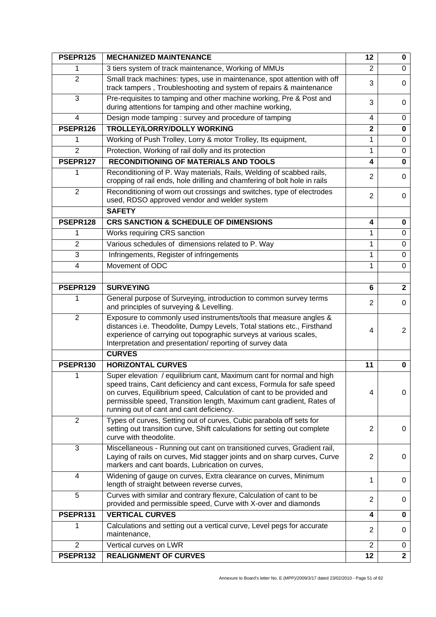| PSEPR125                | <b>MECHANIZED MAINTENANCE</b>                                                                                                                                                                                                                                                                                                              | 12             | 0              |
|-------------------------|--------------------------------------------------------------------------------------------------------------------------------------------------------------------------------------------------------------------------------------------------------------------------------------------------------------------------------------------|----------------|----------------|
| 1                       | 3 tiers system of track maintenance, Working of MMUs                                                                                                                                                                                                                                                                                       | 2              | $\Omega$       |
| $\overline{2}$          | Small track machines: types, use in maintenance, spot attention with off<br>track tampers, Troubleshooting and system of repairs & maintenance                                                                                                                                                                                             | 3              | $\Omega$       |
| 3                       | Pre-requisites to tamping and other machine working, Pre & Post and<br>during attentions for tamping and other machine working,                                                                                                                                                                                                            | 3              | $\Omega$       |
| $\overline{\mathbf{4}}$ | Design mode tamping : survey and procedure of tamping                                                                                                                                                                                                                                                                                      | 4              | $\mathbf 0$    |
| PSEPR126                | <b>TROLLEY/LORRY/DOLLY WORKING</b>                                                                                                                                                                                                                                                                                                         | $\mathbf{2}$   | $\mathbf 0$    |
| 1                       | Working of Push Trolley, Lorry & motor Trolley, Its equipment,                                                                                                                                                                                                                                                                             | 1              | 0              |
| $\overline{2}$          | Protection, Working of rail dolly and its protection                                                                                                                                                                                                                                                                                       | 1              | 0              |
| PSEPR127                | <b>RECONDITIONING OF MATERIALS AND TOOLS</b>                                                                                                                                                                                                                                                                                               | 4              | $\mathbf 0$    |
| 1                       | Reconditioning of P. Way materials, Rails, Welding of scabbed rails,<br>cropping of rail ends, hole drilling and chamfering of bolt hole in rails                                                                                                                                                                                          | 2              | $\Omega$       |
| $\overline{2}$          | Reconditioning of worn out crossings and switches, type of electrodes<br>used, RDSO approved vendor and welder system                                                                                                                                                                                                                      | $\overline{2}$ | 0              |
|                         | <b>SAFETY</b>                                                                                                                                                                                                                                                                                                                              |                |                |
| PSEPR128                | <b>CRS SANCTION &amp; SCHEDULE OF DIMENSIONS</b>                                                                                                                                                                                                                                                                                           | 4              | $\mathbf 0$    |
| 1                       | Works requiring CRS sanction                                                                                                                                                                                                                                                                                                               | 1              | 0              |
| $\overline{2}$          | Various schedules of dimensions related to P. Way                                                                                                                                                                                                                                                                                          | 1              | 0              |
| $\mathbf{3}$            | Infringements, Register of infringements                                                                                                                                                                                                                                                                                                   | 1              | $\mathbf 0$    |
| 4                       | Movement of ODC                                                                                                                                                                                                                                                                                                                            | 1              | $\overline{0}$ |
|                         |                                                                                                                                                                                                                                                                                                                                            |                |                |
| PSEPR129                | <b>SURVEYING</b>                                                                                                                                                                                                                                                                                                                           | 6              | $\overline{2}$ |
| 1                       | General purpose of Surveying, introduction to common survey terms<br>and principles of surveying & Levelling.                                                                                                                                                                                                                              | 2              | $\mathbf 0$    |
| $\overline{2}$          | Exposure to commonly used instruments/tools that measure angles &<br>distances i.e. Theodolite, Dumpy Levels, Total stations etc., Firsthand<br>experience of carrying out topographic surveys at various scales,<br>Interpretation and presentation/reporting of survey data                                                              | 4              | $\overline{2}$ |
|                         | <b>CURVES</b>                                                                                                                                                                                                                                                                                                                              |                |                |
| PSEPR130                | <b>HORIZONTAL CURVES</b>                                                                                                                                                                                                                                                                                                                   | 11             | 0              |
| 1                       | Super elevation / equilibrium cant, Maximum cant for normal and high<br>speed trains, Cant deficiency and cant excess, Formula for safe speed<br>on curves, Equilibrium speed, Calculation of cant to be provided and<br>permissible speed, Transition length, Maximum cant gradient, Rates of<br>running out of cant and cant deficiency. | 4              | 0              |
| $\overline{2}$          | Types of curves, Setting out of curves, Cubic parabola off sets for<br>setting out transition curve, Shift calculations for setting out complete<br>curve with theodolite.                                                                                                                                                                 | $\overline{2}$ | 0              |
| $\mathbf{3}$            | Miscellaneous - Running out cant on transitioned curves, Gradient rail,<br>Laying of rails on curves, Mid stagger joints and on sharp curves, Curve<br>markers and cant boards, Lubrication on curves,                                                                                                                                     | $\overline{2}$ | 0              |
| 4                       | Widening of gauge on curves, Extra clearance on curves, Minimum<br>length of straight between reverse curves,                                                                                                                                                                                                                              | 1              | 0              |
| 5                       | Curves with similar and contrary flexure, Calculation of cant to be<br>provided and permissible speed, Curve with X-over and diamonds                                                                                                                                                                                                      | $\overline{2}$ | 0              |
| PSEPR131                | <b>VERTICAL CURVES</b>                                                                                                                                                                                                                                                                                                                     | 4              | 0              |
| 1                       | Calculations and setting out a vertical curve, Level pegs for accurate<br>maintenance,                                                                                                                                                                                                                                                     | $\overline{2}$ | 0              |
| $\overline{2}$          | Vertical curves on LWR                                                                                                                                                                                                                                                                                                                     | $\overline{2}$ | 0              |
| PSEPR132                | <b>REALIGNMENT OF CURVES</b>                                                                                                                                                                                                                                                                                                               | 12             | $\mathbf{2}$   |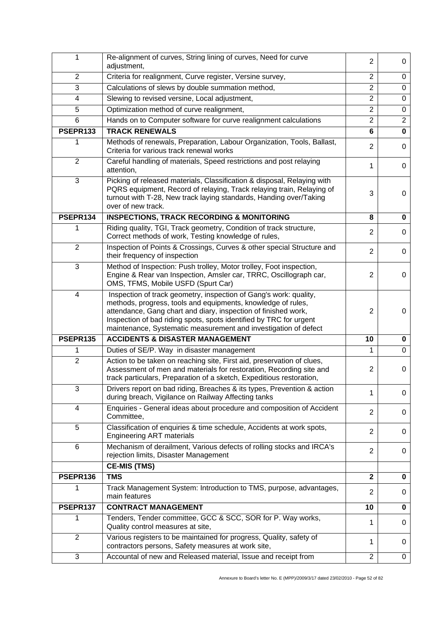| 1                       | Re-alignment of curves, String lining of curves, Need for curve<br>adjustment,                                                                                                                                                                                                                                                               | $\overline{2}$ | 0                       |
|-------------------------|----------------------------------------------------------------------------------------------------------------------------------------------------------------------------------------------------------------------------------------------------------------------------------------------------------------------------------------------|----------------|-------------------------|
| $\overline{2}$          | Criteria for realignment, Curve register, Versine survey,                                                                                                                                                                                                                                                                                    | $\overline{2}$ | 0                       |
| 3                       | Calculations of slews by double summation method,                                                                                                                                                                                                                                                                                            | $\overline{2}$ | $\mathbf 0$             |
| 4                       | Slewing to revised versine, Local adjustment,                                                                                                                                                                                                                                                                                                | $\overline{2}$ | 0                       |
| 5                       | Optimization method of curve realignment,                                                                                                                                                                                                                                                                                                    | $\overline{2}$ | $\mathbf 0$             |
| 6                       | Hands on to Computer software for curve realignment calculations                                                                                                                                                                                                                                                                             | $\overline{2}$ | $\overline{2}$          |
| PSEPR133                | <b>TRACK RENEWALS</b>                                                                                                                                                                                                                                                                                                                        | 6              | $\overline{\mathbf{0}}$ |
| 1                       | Methods of renewals, Preparation, Labour Organization, Tools, Ballast,<br>Criteria for various track renewal works                                                                                                                                                                                                                           | $\overline{2}$ | $\mathbf 0$             |
| $\overline{2}$          | Careful handling of materials, Speed restrictions and post relaying<br>attention,                                                                                                                                                                                                                                                            | 1              | 0                       |
| 3                       | Picking of released materials, Classification & disposal, Relaying with<br>PQRS equipment, Record of relaying, Track relaying train, Relaying of<br>turnout with T-28, New track laying standards, Handing over/Taking<br>over of new track.                                                                                                 | 3              | 0                       |
| PSEPR134                | <b>INSPECTIONS, TRACK RECORDING &amp; MONITORING</b>                                                                                                                                                                                                                                                                                         | 8              | 0                       |
| 1                       | Riding quality, TGI, Track geometry, Condition of track structure,<br>Correct methods of work, Testing knowledge of rules,                                                                                                                                                                                                                   | $\overline{2}$ | 0                       |
| $\overline{2}$          | Inspection of Points & Crossings, Curves & other special Structure and<br>their frequency of inspection                                                                                                                                                                                                                                      | $\overline{2}$ | 0                       |
| 3                       | Method of Inspection: Push trolley, Motor trolley, Foot inspection,<br>Engine & Rear van Inspection, Amsler car, TRRC, Oscillograph car,<br>OMS, TFMS, Mobile USFD (Spurt Car)                                                                                                                                                               | $\overline{2}$ | 0                       |
| $\overline{\mathbf{4}}$ | Inspection of track geometry, inspection of Gang's work: quality,<br>methods, progress, tools and equipments, knowledge of rules,<br>attendance, Gang chart and diary, inspection of finished work,<br>Inspection of bad riding spots, spots identified by TRC for urgent<br>maintenance, Systematic measurement and investigation of defect | $\overline{2}$ | 0                       |
| PSEPR135                | <b>ACCIDENTS &amp; DISASTER MANAGEMENT</b>                                                                                                                                                                                                                                                                                                   | 10             | 0                       |
| 1                       | Duties of SE/P. Way in disaster management                                                                                                                                                                                                                                                                                                   | 1              | $\overline{0}$          |
| $\overline{2}$          | Action to be taken on reaching site, First aid, preservation of clues,<br>Assessment of men and materials for restoration, Recording site and<br>track particulars, Preparation of a sketch, Expeditious restoration,                                                                                                                        | 2              | 0                       |
| $\mathbf{3}$            | Drivers report on bad riding, Breaches & its types, Prevention & action<br>during breach, Vigilance on Railway Affecting tanks                                                                                                                                                                                                               | 1              | 0                       |
| 4                       | Enquiries - General ideas about procedure and composition of Accident<br>Committee,                                                                                                                                                                                                                                                          | $\overline{2}$ | 0                       |
| 5                       | Classification of enquiries & time schedule, Accidents at work spots,<br><b>Engineering ART materials</b>                                                                                                                                                                                                                                    | $\overline{2}$ | 0                       |
| 6                       | Mechanism of derailment, Various defects of rolling stocks and IRCA's<br>rejection limits, Disaster Management                                                                                                                                                                                                                               | $\overline{2}$ | 0                       |
|                         | <b>CE-MIS (TMS)</b>                                                                                                                                                                                                                                                                                                                          |                |                         |
| PSEPR136                | <b>TMS</b>                                                                                                                                                                                                                                                                                                                                   | $\mathbf{2}$   | 0                       |
| 1                       | Track Management System: Introduction to TMS, purpose, advantages,<br>main features                                                                                                                                                                                                                                                          | 2              | 0                       |
| PSEPR137                | <b>CONTRACT MANAGEMENT</b>                                                                                                                                                                                                                                                                                                                   | 10             | 0                       |
| 1                       | Tenders, Tender committee, GCC & SCC, SOR for P. Way works,<br>Quality control measures at site,                                                                                                                                                                                                                                             | 1              | 0                       |
| $\overline{2}$          | Various registers to be maintained for progress, Quality, safety of<br>contractors persons, Safety measures at work site,                                                                                                                                                                                                                    | 1              | 0                       |
| $\mathbf{3}$            | Accountal of new and Released material, Issue and receipt from                                                                                                                                                                                                                                                                               | $\overline{2}$ | 0                       |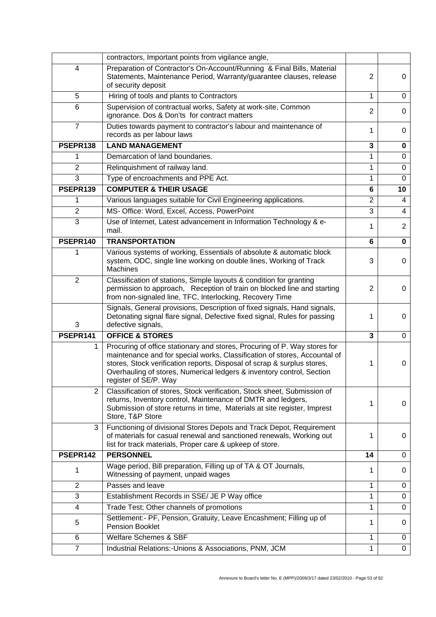|                | contractors, Important points from vigilance angle,                                                                                                                                                                                                                                                                                 |                |                         |
|----------------|-------------------------------------------------------------------------------------------------------------------------------------------------------------------------------------------------------------------------------------------------------------------------------------------------------------------------------------|----------------|-------------------------|
| 4              | Preparation of Contractor's On-Account/Running & Final Bills, Material<br>Statements, Maintenance Period, Warranty/guarantee clauses, release<br>of security deposit                                                                                                                                                                | 2              | 0                       |
| 5              | Hiring of tools and plants to Contractors                                                                                                                                                                                                                                                                                           | 1              | $\mathbf 0$             |
| $6\phantom{1}$ | Supervision of contractual works, Safety at work-site, Common<br>ignorance. Dos & Don'ts for contract matters                                                                                                                                                                                                                       | $\overline{2}$ | $\Omega$                |
| $\overline{7}$ | Duties towards payment to contractor's labour and maintenance of<br>records as per labour laws                                                                                                                                                                                                                                      | 1              | 0                       |
| PSEPR138       | <b>LAND MANAGEMENT</b>                                                                                                                                                                                                                                                                                                              | 3              | $\mathbf 0$             |
| 1              | Demarcation of land boundaries.                                                                                                                                                                                                                                                                                                     | 1              | $\mathbf 0$             |
| $\overline{2}$ | Relinquishment of railway land.                                                                                                                                                                                                                                                                                                     | 1              | $\mathbf 0$             |
| 3              | Type of encroachments and PPE Act.                                                                                                                                                                                                                                                                                                  | 1              | $\mathbf 0$             |
| PSEPR139       | <b>COMPUTER &amp; THEIR USAGE</b>                                                                                                                                                                                                                                                                                                   | 6              | 10                      |
| 1              | Various languages suitable for Civil Engineering applications.                                                                                                                                                                                                                                                                      | $\overline{2}$ | $\overline{4}$          |
| $\overline{2}$ | MS- Office: Word, Excel, Access, PowerPoint                                                                                                                                                                                                                                                                                         | 3              | $\overline{\mathbf{4}}$ |
| 3              | Use of Internet, Latest advancement in Information Technology & e-<br>mail.                                                                                                                                                                                                                                                         | 1              | $\overline{2}$          |
| PSEPR140       | <b>TRANSPORTATION</b>                                                                                                                                                                                                                                                                                                               | 6              | $\mathbf 0$             |
| 1              | Various systems of working, Essentials of absolute & automatic block<br>system, ODC, single line working on double lines, Working of Track<br><b>Machines</b>                                                                                                                                                                       | 3              | 0                       |
| $\overline{2}$ | Classification of stations, Simple layouts & condition for granting<br>permission to approach, Reception of train on blocked line and starting<br>from non-signaled line, TFC, Interlocking, Recovery Time                                                                                                                          | 2              | 0                       |
| 3              | Signals, General provisions, Description of fixed signals, Hand signals,<br>Detonating signal flare signal, Defective fixed signal, Rules for passing<br>defective signals,                                                                                                                                                         | 1              | 0                       |
| PSEPR141       | <b>OFFICE &amp; STORES</b>                                                                                                                                                                                                                                                                                                          | 3              | 0                       |
|                |                                                                                                                                                                                                                                                                                                                                     |                |                         |
| 1              | Procuring of office stationary and stores, Procuring of P. Way stores for<br>maintenance and for special works, Classification of stores, Accountal of<br>stores, Stock verification reports, Disposal of scrap & surplus stores,<br>Overhauling of stores, Numerical ledgers & inventory control, Section<br>register of SE/P. Way | 1              | 0                       |
| 2              | Classification of stores, Stock verification, Stock sheet, Submission of<br>returns, Inventory control, Maintenance of DMTR and ledgers,<br>Submission of store returns in time, Materials at site register, Imprest<br>Store, T&P Store                                                                                            | 1              | 0                       |
| 3              | Functioning of divisional Stores Depots and Track Depot, Requirement<br>of materials for casual renewal and sanctioned renewals, Working out<br>list for track materials, Proper care & upkeep of store.                                                                                                                            | 1              | 0                       |
| PSEPR142       | <b>PERSONNEL</b>                                                                                                                                                                                                                                                                                                                    | 14             | 0                       |
| 1              | Wage period, Bill preparation, Filling up of TA & OT Journals,<br>Witnessing of payment, unpaid wages                                                                                                                                                                                                                               | 1              | 0                       |
| $\overline{2}$ | Passes and leave                                                                                                                                                                                                                                                                                                                    | 1              | 0                       |
| 3              | Establishment Records in SSE/ JE P Way office                                                                                                                                                                                                                                                                                       | 1              | 0                       |
| 4              | Trade Test; Other channels of promotions                                                                                                                                                                                                                                                                                            | 1              | 0                       |
| 5              | Settlement:- PF, Pension, Gratuity, Leave Encashment; Filling up of<br>Pension Booklet                                                                                                                                                                                                                                              | 1              | 0                       |
| 6              | <b>Welfare Schemes &amp; SBF</b>                                                                                                                                                                                                                                                                                                    | 1              | 0                       |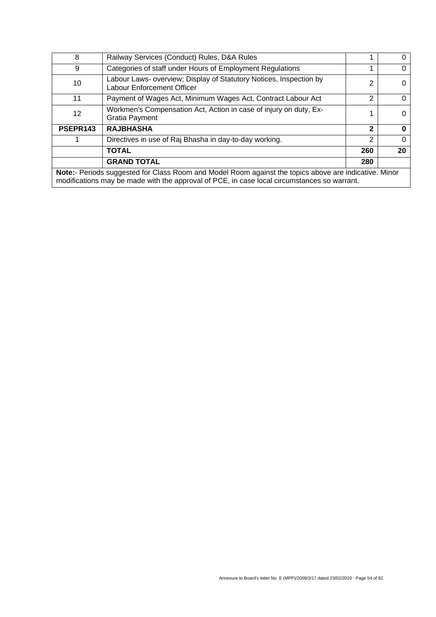| 8                                                                                                                                                                                                    | Railway Services (Conduct) Rules, D&A Rules                                                      |                |    |
|------------------------------------------------------------------------------------------------------------------------------------------------------------------------------------------------------|--------------------------------------------------------------------------------------------------|----------------|----|
| 9                                                                                                                                                                                                    | Categories of staff under Hours of Employment Regulations                                        |                |    |
| 10                                                                                                                                                                                                   | Labour Laws- overview; Display of Statutory Notices, Inspection by<br>Labour Enforcement Officer | 2              |    |
| 11                                                                                                                                                                                                   | Payment of Wages Act, Minimum Wages Act, Contract Labour Act                                     | 2              |    |
| 12                                                                                                                                                                                                   | Workmen's Compensation Act, Action in case of injury on duty, Ex-<br><b>Gratia Payment</b>       |                |    |
| PSEPR143                                                                                                                                                                                             | <b>RAJBHASHA</b>                                                                                 | $\mathbf 2$    |    |
|                                                                                                                                                                                                      | Directives in use of Raj Bhasha in day-to-day working.                                           | $\overline{2}$ |    |
|                                                                                                                                                                                                      | <b>TOTAL</b>                                                                                     | 260            | 20 |
|                                                                                                                                                                                                      | <b>GRAND TOTAL</b>                                                                               | 280            |    |
| Note:- Periods suggested for Class Room and Model Room against the topics above are indicative. Minor<br>modifications may be made with the approval of PCE, in case local circumstances so warrant. |                                                                                                  |                |    |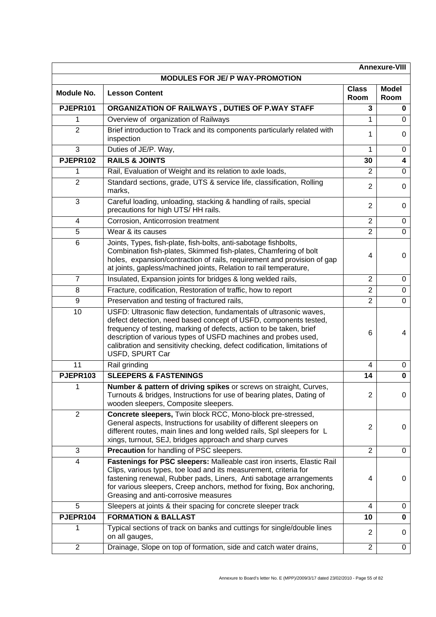|                   |                                                                                                                                                                                                                                                                                                                                                                                 |                      | <b>Annexure-VIII</b>    |
|-------------------|---------------------------------------------------------------------------------------------------------------------------------------------------------------------------------------------------------------------------------------------------------------------------------------------------------------------------------------------------------------------------------|----------------------|-------------------------|
|                   | MODULES FOR JE/ P WAY-PROMOTION                                                                                                                                                                                                                                                                                                                                                 |                      |                         |
| <b>Module No.</b> | <b>Lesson Content</b>                                                                                                                                                                                                                                                                                                                                                           | <b>Class</b><br>Room | <b>Model</b><br>Room    |
| PJEPR101          | ORGANIZATION OF RAILWAYS, DUTIES OF P.WAY STAFF                                                                                                                                                                                                                                                                                                                                 | 3                    | 0                       |
| 1                 | Overview of organization of Railways                                                                                                                                                                                                                                                                                                                                            | 1                    | $\Omega$                |
| $\overline{2}$    | Brief introduction to Track and its components particularly related with<br>inspection                                                                                                                                                                                                                                                                                          | 1                    | 0                       |
| 3                 | Duties of JE/P. Way,                                                                                                                                                                                                                                                                                                                                                            | 1                    | 0                       |
| PJEPR102          | <b>RAILS &amp; JOINTS</b>                                                                                                                                                                                                                                                                                                                                                       | 30                   | $\overline{\mathbf{4}}$ |
| 1                 | Rail, Evaluation of Weight and its relation to axle loads,                                                                                                                                                                                                                                                                                                                      | $\overline{2}$       | $\Omega$                |
| $\overline{2}$    | Standard sections, grade, UTS & service life, classification, Rolling<br>marks,                                                                                                                                                                                                                                                                                                 | $\overline{2}$       | 0                       |
| 3                 | Careful loading, unloading, stacking & handling of rails, special<br>precautions for high UTS/HH rails.                                                                                                                                                                                                                                                                         | $\overline{2}$       | 0                       |
| 4                 | Corrosion, Anticorrosion treatment                                                                                                                                                                                                                                                                                                                                              | $\overline{2}$       | 0                       |
| $\overline{5}$    | Wear & its causes                                                                                                                                                                                                                                                                                                                                                               | $\overline{2}$       | 0                       |
| 6                 | Joints, Types, fish-plate, fish-bolts, anti-sabotage fishbolts,<br>Combination fish-plates, Skimmed fish-plates, Chamfering of bolt<br>holes, expansion/contraction of rails, requirement and provision of gap<br>at joints, gapless/machined joints, Relation to rail temperature,                                                                                             | 4                    | 0                       |
| $\overline{7}$    | Insulated, Expansion joints for bridges & long welded rails,                                                                                                                                                                                                                                                                                                                    | $\overline{2}$       | 0                       |
| 8                 | Fracture, codification, Restoration of traffic, how to report                                                                                                                                                                                                                                                                                                                   | $\overline{2}$       | 0                       |
| 9                 | Preservation and testing of fractured rails,                                                                                                                                                                                                                                                                                                                                    | $\overline{2}$       | $\Omega$                |
| 10                | USFD: Ultrasonic flaw detection, fundamentals of ultrasonic waves,<br>defect detection, need based concept of USFD, components tested,<br>frequency of testing, marking of defects, action to be taken, brief<br>description of various types of USFD machines and probes used,<br>calibration and sensitivity checking, defect codification, limitations of<br>USFD, SPURT Car | 6                    | 4                       |
| 11                | Rail grinding                                                                                                                                                                                                                                                                                                                                                                   | 4                    | 0                       |
| PJEPR103          | <b>SLEEPERS &amp; FASTENINGS</b>                                                                                                                                                                                                                                                                                                                                                | 14                   | 0                       |
| 1                 | Number & pattern of driving spikes or screws on straight, Curves,<br>Turnouts & bridges, Instructions for use of bearing plates, Dating of<br>wooden sleepers, Composite sleepers.                                                                                                                                                                                              | $\overline{2}$       | 0                       |
| $\overline{2}$    | Concrete sleepers, Twin block RCC, Mono-block pre-stressed,<br>General aspects, Instructions for usability of different sleepers on<br>different routes, main lines and long welded rails, Spl sleepers for L<br>xings, turnout, SEJ, bridges approach and sharp curves                                                                                                         | 2                    | 0                       |
| $\mathbf{3}$      | Precaution for handling of PSC sleepers.                                                                                                                                                                                                                                                                                                                                        | $\overline{2}$       | 0                       |
| $\overline{4}$    | Fastenings for PSC sleepers: Malleable cast iron inserts, Elastic Rail<br>Clips, various types, toe load and its measurement, criteria for<br>fastening renewal, Rubber pads, Liners, Anti sabotage arrangements<br>for various sleepers, Creep anchors, method for fixing, Box anchoring,<br>Greasing and anti-corrosive measures                                              | 4                    | 0                       |
| 5                 | Sleepers at joints & their spacing for concrete sleeper track                                                                                                                                                                                                                                                                                                                   | 4                    | 0                       |
| PJEPR104          | <b>FORMATION &amp; BALLAST</b>                                                                                                                                                                                                                                                                                                                                                  | 10                   | 0                       |
| 1                 | Typical sections of track on banks and cuttings for single/double lines<br>on all gauges,                                                                                                                                                                                                                                                                                       | $\overline{2}$       | 0                       |
| $\overline{2}$    | Drainage, Slope on top of formation, side and catch water drains,                                                                                                                                                                                                                                                                                                               | $\overline{2}$       | 0                       |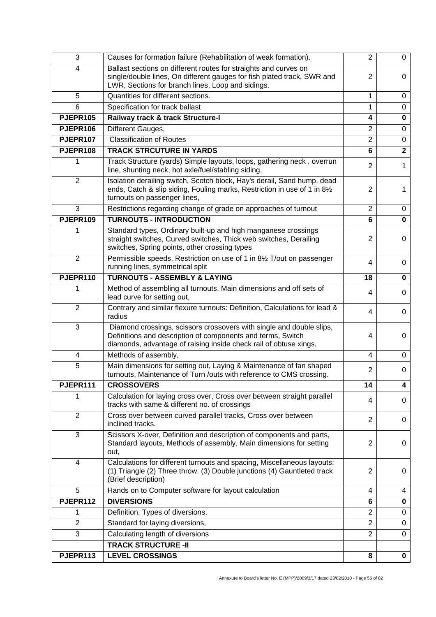| 3                       | Causes for formation failure (Rehabilitation of weak formation).                                                                                                                                         | $\overline{2}$ | 0              |
|-------------------------|----------------------------------------------------------------------------------------------------------------------------------------------------------------------------------------------------------|----------------|----------------|
| 4                       | Ballast sections on different routes for straights and curves on<br>single/double lines, On different gauges for fish plated track, SWR and<br>LWR, Sections for branch lines, Loop and sidings.         | $\overline{2}$ | 0              |
| 5                       | Quantities for different sections.                                                                                                                                                                       | $\mathbf{1}$   | $\mathbf 0$    |
| 6                       | Specification for track ballast                                                                                                                                                                          | 1              | $\pmb{0}$      |
| <b>PJEPR105</b>         | Railway track & track Structure-I                                                                                                                                                                        | 4              | $\mathbf 0$    |
| PJEPR106                | Different Gauges,                                                                                                                                                                                        | $\overline{2}$ | $\mathbf 0$    |
| PJEPR107                | <b>Classification of Routes</b>                                                                                                                                                                          | $\overline{2}$ | $\mathbf 0$    |
| PJEPR108                | <b>TRACK STRCUTURE IN YARDS</b>                                                                                                                                                                          | $6\phantom{1}$ | $\overline{2}$ |
| 1                       | Track Structure (yards) Simple layouts, loops, gathering neck, overrun<br>line, shunting neck, hot axle/fuel/stabling siding,                                                                            | $\overline{2}$ | $\mathbf{1}$   |
| $\overline{2}$          | Isolation derailing switch, Scotch block, Hay's derail, Sand hump, dead<br>ends, Catch & slip siding, Fouling marks, Restriction in use of 1 in 81/2<br>turnouts on passenger lines,                     | $\overline{2}$ | 1              |
| 3                       | Restrictions regarding change of grade on approaches of turnout                                                                                                                                          | $\overline{2}$ | 0              |
| PJEPR109                | <b>TURNOUTS - INTRODUCTION</b>                                                                                                                                                                           | 6              | $\mathbf 0$    |
| 1                       | Standard types, Ordinary built-up and high manganese crossings<br>straight switches, Curved switches, Thick web switches, Derailing<br>switches, Spring points, other crossing types                     | $\overline{2}$ | 0              |
| $\overline{2}$          | Permissible speeds, Restriction on use of 1 in 81/2 T/out on passenger<br>running lines, symmetrical split                                                                                               | 4              | 0              |
| PJEPR110                | <b>TURNOUTS - ASSEMBLY &amp; LAYING</b>                                                                                                                                                                  | 18             | 0              |
| 1                       | Method of assembling all turnouts, Main dimensions and off sets of<br>lead curve for setting out,                                                                                                        | 4              | 0              |
| $\overline{2}$          | Contrary and similar flexure turnouts: Definition, Calculations for lead &<br>radius                                                                                                                     | 4              | 0              |
| 3                       | Diamond crossings, scissors crossovers with single and double slips,<br>Definitions and description of components and terms, Switch<br>diamonds, advantage of raising inside check rail of obtuse xings, | 4              | 0              |
| $\overline{\mathbf{4}}$ | Methods of assembly,                                                                                                                                                                                     | 4              | 0              |
| $\overline{5}$          | Main dimensions for setting out, Laying & Maintenance of fan shaped<br>turnouts, Maintenance of Turn /outs with reference to CMS crossing.                                                               | $\overline{2}$ | 0              |
| PJEPR111                | <b>CROSSOVERS</b>                                                                                                                                                                                        | 14             | 4              |
|                         | Calculation for laying cross over, Cross over between straight parallel<br>tracks with same & different no. of crossings                                                                                 | 4              | 0              |
| $\overline{2}$          | Cross over between curved parallel tracks, Cross over between<br>inclined tracks.                                                                                                                        | $\overline{2}$ | 0              |
| 3                       | Scissors X-over, Definition and description of components and parts,<br>Standard layouts, Methods of assembly, Main dimensions for setting<br>out,                                                       | $\overline{2}$ | 0              |
| 4                       | Calculations for different turnouts and spacing, Miscellaneous layouts:<br>(1) Triangle (2) Three throw. (3) Double junctions (4) Gauntleted track<br>(Brief description)                                | $\overline{2}$ | 0              |
| 5                       | Hands on to Computer software for layout calculation                                                                                                                                                     | 4              | 4              |
| PJEPR112                | <b>DIVERSIONS</b>                                                                                                                                                                                        | 6              | $\pmb{0}$      |
| 1                       | Definition, Types of diversions,                                                                                                                                                                         | $\overline{2}$ | 0              |
| $\overline{2}$          | Standard for laying diversions,                                                                                                                                                                          | $\overline{2}$ | $\pmb{0}$      |
| 3                       | Calculating length of diversions                                                                                                                                                                         | $\overline{2}$ | 0              |
|                         | <b>TRACK STRUCTURE -II</b>                                                                                                                                                                               |                |                |
| PJEPR113                | <b>LEVEL CROSSINGS</b>                                                                                                                                                                                   | 8              | $\mathbf 0$    |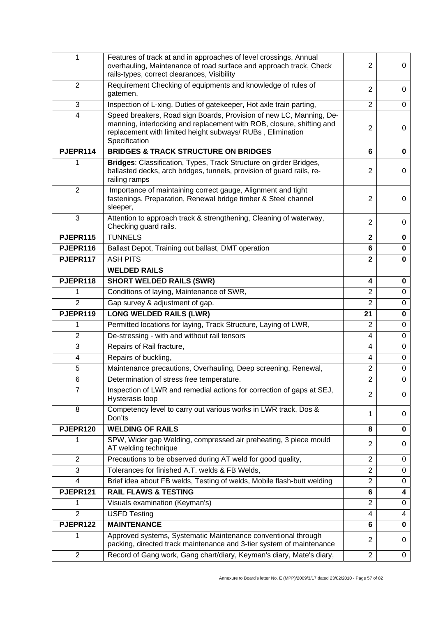| 1                       | Features of track at and in approaches of level crossings, Annual<br>overhauling, Maintenance of road surface and approach track, Check<br>rails-types, correct clearances, Visibility                                      | $\overline{2}$          | 0              |
|-------------------------|-----------------------------------------------------------------------------------------------------------------------------------------------------------------------------------------------------------------------------|-------------------------|----------------|
| $\overline{2}$          | Requirement Checking of equipments and knowledge of rules of<br>gatemen,                                                                                                                                                    | $\overline{2}$          | 0              |
| 3                       | Inspection of L-xing, Duties of gatekeeper, Hot axle train parting,                                                                                                                                                         | $\overline{2}$          | 0              |
| $\overline{\mathbf{4}}$ | Speed breakers, Road sign Boards, Provision of new LC, Manning, De-<br>manning, interlocking and replacement with ROB, closure, shifting and<br>replacement with limited height subways/ RUBs, Elimination<br>Specification | $\overline{2}$          | 0              |
| PJEPR114                | <b>BRIDGES &amp; TRACK STRUCTURE ON BRIDGES</b>                                                                                                                                                                             | 6                       | $\mathbf 0$    |
|                         | Bridges: Classification, Types, Track Structure on girder Bridges,<br>ballasted decks, arch bridges, tunnels, provision of guard rails, re-<br>railing ramps                                                                | $\overline{2}$          | 0              |
| $\overline{2}$          | Importance of maintaining correct gauge, Alignment and tight<br>fastenings, Preparation, Renewal bridge timber & Steel channel<br>sleeper,                                                                                  | $\overline{2}$          | 0              |
| 3                       | Attention to approach track & strengthening, Cleaning of waterway,<br>Checking guard rails.                                                                                                                                 | $\overline{2}$          | 0              |
| PJEPR115                | <b>TUNNELS</b>                                                                                                                                                                                                              | $\overline{\mathbf{2}}$ | 0              |
| PJEPR116                | Ballast Depot, Training out ballast, DMT operation                                                                                                                                                                          | 6                       | $\mathbf 0$    |
| PJEPR117                | <b>ASH PITS</b>                                                                                                                                                                                                             | $\overline{2}$          | $\mathbf 0$    |
|                         | <b>WELDED RAILS</b>                                                                                                                                                                                                         |                         |                |
| PJEPR118                | <b>SHORT WELDED RAILS (SWR)</b>                                                                                                                                                                                             | 4                       | 0              |
| 1                       | Conditions of laying, Maintenance of SWR,                                                                                                                                                                                   | $\overline{2}$          | $\mathbf 0$    |
| $\overline{2}$          | Gap survey & adjustment of gap.                                                                                                                                                                                             | $\overline{2}$          | $\mathbf 0$    |
| PJEPR119                | <b>LONG WELDED RAILS (LWR)</b>                                                                                                                                                                                              | 21                      | 0              |
| 1                       | Permitted locations for laying, Track Structure, Laying of LWR,                                                                                                                                                             | $\overline{2}$          | $\mathbf 0$    |
| $\overline{2}$          | De-stressing - with and without rail tensors                                                                                                                                                                                | 4                       | 0              |
| 3                       | Repairs of Rail fracture,                                                                                                                                                                                                   | 4                       | $\mathbf 0$    |
| 4                       | Repairs of buckling,                                                                                                                                                                                                        | 4                       | 0              |
| 5                       | Maintenance precautions, Overhauling, Deep screening, Renewal,                                                                                                                                                              | $\overline{2}$          | $\pmb{0}$      |
| 6                       | Determination of stress free temperature.                                                                                                                                                                                   | $\overline{2}$          | $\overline{0}$ |
| $\overline{7}$          | Inspection of LWR and remedial actions for correction of gaps at SEJ,<br>Hysterasis loop                                                                                                                                    | $\overline{2}$          | 0              |
| 8                       | Competency level to carry out various works in LWR track, Dos &<br>Don'ts                                                                                                                                                   | 1                       | 0              |
| PJEPR120                | <b>WELDING OF RAILS</b>                                                                                                                                                                                                     | 8                       | $\bf{0}$       |
|                         | SPW, Wider gap Welding, compressed air preheating, 3 piece mould<br>AT welding technique                                                                                                                                    | 2                       | 0              |
| 2                       | Precautions to be observed during AT weld for good quality,                                                                                                                                                                 | $\overline{2}$          | 0              |
| 3                       | Tolerances for finished A.T. welds & FB Welds,                                                                                                                                                                              | $\overline{2}$          | 0              |
| 4                       | Brief idea about FB welds, Testing of welds, Mobile flash-butt welding                                                                                                                                                      | $\overline{2}$          | 0              |
| PJEPR121                | <b>RAIL FLAWS &amp; TESTING</b>                                                                                                                                                                                             | 6                       | 4              |
| 1                       | Visuals examination (Keyman's)                                                                                                                                                                                              | $\overline{2}$          | 0              |
| $\overline{2}$          | <b>USFD Testing</b>                                                                                                                                                                                                         | 4                       | 4              |
| PJEPR122                | <b>MAINTENANCE</b>                                                                                                                                                                                                          | 6                       | 0              |
| 1                       | Approved systems, Systematic Maintenance conventional through<br>packing, directed track maintenance and 3-tier system of maintenance                                                                                       | $\overline{2}$          | 0              |
| $\overline{2}$          | Record of Gang work, Gang chart/diary, Keyman's diary, Mate's diary,                                                                                                                                                        | $\overline{2}$          | 0              |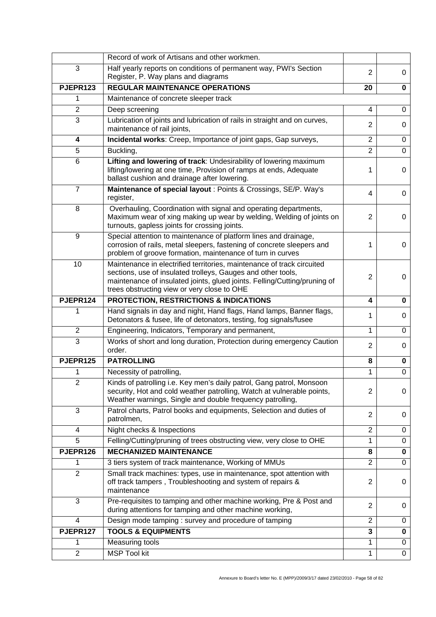|                | Record of work of Artisans and other workmen.                                                                                                                                                                                                                      |                |             |
|----------------|--------------------------------------------------------------------------------------------------------------------------------------------------------------------------------------------------------------------------------------------------------------------|----------------|-------------|
| 3              | Half yearly reports on conditions of permanent way, PWI's Section<br>Register, P. Way plans and diagrams                                                                                                                                                           | $\overline{2}$ | 0           |
| PJEPR123       | <b>REGULAR MAINTENANCE OPERATIONS</b>                                                                                                                                                                                                                              | 20             | 0           |
| 1              | Maintenance of concrete sleeper track                                                                                                                                                                                                                              |                |             |
| $\overline{2}$ | Deep screening                                                                                                                                                                                                                                                     | 4              | $\mathbf 0$ |
| $\overline{3}$ | Lubrication of joints and lubrication of rails in straight and on curves,<br>maintenance of rail joints,                                                                                                                                                           | $\overline{2}$ | 0           |
| 4              | Incidental works: Creep, Importance of joint gaps, Gap surveys,                                                                                                                                                                                                    | $\overline{2}$ | $\mathbf 0$ |
| 5              | Buckling,                                                                                                                                                                                                                                                          | $\overline{2}$ | $\mathbf 0$ |
| 6              | Lifting and lowering of track: Undesirability of lowering maximum<br>lifting/lowering at one time, Provision of ramps at ends, Adequate<br>ballast cushion and drainage after lowering.                                                                            | 1              | 0           |
| 7              | Maintenance of special layout : Points & Crossings, SE/P. Way's<br>register,                                                                                                                                                                                       | 4              | 0           |
| 8              | Overhauling, Coordination with signal and operating departments,<br>Maximum wear of xing making up wear by welding, Welding of joints on<br>turnouts, gapless joints for crossing joints.                                                                          | $\overline{2}$ | 0           |
| 9              | Special attention to maintenance of platform lines and drainage,<br>corrosion of rails, metal sleepers, fastening of concrete sleepers and<br>problem of groove formation, maintenance of turn in curves                                                           | 1              | 0           |
| 10             | Maintenance in electrified territories, maintenance of track circuited<br>sections, use of insulated trolleys, Gauges and other tools,<br>maintenance of insulated joints, glued joints. Felling/Cutting/pruning of<br>trees obstructing view or very close to OHE | $\overline{2}$ | 0           |
| PJEPR124       | PROTECTION, RESTRICTIONS & INDICATIONS                                                                                                                                                                                                                             | 4              | 0           |
| 1              | Hand signals in day and night, Hand flags, Hand lamps, Banner flags,<br>Detonators & fusee, life of detonators, testing, fog signals/fusee                                                                                                                         | 1              | 0           |
| $\overline{2}$ | Engineering, Indicators, Temporary and permanent,                                                                                                                                                                                                                  | 1              | 0           |
| 3              | Works of short and long duration, Protection during emergency Caution<br>order.                                                                                                                                                                                    | $\overline{2}$ | 0           |
| PJEPR125       | <b>PATROLLING</b>                                                                                                                                                                                                                                                  | 8              | $\mathbf 0$ |
| 1              | Necessity of patrolling,                                                                                                                                                                                                                                           | $\mathbf{1}$   | 0           |
| $\overline{2}$ | Kinds of patrolling i.e. Key men's daily patrol, Gang patrol, Monsoon<br>security, Hot and cold weather patrolling, Watch at vulnerable points,<br>Weather warnings, Single and double frequency patrolling,                                                       | $\overline{2}$ | 0           |
| 3              | Patrol charts, Patrol books and equipments, Selection and duties of<br>patrolmen,                                                                                                                                                                                  | $\overline{2}$ | 0           |
| 4              | Night checks & Inspections                                                                                                                                                                                                                                         | $\overline{2}$ | 0           |
| 5              | Felling/Cutting/pruning of trees obstructing view, very close to OHE                                                                                                                                                                                               | 1              | 0           |
| PJEPR126       | <b>MECHANIZED MAINTENANCE</b>                                                                                                                                                                                                                                      | 8              | $\mathbf 0$ |
| 1              | 3 tiers system of track maintenance, Working of MMUs                                                                                                                                                                                                               | $\overline{2}$ | 0           |
| $\overline{2}$ | Small track machines: types, use in maintenance, spot attention with<br>off track tampers, Troubleshooting and system of repairs &<br>maintenance                                                                                                                  | $\overline{2}$ | 0           |
| 3              | Pre-requisites to tamping and other machine working, Pre & Post and<br>during attentions for tamping and other machine working,                                                                                                                                    | $\overline{2}$ | 0           |
| 4              | Design mode tamping: survey and procedure of tamping                                                                                                                                                                                                               | $\overline{2}$ | 0           |
| PJEPR127       | <b>TOOLS &amp; EQUIPMENTS</b>                                                                                                                                                                                                                                      | 3              | $\pmb{0}$   |
| 1              | Measuring tools                                                                                                                                                                                                                                                    | 1              | 0           |
| $\overline{2}$ | <b>MSP Tool kit</b>                                                                                                                                                                                                                                                | $\mathbf{1}$   | $\mathbf 0$ |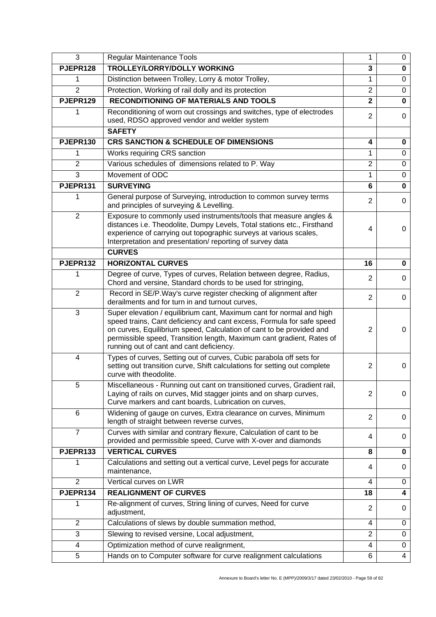| 3              | <b>Regular Maintenance Tools</b>                                                                                                                                                                                                                                                                                                           | 1                       | 0              |
|----------------|--------------------------------------------------------------------------------------------------------------------------------------------------------------------------------------------------------------------------------------------------------------------------------------------------------------------------------------------|-------------------------|----------------|
| PJEPR128       | <b>TROLLEY/LORRY/DOLLY WORKING</b>                                                                                                                                                                                                                                                                                                         | 3                       | $\mathbf 0$    |
| 1              | Distinction between Trolley, Lorry & motor Trolley,                                                                                                                                                                                                                                                                                        | 1                       | $\pmb{0}$      |
| $\overline{2}$ | Protection, Working of rail dolly and its protection                                                                                                                                                                                                                                                                                       | $\overline{2}$          | $\mathbf 0$    |
| PJEPR129       | <b>RECONDITIONING OF MATERIALS AND TOOLS</b>                                                                                                                                                                                                                                                                                               | $\overline{\mathbf{2}}$ | $\mathbf 0$    |
| 1              | Reconditioning of worn out crossings and switches, type of electrodes<br>used, RDSO approved vendor and welder system                                                                                                                                                                                                                      | $\overline{2}$          | $\mathbf 0$    |
|                | <b>SAFETY</b>                                                                                                                                                                                                                                                                                                                              |                         |                |
| PJEPR130       | <b>CRS SANCTION &amp; SCHEDULE OF DIMENSIONS</b>                                                                                                                                                                                                                                                                                           | 4                       | 0              |
| 1              | Works requiring CRS sanction                                                                                                                                                                                                                                                                                                               | 1                       | $\mathbf 0$    |
| $\overline{2}$ | Various schedules of dimensions related to P. Way                                                                                                                                                                                                                                                                                          | $\overline{2}$          | 0              |
| $\overline{3}$ | Movement of ODC                                                                                                                                                                                                                                                                                                                            | 1                       | $\pmb{0}$      |
| PJEPR131       | <b>SURVEYING</b>                                                                                                                                                                                                                                                                                                                           | 6                       | $\bf{0}$       |
| 1              | General purpose of Surveying, introduction to common survey terms<br>and principles of surveying & Levelling.                                                                                                                                                                                                                              | $\overline{2}$          | 0              |
| $\overline{2}$ | Exposure to commonly used instruments/tools that measure angles &<br>distances i.e. Theodolite, Dumpy Levels, Total stations etc., Firsthand<br>experience of carrying out topographic surveys at various scales,<br>Interpretation and presentation/reporting of survey data                                                              | 4                       | 0              |
|                | <b>CURVES</b>                                                                                                                                                                                                                                                                                                                              |                         |                |
| PJEPR132       | <b>HORIZONTAL CURVES</b>                                                                                                                                                                                                                                                                                                                   | 16                      | 0              |
| 1              | Degree of curve, Types of curves, Relation between degree, Radius,<br>Chord and versine, Standard chords to be used for stringing,                                                                                                                                                                                                         | $\overline{2}$          | 0              |
| $\overline{2}$ | Record in SE/P. Way's curve register checking of alignment after<br>derailments and for turn in and turnout curves,                                                                                                                                                                                                                        | $\overline{2}$          | 0              |
| $\mathbf{3}$   | Super elevation / equilibrium cant, Maximum cant for normal and high<br>speed trains, Cant deficiency and cant excess, Formula for safe speed<br>on curves, Equilibrium speed, Calculation of cant to be provided and<br>permissible speed, Transition length, Maximum cant gradient, Rates of<br>running out of cant and cant deficiency. | 2                       | 0              |
| 4              | Types of curves, Setting out of curves, Cubic parabola off sets for<br>setting out transition curve, Shift calculations for setting out complete<br>curve with theodolite.                                                                                                                                                                 | $\overline{2}$          | 0              |
| 5              | Miscellaneous - Running out cant on transitioned curves, Gradient rail,<br>Laying of rails on curves, Mid stagger joints and on sharp curves,<br>Curve markers and cant boards, Lubrication on curves,                                                                                                                                     | $\overline{2}$          | 0              |
| 6              | Widening of gauge on curves, Extra clearance on curves, Minimum<br>length of straight between reverse curves,                                                                                                                                                                                                                              | $\overline{2}$          | 0              |
| $\overline{7}$ | Curves with similar and contrary flexure, Calculation of cant to be<br>provided and permissible speed, Curve with X-over and diamonds                                                                                                                                                                                                      | 4                       | 0              |
| PJEPR133       | <b>VERTICAL CURVES</b>                                                                                                                                                                                                                                                                                                                     | 8                       | 0              |
| 1              | Calculations and setting out a vertical curve, Level pegs for accurate<br>maintenance,                                                                                                                                                                                                                                                     | 4                       | 0              |
| $\overline{2}$ | Vertical curves on LWR                                                                                                                                                                                                                                                                                                                     | 4                       | 0              |
| PJEPR134       | <b>REALIGNMENT OF CURVES</b>                                                                                                                                                                                                                                                                                                               | 18                      | 4              |
| 1              | Re-alignment of curves, String lining of curves, Need for curve<br>adjustment,                                                                                                                                                                                                                                                             | 2                       | 0              |
| $\overline{2}$ | Calculations of slews by double summation method,                                                                                                                                                                                                                                                                                          | 4                       | 0              |
| 3              | Slewing to revised versine, Local adjustment,                                                                                                                                                                                                                                                                                              | $\overline{2}$          | $\mathbf 0$    |
| 4              | Optimization method of curve realignment,                                                                                                                                                                                                                                                                                                  | 4                       | $\mathbf 0$    |
| 5              | Hands on to Computer software for curve realignment calculations                                                                                                                                                                                                                                                                           | 6                       | $\overline{4}$ |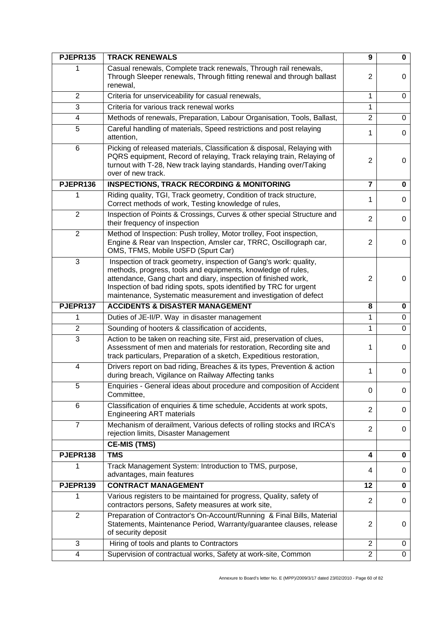| PJEPR135                 | <b>TRACK RENEWALS</b>                                                                                                                                                                                                                                                                                                                        | $\boldsymbol{9}$ | 0           |
|--------------------------|----------------------------------------------------------------------------------------------------------------------------------------------------------------------------------------------------------------------------------------------------------------------------------------------------------------------------------------------|------------------|-------------|
|                          | Casual renewals, Complete track renewals, Through rail renewals,<br>Through Sleeper renewals, Through fitting renewal and through ballast<br>renewal,                                                                                                                                                                                        | $\overline{2}$   | 0           |
| $\overline{2}$           | Criteria for unserviceability for casual renewals,                                                                                                                                                                                                                                                                                           | $\mathbf{1}$     | 0           |
| 3                        | Criteria for various track renewal works                                                                                                                                                                                                                                                                                                     | 1                |             |
| 4                        | Methods of renewals, Preparation, Labour Organisation, Tools, Ballast,                                                                                                                                                                                                                                                                       | $\overline{2}$   | 0           |
| 5                        | Careful handling of materials, Speed restrictions and post relaying<br>attention,                                                                                                                                                                                                                                                            | 1                | 0           |
| 6                        | Picking of released materials, Classification & disposal, Relaying with<br>PQRS equipment, Record of relaying, Track relaying train, Relaying of<br>turnout with T-28, New track laying standards, Handing over/Taking<br>over of new track.                                                                                                 | $\overline{2}$   | 0           |
| PJEPR136                 | <b>INSPECTIONS, TRACK RECORDING &amp; MONITORING</b>                                                                                                                                                                                                                                                                                         | $\overline{7}$   | 0           |
| 1                        | Riding quality, TGI, Track geometry, Condition of track structure,<br>Correct methods of work, Testing knowledge of rules,                                                                                                                                                                                                                   | 1                | 0           |
| $\overline{2}$           | Inspection of Points & Crossings, Curves & other special Structure and<br>their frequency of inspection                                                                                                                                                                                                                                      | $\overline{2}$   | 0           |
| $\overline{2}$           | Method of Inspection: Push trolley, Motor trolley, Foot inspection,<br>Engine & Rear van Inspection, Amsler car, TRRC, Oscillograph car,<br>OMS, TFMS, Mobile USFD (Spurt Car)                                                                                                                                                               | $\overline{2}$   | 0           |
| 3                        | Inspection of track geometry, inspection of Gang's work: quality,<br>methods, progress, tools and equipments, knowledge of rules,<br>attendance, Gang chart and diary, inspection of finished work,<br>Inspection of bad riding spots, spots identified by TRC for urgent<br>maintenance, Systematic measurement and investigation of defect | $\overline{2}$   | 0           |
| PJEPR137                 | <b>ACCIDENTS &amp; DISASTER MANAGEMENT</b>                                                                                                                                                                                                                                                                                                   | 8                | 0           |
| 1                        | Duties of JE-II/P. Way in disaster management                                                                                                                                                                                                                                                                                                | 1                | $\mathbf 0$ |
| $\overline{2}$           | Sounding of hooters & classification of accidents,                                                                                                                                                                                                                                                                                           | 1                | 0           |
| 3                        | Action to be taken on reaching site, First aid, preservation of clues,<br>Assessment of men and materials for restoration, Recording site and<br>track particulars, Preparation of a sketch, Expeditious restoration,                                                                                                                        | 1                | 0           |
| $\overline{\mathcal{A}}$ | Drivers report on bad riding, Breaches & its types, Prevention & action<br>during breach, Vigilance on Railway Affecting tanks                                                                                                                                                                                                               | 1                | 0           |
| 5                        | Enquiries - General ideas about procedure and composition of Accident<br>Committee,                                                                                                                                                                                                                                                          | 0                | 0           |
| 6                        | Classification of enquiries & time schedule, Accidents at work spots,<br><b>Engineering ART materials</b>                                                                                                                                                                                                                                    | $\overline{2}$   | 0           |
| $\overline{7}$           | Mechanism of derailment, Various defects of rolling stocks and IRCA's<br>rejection limits, Disaster Management                                                                                                                                                                                                                               | $\overline{2}$   | 0           |
|                          | <b>CE-MIS (TMS)</b>                                                                                                                                                                                                                                                                                                                          |                  |             |
| PJEPR138                 | <b>TMS</b>                                                                                                                                                                                                                                                                                                                                   | 4                | 0           |
|                          | Track Management System: Introduction to TMS, purpose,<br>advantages, main features                                                                                                                                                                                                                                                          | 4                | 0           |
| PJEPR139                 | <b>CONTRACT MANAGEMENT</b>                                                                                                                                                                                                                                                                                                                   | 12               | 0           |
| 1                        | Various registers to be maintained for progress, Quality, safety of<br>contractors persons, Safety measures at work site,                                                                                                                                                                                                                    | $\overline{2}$   | 0           |
| $\overline{2}$           | Preparation of Contractor's On-Account/Running & Final Bills, Material<br>Statements, Maintenance Period, Warranty/guarantee clauses, release<br>of security deposit                                                                                                                                                                         | $\overline{2}$   | 0           |
| 3                        | Hiring of tools and plants to Contractors                                                                                                                                                                                                                                                                                                    | $\overline{2}$   | 0           |
| 4                        | Supervision of contractual works, Safety at work-site, Common                                                                                                                                                                                                                                                                                | $\overline{2}$   | 0           |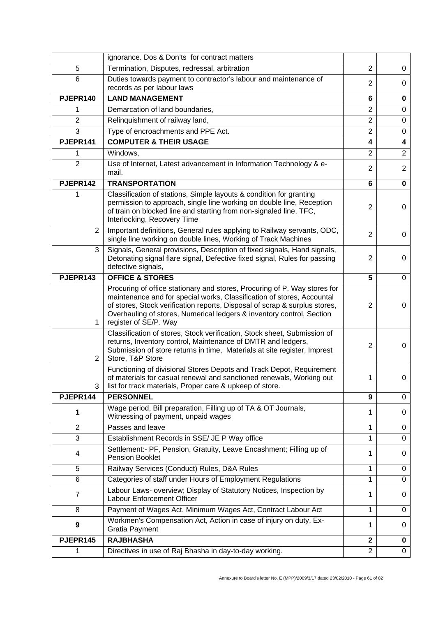|                | ignorance. Dos & Don'ts for contract matters                                                                                                                                                                                                                                                                                        |                  |                |
|----------------|-------------------------------------------------------------------------------------------------------------------------------------------------------------------------------------------------------------------------------------------------------------------------------------------------------------------------------------|------------------|----------------|
| 5              | Termination, Disputes, redressal, arbitration                                                                                                                                                                                                                                                                                       | $\overline{2}$   | 0              |
| 6              | Duties towards payment to contractor's labour and maintenance of<br>records as per labour laws                                                                                                                                                                                                                                      | 2                | 0              |
| PJEPR140       | <b>LAND MANAGEMENT</b>                                                                                                                                                                                                                                                                                                              | 6                | 0              |
| 1              | Demarcation of land boundaries,                                                                                                                                                                                                                                                                                                     | $\overline{2}$   | $\mathbf 0$    |
| $\overline{2}$ | Relinquishment of railway land,                                                                                                                                                                                                                                                                                                     | $\overline{2}$   | $\mathbf 0$    |
| 3              | Type of encroachments and PPE Act.                                                                                                                                                                                                                                                                                                  | $\overline{2}$   | $\mathbf 0$    |
| PJEPR141       | <b>COMPUTER &amp; THEIR USAGE</b>                                                                                                                                                                                                                                                                                                   | 4                | 4              |
| 1              | Windows,                                                                                                                                                                                                                                                                                                                            | $\overline{2}$   | $\overline{2}$ |
| $\overline{2}$ | Use of Internet, Latest advancement in Information Technology & e-<br>mail.                                                                                                                                                                                                                                                         | $\overline{2}$   | $\overline{2}$ |
| PJEPR142       | <b>TRANSPORTATION</b>                                                                                                                                                                                                                                                                                                               | 6                | $\mathbf 0$    |
|                | Classification of stations, Simple layouts & condition for granting<br>permission to approach, single line working on double line, Reception<br>of train on blocked line and starting from non-signaled line, TFC,<br>Interlocking, Recovery Time                                                                                   | $\overline{2}$   | 0              |
| 2              | Important definitions, General rules applying to Railway servants, ODC,<br>single line working on double lines, Working of Track Machines                                                                                                                                                                                           | $\overline{2}$   | 0              |
| 3              | Signals, General provisions, Description of fixed signals, Hand signals,<br>Detonating signal flare signal, Defective fixed signal, Rules for passing<br>defective signals,                                                                                                                                                         | $\overline{2}$   | 0              |
| PJEPR143       | <b>OFFICE &amp; STORES</b>                                                                                                                                                                                                                                                                                                          | 5                | $\mathbf 0$    |
| 1              | Procuring of office stationary and stores, Procuring of P. Way stores for<br>maintenance and for special works, Classification of stores, Accountal<br>of stores, Stock verification reports, Disposal of scrap & surplus stores,<br>Overhauling of stores, Numerical ledgers & inventory control, Section<br>register of SE/P. Way | $\overline{2}$   | 0              |
| $\overline{2}$ | Classification of stores, Stock verification, Stock sheet, Submission of<br>returns, Inventory control, Maintenance of DMTR and ledgers,<br>Submission of store returns in time, Materials at site register, Imprest<br>Store, T&P Store                                                                                            | 2                | 0              |
| 3              | Functioning of divisional Stores Depots and Track Depot, Requirement<br>of materials for casual renewal and sanctioned renewals, Working out<br>list for track materials, Proper care & upkeep of store.                                                                                                                            | 1                | 0              |
| PJEPR144       | <b>PERSONNEL</b>                                                                                                                                                                                                                                                                                                                    | $\boldsymbol{9}$ | 0              |
| 1              | Wage period, Bill preparation, Filling up of TA & OT Journals,<br>Witnessing of payment, unpaid wages                                                                                                                                                                                                                               | 1                | 0              |
| $\overline{2}$ | Passes and leave                                                                                                                                                                                                                                                                                                                    | 1                | 0              |
| 3              | Establishment Records in SSE/ JE P Way office                                                                                                                                                                                                                                                                                       | 1                | $\mathbf 0$    |
| 4              | Settlement:- PF, Pension, Gratuity, Leave Encashment; Filling up of<br><b>Pension Booklet</b>                                                                                                                                                                                                                                       | 1                | 0              |
| 5              | Railway Services (Conduct) Rules, D&A Rules                                                                                                                                                                                                                                                                                         | 1                | 0              |
| 6              | Categories of staff under Hours of Employment Regulations                                                                                                                                                                                                                                                                           | 1                | $\mathbf 0$    |
| 7              | Labour Laws- overview; Display of Statutory Notices, Inspection by<br>Labour Enforcement Officer                                                                                                                                                                                                                                    | 1                | 0              |
| 8              | Payment of Wages Act, Minimum Wages Act, Contract Labour Act                                                                                                                                                                                                                                                                        | $\mathbf{1}$     | 0              |
| 9              | Workmen's Compensation Act, Action in case of injury on duty, Ex-<br><b>Gratia Payment</b>                                                                                                                                                                                                                                          | 1                | 0              |
| PJEPR145       | <b>RAJBHASHA</b>                                                                                                                                                                                                                                                                                                                    | $\mathbf{2}$     | 0              |
| 1              | Directives in use of Raj Bhasha in day-to-day working.                                                                                                                                                                                                                                                                              | $\overline{2}$   | 0              |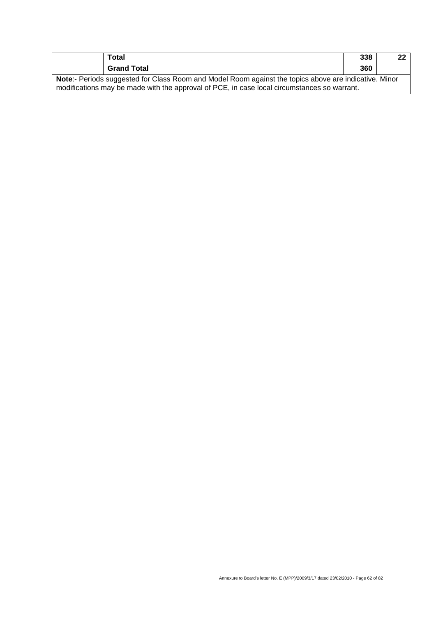| Total                                                                                                                                                                                                | 338 | 22 |
|------------------------------------------------------------------------------------------------------------------------------------------------------------------------------------------------------|-----|----|
| <b>Grand Total</b>                                                                                                                                                                                   | 360 |    |
| Note:- Periods suggested for Class Room and Model Room against the topics above are indicative. Minor<br>modifications may be made with the approval of PCE, in case local circumstances so warrant. |     |    |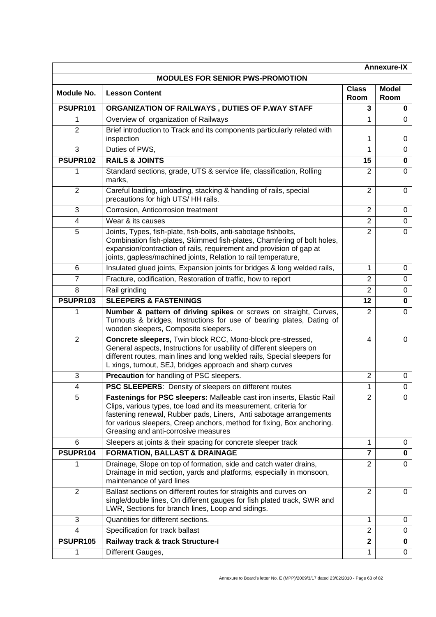|                         |                                                                                                                                                                                                                                                                                                                                    |                      | <b>Annexure-IX</b>   |
|-------------------------|------------------------------------------------------------------------------------------------------------------------------------------------------------------------------------------------------------------------------------------------------------------------------------------------------------------------------------|----------------------|----------------------|
|                         | <b>MODULES FOR SENIOR PWS-PROMOTION</b>                                                                                                                                                                                                                                                                                            |                      |                      |
| Module No.              | <b>Lesson Content</b>                                                                                                                                                                                                                                                                                                              | <b>Class</b><br>Room | <b>Model</b><br>Room |
| PSUPR101                | ORGANIZATION OF RAILWAYS, DUTIES OF P.WAY STAFF                                                                                                                                                                                                                                                                                    | 3                    | 0                    |
| 1                       | Overview of organization of Railways                                                                                                                                                                                                                                                                                               | 1                    | 0                    |
| $\overline{2}$          | Brief introduction to Track and its components particularly related with<br>inspection                                                                                                                                                                                                                                             | 1                    | 0                    |
| 3                       | Duties of PWS,                                                                                                                                                                                                                                                                                                                     | 1                    | 0                    |
| PSUPR102                | <b>RAILS &amp; JOINTS</b>                                                                                                                                                                                                                                                                                                          | 15                   | 0                    |
| 1                       | Standard sections, grade, UTS & service life, classification, Rolling<br>marks,                                                                                                                                                                                                                                                    | 2                    | $\Omega$             |
| $\overline{2}$          | Careful loading, unloading, stacking & handling of rails, special<br>precautions for high UTS/HH rails.                                                                                                                                                                                                                            | $\overline{2}$       | 0                    |
| 3                       | Corrosion, Anticorrosion treatment                                                                                                                                                                                                                                                                                                 | $\overline{2}$       | 0                    |
| 4                       | Wear & its causes                                                                                                                                                                                                                                                                                                                  | $\overline{2}$       | 0                    |
| 5                       | Joints, Types, fish-plate, fish-bolts, anti-sabotage fishbolts,<br>Combination fish-plates, Skimmed fish-plates, Chamfering of bolt holes,<br>expansion/contraction of rails, requirement and provision of gap at<br>joints, gapless/machined joints, Relation to rail temperature,                                                | $\overline{2}$       | $\Omega$             |
| 6                       | Insulated glued joints, Expansion joints for bridges & long welded rails,                                                                                                                                                                                                                                                          | 1                    | 0                    |
| 7                       | Fracture, codification, Restoration of traffic, how to report                                                                                                                                                                                                                                                                      | $\overline{2}$       | 0                    |
| 8                       | Rail grinding                                                                                                                                                                                                                                                                                                                      | $\overline{2}$       | 0                    |
| PSUPR103                | <b>SLEEPERS &amp; FASTENINGS</b>                                                                                                                                                                                                                                                                                                   | 12                   | 0                    |
| 1                       | Number & pattern of driving spikes or screws on straight, Curves,<br>Turnouts & bridges, Instructions for use of bearing plates, Dating of<br>wooden sleepers, Composite sleepers.                                                                                                                                                 | $\overline{2}$       | 0                    |
| $\overline{2}$          | Concrete sleepers, Twin block RCC, Mono-block pre-stressed,<br>General aspects, Instructions for usability of different sleepers on<br>different routes, main lines and long welded rails, Special sleepers for<br>L xings, turnout, SEJ, bridges approach and sharp curves                                                        | 4                    | 0                    |
| 3                       | Precaution for handling of PSC sleepers.                                                                                                                                                                                                                                                                                           | $\overline{2}$       | 0                    |
| $\overline{4}$          | PSC SLEEPERS: Density of sleepers on different routes                                                                                                                                                                                                                                                                              | 1                    | $\Omega$             |
| $\overline{5}$          | Fastenings for PSC sleepers: Malleable cast iron inserts, Elastic Rail<br>Clips, various types, toe load and its measurement, criteria for<br>fastening renewal, Rubber pads, Liners, Anti sabotage arrangements<br>for various sleepers, Creep anchors, method for fixing, Box anchoring.<br>Greasing and anti-corrosive measures | $\overline{2}$       | 0                    |
| 6                       | Sleepers at joints & their spacing for concrete sleeper track                                                                                                                                                                                                                                                                      | 1                    | 0                    |
| PSUPR104                | <b>FORMATION, BALLAST &amp; DRAINAGE</b>                                                                                                                                                                                                                                                                                           | $\overline{7}$       | 0                    |
| 1                       | Drainage, Slope on top of formation, side and catch water drains,<br>Drainage in mid section, yards and platforms, especially in monsoon,<br>maintenance of yard lines                                                                                                                                                             | $\overline{2}$       | $\Omega$             |
| $\overline{2}$          | Ballast sections on different routes for straights and curves on<br>single/double lines, On different gauges for fish plated track, SWR and<br>LWR, Sections for branch lines, Loop and sidings.                                                                                                                                   | $\overline{2}$       | 0                    |
| 3                       | Quantities for different sections.                                                                                                                                                                                                                                                                                                 | 1                    | 0                    |
| $\overline{\mathbf{4}}$ | Specification for track ballast                                                                                                                                                                                                                                                                                                    | $\overline{2}$       | $\mathsf 0$          |
| <b>PSUPR105</b>         | Railway track & track Structure-I                                                                                                                                                                                                                                                                                                  | $\mathbf{2}$         | 0                    |
| 1                       | Different Gauges,                                                                                                                                                                                                                                                                                                                  | 1                    | 0                    |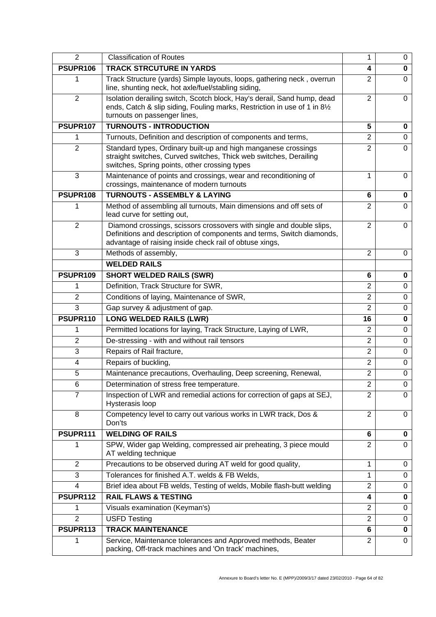| $\overline{2}$ | <b>Classification of Routes</b>                                                                                                                                                                          | 1              | 0        |
|----------------|----------------------------------------------------------------------------------------------------------------------------------------------------------------------------------------------------------|----------------|----------|
| PSUPR106       | <b>TRACK STRCUTURE IN YARDS</b>                                                                                                                                                                          | 4              | 0        |
| 1              | Track Structure (yards) Simple layouts, loops, gathering neck, overrun<br>line, shunting neck, hot axle/fuel/stabling siding,                                                                            | $\overline{2}$ | 0        |
| $\overline{2}$ | Isolation derailing switch, Scotch block, Hay's derail, Sand hump, dead<br>ends, Catch & slip siding, Fouling marks, Restriction in use of 1 in 81/2<br>turnouts on passenger lines,                     | $\overline{2}$ | 0        |
| PSUPR107       | <b>TURNOUTS - INTRODUCTION</b>                                                                                                                                                                           | 5              | 0        |
| 1              | Turnouts, Definition and description of components and terms,                                                                                                                                            | $\overline{2}$ | 0        |
| $\overline{2}$ | Standard types, Ordinary built-up and high manganese crossings<br>straight switches, Curved switches, Thick web switches, Derailing<br>switches, Spring points, other crossing types                     | $\overline{2}$ | $\Omega$ |
| 3              | Maintenance of points and crossings, wear and reconditioning of<br>crossings, maintenance of modern turnouts                                                                                             | 1              | $\Omega$ |
| PSUPR108       | <b>TURNOUTS - ASSEMBLY &amp; LAYING</b>                                                                                                                                                                  | 6              | 0        |
| 1              | Method of assembling all turnouts, Main dimensions and off sets of<br>lead curve for setting out,                                                                                                        | $\overline{2}$ | 0        |
| 2              | Diamond crossings, scissors crossovers with single and double slips,<br>Definitions and description of components and terms, Switch diamonds,<br>advantage of raising inside check rail of obtuse xings, | $\overline{2}$ | $\Omega$ |
| 3              | Methods of assembly,                                                                                                                                                                                     | $\overline{2}$ | $\Omega$ |
|                | <b>WELDED RAILS</b>                                                                                                                                                                                      |                |          |
| PSUPR109       | <b>SHORT WELDED RAILS (SWR)</b>                                                                                                                                                                          | 6              | 0        |
| 1              | Definition, Track Structure for SWR,                                                                                                                                                                     | $\overline{2}$ | 0        |
| $\overline{2}$ | Conditions of laying, Maintenance of SWR,                                                                                                                                                                | $\overline{2}$ | 0        |
| 3              | Gap survey & adjustment of gap.                                                                                                                                                                          | $\overline{2}$ | 0        |
| PSUPR110       | <b>LONG WELDED RAILS (LWR)</b>                                                                                                                                                                           | 16             | 0        |
| 1              | Permitted locations for laying, Track Structure, Laying of LWR,                                                                                                                                          | $\overline{2}$ | $\Omega$ |
| $\overline{2}$ | De-stressing - with and without rail tensors                                                                                                                                                             | 2              | 0        |
| 3              | Repairs of Rail fracture,                                                                                                                                                                                | $\overline{2}$ | 0        |
| 4              | Repairs of buckling,                                                                                                                                                                                     | $\overline{2}$ | 0        |
| 5              | Maintenance precautions, Overhauling, Deep screening, Renewal,                                                                                                                                           | $\overline{2}$ | 0        |
| 6              | Determination of stress free temperature.                                                                                                                                                                | $\overline{c}$ | 0        |
| 7              | Inspection of LWR and remedial actions for correction of gaps at SEJ,<br>Hysterasis loop                                                                                                                 | 2              | 0        |
| 8              | Competency level to carry out various works in LWR track, Dos &<br>Don'ts                                                                                                                                | $\overline{2}$ | 0        |
| PSUPR111       | <b>WELDING OF RAILS</b>                                                                                                                                                                                  | 6              | 0        |
| 1              | SPW, Wider gap Welding, compressed air preheating, 3 piece mould<br>AT welding technique                                                                                                                 | $\overline{2}$ | $\Omega$ |
| $\overline{2}$ | Precautions to be observed during AT weld for good quality,                                                                                                                                              | 1              | 0        |
| 3              | Tolerances for finished A.T. welds & FB Welds,                                                                                                                                                           | 1              | 0        |
| 4              | Brief idea about FB welds, Testing of welds, Mobile flash-butt welding                                                                                                                                   | $\overline{2}$ | 0        |
| PSUPR112       | <b>RAIL FLAWS &amp; TESTING</b>                                                                                                                                                                          | 4              | 0        |
| 1              | Visuals examination (Keyman's)                                                                                                                                                                           | $\overline{2}$ | 0        |
| $\overline{2}$ | <b>USFD Testing</b>                                                                                                                                                                                      | $\overline{2}$ | 0        |
| PSUPR113       | <b>TRACK MAINTENANCE</b>                                                                                                                                                                                 | 6              | 0        |
| 1              | Service, Maintenance tolerances and Approved methods, Beater<br>packing, Off-track machines and 'On track' machines,                                                                                     | $\overline{2}$ | 0        |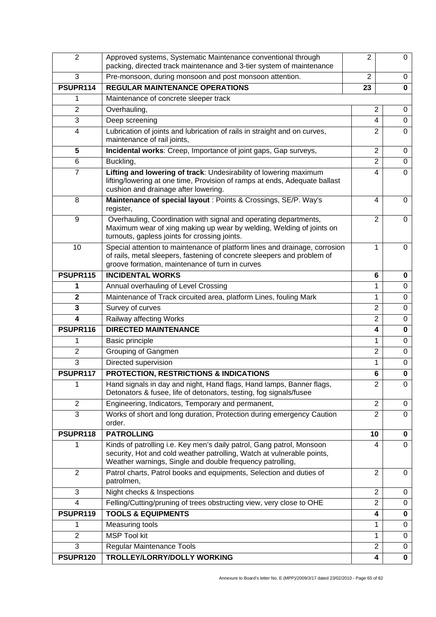| $\overline{2}$ | Approved systems, Systematic Maintenance conventional through<br>packing, directed track maintenance and 3-tier system of maintenance                                                                        | $\overline{2}$ | 0           |
|----------------|--------------------------------------------------------------------------------------------------------------------------------------------------------------------------------------------------------------|----------------|-------------|
| 3              | Pre-monsoon, during monsoon and post monsoon attention.                                                                                                                                                      | $\overline{2}$ | 0           |
| PSUPR114       | <b>REGULAR MAINTENANCE OPERATIONS</b>                                                                                                                                                                        | 23             | $\bf{0}$    |
| 1              | Maintenance of concrete sleeper track                                                                                                                                                                        |                |             |
| $\overline{2}$ | Overhauling,                                                                                                                                                                                                 | $\overline{2}$ | 0           |
| 3              | Deep screening                                                                                                                                                                                               | 4              | 0           |
| 4              | Lubrication of joints and lubrication of rails in straight and on curves,<br>maintenance of rail joints,                                                                                                     | $\overline{2}$ | $\mathbf 0$ |
| 5              | Incidental works: Creep, Importance of joint gaps, Gap surveys,                                                                                                                                              | $\overline{2}$ | 0           |
| 6              | Buckling,                                                                                                                                                                                                    | $\overline{2}$ | $\mathbf 0$ |
| 7              | Lifting and lowering of track: Undesirability of lowering maximum<br>lifting/lowering at one time, Provision of ramps at ends, Adequate ballast<br>cushion and drainage after lowering.                      | 4              | 0           |
| 8              | Maintenance of special layout : Points & Crossings, SE/P. Way's<br>register,                                                                                                                                 | 4              | $\mathbf 0$ |
| 9              | Overhauling, Coordination with signal and operating departments,<br>Maximum wear of xing making up wear by welding, Welding of joints on<br>turnouts, gapless joints for crossing joints.                    | $\overline{2}$ | $\Omega$    |
| 10             | Special attention to maintenance of platform lines and drainage, corrosion<br>of rails, metal sleepers, fastening of concrete sleepers and problem of<br>groove formation, maintenance of turn in curves     | 1              | 0           |
| PSUPR115       | <b>INCIDENTAL WORKS</b>                                                                                                                                                                                      | 6              | 0           |
| 1              | Annual overhauling of Level Crossing                                                                                                                                                                         | 1              | $\mathbf 0$ |
| $\overline{2}$ | Maintenance of Track circuited area, platform Lines, fouling Mark                                                                                                                                            | 1              | $\mathbf 0$ |
| 3              | Survey of curves                                                                                                                                                                                             | $\overline{2}$ | $\mathbf 0$ |
| 4              | Railway affecting Works                                                                                                                                                                                      | $\overline{2}$ | $\mathbf 0$ |
| PSUPR116       | <b>DIRECTED MAINTENANCE</b>                                                                                                                                                                                  | 4              | $\mathbf 0$ |
| 1              | Basic principle                                                                                                                                                                                              | 1              | 0           |
| $\overline{2}$ | Grouping of Gangmen                                                                                                                                                                                          | $\overline{2}$ | $\mathbf 0$ |
| 3              | Directed supervision                                                                                                                                                                                         | 1              | 0           |
| PSUPR117       | PROTECTION, RESTRICTIONS & INDICATIONS                                                                                                                                                                       | 6              | $\mathbf 0$ |
| 1              | Hand signals in day and night, Hand flags, Hand lamps, Banner flags,<br>Detonators & fusee, life of detonators, testing, fog signals/fusee                                                                   | 2              | 0           |
| $\overline{2}$ | Engineering, Indicators, Temporary and permanent,                                                                                                                                                            | $\overline{2}$ | 0           |
| 3              | Works of short and long duration, Protection during emergency Caution<br>order.                                                                                                                              | $\overline{2}$ | $\Omega$    |
| PSUPR118       | <b>PATROLLING</b>                                                                                                                                                                                            | 10             | 0           |
| 1              | Kinds of patrolling i.e. Key men's daily patrol, Gang patrol, Monsoon<br>security, Hot and cold weather patrolling, Watch at vulnerable points,<br>Weather warnings, Single and double frequency patrolling, | 4              | 0           |
| 2              | Patrol charts, Patrol books and equipments, Selection and duties of<br>patrolmen,                                                                                                                            | $\overline{2}$ | 0           |
| 3              | Night checks & Inspections                                                                                                                                                                                   | $\overline{2}$ | 0           |
| 4              | Felling/Cutting/pruning of trees obstructing view, very close to OHE                                                                                                                                         | $\overline{2}$ | 0           |
| PSUPR119       | <b>TOOLS &amp; EQUIPMENTS</b>                                                                                                                                                                                | 4              | 0           |
| 1              | Measuring tools                                                                                                                                                                                              | 1              | 0           |
| $\overline{2}$ | <b>MSP Tool kit</b>                                                                                                                                                                                          | 1              | $\mathbf 0$ |
| 3              | <b>Regular Maintenance Tools</b>                                                                                                                                                                             | $\overline{2}$ | 0           |
| PSUPR120       | TROLLEY/LORRY/DOLLY WORKING                                                                                                                                                                                  | 4              | $\mathbf 0$ |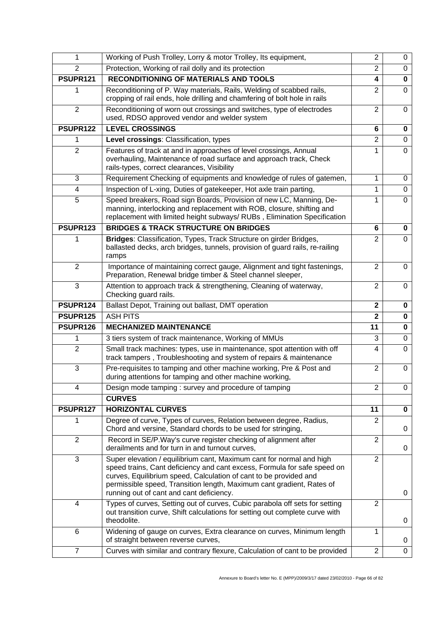| 1              | Working of Push Trolley, Lorry & motor Trolley, Its equipment,                                                                                                                                                                                                                                                                             | $\overline{2}$          | 0           |
|----------------|--------------------------------------------------------------------------------------------------------------------------------------------------------------------------------------------------------------------------------------------------------------------------------------------------------------------------------------------|-------------------------|-------------|
| $\overline{2}$ | Protection, Working of rail dolly and its protection                                                                                                                                                                                                                                                                                       | $\overline{2}$          | $\mathbf 0$ |
| PSUPR121       | <b>RECONDITIONING OF MATERIALS AND TOOLS</b>                                                                                                                                                                                                                                                                                               | 4                       | $\bf{0}$    |
| 1              | Reconditioning of P. Way materials, Rails, Welding of scabbed rails,<br>cropping of rail ends, hole drilling and chamfering of bolt hole in rails                                                                                                                                                                                          | $\overline{2}$          | $\Omega$    |
| $\overline{2}$ | Reconditioning of worn out crossings and switches, type of electrodes<br>used, RDSO approved vendor and welder system                                                                                                                                                                                                                      | $\overline{2}$          | $\mathbf 0$ |
| PSUPR122       | <b>LEVEL CROSSINGS</b>                                                                                                                                                                                                                                                                                                                     | 6                       | 0           |
| 1              | Level crossings: Classification, types                                                                                                                                                                                                                                                                                                     | $\overline{2}$          | $\mathbf 0$ |
| $\overline{2}$ | Features of track at and in approaches of level crossings, Annual<br>overhauling, Maintenance of road surface and approach track, Check<br>rails-types, correct clearances, Visibility                                                                                                                                                     | 1                       | $\mathbf 0$ |
| 3              | Requirement Checking of equipments and knowledge of rules of gatemen,                                                                                                                                                                                                                                                                      | 1                       | 0           |
| 4              | Inspection of L-xing, Duties of gatekeeper, Hot axle train parting,                                                                                                                                                                                                                                                                        | 1                       | $\mathbf 0$ |
| 5              | Speed breakers, Road sign Boards, Provision of new LC, Manning, De-<br>manning, interlocking and replacement with ROB, closure, shifting and<br>replacement with limited height subways/ RUBs, Elimination Specification                                                                                                                   | 1                       | 0           |
| PSUPR123       | <b>BRIDGES &amp; TRACK STRUCTURE ON BRIDGES</b>                                                                                                                                                                                                                                                                                            | 6                       | 0           |
| 1              | Bridges: Classification, Types, Track Structure on girder Bridges,<br>ballasted decks, arch bridges, tunnels, provision of guard rails, re-railing<br>ramps                                                                                                                                                                                | $\overline{2}$          | $\Omega$    |
| $\overline{2}$ | Importance of maintaining correct gauge, Alignment and tight fastenings,<br>Preparation, Renewal bridge timber & Steel channel sleeper,                                                                                                                                                                                                    | $\overline{2}$          | $\mathbf 0$ |
| 3              | Attention to approach track & strengthening, Cleaning of waterway,<br>Checking guard rails.                                                                                                                                                                                                                                                | $\overline{2}$          | $\Omega$    |
|                |                                                                                                                                                                                                                                                                                                                                            |                         |             |
| PSUPR124       | Ballast Depot, Training out ballast, DMT operation                                                                                                                                                                                                                                                                                         | $\overline{\mathbf{2}}$ | $\bf{0}$    |
| PSUPR125       | <b>ASH PITS</b>                                                                                                                                                                                                                                                                                                                            | $\overline{2}$          | $\bf{0}$    |
| PSUPR126       | <b>MECHANIZED MAINTENANCE</b>                                                                                                                                                                                                                                                                                                              | 11                      | $\bf{0}$    |
| 1              | 3 tiers system of track maintenance, Working of MMUs                                                                                                                                                                                                                                                                                       | 3                       | $\mathbf 0$ |
| $\overline{2}$ | Small track machines: types, use in maintenance, spot attention with off<br>track tampers, Troubleshooting and system of repairs & maintenance                                                                                                                                                                                             | $\overline{4}$          | $\mathbf 0$ |
| 3              | Pre-requisites to tamping and other machine working, Pre & Post and<br>during attentions for tamping and other machine working,                                                                                                                                                                                                            | $\overline{2}$          | 0           |
| 4              | Design mode tamping : survey and procedure of tamping                                                                                                                                                                                                                                                                                      | $\overline{2}$          | 0           |
|                | <b>CURVES</b>                                                                                                                                                                                                                                                                                                                              |                         |             |
| PSUPR127       | <b>HORIZONTAL CURVES</b>                                                                                                                                                                                                                                                                                                                   | 11                      | 0           |
| 1              | Degree of curve, Types of curves, Relation between degree, Radius,<br>Chord and versine, Standard chords to be used for stringing,                                                                                                                                                                                                         | $\overline{2}$          | 0           |
| $\overline{2}$ | Record in SE/P. Way's curve register checking of alignment after<br>derailments and for turn in and turnout curves,                                                                                                                                                                                                                        | $\overline{2}$          | 0           |
| 3              | Super elevation / equilibrium cant, Maximum cant for normal and high<br>speed trains, Cant deficiency and cant excess, Formula for safe speed on<br>curves, Equilibrium speed, Calculation of cant to be provided and<br>permissible speed, Transition length, Maximum cant gradient, Rates of<br>running out of cant and cant deficiency. | $\overline{2}$          | 0           |
| 4              | Types of curves, Setting out of curves, Cubic parabola off sets for setting<br>out transition curve, Shift calculations for setting out complete curve with<br>theodolite.                                                                                                                                                                 | $\overline{2}$          | 0           |
| 6              | Widening of gauge on curves, Extra clearance on curves, Minimum length<br>of straight between reverse curves,                                                                                                                                                                                                                              | 1                       | 0           |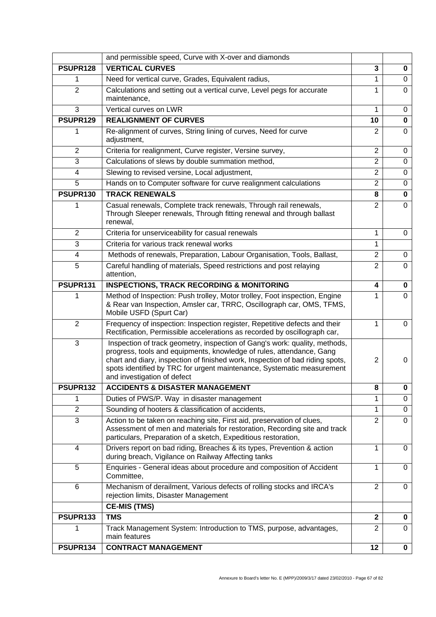|                         | and permissible speed, Curve with X-over and diamonds                                                                                                                                                                                                                                                                                        |                |          |
|-------------------------|----------------------------------------------------------------------------------------------------------------------------------------------------------------------------------------------------------------------------------------------------------------------------------------------------------------------------------------------|----------------|----------|
| PSUPR128                | <b>VERTICAL CURVES</b>                                                                                                                                                                                                                                                                                                                       | 3              | 0        |
| 1                       | Need for vertical curve, Grades, Equivalent radius,                                                                                                                                                                                                                                                                                          | 1              | 0        |
| $\overline{2}$          | Calculations and setting out a vertical curve, Level pegs for accurate<br>maintenance,                                                                                                                                                                                                                                                       | 1              | 0        |
| 3                       | Vertical curves on LWR                                                                                                                                                                                                                                                                                                                       | 1              | 0        |
| PSUPR129                | <b>REALIGNMENT OF CURVES</b>                                                                                                                                                                                                                                                                                                                 | 10             | 0        |
|                         | Re-alignment of curves, String lining of curves, Need for curve<br>adjustment,                                                                                                                                                                                                                                                               | $\overline{2}$ | $\Omega$ |
| 2                       | Criteria for realignment, Curve register, Versine survey,                                                                                                                                                                                                                                                                                    | $\overline{2}$ | 0        |
| 3                       | Calculations of slews by double summation method,                                                                                                                                                                                                                                                                                            | $\overline{2}$ | 0        |
| 4                       | Slewing to revised versine, Local adjustment,                                                                                                                                                                                                                                                                                                | $\overline{2}$ | 0        |
| 5                       | Hands on to Computer software for curve realignment calculations                                                                                                                                                                                                                                                                             | $\overline{2}$ | 0        |
| PSUPR130                | <b>TRACK RENEWALS</b>                                                                                                                                                                                                                                                                                                                        | 8              | 0        |
| 1                       | Casual renewals, Complete track renewals, Through rail renewals,<br>Through Sleeper renewals, Through fitting renewal and through ballast<br>renewal,                                                                                                                                                                                        | $\overline{2}$ | $\Omega$ |
| $\overline{2}$          | Criteria for unserviceability for casual renewals                                                                                                                                                                                                                                                                                            | 1              | 0        |
| 3                       | Criteria for various track renewal works                                                                                                                                                                                                                                                                                                     | 1              |          |
| $\overline{\mathbf{4}}$ | Methods of renewals, Preparation, Labour Organisation, Tools, Ballast,                                                                                                                                                                                                                                                                       | $\overline{2}$ | 0        |
| 5                       | Careful handling of materials, Speed restrictions and post relaying<br>attention,                                                                                                                                                                                                                                                            | $\overline{2}$ | $\Omega$ |
| PSUPR131                | <b>INSPECTIONS, TRACK RECORDING &amp; MONITORING</b>                                                                                                                                                                                                                                                                                         | 4              | 0        |
|                         | Method of Inspection: Push trolley, Motor trolley, Foot inspection, Engine<br>& Rear van Inspection, Amsler car, TRRC, Oscillograph car, OMS, TFMS,<br>Mobile USFD (Spurt Car)                                                                                                                                                               | 1              | 0        |
| $\overline{2}$          | Frequency of inspection: Inspection register, Repetitive defects and their<br>Rectification, Permissible accelerations as recorded by oscillograph car,                                                                                                                                                                                      | 1              | 0        |
| 3                       | Inspection of track geometry, inspection of Gang's work: quality, methods,<br>progress, tools and equipments, knowledge of rules, attendance, Gang<br>chart and diary, inspection of finished work, Inspection of bad riding spots,<br>spots identified by TRC for urgent maintenance, Systematic measurement<br>and investigation of defect | $\overline{2}$ | 0        |
| PSUPR132                | <b>ACCIDENTS &amp; DISASTER MANAGEMENT</b>                                                                                                                                                                                                                                                                                                   | 8              | 0        |
| 1                       | Duties of PWS/P. Way in disaster management                                                                                                                                                                                                                                                                                                  | 1              | 0        |
| $\overline{2}$          | Sounding of hooters & classification of accidents,                                                                                                                                                                                                                                                                                           | 1              | 0        |
| 3                       | Action to be taken on reaching site, First aid, preservation of clues,<br>Assessment of men and materials for restoration, Recording site and track<br>particulars, Preparation of a sketch, Expeditious restoration,                                                                                                                        | $\overline{2}$ | 0        |
| 4                       | Drivers report on bad riding, Breaches & its types, Prevention & action<br>during breach, Vigilance on Railway Affecting tanks                                                                                                                                                                                                               | 1              | 0        |
| 5                       | Enquiries - General ideas about procedure and composition of Accident<br>Committee,                                                                                                                                                                                                                                                          | 1              | 0        |
| 6                       | Mechanism of derailment, Various defects of rolling stocks and IRCA's<br>rejection limits, Disaster Management                                                                                                                                                                                                                               | $\overline{2}$ | 0        |
|                         | <b>CE-MIS (TMS)</b>                                                                                                                                                                                                                                                                                                                          |                |          |
| PSUPR133                | <b>TMS</b>                                                                                                                                                                                                                                                                                                                                   | $\overline{2}$ | 0        |
|                         | Track Management System: Introduction to TMS, purpose, advantages,<br>main features                                                                                                                                                                                                                                                          | $\overline{2}$ | 0        |
| PSUPR134                | <b>CONTRACT MANAGEMENT</b>                                                                                                                                                                                                                                                                                                                   | 12             | 0        |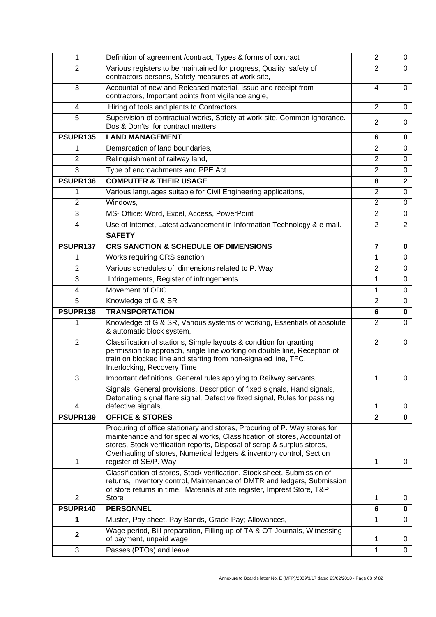| 1              | Definition of agreement /contract, Types & forms of contract                                                                                                                                                                                                                                                                        | $\overline{2}$          | 0              |
|----------------|-------------------------------------------------------------------------------------------------------------------------------------------------------------------------------------------------------------------------------------------------------------------------------------------------------------------------------------|-------------------------|----------------|
| $\overline{2}$ | Various registers to be maintained for progress, Quality, safety of<br>contractors persons, Safety measures at work site,                                                                                                                                                                                                           | $\overline{2}$          | 0              |
| 3              | Accountal of new and Released material, Issue and receipt from<br>contractors, Important points from vigilance angle,                                                                                                                                                                                                               | 4                       | $\Omega$       |
| 4              | Hiring of tools and plants to Contractors                                                                                                                                                                                                                                                                                           | $\overline{2}$          | 0              |
| 5              | Supervision of contractual works, Safety at work-site, Common ignorance.<br>Dos & Don'ts for contract matters                                                                                                                                                                                                                       | $\overline{2}$          | $\Omega$       |
| PSUPR135       | <b>LAND MANAGEMENT</b>                                                                                                                                                                                                                                                                                                              | 6                       | 0              |
| 1              | Demarcation of land boundaries,                                                                                                                                                                                                                                                                                                     | $\overline{2}$          | $\mathbf 0$    |
| $\overline{2}$ | Relinquishment of railway land,                                                                                                                                                                                                                                                                                                     | $\overline{2}$          | $\Omega$       |
| $\overline{3}$ | Type of encroachments and PPE Act.                                                                                                                                                                                                                                                                                                  | $\overline{2}$          | $\mathbf 0$    |
| PSUPR136       | <b>COMPUTER &amp; THEIR USAGE</b>                                                                                                                                                                                                                                                                                                   | 8                       | $\mathbf 2$    |
| 1              | Various languages suitable for Civil Engineering applications,                                                                                                                                                                                                                                                                      | $\overline{2}$          | $\Omega$       |
| $\overline{2}$ | Windows,                                                                                                                                                                                                                                                                                                                            | $\overline{2}$          | $\Omega$       |
| 3              | MS- Office: Word, Excel, Access, PowerPoint                                                                                                                                                                                                                                                                                         | $\overline{2}$          | $\Omega$       |
| 4              | Use of Internet, Latest advancement in Information Technology & e-mail.                                                                                                                                                                                                                                                             | $\overline{2}$          | $\overline{2}$ |
|                | <b>SAFETY</b>                                                                                                                                                                                                                                                                                                                       |                         |                |
| PSUPR137       | <b>CRS SANCTION &amp; SCHEDULE OF DIMENSIONS</b>                                                                                                                                                                                                                                                                                    | $\overline{\mathbf{7}}$ | $\bf{0}$       |
| 1              | Works requiring CRS sanction                                                                                                                                                                                                                                                                                                        | 1                       | $\mathbf 0$    |
| $\overline{2}$ | Various schedules of dimensions related to P. Way                                                                                                                                                                                                                                                                                   | $\overline{2}$          | $\Omega$       |
| 3              | Infringements, Register of infringements                                                                                                                                                                                                                                                                                            | 1                       | 0              |
| 4              | Movement of ODC                                                                                                                                                                                                                                                                                                                     | 1                       | $\Omega$       |
|                |                                                                                                                                                                                                                                                                                                                                     | $\overline{2}$          | $\Omega$       |
| 5              | Knowledge of G & SR                                                                                                                                                                                                                                                                                                                 |                         |                |
| PSUPR138       | <b>TRANSPORTATION</b>                                                                                                                                                                                                                                                                                                               | 6                       | $\bf{0}$       |
| 1              | Knowledge of G & SR, Various systems of working, Essentials of absolute<br>& automatic block system,                                                                                                                                                                                                                                | $\overline{2}$          | 0              |
| $\overline{2}$ | Classification of stations, Simple layouts & condition for granting<br>permission to approach, single line working on double line, Reception of<br>train on blocked line and starting from non-signaled line, TFC,<br>Interlocking, Recovery Time                                                                                   | $\overline{2}$          | $\mathbf 0$    |
| 3              | Important definitions, General rules applying to Railway servants,                                                                                                                                                                                                                                                                  | 1                       | 0              |
|                | Signals, General provisions, Description of fixed signals, Hand signals,<br>Detonating signal flare signal, Defective fixed signal, Rules for passing                                                                                                                                                                               | 1                       | 0              |
| 4<br>PSUPR139  | defective signals,<br><b>OFFICE &amp; STORES</b>                                                                                                                                                                                                                                                                                    | $\overline{2}$          | $\bf{0}$       |
| 1              | Procuring of office stationary and stores, Procuring of P. Way stores for<br>maintenance and for special works, Classification of stores, Accountal of<br>stores, Stock verification reports, Disposal of scrap & surplus stores,<br>Overhauling of stores, Numerical ledgers & inventory control, Section<br>register of SE/P. Way | 1                       | 0              |
| $\overline{2}$ | Classification of stores, Stock verification, Stock sheet, Submission of<br>returns, Inventory control, Maintenance of DMTR and ledgers, Submission<br>of store returns in time, Materials at site register, Imprest Store, T&P<br><b>Store</b>                                                                                     | 1                       | 0              |
| PSUPR140       | <b>PERSONNEL</b>                                                                                                                                                                                                                                                                                                                    | 6                       | $\mathbf 0$    |
| 1              | Muster, Pay sheet, Pay Bands, Grade Pay; Allowances,                                                                                                                                                                                                                                                                                | 1                       | $\mathbf 0$    |
| $\mathbf 2$    | Wage period, Bill preparation, Filling up of TA & OT Journals, Witnessing<br>of payment, unpaid wage                                                                                                                                                                                                                                | 1                       | 0              |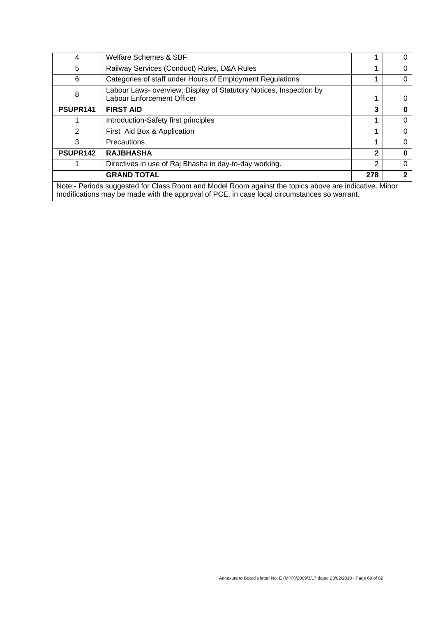| 4                                                                                                                                                                                                    | Welfare Schemes & SBF                                                                                   |              |   |  |  |
|------------------------------------------------------------------------------------------------------------------------------------------------------------------------------------------------------|---------------------------------------------------------------------------------------------------------|--------------|---|--|--|
| 5                                                                                                                                                                                                    | Railway Services (Conduct) Rules, D&A Rules                                                             |              | O |  |  |
| 6                                                                                                                                                                                                    | Categories of staff under Hours of Employment Regulations                                               |              | 0 |  |  |
| 8                                                                                                                                                                                                    | Labour Laws- overview; Display of Statutory Notices, Inspection by<br><b>Labour Enforcement Officer</b> |              | O |  |  |
| PSUPR141                                                                                                                                                                                             | <b>FIRST AID</b>                                                                                        | 3            | O |  |  |
|                                                                                                                                                                                                      | Introduction-Safety first principles                                                                    |              | 0 |  |  |
| 2                                                                                                                                                                                                    | First Aid Box & Application                                                                             |              | 0 |  |  |
| 3                                                                                                                                                                                                    | Precautions                                                                                             |              | 0 |  |  |
| PSUPR142                                                                                                                                                                                             | <b>RAJBHASHA</b>                                                                                        | $\mathbf{2}$ | ŋ |  |  |
|                                                                                                                                                                                                      | Directives in use of Raj Bhasha in day-to-day working.                                                  | 2            | 0 |  |  |
|                                                                                                                                                                                                      | <b>GRAND TOTAL</b>                                                                                      | 278          | 2 |  |  |
| Note:- Periods suggested for Class Room and Model Room against the topics above are indicative. Minor<br>modifications may be made with the approval of PCE, in case local circumstances so warrant. |                                                                                                         |              |   |  |  |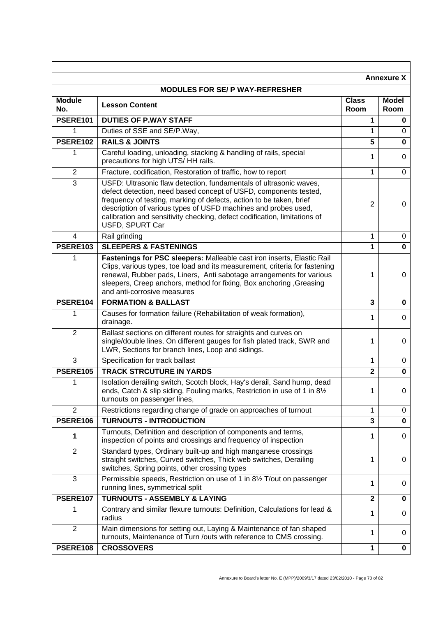|                      |                                                                                                                                                                                                                                                                                                                                                                                 |                      | <b>Annexure X</b>    |
|----------------------|---------------------------------------------------------------------------------------------------------------------------------------------------------------------------------------------------------------------------------------------------------------------------------------------------------------------------------------------------------------------------------|----------------------|----------------------|
|                      | <b>MODULES FOR SE/ P WAY-REFRESHER</b>                                                                                                                                                                                                                                                                                                                                          |                      |                      |
| <b>Module</b><br>No. | <b>Lesson Content</b>                                                                                                                                                                                                                                                                                                                                                           | <b>Class</b><br>Room | <b>Model</b><br>Room |
| PSERE101             | <b>DUTIES OF P.WAY STAFF</b>                                                                                                                                                                                                                                                                                                                                                    | 1                    | 0                    |
| 1                    | Duties of SSE and SE/P.Way,                                                                                                                                                                                                                                                                                                                                                     | 1                    | 0                    |
| PSERE102             | <b>RAILS &amp; JOINTS</b>                                                                                                                                                                                                                                                                                                                                                       | 5                    | 0                    |
| 1                    | Careful loading, unloading, stacking & handling of rails, special<br>precautions for high UTS/HH rails.                                                                                                                                                                                                                                                                         | 1                    | 0                    |
| $\overline{2}$       | Fracture, codification, Restoration of traffic, how to report                                                                                                                                                                                                                                                                                                                   | 1                    | $\Omega$             |
| 3                    | USFD: Ultrasonic flaw detection, fundamentals of ultrasonic waves,<br>defect detection, need based concept of USFD, components tested,<br>frequency of testing, marking of defects, action to be taken, brief<br>description of various types of USFD machines and probes used,<br>calibration and sensitivity checking, defect codification, limitations of<br>USFD, SPURT Car | 2                    | 0                    |
| 4                    | Rail grinding                                                                                                                                                                                                                                                                                                                                                                   | 1                    | 0                    |
| <b>PSERE103</b>      | <b>SLEEPERS &amp; FASTENINGS</b>                                                                                                                                                                                                                                                                                                                                                | 1                    | $\bf{0}$             |
| 1                    | Fastenings for PSC sleepers: Malleable cast iron inserts, Elastic Rail<br>Clips, various types, toe load and its measurement, criteria for fastening<br>renewal, Rubber pads, Liners, Anti sabotage arrangements for various<br>sleepers, Creep anchors, method for fixing, Box anchoring, Greasing<br>and anti-corrosive measures                                              | 1                    | 0                    |
| PSERE104             | <b>FORMATION &amp; BALLAST</b>                                                                                                                                                                                                                                                                                                                                                  | 3                    | $\bf{0}$             |
| 1                    | Causes for formation failure (Rehabilitation of weak formation),<br>drainage.                                                                                                                                                                                                                                                                                                   | 1                    | 0                    |
| $\overline{2}$       | Ballast sections on different routes for straights and curves on<br>single/double lines, On different gauges for fish plated track, SWR and<br>LWR, Sections for branch lines, Loop and sidings.                                                                                                                                                                                | 1                    | 0                    |
| 3                    | Specification for track ballast                                                                                                                                                                                                                                                                                                                                                 | 1                    | 0                    |
| <b>PSERE105</b>      | <b>TRACK STRCUTURE IN YARDS</b>                                                                                                                                                                                                                                                                                                                                                 | 2                    | 0                    |
| 1                    | Isolation derailing switch, Scotch block, Hay's derail, Sand hump, dead<br>ends, Catch & slip siding, Fouling marks, Restriction in use of 1 in 81/2<br>turnouts on passenger lines,                                                                                                                                                                                            | 1                    | 0                    |
| $\overline{2}$       | Restrictions regarding change of grade on approaches of turnout                                                                                                                                                                                                                                                                                                                 | 1                    | 0                    |
| PSERE106             | <b>TURNOUTS - INTRODUCTION</b>                                                                                                                                                                                                                                                                                                                                                  | 3                    | $\bf{0}$             |
| 1                    | Turnouts, Definition and description of components and terms,<br>inspection of points and crossings and frequency of inspection                                                                                                                                                                                                                                                 | 1                    | 0                    |
| $\overline{2}$       | Standard types, Ordinary built-up and high manganese crossings<br>straight switches, Curved switches, Thick web switches, Derailing<br>switches, Spring points, other crossing types                                                                                                                                                                                            | 1                    | 0                    |
| 3                    | Permissible speeds, Restriction on use of 1 in 81/2 T/out on passenger<br>running lines, symmetrical split                                                                                                                                                                                                                                                                      | 1                    | 0                    |
| <b>PSERE107</b>      | <b>TURNOUTS - ASSEMBLY &amp; LAYING</b>                                                                                                                                                                                                                                                                                                                                         | $\mathbf 2$          | 0                    |
| 1                    | Contrary and similar flexure turnouts: Definition, Calculations for lead &<br>radius                                                                                                                                                                                                                                                                                            | 1                    | 0                    |
| $\overline{2}$       | Main dimensions for setting out, Laying & Maintenance of fan shaped<br>turnouts, Maintenance of Turn /outs with reference to CMS crossing.                                                                                                                                                                                                                                      | 1                    | 0                    |
| PSERE108             | <b>CROSSOVERS</b>                                                                                                                                                                                                                                                                                                                                                               | 1                    | $\mathbf 0$          |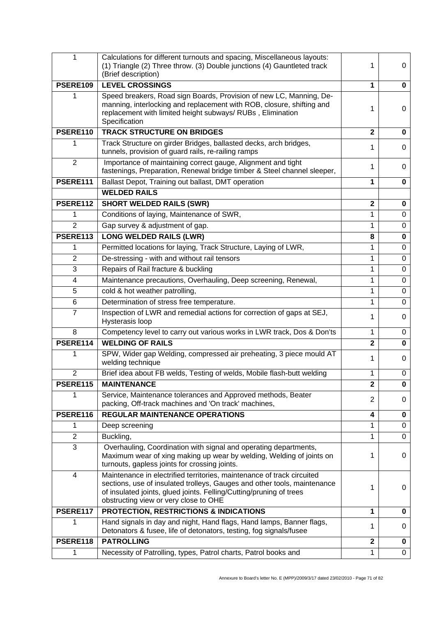| 1               | Calculations for different turnouts and spacing, Miscellaneous layouts:<br>(1) Triangle (2) Three throw. (3) Double junctions (4) Gauntleted track<br>(Brief description)                                                                                          | 1                       | 0              |
|-----------------|--------------------------------------------------------------------------------------------------------------------------------------------------------------------------------------------------------------------------------------------------------------------|-------------------------|----------------|
| <b>PSERE109</b> | <b>LEVEL CROSSINGS</b>                                                                                                                                                                                                                                             | 1                       | 0              |
|                 | Speed breakers, Road sign Boards, Provision of new LC, Manning, De-<br>manning, interlocking and replacement with ROB, closure, shifting and<br>replacement with limited height subways/RUBs, Elimination<br>Specification                                         | 1                       | 0              |
| PSERE110        | <b>TRACK STRUCTURE ON BRIDGES</b>                                                                                                                                                                                                                                  | $\mathbf{2}$            | 0              |
| 1               | Track Structure on girder Bridges, ballasted decks, arch bridges,<br>tunnels, provision of guard rails, re-railing ramps                                                                                                                                           | 1                       | $\Omega$       |
| 2               | Importance of maintaining correct gauge, Alignment and tight<br>fastenings, Preparation, Renewal bridge timber & Steel channel sleeper,                                                                                                                            | 1                       | 0              |
| PSERE111        | Ballast Depot, Training out ballast, DMT operation                                                                                                                                                                                                                 | 1                       | 0              |
|                 | <b>WELDED RAILS</b>                                                                                                                                                                                                                                                |                         |                |
| PSERE112        | <b>SHORT WELDED RAILS (SWR)</b>                                                                                                                                                                                                                                    | $\mathbf{2}$            | 0              |
| 1               | Conditions of laying, Maintenance of SWR,                                                                                                                                                                                                                          | 1                       | $\mathbf 0$    |
| $\overline{2}$  | Gap survey & adjustment of gap.                                                                                                                                                                                                                                    | 1                       | 0              |
| PSERE113        | <b>LONG WELDED RAILS (LWR)</b>                                                                                                                                                                                                                                     | 8                       | $\mathbf 0$    |
| 1               | Permitted locations for laying, Track Structure, Laying of LWR,                                                                                                                                                                                                    | 1                       | 0              |
| $\overline{2}$  | De-stressing - with and without rail tensors                                                                                                                                                                                                                       | 1                       | $\mathbf 0$    |
| 3               | Repairs of Rail fracture & buckling                                                                                                                                                                                                                                | 1                       | 0              |
| 4               | Maintenance precautions, Overhauling, Deep screening, Renewal,                                                                                                                                                                                                     | 1                       | $\mathbf 0$    |
| 5               | cold & hot weather patrolling,                                                                                                                                                                                                                                     | 1                       | $\mathbf 0$    |
| $6\phantom{1}$  | Determination of stress free temperature.                                                                                                                                                                                                                          | 1                       | $\overline{0}$ |
| $\overline{7}$  | Inspection of LWR and remedial actions for correction of gaps at SEJ,<br>Hysterasis loop                                                                                                                                                                           | 1                       | $\Omega$       |
| 8               | Competency level to carry out various works in LWR track, Dos & Don'ts                                                                                                                                                                                             | 1                       | 0              |
| PSERE114        | <b>WELDING OF RAILS</b>                                                                                                                                                                                                                                            | $\overline{\mathbf{2}}$ | $\mathbf 0$    |
| 1               | SPW, Wider gap Welding, compressed air preheating, 3 piece mould AT<br>welding technique                                                                                                                                                                           | 1                       | 0              |
| $\overline{2}$  | Brief idea about FB welds, Testing of welds, Mobile flash-butt welding                                                                                                                                                                                             | 1                       | $\mathbf 0$    |
| <b>PSERE115</b> | <b>MAINTENANCE</b>                                                                                                                                                                                                                                                 | $\mathbf{2}$            | 0              |
|                 | Service, Maintenance tolerances and Approved methods, Beater<br>packing, Off-track machines and 'On track' machines,                                                                                                                                               | 2                       | 0              |
| PSERE116        | <b>REGULAR MAINTENANCE OPERATIONS</b>                                                                                                                                                                                                                              | 4                       | 0              |
| 1               | Deep screening                                                                                                                                                                                                                                                     | 1                       | $\mathbf 0$    |
| $\overline{2}$  | Buckling,                                                                                                                                                                                                                                                          | 1                       | 0              |
| 3               | Overhauling, Coordination with signal and operating departments,<br>Maximum wear of xing making up wear by welding, Welding of joints on<br>turnouts, gapless joints for crossing joints.                                                                          | 1                       | 0              |
| $\overline{4}$  | Maintenance in electrified territories, maintenance of track circuited<br>sections, use of insulated trolleys, Gauges and other tools, maintenance<br>of insulated joints, glued joints. Felling/Cutting/pruning of trees<br>obstructing view or very close to OHE | 1                       | 0              |
| PSERE117        | PROTECTION, RESTRICTIONS & INDICATIONS                                                                                                                                                                                                                             | 1                       | 0              |
| 1               | Hand signals in day and night, Hand flags, Hand lamps, Banner flags,<br>Detonators & fusee, life of detonators, testing, fog signals/fusee                                                                                                                         | 1                       | 0              |
| PSERE118        | <b>PATROLLING</b>                                                                                                                                                                                                                                                  | $\mathbf 2$             | 0              |
| 1               | Necessity of Patrolling, types, Patrol charts, Patrol books and                                                                                                                                                                                                    | 1                       | $\mathbf 0$    |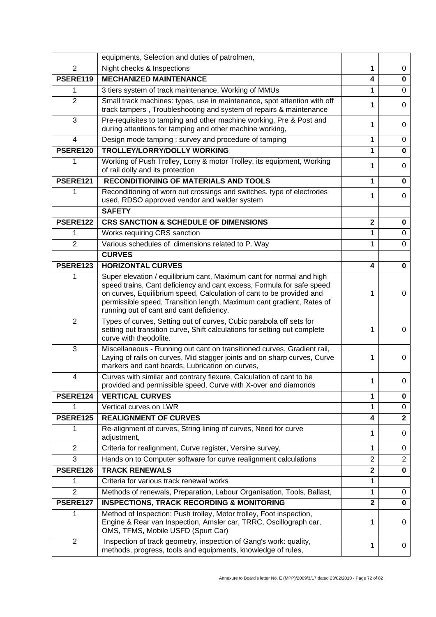|                 | equipments, Selection and duties of patrolmen,                                                                                                                                                                                                                                                                                             |                |                |
|-----------------|--------------------------------------------------------------------------------------------------------------------------------------------------------------------------------------------------------------------------------------------------------------------------------------------------------------------------------------------|----------------|----------------|
| 2               | Night checks & Inspections                                                                                                                                                                                                                                                                                                                 | 1              | 0              |
| PSERE119        | <b>MECHANIZED MAINTENANCE</b>                                                                                                                                                                                                                                                                                                              | 4              | 0              |
| 1               | 3 tiers system of track maintenance, Working of MMUs                                                                                                                                                                                                                                                                                       | 1              | 0              |
| $\overline{2}$  | Small track machines: types, use in maintenance, spot attention with off<br>track tampers, Troubleshooting and system of repairs & maintenance                                                                                                                                                                                             | 1              | 0              |
| 3               | Pre-requisites to tamping and other machine working, Pre & Post and<br>during attentions for tamping and other machine working,                                                                                                                                                                                                            | 1              | 0              |
| $\overline{4}$  | Design mode tamping: survey and procedure of tamping                                                                                                                                                                                                                                                                                       | 1              | $\Omega$       |
| PSERE120        | TROLLEY/LORRY/DOLLY WORKING                                                                                                                                                                                                                                                                                                                | 1              | 0              |
| 1               | Working of Push Trolley, Lorry & motor Trolley, its equipment, Working<br>of rail dolly and its protection                                                                                                                                                                                                                                 |                | $\Omega$       |
| PSERE121        | <b>RECONDITIONING OF MATERIALS AND TOOLS</b>                                                                                                                                                                                                                                                                                               | 1              | 0              |
| 1               | Reconditioning of worn out crossings and switches, type of electrodes<br>used, RDSO approved vendor and welder system                                                                                                                                                                                                                      | 1              | 0              |
|                 | <b>SAFETY</b>                                                                                                                                                                                                                                                                                                                              |                |                |
| PSERE122        | <b>CRS SANCTION &amp; SCHEDULE OF DIMENSIONS</b>                                                                                                                                                                                                                                                                                           | $\mathbf 2$    | 0              |
| 1               | Works requiring CRS sanction                                                                                                                                                                                                                                                                                                               |                | 0              |
| $\overline{2}$  | Various schedules of dimensions related to P. Way                                                                                                                                                                                                                                                                                          | 1              | 0              |
|                 | <b>CURVES</b>                                                                                                                                                                                                                                                                                                                              |                |                |
| PSERE123        | <b>HORIZONTAL CURVES</b>                                                                                                                                                                                                                                                                                                                   | 4              | 0              |
| 1               | Super elevation / equilibrium cant, Maximum cant for normal and high<br>speed trains, Cant deficiency and cant excess, Formula for safe speed<br>on curves, Equilibrium speed, Calculation of cant to be provided and<br>permissible speed, Transition length, Maximum cant gradient, Rates of<br>running out of cant and cant deficiency. | 1              | 0              |
| $\overline{2}$  | Types of curves, Setting out of curves, Cubic parabola off sets for<br>setting out transition curve, Shift calculations for setting out complete<br>curve with theodolite.                                                                                                                                                                 | 1              | $\Omega$       |
| 3               | Miscellaneous - Running out cant on transitioned curves, Gradient rail,<br>Laying of rails on curves, Mid stagger joints and on sharp curves, Curve<br>markers and cant boards, Lubrication on curves,                                                                                                                                     | 1              | 0              |
| $\overline{4}$  | Curves with similar and contrary flexure, Calculation of cant to be<br>provided and permissible speed, Curve with X-over and diamonds                                                                                                                                                                                                      | 1              | 0              |
| PSERE124        | <b>VERTICAL CURVES</b>                                                                                                                                                                                                                                                                                                                     | 1              | 0              |
| 1               | Vertical curves on LWR                                                                                                                                                                                                                                                                                                                     | 1              | 0              |
| <b>PSERE125</b> | <b>REALIGNMENT OF CURVES</b>                                                                                                                                                                                                                                                                                                               | 4              | $\mathbf{2}$   |
| 1               | Re-alignment of curves, String lining of curves, Need for curve<br>adjustment,                                                                                                                                                                                                                                                             | 1.             | 0              |
| $\overline{2}$  | Criteria for realignment, Curve register, Versine survey,                                                                                                                                                                                                                                                                                  | 1              | 0              |
| 3               | Hands on to Computer software for curve realignment calculations                                                                                                                                                                                                                                                                           | $\overline{2}$ | $\overline{2}$ |
| PSERE126        | <b>TRACK RENEWALS</b>                                                                                                                                                                                                                                                                                                                      | $\overline{2}$ | 0              |
| 1               | Criteria for various track renewal works                                                                                                                                                                                                                                                                                                   | 1              |                |
| $\overline{2}$  | Methods of renewals, Preparation, Labour Organisation, Tools, Ballast,                                                                                                                                                                                                                                                                     | 1              | 0              |
| PSERE127        | <b>INSPECTIONS, TRACK RECORDING &amp; MONITORING</b>                                                                                                                                                                                                                                                                                       | $\mathbf 2$    | 0              |
| 1               | Method of Inspection: Push trolley, Motor trolley, Foot inspection,<br>Engine & Rear van Inspection, Amsler car, TRRC, Oscillograph car,<br>OMS, TFMS, Mobile USFD (Spurt Car)                                                                                                                                                             | 1              | 0              |
| $\overline{2}$  | Inspection of track geometry, inspection of Gang's work: quality,<br>methods, progress, tools and equipments, knowledge of rules,                                                                                                                                                                                                          | 1              | 0              |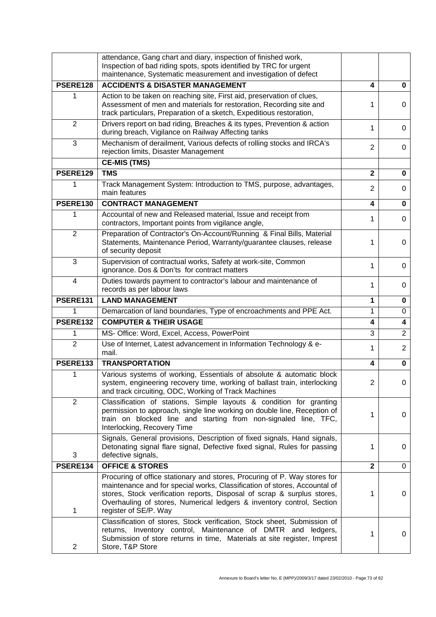|                 | attendance, Gang chart and diary, inspection of finished work,<br>Inspection of bad riding spots, spots identified by TRC for urgent<br>maintenance, Systematic measurement and investigation of defect                                                                                                                             |              |                |
|-----------------|-------------------------------------------------------------------------------------------------------------------------------------------------------------------------------------------------------------------------------------------------------------------------------------------------------------------------------------|--------------|----------------|
| PSERE128        | <b>ACCIDENTS &amp; DISASTER MANAGEMENT</b>                                                                                                                                                                                                                                                                                          | 4            | $\mathbf 0$    |
|                 | Action to be taken on reaching site, First aid, preservation of clues,<br>Assessment of men and materials for restoration, Recording site and<br>track particulars, Preparation of a sketch, Expeditious restoration,                                                                                                               | 1            | 0              |
| 2               | Drivers report on bad riding, Breaches & its types, Prevention & action<br>during breach, Vigilance on Railway Affecting tanks                                                                                                                                                                                                      | 1            | 0              |
| 3               | Mechanism of derailment, Various defects of rolling stocks and IRCA's<br>rejection limits, Disaster Management                                                                                                                                                                                                                      | 2            | 0              |
|                 | <b>CE-MIS (TMS)</b>                                                                                                                                                                                                                                                                                                                 |              |                |
| PSERE129        | <b>TMS</b>                                                                                                                                                                                                                                                                                                                          | $\mathbf{2}$ | $\bf{0}$       |
|                 | Track Management System: Introduction to TMS, purpose, advantages,<br>main features                                                                                                                                                                                                                                                 | 2            | 0              |
| <b>PSERE130</b> | <b>CONTRACT MANAGEMENT</b>                                                                                                                                                                                                                                                                                                          | 4            | $\bf{0}$       |
|                 | Accountal of new and Released material, Issue and receipt from<br>contractors, Important points from vigilance angle,                                                                                                                                                                                                               | 1            | 0              |
| $\overline{2}$  | Preparation of Contractor's On-Account/Running & Final Bills, Material<br>Statements, Maintenance Period, Warranty/guarantee clauses, release<br>of security deposit                                                                                                                                                                | 1            | 0              |
| 3               | Supervision of contractual works, Safety at work-site, Common<br>ignorance. Dos & Don'ts for contract matters                                                                                                                                                                                                                       | 1            | 0              |
| 4               | Duties towards payment to contractor's labour and maintenance of<br>records as per labour laws                                                                                                                                                                                                                                      | 1            | 0              |
| PSERE131        | <b>LAND MANAGEMENT</b>                                                                                                                                                                                                                                                                                                              | 1            | 0              |
|                 | Demarcation of land boundaries, Type of encroachments and PPE Act.                                                                                                                                                                                                                                                                  | 1            | $\mathbf 0$    |
| PSERE132        | <b>COMPUTER &amp; THEIR USAGE</b>                                                                                                                                                                                                                                                                                                   | 4            | 4              |
| 1               | MS- Office: Word, Excel, Access, PowerPoint                                                                                                                                                                                                                                                                                         | 3            | $\overline{2}$ |
| $\overline{2}$  | Use of Internet, Latest advancement in Information Technology & e-<br>mail.                                                                                                                                                                                                                                                         | 1            | $\overline{2}$ |
| PSERE133        | <b>TRANSPORTATION</b>                                                                                                                                                                                                                                                                                                               | 4            | 0              |
| 1               | Various systems of working, Essentials of absolute & automatic block<br>system, engineering recovery time, working of ballast train, interlocking<br>and track circuiting, ODC, Working of Track Machines                                                                                                                           | 2            | 0              |
| $\overline{2}$  | Classification of stations, Simple layouts & condition for granting<br>permission to approach, single line working on double line, Reception of<br>train on blocked line and starting from non-signaled line, TFC,<br>Interlocking, Recovery Time                                                                                   | 1            | 0              |
| 3               | Signals, General provisions, Description of fixed signals, Hand signals,<br>Detonating signal flare signal, Defective fixed signal, Rules for passing<br>defective signals,                                                                                                                                                         | 1            | 0              |
| PSERE134        | <b>OFFICE &amp; STORES</b>                                                                                                                                                                                                                                                                                                          | $\mathbf{2}$ | 0              |
| 1               | Procuring of office stationary and stores, Procuring of P. Way stores for<br>maintenance and for special works, Classification of stores, Accountal of<br>stores, Stock verification reports, Disposal of scrap & surplus stores,<br>Overhauling of stores, Numerical ledgers & inventory control, Section<br>register of SE/P. Way | 1            | 0              |
| 2               | Classification of stores, Stock verification, Stock sheet, Submission of<br>returns, Inventory control, Maintenance of DMTR and ledgers,<br>Submission of store returns in time, Materials at site register, Imprest<br>Store, T&P Store                                                                                            | 1            | 0              |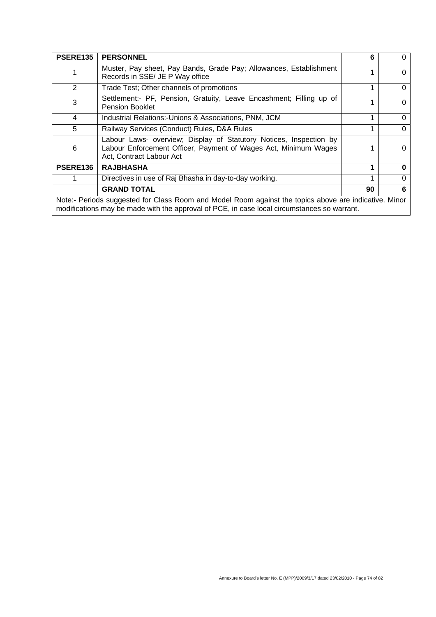| <b>PSERE135</b>                                                                                                                                                                                      | <b>PERSONNEL</b>                                                                                                                                                  | 6  | 0        |
|------------------------------------------------------------------------------------------------------------------------------------------------------------------------------------------------------|-------------------------------------------------------------------------------------------------------------------------------------------------------------------|----|----------|
|                                                                                                                                                                                                      | Muster, Pay sheet, Pay Bands, Grade Pay; Allowances, Establishment<br>Records in SSE/ JE P Way office                                                             |    | $\Omega$ |
| 2                                                                                                                                                                                                    | Trade Test; Other channels of promotions                                                                                                                          |    | $\Omega$ |
| 3                                                                                                                                                                                                    | Settlement:- PF, Pension, Gratuity, Leave Encashment; Filling up of<br><b>Pension Booklet</b>                                                                     |    | $\Omega$ |
| 4                                                                                                                                                                                                    | Industrial Relations:-Unions & Associations, PNM, JCM                                                                                                             |    | $\Omega$ |
| 5                                                                                                                                                                                                    | Railway Services (Conduct) Rules, D&A Rules                                                                                                                       |    | $\Omega$ |
| 6                                                                                                                                                                                                    | Labour Laws- overview; Display of Statutory Notices, Inspection by<br>Labour Enforcement Officer, Payment of Wages Act, Minimum Wages<br>Act, Contract Labour Act |    | 0        |
| <b>PSERE136</b>                                                                                                                                                                                      | <b>RAJBHASHA</b>                                                                                                                                                  |    |          |
|                                                                                                                                                                                                      | Directives in use of Raj Bhasha in day-to-day working.                                                                                                            |    |          |
|                                                                                                                                                                                                      | <b>GRAND TOTAL</b>                                                                                                                                                | 90 | 6        |
| Note:- Periods suggested for Class Room and Model Room against the topics above are indicative. Minor<br>modifications may be made with the approval of PCE, in case local circumstances so warrant. |                                                                                                                                                                   |    |          |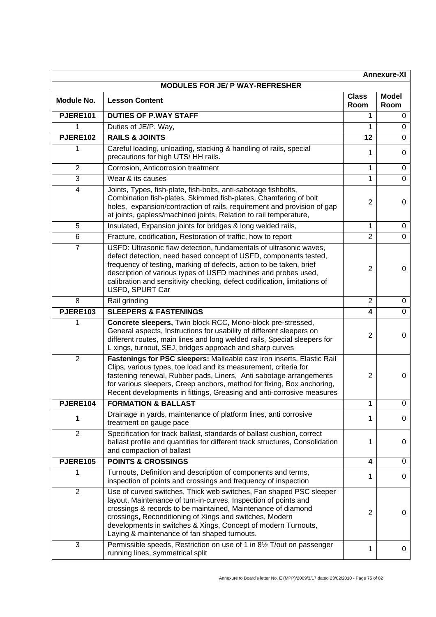| <b>Annexure-XI</b>              |                                                                                                                                                                                                                                                                                                                                                                                   |                         |                      |
|---------------------------------|-----------------------------------------------------------------------------------------------------------------------------------------------------------------------------------------------------------------------------------------------------------------------------------------------------------------------------------------------------------------------------------|-------------------------|----------------------|
| MODULES FOR JE/ P WAY-REFRESHER |                                                                                                                                                                                                                                                                                                                                                                                   |                         |                      |
| Module No.                      | <b>Lesson Content</b>                                                                                                                                                                                                                                                                                                                                                             | <b>Class</b><br>Room    | <b>Model</b><br>Room |
| <b>PJERE101</b>                 | <b>DUTIES OF P.WAY STAFF</b>                                                                                                                                                                                                                                                                                                                                                      | 1                       | 0                    |
| 1                               | Duties of JE/P. Way,                                                                                                                                                                                                                                                                                                                                                              | 1                       | $\Omega$             |
| <b>PJERE102</b>                 | <b>RAILS &amp; JOINTS</b>                                                                                                                                                                                                                                                                                                                                                         | 12                      | $\mathbf 0$          |
| 1                               | Careful loading, unloading, stacking & handling of rails, special<br>precautions for high UTS/HH rails.                                                                                                                                                                                                                                                                           | 1                       | 0                    |
| $\overline{2}$                  | Corrosion, Anticorrosion treatment                                                                                                                                                                                                                                                                                                                                                | 1                       | $\mathbf 0$          |
| $\overline{3}$                  | Wear & its causes                                                                                                                                                                                                                                                                                                                                                                 | 1                       | $\mathbf 0$          |
| 4                               | Joints, Types, fish-plate, fish-bolts, anti-sabotage fishbolts,<br>Combination fish-plates, Skimmed fish-plates, Chamfering of bolt<br>holes, expansion/contraction of rails, requirement and provision of gap<br>at joints, gapless/machined joints, Relation to rail temperature,                                                                                               | $\overline{2}$          | 0                    |
| 5                               | Insulated, Expansion joints for bridges & long welded rails,                                                                                                                                                                                                                                                                                                                      | 1                       | 0                    |
| 6                               | Fracture, codification, Restoration of traffic, how to report                                                                                                                                                                                                                                                                                                                     | $\overline{2}$          | $\Omega$             |
| 7                               | USFD: Ultrasonic flaw detection, fundamentals of ultrasonic waves,<br>defect detection, need based concept of USFD, components tested,<br>frequency of testing, marking of defects, action to be taken, brief<br>description of various types of USFD machines and probes used,<br>calibration and sensitivity checking, defect codification, limitations of<br>USFD, SPURT Car   | $\overline{2}$          | 0                    |
| 8                               | Rail grinding                                                                                                                                                                                                                                                                                                                                                                     | $\overline{2}$          | $\mathbf 0$          |
| PJERE103                        | <b>SLEEPERS &amp; FASTENINGS</b>                                                                                                                                                                                                                                                                                                                                                  | $\overline{\mathbf{4}}$ | $\mathbf 0$          |
|                                 | Concrete sleepers, Twin block RCC, Mono-block pre-stressed,<br>General aspects, Instructions for usability of different sleepers on<br>different routes, main lines and long welded rails, Special sleepers for<br>L xings, turnout, SEJ, bridges approach and sharp curves                                                                                                       | 2                       | 0                    |
| $\overline{2}$                  | Fastenings for PSC sleepers: Malleable cast iron inserts, Elastic Rail<br>Clips, various types, toe load and its measurement, criteria for<br>fastening renewal, Rubber pads, Liners, Anti sabotage arrangements<br>for various sleepers, Creep anchors, method for fixing, Box anchoring,<br>Recent developments in fittings, Greasing and anti-corrosive measures               | 2                       | 0                    |
| PJERE104                        | <b>FORMATION &amp; BALLAST</b>                                                                                                                                                                                                                                                                                                                                                    | 1                       | 0                    |
| 1                               | Drainage in yards, maintenance of platform lines, anti corrosive<br>treatment on gauge pace                                                                                                                                                                                                                                                                                       | 1                       | 0                    |
| $\overline{2}$                  | Specification for track ballast, standards of ballast cushion, correct<br>ballast profile and quantities for different track structures, Consolidation<br>and compaction of ballast                                                                                                                                                                                               | 1                       | 0                    |
| <b>PJERE105</b>                 | <b>POINTS &amp; CROSSINGS</b>                                                                                                                                                                                                                                                                                                                                                     | 4                       | 0                    |
| 1                               | Turnouts, Definition and description of components and terms,<br>inspection of points and crossings and frequency of inspection                                                                                                                                                                                                                                                   | 1                       | 0                    |
| 2                               | Use of curved switches, Thick web switches, Fan shaped PSC sleeper<br>layout, Maintenance of turn-in-curves, Inspection of points and<br>crossings & records to be maintained, Maintenance of diamond<br>crossings, Reconditioning of Xings and switches, Modern<br>developments in switches & Xings, Concept of modern Turnouts,<br>Laying & maintenance of fan shaped turnouts. | $\overline{2}$          | 0                    |
| 3                               | Permissible speeds, Restriction on use of 1 in 81/2 T/out on passenger<br>running lines, symmetrical split                                                                                                                                                                                                                                                                        | 1                       | 0                    |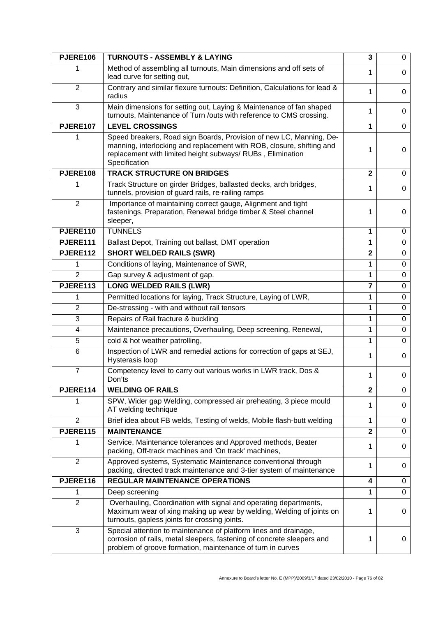| <b>PJERE106</b> | <b>TURNOUTS - ASSEMBLY &amp; LAYING</b>                                                                                                                                                                                    | 3                       | 0           |
|-----------------|----------------------------------------------------------------------------------------------------------------------------------------------------------------------------------------------------------------------------|-------------------------|-------------|
| 1               | Method of assembling all turnouts, Main dimensions and off sets of<br>lead curve for setting out,                                                                                                                          | 1                       | $\Omega$    |
| $\overline{2}$  | Contrary and similar flexure turnouts: Definition, Calculations for lead &<br>radius                                                                                                                                       | 1                       | 0           |
| 3               | Main dimensions for setting out, Laying & Maintenance of fan shaped<br>turnouts, Maintenance of Turn /outs with reference to CMS crossing.                                                                                 | 1                       | 0           |
| <b>PJERE107</b> | <b>LEVEL CROSSINGS</b>                                                                                                                                                                                                     | 1                       | $\mathbf 0$ |
| 1               | Speed breakers, Road sign Boards, Provision of new LC, Manning, De-<br>manning, interlocking and replacement with ROB, closure, shifting and<br>replacement with limited height subways/RUBs, Elimination<br>Specification | 1                       | 0           |
| PJERE108        | <b>TRACK STRUCTURE ON BRIDGES</b>                                                                                                                                                                                          | $\overline{2}$          | 0           |
|                 | Track Structure on girder Bridges, ballasted decks, arch bridges,<br>tunnels, provision of guard rails, re-railing ramps                                                                                                   | 1                       | 0           |
| $\overline{2}$  | Importance of maintaining correct gauge, Alignment and tight<br>fastenings, Preparation, Renewal bridge timber & Steel channel<br>sleeper,                                                                                 | 1                       | 0           |
| PJERE110        | <b>TUNNELS</b>                                                                                                                                                                                                             | 1                       | 0           |
| PJERE111        | Ballast Depot, Training out ballast, DMT operation                                                                                                                                                                         | 1                       | 0           |
| PJERE112        | <b>SHORT WELDED RAILS (SWR)</b>                                                                                                                                                                                            | $\overline{2}$          | $\mathbf 0$ |
| 1               | Conditions of laying, Maintenance of SWR,                                                                                                                                                                                  | 1                       | 0           |
| 2               | Gap survey & adjustment of gap.                                                                                                                                                                                            | 1                       | 0           |
| PJERE113        | <b>LONG WELDED RAILS (LWR)</b>                                                                                                                                                                                             | $\overline{7}$          | 0           |
| 1               | Permitted locations for laying, Track Structure, Laying of LWR,                                                                                                                                                            | 1                       | 0           |
| $\overline{2}$  | De-stressing - with and without rail tensors                                                                                                                                                                               | 1                       | 0           |
| 3               | Repairs of Rail fracture & buckling                                                                                                                                                                                        | 1                       | $\mathbf 0$ |
| 4               | Maintenance precautions, Overhauling, Deep screening, Renewal,                                                                                                                                                             | 1                       | $\mathbf 0$ |
| 5               | cold & hot weather patrolling,                                                                                                                                                                                             | 1                       | $\mathbf 0$ |
| 6               | Inspection of LWR and remedial actions for correction of gaps at SEJ,<br>Hysterasis loop                                                                                                                                   | 1                       | 0           |
| $\overline{7}$  | Competency level to carry out various works in LWR track, Dos &<br>Don'ts                                                                                                                                                  | 1                       | 0           |
| PJERE114        | <b>WELDING OF RAILS</b>                                                                                                                                                                                                    | $\overline{\mathbf{2}}$ | $\pmb{0}$   |
| 1               | SPW, Wider gap Welding, compressed air preheating, 3 piece mould<br>AT welding technique                                                                                                                                   | 1                       | 0           |
| $\overline{2}$  | Brief idea about FB welds, Testing of welds, Mobile flash-butt welding                                                                                                                                                     | 1                       | 0           |
| PJERE115        | <b>MAINTENANCE</b>                                                                                                                                                                                                         | $\overline{2}$          | 0           |
| 1               | Service, Maintenance tolerances and Approved methods, Beater<br>packing, Off-track machines and 'On track' machines,                                                                                                       | 1                       | 0           |
| $\overline{2}$  | Approved systems, Systematic Maintenance conventional through<br>packing, directed track maintenance and 3-tier system of maintenance                                                                                      | 1                       | 0           |
| PJERE116        | <b>REGULAR MAINTENANCE OPERATIONS</b>                                                                                                                                                                                      | 4                       | 0           |
| 1               | Deep screening                                                                                                                                                                                                             | 1                       | $\mathbf 0$ |
| $\overline{2}$  | Overhauling, Coordination with signal and operating departments,<br>Maximum wear of xing making up wear by welding, Welding of joints on<br>turnouts, gapless joints for crossing joints.                                  | 1                       | 0           |
| 3               | Special attention to maintenance of platform lines and drainage,<br>corrosion of rails, metal sleepers, fastening of concrete sleepers and<br>problem of groove formation, maintenance of turn in curves                   | 1                       | 0           |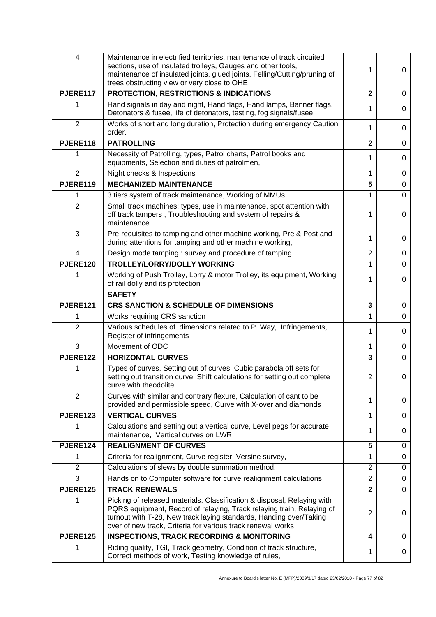| 4              | Maintenance in electrified territories, maintenance of track circuited<br>sections, use of insulated trolleys, Gauges and other tools,<br>maintenance of insulated joints, glued joints. Felling/Cutting/pruning of<br>trees obstructing view or very close to OHE                    | 1              | 0              |
|----------------|---------------------------------------------------------------------------------------------------------------------------------------------------------------------------------------------------------------------------------------------------------------------------------------|----------------|----------------|
| PJERE117       | PROTECTION, RESTRICTIONS & INDICATIONS                                                                                                                                                                                                                                                | $\mathbf 2$    | 0              |
| 1              | Hand signals in day and night, Hand flags, Hand lamps, Banner flags,<br>Detonators & fusee, life of detonators, testing, fog signals/fusee                                                                                                                                            | 1              | 0              |
| $\overline{2}$ | Works of short and long duration, Protection during emergency Caution<br>order.                                                                                                                                                                                                       | 1              | 0              |
| PJERE118       | <b>PATROLLING</b>                                                                                                                                                                                                                                                                     | $\mathbf{2}$   | $\overline{0}$ |
| 1              | Necessity of Patrolling, types, Patrol charts, Patrol books and<br>equipments, Selection and duties of patrolmen,                                                                                                                                                                     | 1              | 0              |
| $\overline{2}$ | Night checks & Inspections                                                                                                                                                                                                                                                            | 1              | 0              |
| PJERE119       | <b>MECHANIZED MAINTENANCE</b>                                                                                                                                                                                                                                                         | 5              | $\mathbf 0$    |
| 1              | 3 tiers system of track maintenance, Working of MMUs                                                                                                                                                                                                                                  | 1              | $\overline{0}$ |
| $\overline{2}$ | Small track machines: types, use in maintenance, spot attention with<br>off track tampers, Troubleshooting and system of repairs &<br>maintenance                                                                                                                                     | 1              | 0              |
| 3              | Pre-requisites to tamping and other machine working, Pre & Post and<br>during attentions for tamping and other machine working,                                                                                                                                                       | 1              | 0              |
| 4              | Design mode tamping : survey and procedure of tamping                                                                                                                                                                                                                                 | $\overline{2}$ | $\mathbf 0$    |
| PJERE120       | <b>TROLLEY/LORRY/DOLLY WORKING</b>                                                                                                                                                                                                                                                    | 1              | $\overline{0}$ |
| 1              | Working of Push Trolley, Lorry & motor Trolley, its equipment, Working<br>of rail dolly and its protection                                                                                                                                                                            | 1              | 0              |
|                | <b>SAFETY</b>                                                                                                                                                                                                                                                                         |                |                |
| PJERE121       | <b>CRS SANCTION &amp; SCHEDULE OF DIMENSIONS</b>                                                                                                                                                                                                                                      | 3              | 0              |
| 1              | Works requiring CRS sanction                                                                                                                                                                                                                                                          | 1              | $\mathbf 0$    |
| $\overline{2}$ | Various schedules of dimensions related to P. Way, Infringements,<br>Register of infringements                                                                                                                                                                                        | 1              | 0              |
| 3              | Movement of ODC                                                                                                                                                                                                                                                                       | 1              | $\mathbf 0$    |
| PJERE122       | <b>HORIZONTAL CURVES</b>                                                                                                                                                                                                                                                              | 3              | $\mathbf 0$    |
| 1              | Types of curves, Setting out of curves, Cubic parabola off sets for<br>setting out transition curve, Shift calculations for setting out complete<br>curve with theodolite.                                                                                                            | $\overline{2}$ | 0              |
| $\overline{2}$ | Curves with similar and contrary flexure, Calculation of cant to be<br>provided and permissible speed, Curve with X-over and diamonds                                                                                                                                                 | 1              | 0              |
| PJERE123       | <b>VERTICAL CURVES</b>                                                                                                                                                                                                                                                                | 1              | 0              |
| 1              | Calculations and setting out a vertical curve, Level pegs for accurate<br>maintenance, Vertical curves on LWR                                                                                                                                                                         | 1              | 0              |
| PJERE124       | <b>REALIGNMENT OF CURVES</b>                                                                                                                                                                                                                                                          | 5              | $\pmb{0}$      |
| 1              | Criteria for realignment, Curve register, Versine survey,                                                                                                                                                                                                                             | 1              | $\mathbf 0$    |
| $\overline{2}$ | Calculations of slews by double summation method,                                                                                                                                                                                                                                     | $\overline{2}$ | 0              |
| 3              | Hands on to Computer software for curve realignment calculations                                                                                                                                                                                                                      | $\overline{2}$ | $\pmb{0}$      |
| PJERE125       | <b>TRACK RENEWALS</b>                                                                                                                                                                                                                                                                 | $\overline{2}$ | 0              |
| 1              | Picking of released materials, Classification & disposal, Relaying with<br>PQRS equipment, Record of relaying, Track relaying train, Relaying of<br>turnout with T-28, New track laying standards, Handing over/Taking<br>over of new track, Criteria for various track renewal works | $\overline{2}$ | 0              |
| PJERE125       | <b>INSPECTIONS, TRACK RECORDING &amp; MONITORING</b>                                                                                                                                                                                                                                  | 4              | 0              |
| 1              | Riding quality,-TGI, Track geometry, Condition of track structure,<br>Correct methods of work, Testing knowledge of rules,                                                                                                                                                            | 1              | 0              |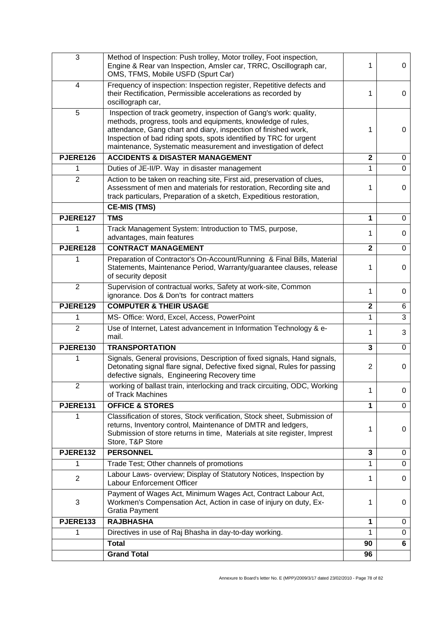| $\mathbf{3}$    | Method of Inspection: Push trolley, Motor trolley, Foot inspection,<br>Engine & Rear van Inspection, Amsler car, TRRC, Oscillograph car,<br>OMS, TFMS, Mobile USFD (Spurt Car)                                                                                                                                                               | 1                       | 0           |
|-----------------|----------------------------------------------------------------------------------------------------------------------------------------------------------------------------------------------------------------------------------------------------------------------------------------------------------------------------------------------|-------------------------|-------------|
| 4               | Frequency of inspection: Inspection register, Repetitive defects and<br>their Rectification, Permissible accelerations as recorded by<br>oscillograph car,                                                                                                                                                                                   | 1                       | 0           |
| 5               | Inspection of track geometry, inspection of Gang's work: quality,<br>methods, progress, tools and equipments, knowledge of rules,<br>attendance, Gang chart and diary, inspection of finished work,<br>Inspection of bad riding spots, spots identified by TRC for urgent<br>maintenance, Systematic measurement and investigation of defect | 1                       | 0           |
| PJERE126        | <b>ACCIDENTS &amp; DISASTER MANAGEMENT</b>                                                                                                                                                                                                                                                                                                   | $\overline{\mathbf{2}}$ | 0           |
| 1               | Duties of JE-II/P. Way in disaster management                                                                                                                                                                                                                                                                                                | 1                       | $\mathbf 0$ |
| $\overline{2}$  | Action to be taken on reaching site, First aid, preservation of clues,<br>Assessment of men and materials for restoration, Recording site and<br>track particulars, Preparation of a sketch, Expeditious restoration,                                                                                                                        | 1                       | 0           |
|                 | <b>CE-MIS (TMS)</b>                                                                                                                                                                                                                                                                                                                          |                         |             |
| PJERE127        | <b>TMS</b>                                                                                                                                                                                                                                                                                                                                   | 1                       | $\mathbf 0$ |
| 1               | Track Management System: Introduction to TMS, purpose,<br>advantages, main features                                                                                                                                                                                                                                                          | 1                       | 0           |
| PJERE128        | <b>CONTRACT MANAGEMENT</b>                                                                                                                                                                                                                                                                                                                   | $\overline{2}$          | $\mathbf 0$ |
| 1               | Preparation of Contractor's On-Account/Running & Final Bills, Material<br>Statements, Maintenance Period, Warranty/guarantee clauses, release<br>of security deposit                                                                                                                                                                         | 1                       | 0           |
| 2               | Supervision of contractual works, Safety at work-site, Common<br>ignorance. Dos & Don'ts for contract matters                                                                                                                                                                                                                                | 1                       | 0           |
| PJERE129        | <b>COMPUTER &amp; THEIR USAGE</b>                                                                                                                                                                                                                                                                                                            | $\overline{\mathbf{2}}$ | 6           |
| 1               | MS- Office: Word, Excel, Access, PowerPoint                                                                                                                                                                                                                                                                                                  | 1                       | 3           |
| $\overline{2}$  | Use of Internet, Latest advancement in Information Technology & e-<br>mail.                                                                                                                                                                                                                                                                  | 1                       | 3           |
| <b>PJERE130</b> | <b>TRANSPORTATION</b>                                                                                                                                                                                                                                                                                                                        | $\mathbf{3}$            | 0           |
| 1               | Signals, General provisions, Description of fixed signals, Hand signals,<br>Detonating signal flare signal, Defective fixed signal, Rules for passing<br>defective signals, Engineering Recovery time                                                                                                                                        | $\overline{2}$          | 0           |
| $\overline{2}$  | working of ballast train, interlocking and track circuiting, ODC, Working<br>of Track Machines                                                                                                                                                                                                                                               | 1                       | 0           |
| PJERE131        | <b>OFFICE &amp; STORES</b>                                                                                                                                                                                                                                                                                                                   | 1                       | 0           |
|                 | Classification of stores, Stock verification, Stock sheet, Submission of<br>returns, Inventory control, Maintenance of DMTR and ledgers,<br>Submission of store returns in time, Materials at site register, Imprest<br>Store, T&P Store                                                                                                     | 1                       | 0           |
| PJERE132        | <b>PERSONNEL</b>                                                                                                                                                                                                                                                                                                                             | $\mathbf{3}$            | 0           |
| 1               | Trade Test; Other channels of promotions                                                                                                                                                                                                                                                                                                     | 1                       | $\Omega$    |
| $\overline{2}$  | Labour Laws- overview; Display of Statutory Notices, Inspection by<br>Labour Enforcement Officer                                                                                                                                                                                                                                             | 1                       | 0           |
| 3               | Payment of Wages Act, Minimum Wages Act, Contract Labour Act,<br>Workmen's Compensation Act, Action in case of injury on duty, Ex-<br><b>Gratia Payment</b>                                                                                                                                                                                  | 1                       | 0           |
| PJERE133        | <b>RAJBHASHA</b>                                                                                                                                                                                                                                                                                                                             | 1                       | 0           |
| 1               | Directives in use of Raj Bhasha in day-to-day working.                                                                                                                                                                                                                                                                                       | 1                       | 0           |
|                 | <b>Total</b>                                                                                                                                                                                                                                                                                                                                 | 90                      | 6           |
|                 | <b>Grand Total</b>                                                                                                                                                                                                                                                                                                                           | 96                      |             |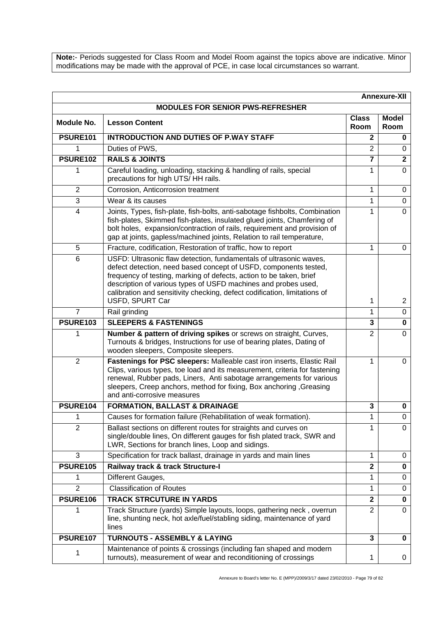**Note:**- Periods suggested for Class Room and Model Room against the topics above are indicative. Minor modifications may be made with the approval of PCE, in case local circumstances so warrant.

| <b>Annexure-XII</b> |                                                                                                                                                                                                                                                                                                                                                                                 |                      |                      |
|---------------------|---------------------------------------------------------------------------------------------------------------------------------------------------------------------------------------------------------------------------------------------------------------------------------------------------------------------------------------------------------------------------------|----------------------|----------------------|
|                     | <b>MODULES FOR SENIOR PWS-REFRESHER</b>                                                                                                                                                                                                                                                                                                                                         |                      |                      |
| Module No.          | <b>Lesson Content</b>                                                                                                                                                                                                                                                                                                                                                           | <b>Class</b><br>Room | <b>Model</b><br>Room |
| <b>PSURE101</b>     | <b>INTRODUCTION AND DUTIES OF P.WAY STAFF</b>                                                                                                                                                                                                                                                                                                                                   | $\mathbf{2}$         | $\bf{0}$             |
| 1                   | Duties of PWS,                                                                                                                                                                                                                                                                                                                                                                  | $\overline{2}$       | 0                    |
| <b>PSURE102</b>     | <b>RAILS &amp; JOINTS</b>                                                                                                                                                                                                                                                                                                                                                       | $\overline{7}$       | $\overline{2}$       |
| 1                   | Careful loading, unloading, stacking & handling of rails, special<br>precautions for high UTS/HH rails.                                                                                                                                                                                                                                                                         | 1                    | $\Omega$             |
| $\overline{2}$      | Corrosion, Anticorrosion treatment                                                                                                                                                                                                                                                                                                                                              | 1                    | 0                    |
| 3                   | Wear & its causes                                                                                                                                                                                                                                                                                                                                                               | 1                    | $\Omega$             |
| 4                   | Joints, Types, fish-plate, fish-bolts, anti-sabotage fishbolts, Combination<br>fish-plates, Skimmed fish-plates, insulated glued joints, Chamfering of<br>bolt holes, expansion/contraction of rails, requirement and provision of<br>gap at joints, gapless/machined joints, Relation to rail temperature,                                                                     | 1                    | $\mathbf 0$          |
| 5                   | Fracture, codification, Restoration of traffic, how to report                                                                                                                                                                                                                                                                                                                   | 1                    | $\Omega$             |
| 6                   | USFD: Ultrasonic flaw detection, fundamentals of ultrasonic waves,<br>defect detection, need based concept of USFD, components tested,<br>frequency of testing, marking of defects, action to be taken, brief<br>description of various types of USFD machines and probes used,<br>calibration and sensitivity checking, defect codification, limitations of<br>USFD, SPURT Car | 1                    | $\overline{2}$       |
| $\overline{7}$      | Rail grinding                                                                                                                                                                                                                                                                                                                                                                   | 1                    | $\mathbf 0$          |
| <b>PSURE103</b>     | <b>SLEEPERS &amp; FASTENINGS</b>                                                                                                                                                                                                                                                                                                                                                | 3                    | $\mathbf 0$          |
| 1                   | Number & pattern of driving spikes or screws on straight, Curves,<br>Turnouts & bridges, Instructions for use of bearing plates, Dating of<br>wooden sleepers, Composite sleepers.                                                                                                                                                                                              | $\overline{2}$       | $\Omega$             |
| $\overline{2}$      | Fastenings for PSC sleepers: Malleable cast iron inserts, Elastic Rail<br>Clips, various types, toe load and its measurement, criteria for fastening<br>renewal, Rubber pads, Liners, Anti sabotage arrangements for various<br>sleepers, Creep anchors, method for fixing, Box anchoring, Greasing<br>and anti-corrosive measures                                              | 1                    | $\mathbf 0$          |
| PSURE104            | <b>FORMATION, BALLAST &amp; DRAINAGE</b>                                                                                                                                                                                                                                                                                                                                        | 3                    | 0                    |
| 1                   | Causes for formation failure (Rehabilitation of weak formation).                                                                                                                                                                                                                                                                                                                | 1                    | 0                    |
| $\overline{2}$      | Ballast sections on different routes for straights and curves on<br>single/double lines, On different gauges for fish plated track, SWR and<br>LWR, Sections for branch lines, Loop and sidings.                                                                                                                                                                                | 1                    | 0                    |
| 3                   | Specification for track ballast, drainage in yards and main lines                                                                                                                                                                                                                                                                                                               | 1                    | 0                    |
| <b>PSURE105</b>     | Railway track & track Structure-I                                                                                                                                                                                                                                                                                                                                               | $\mathbf{2}$         | $\bf{0}$             |
| 1                   | Different Gauges,                                                                                                                                                                                                                                                                                                                                                               | 1                    | 0                    |
| $\overline{2}$      | <b>Classification of Routes</b>                                                                                                                                                                                                                                                                                                                                                 | 1                    | 0                    |
| PSURE106            | <b>TRACK STRCUTURE IN YARDS</b>                                                                                                                                                                                                                                                                                                                                                 | $\mathbf{2}$         | 0                    |
| 1                   | Track Structure (yards) Simple layouts, loops, gathering neck, overrun<br>line, shunting neck, hot axle/fuel/stabling siding, maintenance of yard<br>lines                                                                                                                                                                                                                      | $\overline{2}$       | $\mathbf 0$          |
| <b>PSURE107</b>     | <b>TURNOUTS - ASSEMBLY &amp; LAYING</b>                                                                                                                                                                                                                                                                                                                                         | $\overline{3}$       | $\mathbf{0}$         |
| 1                   | Maintenance of points & crossings (including fan shaped and modern<br>turnouts), measurement of wear and reconditioning of crossings                                                                                                                                                                                                                                            | 1                    | 0                    |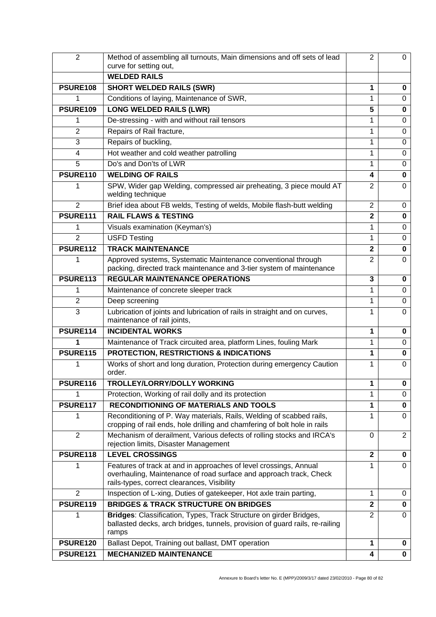| $\overline{2}$  | Method of assembling all turnouts, Main dimensions and off sets of lead<br>curve for setting out,                                                                                      | $\overline{2}$ | 0              |
|-----------------|----------------------------------------------------------------------------------------------------------------------------------------------------------------------------------------|----------------|----------------|
|                 | <b>WELDED RAILS</b>                                                                                                                                                                    |                |                |
| <b>PSURE108</b> | <b>SHORT WELDED RAILS (SWR)</b>                                                                                                                                                        | 1              | 0              |
| 1               | Conditions of laying, Maintenance of SWR,                                                                                                                                              | 1              | $\Omega$       |
| <b>PSURE109</b> | <b>LONG WELDED RAILS (LWR)</b>                                                                                                                                                         | 5              | 0              |
| 1               | De-stressing - with and without rail tensors                                                                                                                                           | 1              | 0              |
| $\overline{2}$  | Repairs of Rail fracture,                                                                                                                                                              | 1              | 0              |
| 3               | Repairs of buckling,                                                                                                                                                                   | 1              | 0              |
| $\overline{4}$  | Hot weather and cold weather patrolling                                                                                                                                                | 1              | 0              |
| 5               | Do's and Don'ts of LWR                                                                                                                                                                 | 1              | 0              |
| PSURE110        | <b>WELDING OF RAILS</b>                                                                                                                                                                | 4              | $\mathbf 0$    |
| 1               | SPW, Wider gap Welding, compressed air preheating, 3 piece mould AT<br>welding technique                                                                                               | $\overline{2}$ | $\Omega$       |
| $\overline{2}$  | Brief idea about FB welds, Testing of welds, Mobile flash-butt welding                                                                                                                 | $\overline{2}$ | $\Omega$       |
| <b>PSURE111</b> | <b>RAIL FLAWS &amp; TESTING</b>                                                                                                                                                        | $\overline{2}$ | 0              |
| 1               | Visuals examination (Keyman's)                                                                                                                                                         | 1              | 0              |
| $\overline{2}$  | <b>USFD Testing</b>                                                                                                                                                                    | 1              | 0              |
| <b>PSURE112</b> | <b>TRACK MAINTENANCE</b>                                                                                                                                                               | $\overline{2}$ | $\mathbf{0}$   |
| 1               | Approved systems, Systematic Maintenance conventional through<br>packing, directed track maintenance and 3-tier system of maintenance                                                  | $\overline{2}$ | $\Omega$       |
| PSURE113        | <b>REGULAR MAINTENANCE OPERATIONS</b>                                                                                                                                                  | 3              | $\bf{0}$       |
| 1               | Maintenance of concrete sleeper track                                                                                                                                                  | 1              | $\mathbf 0$    |
| $\overline{2}$  | Deep screening                                                                                                                                                                         | 1              | 0              |
| 3               | Lubrication of joints and lubrication of rails in straight and on curves,<br>maintenance of rail joints,                                                                               | 1              | 0              |
| PSURE114        | <b>INCIDENTAL WORKS</b>                                                                                                                                                                | 1              | 0              |
| 1               | Maintenance of Track circuited area, platform Lines, fouling Mark                                                                                                                      | 1              | $\Omega$       |
| <b>PSURE115</b> | <b>PROTECTION, RESTRICTIONS &amp; INDICATIONS</b>                                                                                                                                      | 1              | 0              |
| 1               | Works of short and long duration, Protection during emergency Caution<br>order.                                                                                                        | 1              | $\Omega$       |
| <b>PSURE116</b> | TROLLEY/LORRY/DOLLY WORKING                                                                                                                                                            | 1              | 0              |
|                 | Protection, Working of rail dolly and its protection                                                                                                                                   | 1              | 0              |
| PSURE117        | <b>RECONDITIONING OF MATERIALS AND TOOLS</b>                                                                                                                                           | 1              | $\mathbf 0$    |
| 1               | Reconditioning of P. Way materials, Rails, Welding of scabbed rails,<br>cropping of rail ends, hole drilling and chamfering of bolt hole in rails                                      | 1              | 0              |
| $\overline{2}$  | Mechanism of derailment, Various defects of rolling stocks and IRCA's<br>rejection limits, Disaster Management                                                                         | 0              | $\overline{2}$ |
| PSURE118        | <b>LEVEL CROSSINGS</b>                                                                                                                                                                 | $\mathbf{2}$   | 0              |
| 1               | Features of track at and in approaches of level crossings, Annual<br>overhauling, Maintenance of road surface and approach track, Check<br>rails-types, correct clearances, Visibility | 1              | $\Omega$       |
| $\overline{2}$  | Inspection of L-xing, Duties of gatekeeper, Hot axle train parting,                                                                                                                    | 1              | 0              |
| PSURE119        | <b>BRIDGES &amp; TRACK STRUCTURE ON BRIDGES</b>                                                                                                                                        | $\overline{2}$ | $\pmb{0}$      |
| 1               | Bridges: Classification, Types, Track Structure on girder Bridges,<br>ballasted decks, arch bridges, tunnels, provision of guard rails, re-railing<br>ramps                            | $\overline{2}$ | $\mathbf 0$    |
| <b>PSURE120</b> | Ballast Depot, Training out ballast, DMT operation                                                                                                                                     | 1              | 0              |
| <b>PSURE121</b> | <b>MECHANIZED MAINTENANCE</b>                                                                                                                                                          | 4              | $\mathbf 0$    |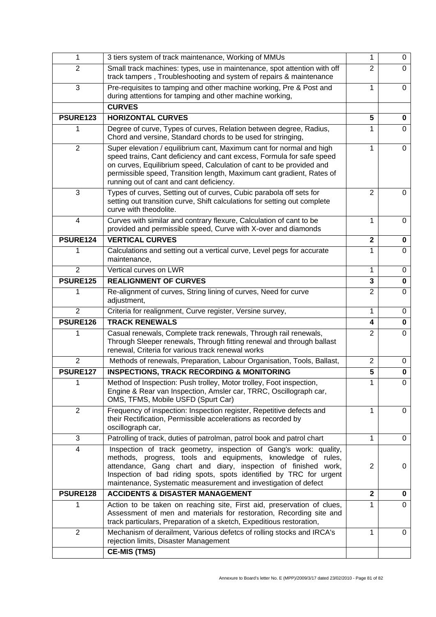| 1               | 3 tiers system of track maintenance, Working of MMUs                                                                                                                                                                                                                                                                                         | 1              | 0           |
|-----------------|----------------------------------------------------------------------------------------------------------------------------------------------------------------------------------------------------------------------------------------------------------------------------------------------------------------------------------------------|----------------|-------------|
| $\overline{2}$  | Small track machines: types, use in maintenance, spot attention with off<br>track tampers, Troubleshooting and system of repairs & maintenance                                                                                                                                                                                               | $\overline{2}$ | $\Omega$    |
| 3               | Pre-requisites to tamping and other machine working, Pre & Post and<br>during attentions for tamping and other machine working,                                                                                                                                                                                                              | 1              | 0           |
|                 | <b>CURVES</b>                                                                                                                                                                                                                                                                                                                                |                |             |
| <b>PSURE123</b> | <b>HORIZONTAL CURVES</b>                                                                                                                                                                                                                                                                                                                     | 5              | 0           |
| 1               | Degree of curve, Types of curves, Relation between degree, Radius,<br>Chord and versine, Standard chords to be used for stringing,                                                                                                                                                                                                           | 1              | 0           |
| $\overline{2}$  | Super elevation / equilibrium cant, Maximum cant for normal and high<br>speed trains, Cant deficiency and cant excess, Formula for safe speed<br>on curves, Equilibrium speed, Calculation of cant to be provided and<br>permissible speed, Transition length, Maximum cant gradient, Rates of<br>running out of cant and cant deficiency.   | 1              | 0           |
| 3               | Types of curves, Setting out of curves, Cubic parabola off sets for<br>setting out transition curve, Shift calculations for setting out complete<br>curve with theodolite.                                                                                                                                                                   | $\overline{2}$ | 0           |
| $\overline{4}$  | Curves with similar and contrary flexure, Calculation of cant to be<br>provided and permissible speed, Curve with X-over and diamonds                                                                                                                                                                                                        | 1              | 0           |
| PSURE124        | <b>VERTICAL CURVES</b>                                                                                                                                                                                                                                                                                                                       | $\overline{2}$ | 0           |
| 1               | Calculations and setting out a vertical curve, Level pegs for accurate<br>maintenance,                                                                                                                                                                                                                                                       | 1              | $\Omega$    |
| $\overline{2}$  | Vertical curves on LWR                                                                                                                                                                                                                                                                                                                       | 1              | 0           |
| <b>PSURE125</b> | <b>REALIGNMENT OF CURVES</b>                                                                                                                                                                                                                                                                                                                 | 3              | $\bf{0}$    |
| 1               | Re-alignment of curves, String lining of curves, Need for curve<br>adjustment,                                                                                                                                                                                                                                                               | $\overline{2}$ | $\Omega$    |
| 2               | Criteria for realignment, Curve register, Versine survey,                                                                                                                                                                                                                                                                                    | 1              | 0           |
| PSURE126        | <b>TRACK RENEWALS</b>                                                                                                                                                                                                                                                                                                                        | 4              | 0           |
| 1               | Casual renewals, Complete track renewals, Through rail renewals,<br>Through Sleeper renewals, Through fitting renewal and through ballast<br>renewal, Criteria for various track renewal works                                                                                                                                               | $\overline{2}$ | $\Omega$    |
| $\overline{2}$  | Methods of renewals, Preparation, Labour Organisation, Tools, Ballast,                                                                                                                                                                                                                                                                       | $\overline{2}$ | 0           |
| PSURE127        | <b>INSPECTIONS, TRACK RECORDING &amp; MONITORING</b>                                                                                                                                                                                                                                                                                         | $\overline{5}$ | $\mathbf 0$ |
| 1               | Method of Inspection: Push trolley, Motor trolley, Foot inspection,<br>Engine & Rear van Inspection, Amsler car, TRRC, Oscillograph car,<br>OMS, TFMS, Mobile USFD (Spurt Car)                                                                                                                                                               | 1              | 0           |
| $\overline{2}$  | Frequency of inspection: Inspection register, Repetitive defects and<br>their Rectification, Permissible accelerations as recorded by<br>oscillograph car,                                                                                                                                                                                   | 1              | 0           |
| 3               | Patrolling of track, duties of patrolman, patrol book and patrol chart                                                                                                                                                                                                                                                                       | 1              | 0           |
| 4               | Inspection of track geometry, inspection of Gang's work: quality,<br>methods, progress, tools and equipments, knowledge of rules,<br>attendance, Gang chart and diary, inspection of finished work,<br>Inspection of bad riding spots, spots identified by TRC for urgent<br>maintenance, Systematic measurement and investigation of defect | $\overline{2}$ | 0           |
| PSURE128        | <b>ACCIDENTS &amp; DISASTER MANAGEMENT</b>                                                                                                                                                                                                                                                                                                   | $\overline{2}$ | 0           |
| 1               | Action to be taken on reaching site, First aid, preservation of clues,<br>Assessment of men and materials for restoration, Recording site and<br>track particulars, Preparation of a sketch, Expeditious restoration,                                                                                                                        | 1              | 0           |
| $\overline{2}$  | Mechanism of derailment, Various defetcs of rolling stocks and IRCA's<br>rejection limits, Disaster Management                                                                                                                                                                                                                               | 1              | 0           |
|                 | <b>CE-MIS (TMS)</b>                                                                                                                                                                                                                                                                                                                          |                |             |